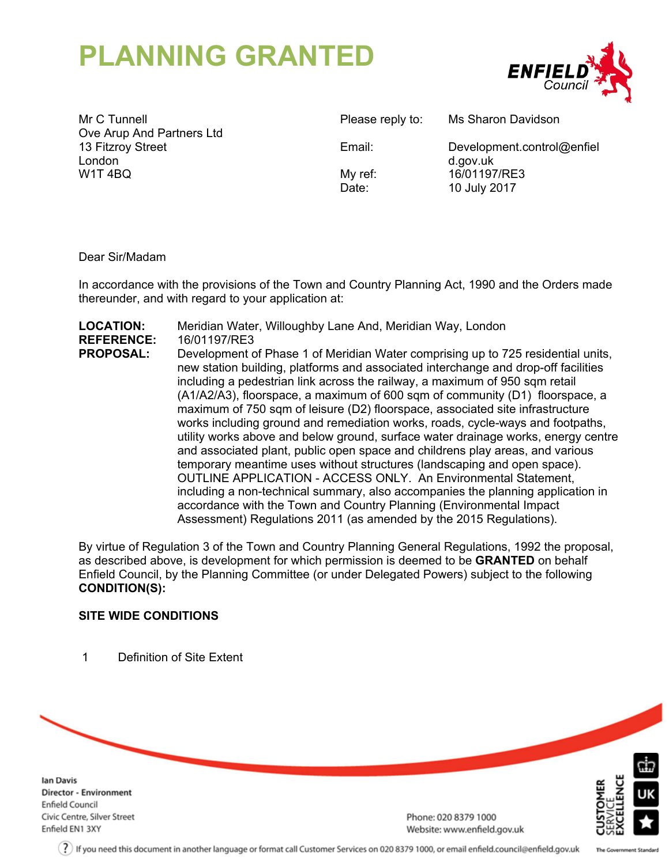# **PLANNING GRANTED**



Mr C Tunnell Ove Arup And Partners Ltd 13 Fitzroy Street London W1T 4BQ

Please reply to: Ms Sharon Davidson

Email: Development.control@enfiel d.gov.uk My ref: 16/01197/RE3 Date: 10 July 2017

Dear Sir/Madam

In accordance with the provisions of the Town and Country Planning Act, 1990 and the Orders made thereunder, and with regard to your application at:

**LOCATION:** Meridian Water, Willoughby Lane And, Meridian Way, London **REFERENCE:** 16/01197/RE3 **PROPOSAL:** Development of Phase 1 of Meridian Water comprising up to 725 residential units, new station building, platforms and associated interchange and drop-off facilities including a pedestrian link across the railway, a maximum of 950 sqm retail (A1/A2/A3), floorspace, a maximum of 600 sqm of community (D1) floorspace, a maximum of 750 sqm of leisure (D2) floorspace, associated site infrastructure works including ground and remediation works, roads, cycle-ways and footpaths, utility works above and below ground, surface water drainage works, energy centre and associated plant, public open space and childrens play areas, and various temporary meantime uses without structures (landscaping and open space). OUTLINE APPLICATION - ACCESS ONLY. An Environmental Statement, including a non-technical summary, also accompanies the planning application in accordance with the Town and Country Planning (Environmental Impact Assessment) Regulations 2011 (as amended by the 2015 Regulations).

By virtue of Regulation 3 of the Town and Country Planning General Regulations, 1992 the proposal, as described above, is development for which permission is deemed to be **GRANTED** on behalf Enfield Council, by the Planning Committee (or under Delegated Powers) subject to the following **CONDITION(S):**

# **SITE WIDE CONDITIONS**

1 Definition of Site Extent

**Ian Davis Director - Environment Enfield Council** Civic Centre, Silver Street Enfield EN1 3XY

Phone: 020 8379 1000 Website: www.enfield.gov.uk

The Government Standard

 $(?)$  If you need this document in another language or format call Customer Services on 020 8379 1000, or email enfield.council@enfield.gov.uk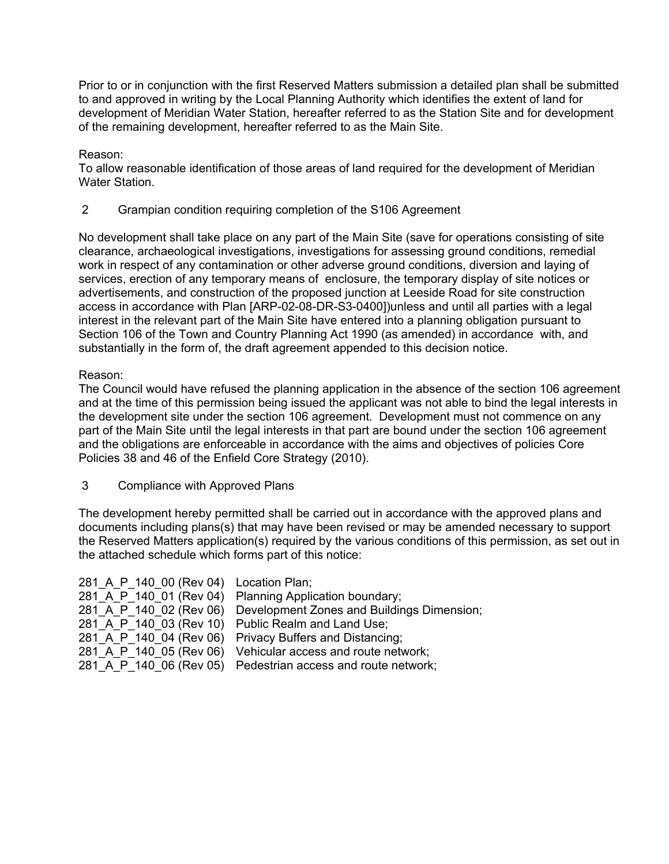Prior to or in conjunction with the first Reserved Matters submission a detailed plan shall be submitted to and approved in writing by the Local Planning Authority which identifies the extent of land for development of Meridian Water Station, hereafter referred to as the Station Site and for development of the remaining development, hereafter referred to as the Main Site.

Reason:

To allow reasonable identification of those areas of land required for the development of Meridian Water Station.

2 Grampian condition requiring completion of the S106 Agreement

No development shall take place on any part of the Main Site (save for operations consisting of site clearance, archaeological investigations, investigations for assessing ground conditions, remedial work in respect of any contamination or other adverse ground conditions, diversion and laying of services, erection of any temporary means of enclosure, the temporary display of site notices or advertisements, and construction of the proposed junction at Leeside Road for site construction access in accordance with Plan [ARP-02-08-DR-S3-0400])unless and until all parties with a legal interest in the relevant part of the Main Site have entered into a planning obligation pursuant to Section 106 of the Town and Country Planning Act 1990 (as amended) in accordance with, and substantially in the form of, the draft agreement appended to this decision notice.

# Reason:

The Council would have refused the planning application in the absence of the section 106 agreement and at the time of this permission being issued the applicant was not able to bind the legal interests in the development site under the section 106 agreement. Development must not commence on any part of the Main Site until the legal interests in that part are bound under the section 106 agreement and the obligations are enforceable in accordance with the aims and objectives of policies Core Policies 38 and 46 of the Enfield Core Strategy (2010).

3 Compliance with Approved Plans

The development hereby permitted shall be carried out in accordance with the approved plans and documents including plans(s) that may have been revised or may be amended necessary to support the Reserved Matters application(s) required by the various conditions of this permission, as set out in the attached schedule which forms part of this notice:

| 281 A P 140 00 (Rev 04) Location Plan; |                                                              |
|----------------------------------------|--------------------------------------------------------------|
| 281 A P 140 01 (Rev 04)                | Planning Application boundary;                               |
| 281 A P 140 02 (Rev 06)                | Development Zones and Buildings Dimension;                   |
|                                        | 281 A P 140 03 (Rev 10) Public Realm and Land Use;           |
| 281 A P 140 04 (Rev 06)                | Privacy Buffers and Distancing;                              |
| 281 A P 140 05 (Rev 06)                | Vehicular access and route network;                          |
|                                        | 281 A P 140 06 (Rev 05) Pedestrian access and route network; |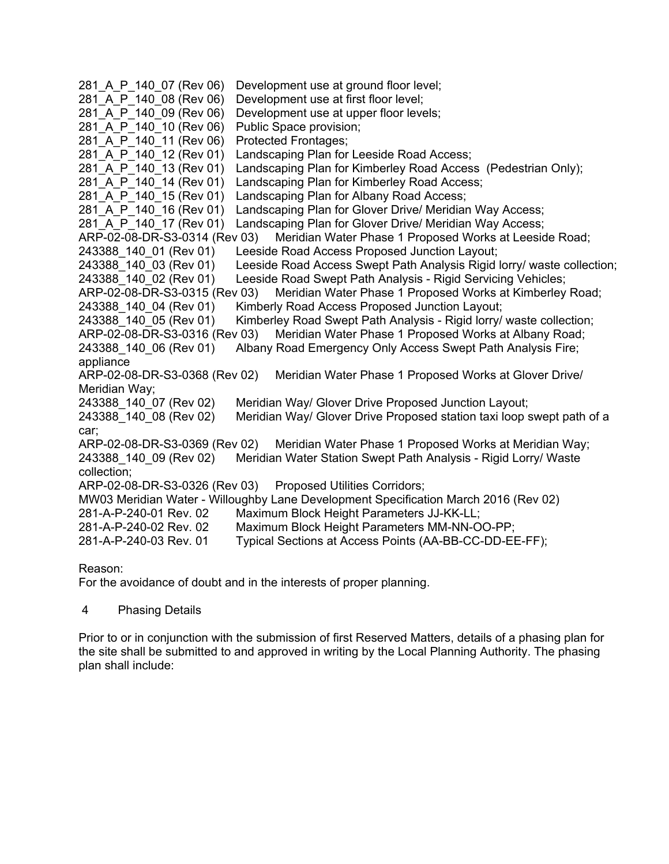```
281 A P 140 07 (Rev 06) Development use at ground floor level;
281 A P 140 08 (Rev 06) Development use at first floor level;
281 A P 140 09 (Rev 06) Development use at upper floor levels;
281 A P 140 10 (Rev 06) Public Space provision;
281 A P 140 11 (Rev 06) Protected Frontages;
281 A P 140 12 (Rev 01) Landscaping Plan for Leeside Road Access;
281 A P 140 13 (Rev 01) Landscaping Plan for Kimberley Road Access (Pedestrian Only);
281 A P 140 14 (Rev 01) Landscaping Plan for Kimberley Road Access;
281_A_P_140_15 (Rev 01) Landscaping Plan for Albany Road Access;
281_A_P_140_16 (Rev 01) Landscaping Plan for Glover Drive/ Meridian Way Access;<br>281 A P 140 17 (Rev 01) Landscaping Plan for Glover Drive/ Meridian Way Access;
                           Landscaping Plan for Glover Drive/ Meridian Way Access;
ARP-02-08-DR-S3-0314 (Rev 03) Meridian Water Phase 1 Proposed Works at Leeside Road;
243388_140_01 (Rev 01) Leeside Road Access Proposed Junction Layout;
243388_140_03 (Rev 01) Leeside Road Access Swept Path Analysis Rigid lorry/ waste collection;
243388_140_02 (Rev 01) Leeside Road Swept Path Analysis - Rigid Servicing Vehicles;
ARP-02-08-DR-S3-0315 (Rev 03) Meridian Water Phase 1 Proposed Works at Kimberley Road;
243388 140 04 (Rev 01) Kimberly Road Access Proposed Junction Layout;
243388_140_05 (Rev 01) Kimberley Road Swept Path Analysis - Rigid lorry/ waste collection;
ARP-02-08-DR-S3-0316 (Rev 03) Meridian Water Phase 1 Proposed Works at Albany Road;
243388 140 06 (Rev 01) Albany Road Emergency Only Access Swept Path Analysis Fire;
appliance
ARP-02-08-DR-S3-0368 (Rev 02) Meridian Water Phase 1 Proposed Works at Glover Drive/
Meridian Way;
243388_140_07 (Rev 02) Meridian Way/ Glover Drive Proposed Junction Layout;
243388 140 08 (Rev 02) Meridian Way/ Glover Drive Proposed station taxi loop swept path of a
car;
ARP-02-08-DR-S3-0369 (Rev 02) Meridian Water Phase 1 Proposed Works at Meridian Way;
243388 140 09 (Rev 02) Meridian Water Station Swept Path Analysis - Rigid Lorry/ Waste
collection;
ARP-02-08-DR-S3-0326 (Rev 03) Proposed Utilities Corridors;
MW03 Meridian Water - Willoughby Lane Development Specification March 2016 (Rev 02)
281-A-P-240-01 Rev. 02 Maximum Block Height Parameters JJ-KK-LL;
281-A-P-240-02 Rev. 02 Maximum Block Height Parameters MM-NN-OO-PP;
281-A-P-240-03 Rev. 01 Typical Sections at Access Points (AA-BB-CC-DD-EE-FF);
```
# Reason:

For the avoidance of doubt and in the interests of proper planning.

# 4 Phasing Details

Prior to or in conjunction with the submission of first Reserved Matters, details of a phasing plan for the site shall be submitted to and approved in writing by the Local Planning Authority. The phasing plan shall include: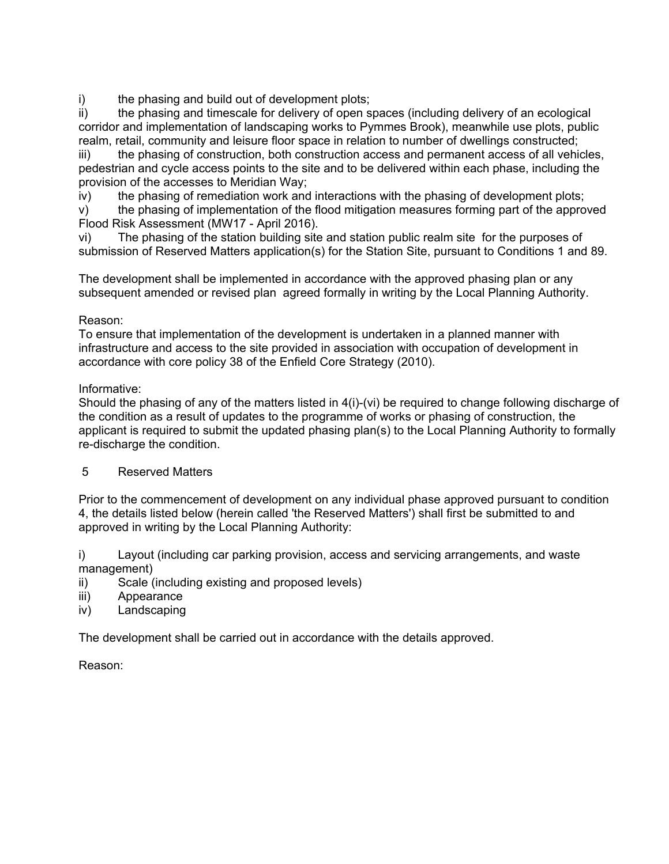i) the phasing and build out of development plots;

ii) the phasing and timescale for delivery of open spaces (including delivery of an ecological corridor and implementation of landscaping works to Pymmes Brook), meanwhile use plots, public realm, retail, community and leisure floor space in relation to number of dwellings constructed;

iii) the phasing of construction, both construction access and permanent access of all vehicles, pedestrian and cycle access points to the site and to be delivered within each phase, including the provision of the accesses to Meridian Way;

iv) the phasing of remediation work and interactions with the phasing of development plots;

v) the phasing of implementation of the flood mitigation measures forming part of the approved Flood Risk Assessment (MW17 - April 2016).

vi) The phasing of the station building site and station public realm site for the purposes of submission of Reserved Matters application(s) for the Station Site, pursuant to Conditions 1 and 89.

The development shall be implemented in accordance with the approved phasing plan or any subsequent amended or revised plan agreed formally in writing by the Local Planning Authority.

# Reason:

To ensure that implementation of the development is undertaken in a planned manner with infrastructure and access to the site provided in association with occupation of development in accordance with core policy 38 of the Enfield Core Strategy (2010).

# Informative:

Should the phasing of any of the matters listed in 4(i)-(vi) be required to change following discharge of the condition as a result of updates to the programme of works or phasing of construction, the applicant is required to submit the updated phasing plan(s) to the Local Planning Authority to formally re-discharge the condition.

# 5 Reserved Matters

Prior to the commencement of development on any individual phase approved pursuant to condition 4, the details listed below (herein called 'the Reserved Matters') shall first be submitted to and approved in writing by the Local Planning Authority:

i) Layout (including car parking provision, access and servicing arrangements, and waste management)

- ii) Scale (including existing and proposed levels)
- iii) Appearance
- iv) Landscaping

The development shall be carried out in accordance with the details approved.

Reason: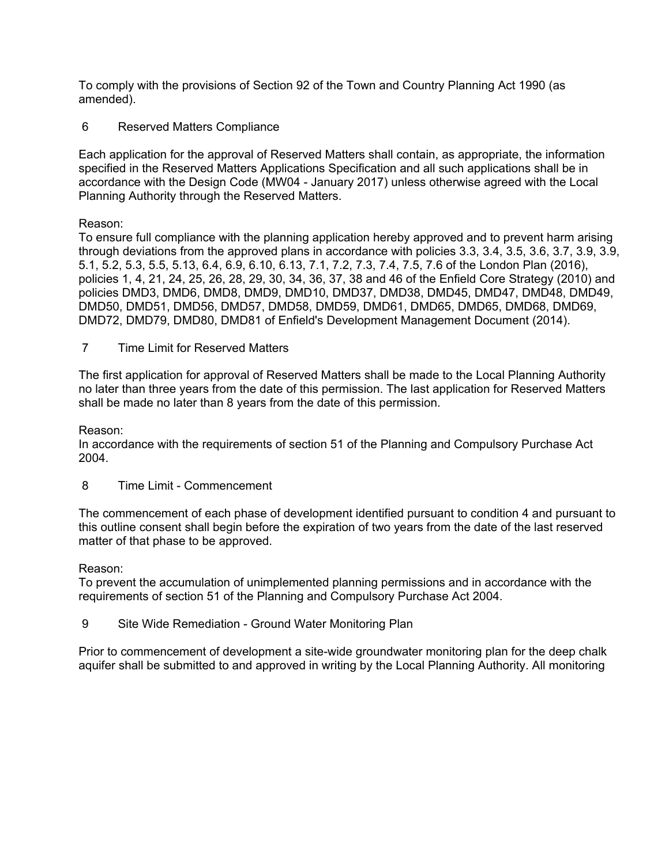To comply with the provisions of Section 92 of the Town and Country Planning Act 1990 (as amended).

6 Reserved Matters Compliance

Each application for the approval of Reserved Matters shall contain, as appropriate, the information specified in the Reserved Matters Applications Specification and all such applications shall be in accordance with the Design Code (MW04 - January 2017) unless otherwise agreed with the Local Planning Authority through the Reserved Matters.

# Reason:

To ensure full compliance with the planning application hereby approved and to prevent harm arising through deviations from the approved plans in accordance with policies 3.3, 3.4, 3.5, 3.6, 3.7, 3.9, 3.9, 5.1, 5.2, 5.3, 5.5, 5.13, 6.4, 6.9, 6.10, 6.13, 7.1, 7.2, 7.3, 7.4, 7.5, 7.6 of the London Plan (2016), policies 1, 4, 21, 24, 25, 26, 28, 29, 30, 34, 36, 37, 38 and 46 of the Enfield Core Strategy (2010) and policies DMD3, DMD6, DMD8, DMD9, DMD10, DMD37, DMD38, DMD45, DMD47, DMD48, DMD49, DMD50, DMD51, DMD56, DMD57, DMD58, DMD59, DMD61, DMD65, DMD65, DMD68, DMD69, DMD72, DMD79, DMD80, DMD81 of Enfield's Development Management Document (2014).

7 Time Limit for Reserved Matters

The first application for approval of Reserved Matters shall be made to the Local Planning Authority no later than three years from the date of this permission. The last application for Reserved Matters shall be made no later than 8 years from the date of this permission.

# Reason:

In accordance with the requirements of section 51 of the Planning and Compulsory Purchase Act 2004.

8 Time Limit - Commencement

The commencement of each phase of development identified pursuant to condition 4 and pursuant to this outline consent shall begin before the expiration of two years from the date of the last reserved matter of that phase to be approved.

# Reason:

To prevent the accumulation of unimplemented planning permissions and in accordance with the requirements of section 51 of the Planning and Compulsory Purchase Act 2004.

9 Site Wide Remediation - Ground Water Monitoring Plan

Prior to commencement of development a site-wide groundwater monitoring plan for the deep chalk aquifer shall be submitted to and approved in writing by the Local Planning Authority. All monitoring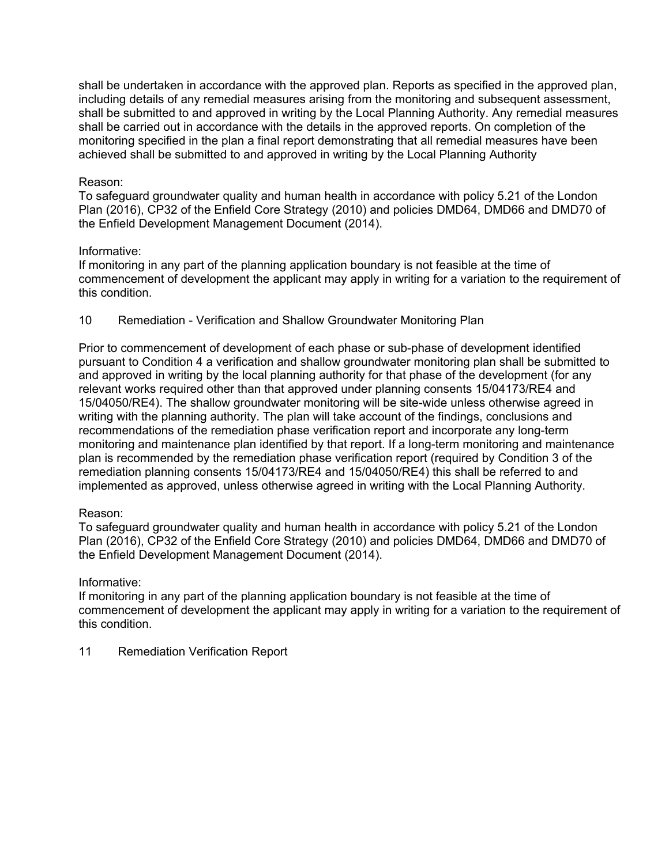shall be undertaken in accordance with the approved plan. Reports as specified in the approved plan, including details of any remedial measures arising from the monitoring and subsequent assessment, shall be submitted to and approved in writing by the Local Planning Authority. Any remedial measures shall be carried out in accordance with the details in the approved reports. On completion of the monitoring specified in the plan a final report demonstrating that all remedial measures have been achieved shall be submitted to and approved in writing by the Local Planning Authority

## Reason:

To safeguard groundwater quality and human health in accordance with policy 5.21 of the London Plan (2016), CP32 of the Enfield Core Strategy (2010) and policies DMD64, DMD66 and DMD70 of the Enfield Development Management Document (2014).

#### Informative:

If monitoring in any part of the planning application boundary is not feasible at the time of commencement of development the applicant may apply in writing for a variation to the requirement of this condition.

# 10 Remediation - Verification and Shallow Groundwater Monitoring Plan

Prior to commencement of development of each phase or sub-phase of development identified pursuant to Condition 4 a verification and shallow groundwater monitoring plan shall be submitted to and approved in writing by the local planning authority for that phase of the development (for any relevant works required other than that approved under planning consents 15/04173/RE4 and 15/04050/RE4). The shallow groundwater monitoring will be site-wide unless otherwise agreed in writing with the planning authority. The plan will take account of the findings, conclusions and recommendations of the remediation phase verification report and incorporate any long-term monitoring and maintenance plan identified by that report. If a long-term monitoring and maintenance plan is recommended by the remediation phase verification report (required by Condition 3 of the remediation planning consents 15/04173/RE4 and 15/04050/RE4) this shall be referred to and implemented as approved, unless otherwise agreed in writing with the Local Planning Authority.

# Reason:

To safeguard groundwater quality and human health in accordance with policy 5.21 of the London Plan (2016), CP32 of the Enfield Core Strategy (2010) and policies DMD64, DMD66 and DMD70 of the Enfield Development Management Document (2014).

# Informative:

If monitoring in any part of the planning application boundary is not feasible at the time of commencement of development the applicant may apply in writing for a variation to the requirement of this condition.

11 Remediation Verification Report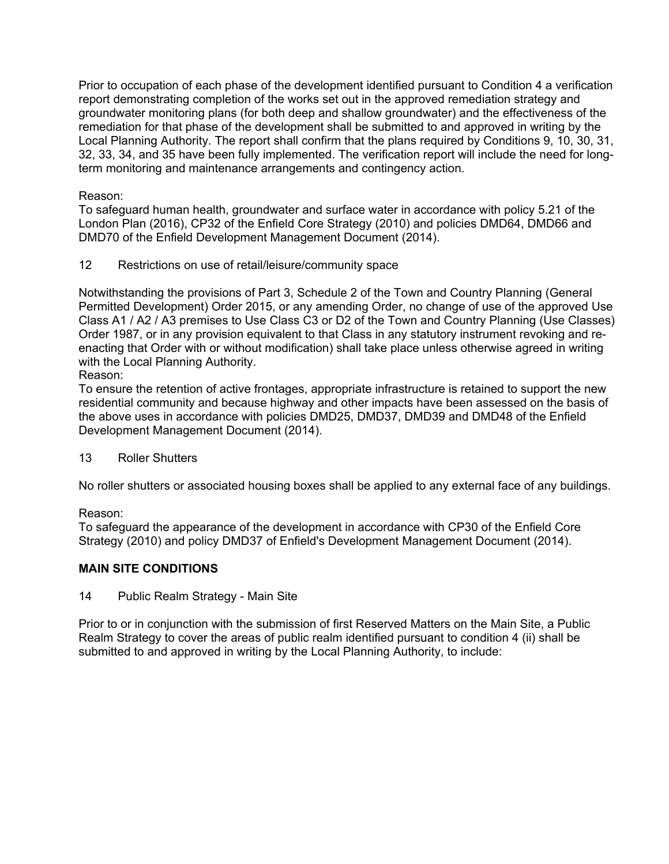Prior to occupation of each phase of the development identified pursuant to Condition 4 a verification report demonstrating completion of the works set out in the approved remediation strategy and groundwater monitoring plans (for both deep and shallow groundwater) and the effectiveness of the remediation for that phase of the development shall be submitted to and approved in writing by the Local Planning Authority. The report shall confirm that the plans required by Conditions 9, 10, 30, 31, 32, 33, 34, and 35 have been fully implemented. The verification report will include the need for longterm monitoring and maintenance arrangements and contingency action.

# Reason:

To safeguard human health, groundwater and surface water in accordance with policy 5.21 of the London Plan (2016), CP32 of the Enfield Core Strategy (2010) and policies DMD64, DMD66 and DMD70 of the Enfield Development Management Document (2014).

12 Restrictions on use of retail/leisure/community space

Notwithstanding the provisions of Part 3, Schedule 2 of the Town and Country Planning (General Permitted Development) Order 2015, or any amending Order, no change of use of the approved Use Class A1 / A2 / A3 premises to Use Class C3 or D2 of the Town and Country Planning (Use Classes) Order 1987, or in any provision equivalent to that Class in any statutory instrument revoking and reenacting that Order with or without modification) shall take place unless otherwise agreed in writing with the Local Planning Authority.

# Reason:

To ensure the retention of active frontages, appropriate infrastructure is retained to support the new residential community and because highway and other impacts have been assessed on the basis of the above uses in accordance with policies DMD25, DMD37, DMD39 and DMD48 of the Enfield Development Management Document (2014).

# 13 Roller Shutters

No roller shutters or associated housing boxes shall be applied to any external face of any buildings.

# Reason:

To safeguard the appearance of the development in accordance with CP30 of the Enfield Core Strategy (2010) and policy DMD37 of Enfield's Development Management Document (2014).

# **MAIN SITE CONDITIONS**

14 Public Realm Strategy - Main Site

Prior to or in conjunction with the submission of first Reserved Matters on the Main Site, a Public Realm Strategy to cover the areas of public realm identified pursuant to condition 4 (ii) shall be submitted to and approved in writing by the Local Planning Authority, to include: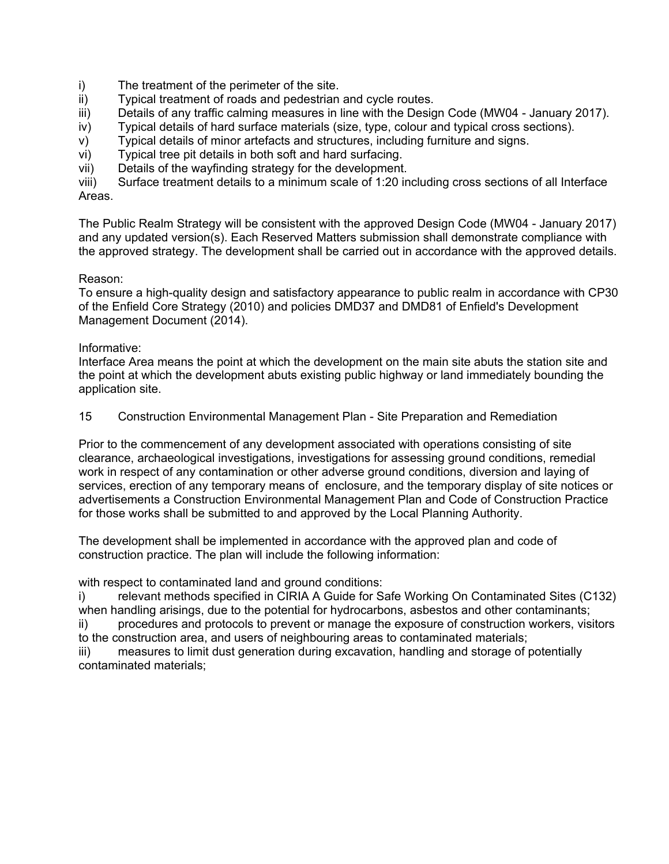- i) The treatment of the perimeter of the site.
- ii) Typical treatment of roads and pedestrian and cycle routes.
- iii) Details of any traffic calming measures in line with the Design Code (MW04 January 2017).
- iv) Typical details of hard surface materials (size, type, colour and typical cross sections).
- v) Typical details of minor artefacts and structures, including furniture and signs.
- vi) Typical tree pit details in both soft and hard surfacing.
- vii) Details of the wayfinding strategy for the development.

viii) Surface treatment details to a minimum scale of 1:20 including cross sections of all Interface Areas.

The Public Realm Strategy will be consistent with the approved Design Code (MW04 - January 2017) and any updated version(s). Each Reserved Matters submission shall demonstrate compliance with the approved strategy. The development shall be carried out in accordance with the approved details.

# Reason:

To ensure a high-quality design and satisfactory appearance to public realm in accordance with CP30 of the Enfield Core Strategy (2010) and policies DMD37 and DMD81 of Enfield's Development Management Document (2014).

#### Informative:

Interface Area means the point at which the development on the main site abuts the station site and the point at which the development abuts existing public highway or land immediately bounding the application site.

15 Construction Environmental Management Plan - Site Preparation and Remediation

Prior to the commencement of any development associated with operations consisting of site clearance, archaeological investigations, investigations for assessing ground conditions, remedial work in respect of any contamination or other adverse ground conditions, diversion and laying of services, erection of any temporary means of enclosure, and the temporary display of site notices or advertisements a Construction Environmental Management Plan and Code of Construction Practice for those works shall be submitted to and approved by the Local Planning Authority.

The development shall be implemented in accordance with the approved plan and code of construction practice. The plan will include the following information:

with respect to contaminated land and ground conditions:

i) relevant methods specified in CIRIA A Guide for Safe Working On Contaminated Sites (C132) when handling arisings, due to the potential for hydrocarbons, asbestos and other contaminants;

ii) procedures and protocols to prevent or manage the exposure of construction workers, visitors to the construction area, and users of neighbouring areas to contaminated materials;

iii) measures to limit dust generation during excavation, handling and storage of potentially contaminated materials;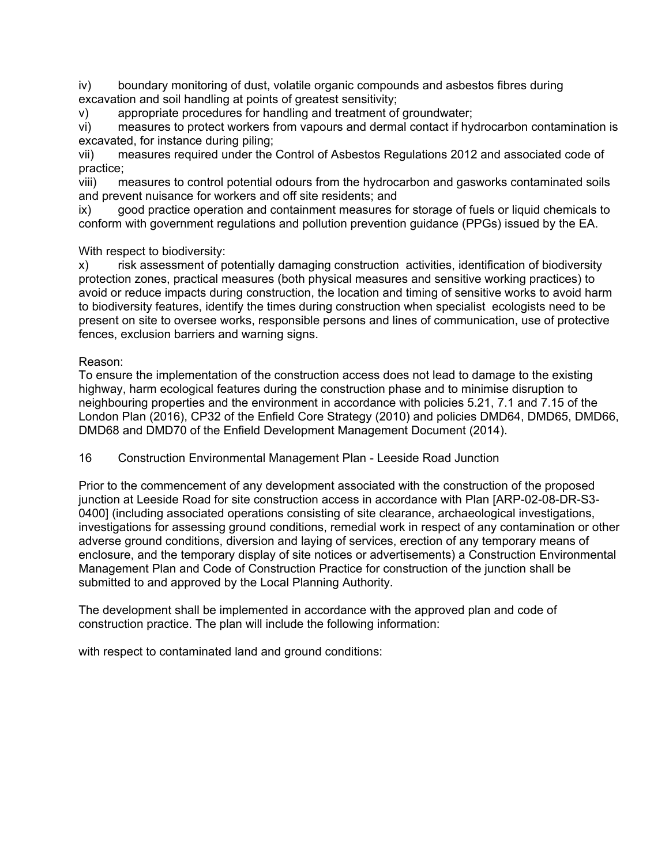iv) boundary monitoring of dust, volatile organic compounds and asbestos fibres during excavation and soil handling at points of greatest sensitivity;

v) appropriate procedures for handling and treatment of groundwater;

vi) measures to protect workers from vapours and dermal contact if hydrocarbon contamination is excavated, for instance during piling;

vii) measures required under the Control of Asbestos Regulations 2012 and associated code of practice;

viii) measures to control potential odours from the hydrocarbon and gasworks contaminated soils and prevent nuisance for workers and off site residents; and

ix) good practice operation and containment measures for storage of fuels or liquid chemicals to conform with government regulations and pollution prevention guidance (PPGs) issued by the EA.

With respect to biodiversity:

x) risk assessment of potentially damaging construction activities, identification of biodiversity protection zones, practical measures (both physical measures and sensitive working practices) to avoid or reduce impacts during construction, the location and timing of sensitive works to avoid harm to biodiversity features, identify the times during construction when specialist ecologists need to be present on site to oversee works, responsible persons and lines of communication, use of protective fences, exclusion barriers and warning signs.

#### Reason:

To ensure the implementation of the construction access does not lead to damage to the existing highway, harm ecological features during the construction phase and to minimise disruption to neighbouring properties and the environment in accordance with policies 5.21, 7.1 and 7.15 of the London Plan (2016), CP32 of the Enfield Core Strategy (2010) and policies DMD64, DMD65, DMD66, DMD68 and DMD70 of the Enfield Development Management Document (2014).

16 Construction Environmental Management Plan - Leeside Road Junction

Prior to the commencement of any development associated with the construction of the proposed junction at Leeside Road for site construction access in accordance with Plan [ARP-02-08-DR-S3- 0400] (including associated operations consisting of site clearance, archaeological investigations, investigations for assessing ground conditions, remedial work in respect of any contamination or other adverse ground conditions, diversion and laying of services, erection of any temporary means of enclosure, and the temporary display of site notices or advertisements) a Construction Environmental Management Plan and Code of Construction Practice for construction of the junction shall be submitted to and approved by the Local Planning Authority.

The development shall be implemented in accordance with the approved plan and code of construction practice. The plan will include the following information:

with respect to contaminated land and ground conditions: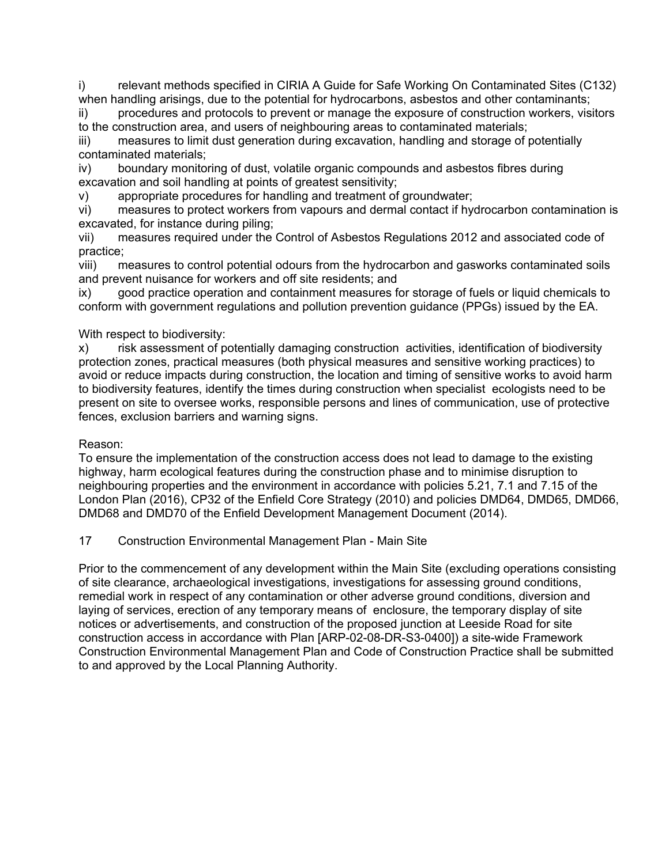i) relevant methods specified in CIRIA A Guide for Safe Working On Contaminated Sites (C132) when handling arisings, due to the potential for hydrocarbons, asbestos and other contaminants;

ii) procedures and protocols to prevent or manage the exposure of construction workers, visitors to the construction area, and users of neighbouring areas to contaminated materials;

iii) measures to limit dust generation during excavation, handling and storage of potentially contaminated materials;

iv) boundary monitoring of dust, volatile organic compounds and asbestos fibres during excavation and soil handling at points of greatest sensitivity;

v) appropriate procedures for handling and treatment of groundwater;

vi) measures to protect workers from vapours and dermal contact if hydrocarbon contamination is excavated, for instance during piling;

vii) measures required under the Control of Asbestos Regulations 2012 and associated code of practice;

viii) measures to control potential odours from the hydrocarbon and gasworks contaminated soils and prevent nuisance for workers and off site residents; and

ix) good practice operation and containment measures for storage of fuels or liquid chemicals to conform with government regulations and pollution prevention guidance (PPGs) issued by the EA.

# With respect to biodiversity:

x) risk assessment of potentially damaging construction activities, identification of biodiversity protection zones, practical measures (both physical measures and sensitive working practices) to avoid or reduce impacts during construction, the location and timing of sensitive works to avoid harm to biodiversity features, identify the times during construction when specialist ecologists need to be present on site to oversee works, responsible persons and lines of communication, use of protective fences, exclusion barriers and warning signs.

# Reason:

To ensure the implementation of the construction access does not lead to damage to the existing highway, harm ecological features during the construction phase and to minimise disruption to neighbouring properties and the environment in accordance with policies 5.21, 7.1 and 7.15 of the London Plan (2016), CP32 of the Enfield Core Strategy (2010) and policies DMD64, DMD65, DMD66, DMD68 and DMD70 of the Enfield Development Management Document (2014).

# 17 Construction Environmental Management Plan - Main Site

Prior to the commencement of any development within the Main Site (excluding operations consisting of site clearance, archaeological investigations, investigations for assessing ground conditions, remedial work in respect of any contamination or other adverse ground conditions, diversion and laying of services, erection of any temporary means of enclosure, the temporary display of site notices or advertisements, and construction of the proposed junction at Leeside Road for site construction access in accordance with Plan [ARP-02-08-DR-S3-0400]) a site-wide Framework Construction Environmental Management Plan and Code of Construction Practice shall be submitted to and approved by the Local Planning Authority.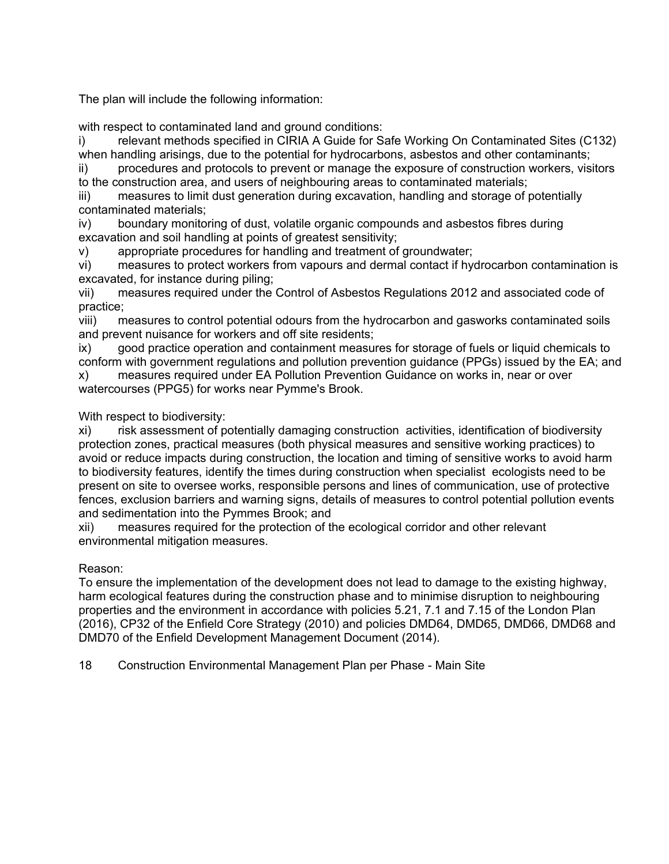The plan will include the following information:

with respect to contaminated land and ground conditions:

i) relevant methods specified in CIRIA A Guide for Safe Working On Contaminated Sites (C132) when handling arisings, due to the potential for hydrocarbons, asbestos and other contaminants;

ii) procedures and protocols to prevent or manage the exposure of construction workers, visitors to the construction area, and users of neighbouring areas to contaminated materials;

iii) measures to limit dust generation during excavation, handling and storage of potentially contaminated materials;

iv) boundary monitoring of dust, volatile organic compounds and asbestos fibres during excavation and soil handling at points of greatest sensitivity;

v) appropriate procedures for handling and treatment of groundwater;

vi) measures to protect workers from vapours and dermal contact if hydrocarbon contamination is excavated, for instance during piling;

vii) measures required under the Control of Asbestos Regulations 2012 and associated code of practice;

viii) measures to control potential odours from the hydrocarbon and gasworks contaminated soils and prevent nuisance for workers and off site residents;

ix) good practice operation and containment measures for storage of fuels or liquid chemicals to conform with government regulations and pollution prevention guidance (PPGs) issued by the EA; and

x) measures required under EA Pollution Prevention Guidance on works in, near or over watercourses (PPG5) for works near Pymme's Brook.

With respect to biodiversity:

xi) risk assessment of potentially damaging construction activities, identification of biodiversity protection zones, practical measures (both physical measures and sensitive working practices) to avoid or reduce impacts during construction, the location and timing of sensitive works to avoid harm to biodiversity features, identify the times during construction when specialist ecologists need to be present on site to oversee works, responsible persons and lines of communication, use of protective fences, exclusion barriers and warning signs, details of measures to control potential pollution events and sedimentation into the Pymmes Brook; and

xii) measures required for the protection of the ecological corridor and other relevant environmental mitigation measures.

# Reason:

To ensure the implementation of the development does not lead to damage to the existing highway, harm ecological features during the construction phase and to minimise disruption to neighbouring properties and the environment in accordance with policies 5.21, 7.1 and 7.15 of the London Plan (2016), CP32 of the Enfield Core Strategy (2010) and policies DMD64, DMD65, DMD66, DMD68 and DMD70 of the Enfield Development Management Document (2014).

18 Construction Environmental Management Plan per Phase - Main Site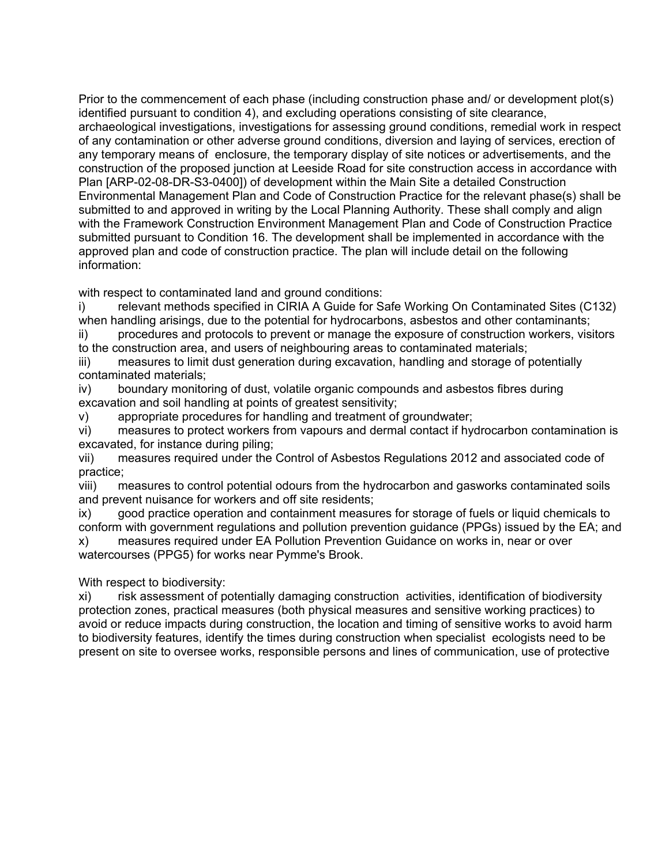Prior to the commencement of each phase (including construction phase and/ or development plot(s) identified pursuant to condition 4), and excluding operations consisting of site clearance, archaeological investigations, investigations for assessing ground conditions, remedial work in respect of any contamination or other adverse ground conditions, diversion and laying of services, erection of any temporary means of enclosure, the temporary display of site notices or advertisements, and the construction of the proposed junction at Leeside Road for site construction access in accordance with Plan [ARP-02-08-DR-S3-0400]) of development within the Main Site a detailed Construction Environmental Management Plan and Code of Construction Practice for the relevant phase(s) shall be submitted to and approved in writing by the Local Planning Authority. These shall comply and align with the Framework Construction Environment Management Plan and Code of Construction Practice submitted pursuant to Condition 16. The development shall be implemented in accordance with the approved plan and code of construction practice. The plan will include detail on the following information:

with respect to contaminated land and ground conditions:

i) relevant methods specified in CIRIA A Guide for Safe Working On Contaminated Sites (C132) when handling arisings, due to the potential for hydrocarbons, asbestos and other contaminants;

ii) procedures and protocols to prevent or manage the exposure of construction workers, visitors to the construction area, and users of neighbouring areas to contaminated materials;

iii) measures to limit dust generation during excavation, handling and storage of potentially contaminated materials;

iv) boundary monitoring of dust, volatile organic compounds and asbestos fibres during excavation and soil handling at points of greatest sensitivity;

v) appropriate procedures for handling and treatment of groundwater;

vi) measures to protect workers from vapours and dermal contact if hydrocarbon contamination is excavated, for instance during piling;

vii) measures required under the Control of Asbestos Regulations 2012 and associated code of practice;

viii) measures to control potential odours from the hydrocarbon and gasworks contaminated soils and prevent nuisance for workers and off site residents;

ix) good practice operation and containment measures for storage of fuels or liquid chemicals to conform with government regulations and pollution prevention guidance (PPGs) issued by the EA; and x) measures required under EA Pollution Prevention Guidance on works in, near or over watercourses (PPG5) for works near Pymme's Brook.

With respect to biodiversity:

xi) risk assessment of potentially damaging construction activities, identification of biodiversity protection zones, practical measures (both physical measures and sensitive working practices) to avoid or reduce impacts during construction, the location and timing of sensitive works to avoid harm to biodiversity features, identify the times during construction when specialist ecologists need to be present on site to oversee works, responsible persons and lines of communication, use of protective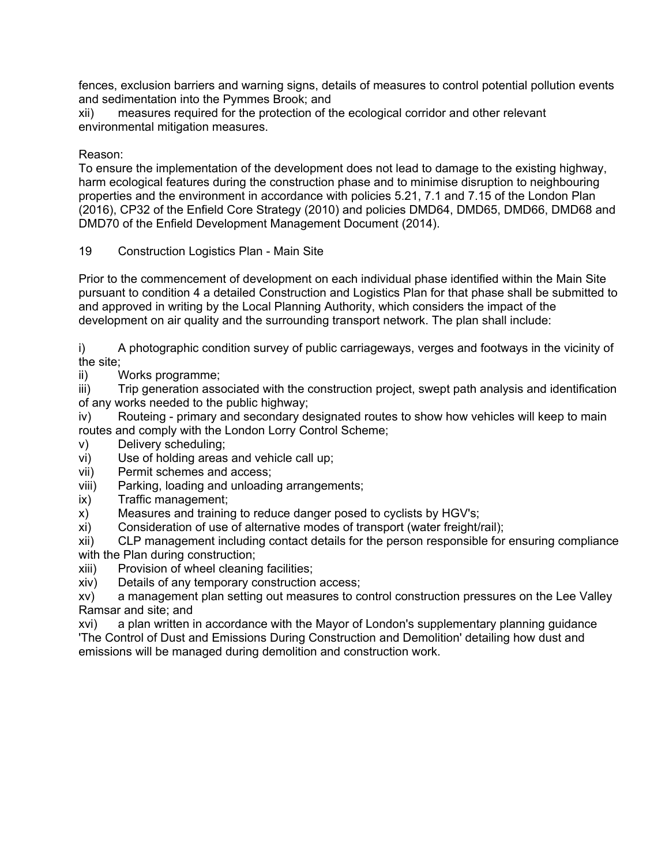fences, exclusion barriers and warning signs, details of measures to control potential pollution events and sedimentation into the Pymmes Brook; and

xii) measures required for the protection of the ecological corridor and other relevant environmental mitigation measures.

# Reason:

To ensure the implementation of the development does not lead to damage to the existing highway, harm ecological features during the construction phase and to minimise disruption to neighbouring properties and the environment in accordance with policies 5.21, 7.1 and 7.15 of the London Plan (2016), CP32 of the Enfield Core Strategy (2010) and policies DMD64, DMD65, DMD66, DMD68 and DMD70 of the Enfield Development Management Document (2014).

19 Construction Logistics Plan - Main Site

Prior to the commencement of development on each individual phase identified within the Main Site pursuant to condition 4 a detailed Construction and Logistics Plan for that phase shall be submitted to and approved in writing by the Local Planning Authority, which considers the impact of the development on air quality and the surrounding transport network. The plan shall include:

i) A photographic condition survey of public carriageways, verges and footways in the vicinity of the site;

ii) Works programme;

iii) Trip generation associated with the construction project, swept path analysis and identification of any works needed to the public highway;

iv) Routeing - primary and secondary designated routes to show how vehicles will keep to main routes and comply with the London Lorry Control Scheme;

- v) Delivery scheduling;
- vi) Use of holding areas and vehicle call up;
- vii) Permit schemes and access;
- viii) Parking, loading and unloading arrangements;
- ix) Traffic management;
- x) Measures and training to reduce danger posed to cyclists by HGV's;
- xi) Consideration of use of alternative modes of transport (water freight/rail);

xii) CLP management including contact details for the person responsible for ensuring compliance with the Plan during construction;

- xiii) Provision of wheel cleaning facilities;
- xiv) Details of any temporary construction access;

xv) a management plan setting out measures to control construction pressures on the Lee Valley Ramsar and site; and

xvi) a plan written in accordance with the Mayor of London's supplementary planning guidance 'The Control of Dust and Emissions During Construction and Demolition' detailing how dust and emissions will be managed during demolition and construction work.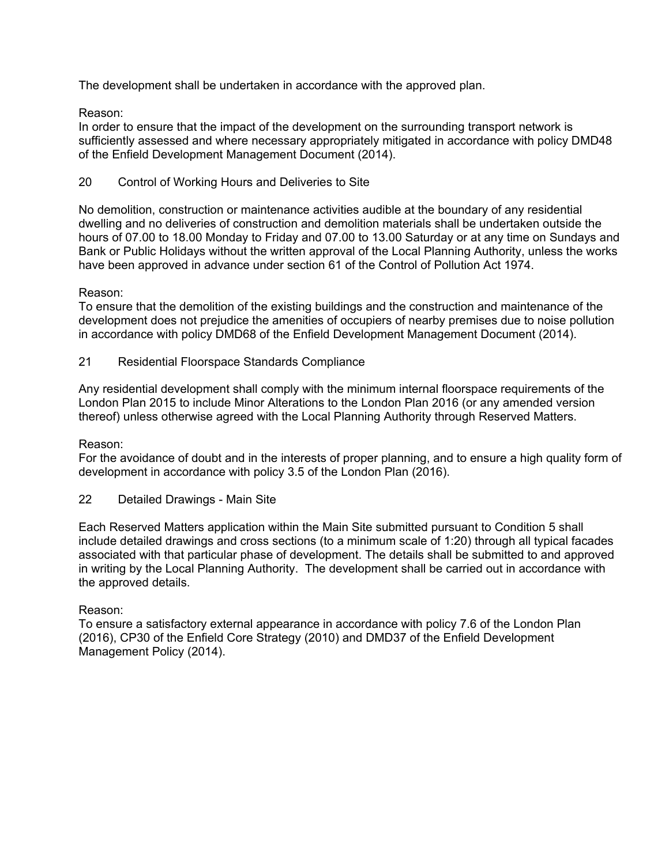The development shall be undertaken in accordance with the approved plan.

# Reason:

In order to ensure that the impact of the development on the surrounding transport network is sufficiently assessed and where necessary appropriately mitigated in accordance with policy DMD48 of the Enfield Development Management Document (2014).

# 20 Control of Working Hours and Deliveries to Site

No demolition, construction or maintenance activities audible at the boundary of any residential dwelling and no deliveries of construction and demolition materials shall be undertaken outside the hours of 07.00 to 18.00 Monday to Friday and 07.00 to 13.00 Saturday or at any time on Sundays and Bank or Public Holidays without the written approval of the Local Planning Authority, unless the works have been approved in advance under section 61 of the Control of Pollution Act 1974.

# Reason:

To ensure that the demolition of the existing buildings and the construction and maintenance of the development does not prejudice the amenities of occupiers of nearby premises due to noise pollution in accordance with policy DMD68 of the Enfield Development Management Document (2014).

21 Residential Floorspace Standards Compliance

Any residential development shall comply with the minimum internal floorspace requirements of the London Plan 2015 to include Minor Alterations to the London Plan 2016 (or any amended version thereof) unless otherwise agreed with the Local Planning Authority through Reserved Matters.

# Reason:

For the avoidance of doubt and in the interests of proper planning, and to ensure a high quality form of development in accordance with policy 3.5 of the London Plan (2016).

22 Detailed Drawings - Main Site

Each Reserved Matters application within the Main Site submitted pursuant to Condition 5 shall include detailed drawings and cross sections (to a minimum scale of 1:20) through all typical facades associated with that particular phase of development. The details shall be submitted to and approved in writing by the Local Planning Authority. The development shall be carried out in accordance with the approved details.

# Reason:

To ensure a satisfactory external appearance in accordance with policy 7.6 of the London Plan (2016), CP30 of the Enfield Core Strategy (2010) and DMD37 of the Enfield Development Management Policy (2014).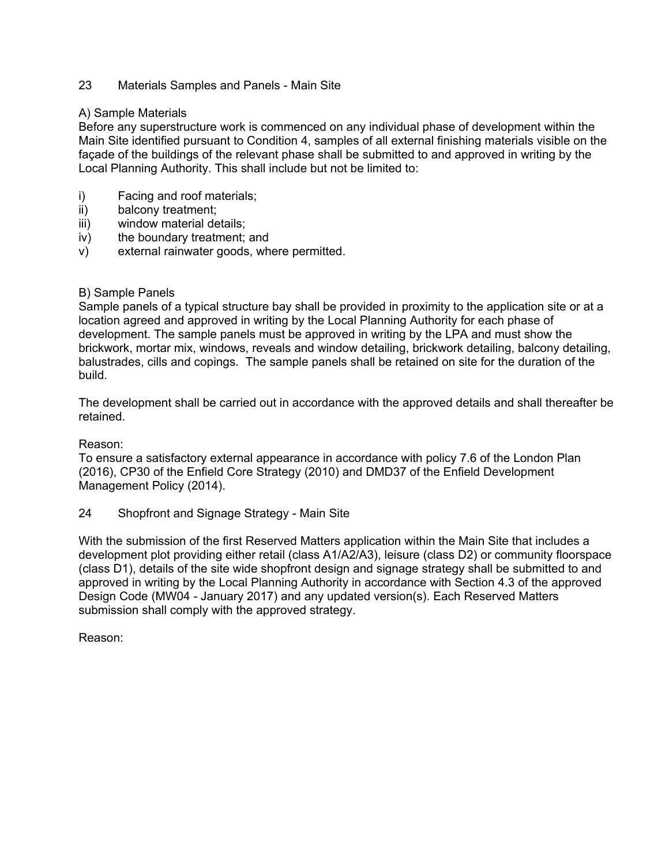# 23 Materials Samples and Panels - Main Site

#### A) Sample Materials

Before any superstructure work is commenced on any individual phase of development within the Main Site identified pursuant to Condition 4, samples of all external finishing materials visible on the façade of the buildings of the relevant phase shall be submitted to and approved in writing by the Local Planning Authority. This shall include but not be limited to:

- i) Facing and roof materials;
- ii) balcony treatment;
- iii) window material details;
- iv) the boundary treatment; and
- v) external rainwater goods, where permitted.

# B) Sample Panels

Sample panels of a typical structure bay shall be provided in proximity to the application site or at a location agreed and approved in writing by the Local Planning Authority for each phase of development. The sample panels must be approved in writing by the LPA and must show the brickwork, mortar mix, windows, reveals and window detailing, brickwork detailing, balcony detailing, balustrades, cills and copings. The sample panels shall be retained on site for the duration of the build.

The development shall be carried out in accordance with the approved details and shall thereafter be retained.

Reason:

To ensure a satisfactory external appearance in accordance with policy 7.6 of the London Plan (2016), CP30 of the Enfield Core Strategy (2010) and DMD37 of the Enfield Development Management Policy (2014).

24 Shopfront and Signage Strategy - Main Site

With the submission of the first Reserved Matters application within the Main Site that includes a development plot providing either retail (class A1/A2/A3), leisure (class D2) or community floorspace (class D1), details of the site wide shopfront design and signage strategy shall be submitted to and approved in writing by the Local Planning Authority in accordance with Section 4.3 of the approved Design Code (MW04 - January 2017) and any updated version(s). Each Reserved Matters submission shall comply with the approved strategy.

Reason: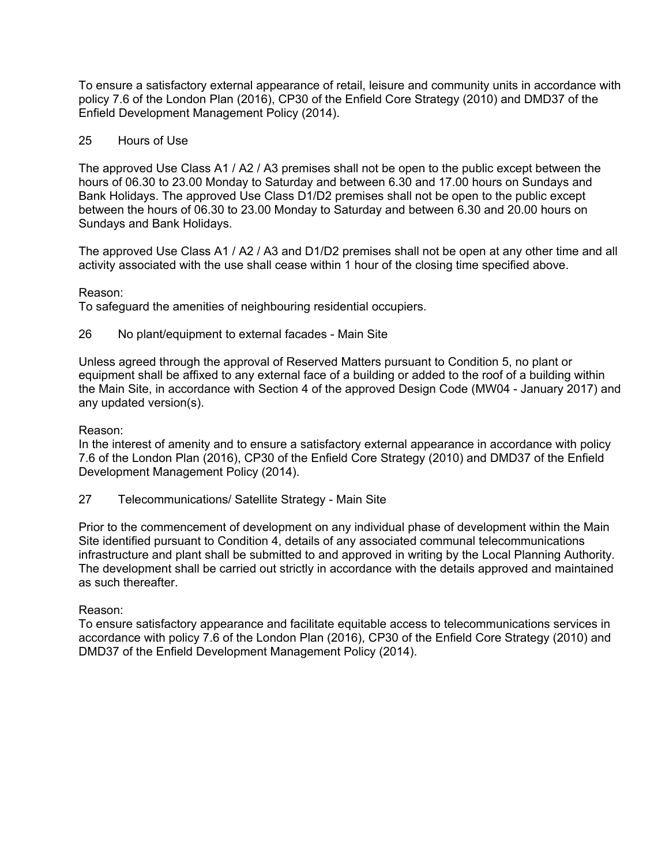To ensure a satisfactory external appearance of retail, leisure and community units in accordance with policy 7.6 of the London Plan (2016), CP30 of the Enfield Core Strategy (2010) and DMD37 of the Enfield Development Management Policy (2014).

## 25 Hours of Use

The approved Use Class A1 / A2 / A3 premises shall not be open to the public except between the hours of 06.30 to 23.00 Monday to Saturday and between 6.30 and 17.00 hours on Sundays and Bank Holidays. The approved Use Class D1/D2 premises shall not be open to the public except between the hours of 06.30 to 23.00 Monday to Saturday and between 6.30 and 20.00 hours on Sundays and Bank Holidays.

The approved Use Class A1 / A2 / A3 and D1/D2 premises shall not be open at any other time and all activity associated with the use shall cease within 1 hour of the closing time specified above.

#### Reason:

To safeguard the amenities of neighbouring residential occupiers.

#### 26 No plant/equipment to external facades - Main Site

Unless agreed through the approval of Reserved Matters pursuant to Condition 5, no plant or equipment shall be affixed to any external face of a building or added to the roof of a building within the Main Site, in accordance with Section 4 of the approved Design Code (MW04 - January 2017) and any updated version(s).

#### Reason:

In the interest of amenity and to ensure a satisfactory external appearance in accordance with policy 7.6 of the London Plan (2016), CP30 of the Enfield Core Strategy (2010) and DMD37 of the Enfield Development Management Policy (2014).

27 Telecommunications/ Satellite Strategy - Main Site

Prior to the commencement of development on any individual phase of development within the Main Site identified pursuant to Condition 4, details of any associated communal telecommunications infrastructure and plant shall be submitted to and approved in writing by the Local Planning Authority. The development shall be carried out strictly in accordance with the details approved and maintained as such thereafter.

#### Reason:

To ensure satisfactory appearance and facilitate equitable access to telecommunications services in accordance with policy 7.6 of the London Plan (2016), CP30 of the Enfield Core Strategy (2010) and DMD37 of the Enfield Development Management Policy (2014).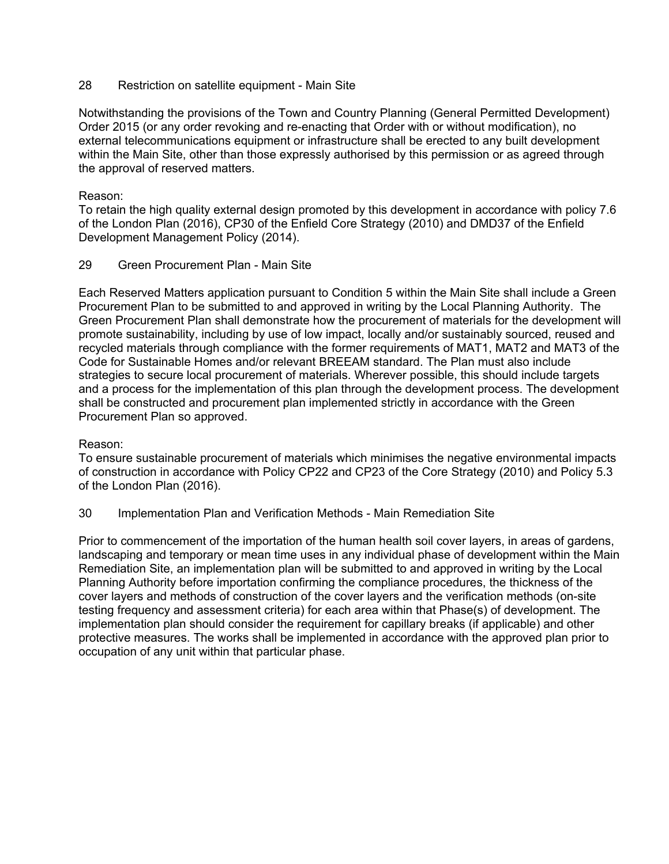## 28 Restriction on satellite equipment - Main Site

Notwithstanding the provisions of the Town and Country Planning (General Permitted Development) Order 2015 (or any order revoking and re-enacting that Order with or without modification), no external telecommunications equipment or infrastructure shall be erected to any built development within the Main Site, other than those expressly authorised by this permission or as agreed through the approval of reserved matters.

# Reason:

To retain the high quality external design promoted by this development in accordance with policy 7.6 of the London Plan (2016), CP30 of the Enfield Core Strategy (2010) and DMD37 of the Enfield Development Management Policy (2014).

#### 29 Green Procurement Plan - Main Site

Each Reserved Matters application pursuant to Condition 5 within the Main Site shall include a Green Procurement Plan to be submitted to and approved in writing by the Local Planning Authority. The Green Procurement Plan shall demonstrate how the procurement of materials for the development will promote sustainability, including by use of low impact, locally and/or sustainably sourced, reused and recycled materials through compliance with the former requirements of MAT1, MAT2 and MAT3 of the Code for Sustainable Homes and/or relevant BREEAM standard. The Plan must also include strategies to secure local procurement of materials. Wherever possible, this should include targets and a process for the implementation of this plan through the development process. The development shall be constructed and procurement plan implemented strictly in accordance with the Green Procurement Plan so approved.

#### Reason:

To ensure sustainable procurement of materials which minimises the negative environmental impacts of construction in accordance with Policy CP22 and CP23 of the Core Strategy (2010) and Policy 5.3 of the London Plan (2016).

30 Implementation Plan and Verification Methods - Main Remediation Site

Prior to commencement of the importation of the human health soil cover layers, in areas of gardens, landscaping and temporary or mean time uses in any individual phase of development within the Main Remediation Site, an implementation plan will be submitted to and approved in writing by the Local Planning Authority before importation confirming the compliance procedures, the thickness of the cover layers and methods of construction of the cover layers and the verification methods (on-site testing frequency and assessment criteria) for each area within that Phase(s) of development. The implementation plan should consider the requirement for capillary breaks (if applicable) and other protective measures. The works shall be implemented in accordance with the approved plan prior to occupation of any unit within that particular phase.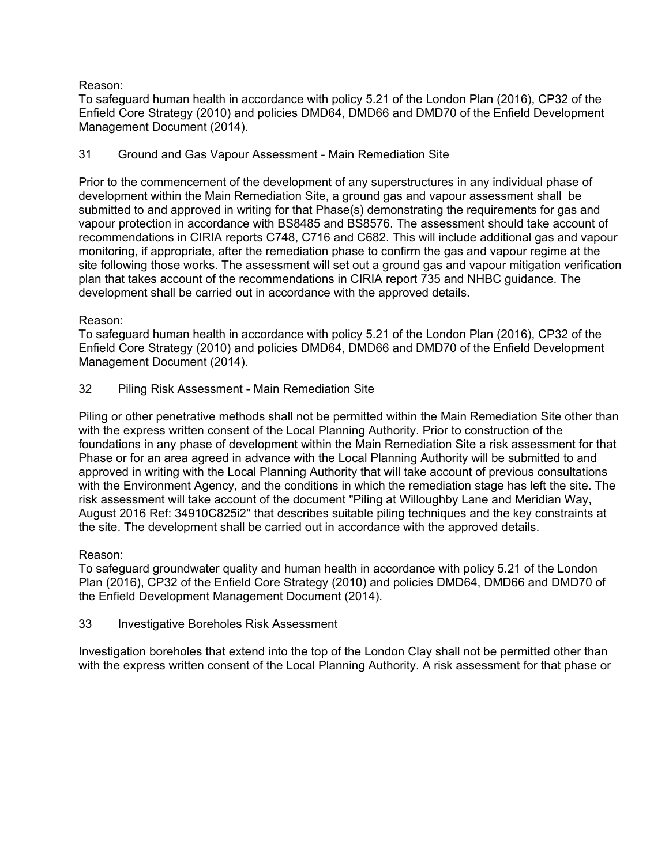# Reason:

To safeguard human health in accordance with policy 5.21 of the London Plan (2016), CP32 of the Enfield Core Strategy (2010) and policies DMD64, DMD66 and DMD70 of the Enfield Development Management Document (2014).

# 31 Ground and Gas Vapour Assessment - Main Remediation Site

Prior to the commencement of the development of any superstructures in any individual phase of development within the Main Remediation Site, a ground gas and vapour assessment shall be submitted to and approved in writing for that Phase(s) demonstrating the requirements for gas and vapour protection in accordance with BS8485 and BS8576. The assessment should take account of recommendations in CIRIA reports C748, C716 and C682. This will include additional gas and vapour monitoring, if appropriate, after the remediation phase to confirm the gas and vapour regime at the site following those works. The assessment will set out a ground gas and vapour mitigation verification plan that takes account of the recommendations in CIRIA report 735 and NHBC guidance. The development shall be carried out in accordance with the approved details.

# Reason:

To safeguard human health in accordance with policy 5.21 of the London Plan (2016), CP32 of the Enfield Core Strategy (2010) and policies DMD64, DMD66 and DMD70 of the Enfield Development Management Document (2014).

# 32 Piling Risk Assessment - Main Remediation Site

Piling or other penetrative methods shall not be permitted within the Main Remediation Site other than with the express written consent of the Local Planning Authority. Prior to construction of the foundations in any phase of development within the Main Remediation Site a risk assessment for that Phase or for an area agreed in advance with the Local Planning Authority will be submitted to and approved in writing with the Local Planning Authority that will take account of previous consultations with the Environment Agency, and the conditions in which the remediation stage has left the site. The risk assessment will take account of the document "Piling at Willoughby Lane and Meridian Way, August 2016 Ref: 34910C825i2" that describes suitable piling techniques and the key constraints at the site. The development shall be carried out in accordance with the approved details.

# Reason:

To safeguard groundwater quality and human health in accordance with policy 5.21 of the London Plan (2016), CP32 of the Enfield Core Strategy (2010) and policies DMD64, DMD66 and DMD70 of the Enfield Development Management Document (2014).

33 Investigative Boreholes Risk Assessment

Investigation boreholes that extend into the top of the London Clay shall not be permitted other than with the express written consent of the Local Planning Authority. A risk assessment for that phase or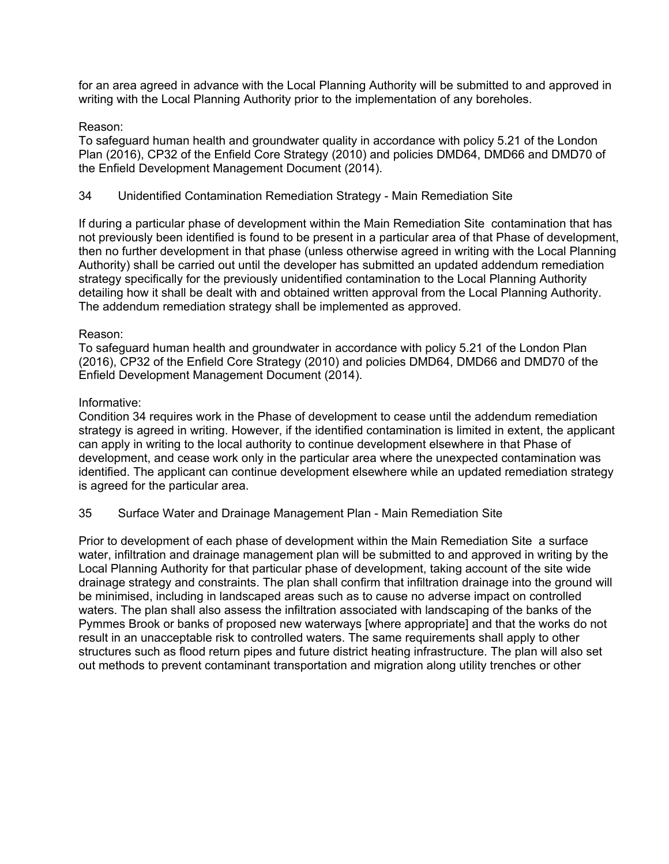for an area agreed in advance with the Local Planning Authority will be submitted to and approved in writing with the Local Planning Authority prior to the implementation of any boreholes.

## Reason:

To safeguard human health and groundwater quality in accordance with policy 5.21 of the London Plan (2016), CP32 of the Enfield Core Strategy (2010) and policies DMD64, DMD66 and DMD70 of the Enfield Development Management Document (2014).

# 34 Unidentified Contamination Remediation Strategy - Main Remediation Site

If during a particular phase of development within the Main Remediation Site contamination that has not previously been identified is found to be present in a particular area of that Phase of development, then no further development in that phase (unless otherwise agreed in writing with the Local Planning Authority) shall be carried out until the developer has submitted an updated addendum remediation strategy specifically for the previously unidentified contamination to the Local Planning Authority detailing how it shall be dealt with and obtained written approval from the Local Planning Authority. The addendum remediation strategy shall be implemented as approved.

#### Reason:

To safeguard human health and groundwater in accordance with policy 5.21 of the London Plan (2016), CP32 of the Enfield Core Strategy (2010) and policies DMD64, DMD66 and DMD70 of the Enfield Development Management Document (2014).

#### Informative:

Condition 34 requires work in the Phase of development to cease until the addendum remediation strategy is agreed in writing. However, if the identified contamination is limited in extent, the applicant can apply in writing to the local authority to continue development elsewhere in that Phase of development, and cease work only in the particular area where the unexpected contamination was identified. The applicant can continue development elsewhere while an updated remediation strategy is agreed for the particular area.

# 35 Surface Water and Drainage Management Plan - Main Remediation Site

Prior to development of each phase of development within the Main Remediation Site a surface water, infiltration and drainage management plan will be submitted to and approved in writing by the Local Planning Authority for that particular phase of development, taking account of the site wide drainage strategy and constraints. The plan shall confirm that infiltration drainage into the ground will be minimised, including in landscaped areas such as to cause no adverse impact on controlled waters. The plan shall also assess the infiltration associated with landscaping of the banks of the Pymmes Brook or banks of proposed new waterways [where appropriate] and that the works do not result in an unacceptable risk to controlled waters. The same requirements shall apply to other structures such as flood return pipes and future district heating infrastructure. The plan will also set out methods to prevent contaminant transportation and migration along utility trenches or other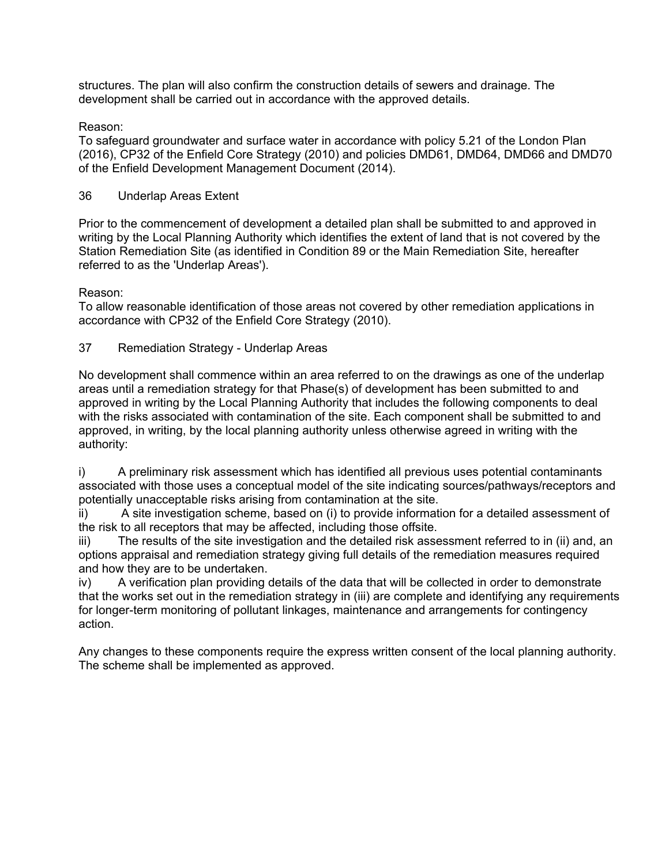structures. The plan will also confirm the construction details of sewers and drainage. The development shall be carried out in accordance with the approved details.

# Reason:

To safeguard groundwater and surface water in accordance with policy 5.21 of the London Plan (2016), CP32 of the Enfield Core Strategy (2010) and policies DMD61, DMD64, DMD66 and DMD70 of the Enfield Development Management Document (2014).

# 36 Underlap Areas Extent

Prior to the commencement of development a detailed plan shall be submitted to and approved in writing by the Local Planning Authority which identifies the extent of land that is not covered by the Station Remediation Site (as identified in Condition 89 or the Main Remediation Site, hereafter referred to as the 'Underlap Areas').

Reason:

To allow reasonable identification of those areas not covered by other remediation applications in accordance with CP32 of the Enfield Core Strategy (2010).

# 37 Remediation Strategy - Underlap Areas

No development shall commence within an area referred to on the drawings as one of the underlap areas until a remediation strategy for that Phase(s) of development has been submitted to and approved in writing by the Local Planning Authority that includes the following components to deal with the risks associated with contamination of the site. Each component shall be submitted to and approved, in writing, by the local planning authority unless otherwise agreed in writing with the authority:

i) A preliminary risk assessment which has identified all previous uses potential contaminants associated with those uses a conceptual model of the site indicating sources/pathways/receptors and potentially unacceptable risks arising from contamination at the site.

ii) A site investigation scheme, based on (i) to provide information for a detailed assessment of the risk to all receptors that may be affected, including those offsite.

iii) The results of the site investigation and the detailed risk assessment referred to in (ii) and, an options appraisal and remediation strategy giving full details of the remediation measures required and how they are to be undertaken.

iv) A verification plan providing details of the data that will be collected in order to demonstrate that the works set out in the remediation strategy in (iii) are complete and identifying any requirements for longer-term monitoring of pollutant linkages, maintenance and arrangements for contingency action.

Any changes to these components require the express written consent of the local planning authority. The scheme shall be implemented as approved.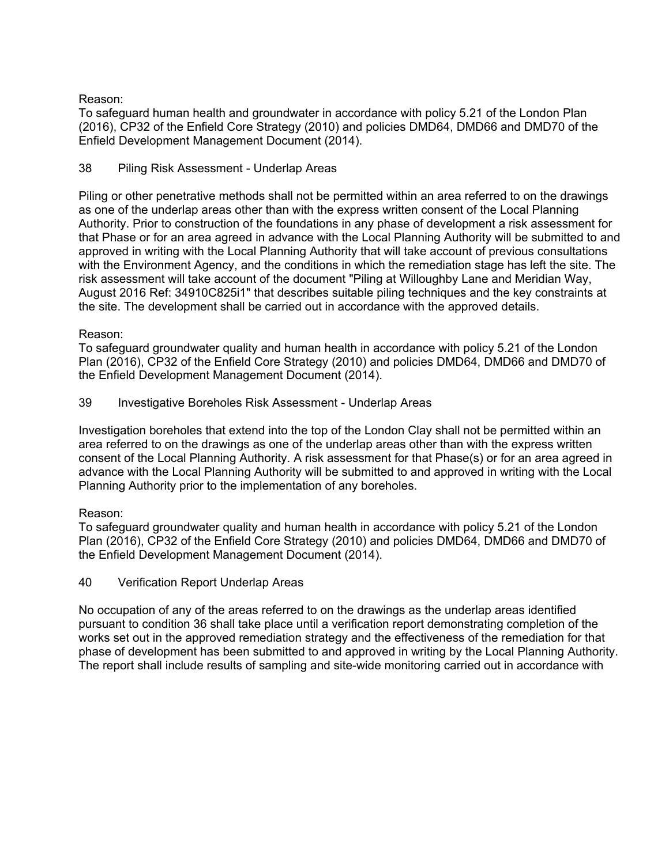Reason:

To safeguard human health and groundwater in accordance with policy 5.21 of the London Plan (2016), CP32 of the Enfield Core Strategy (2010) and policies DMD64, DMD66 and DMD70 of the Enfield Development Management Document (2014).

# 38 Piling Risk Assessment - Underlap Areas

Piling or other penetrative methods shall not be permitted within an area referred to on the drawings as one of the underlap areas other than with the express written consent of the Local Planning Authority. Prior to construction of the foundations in any phase of development a risk assessment for that Phase or for an area agreed in advance with the Local Planning Authority will be submitted to and approved in writing with the Local Planning Authority that will take account of previous consultations with the Environment Agency, and the conditions in which the remediation stage has left the site. The risk assessment will take account of the document "Piling at Willoughby Lane and Meridian Way, August 2016 Ref: 34910C825i1" that describes suitable piling techniques and the key constraints at the site. The development shall be carried out in accordance with the approved details.

# Reason:

To safeguard groundwater quality and human health in accordance with policy 5.21 of the London Plan (2016), CP32 of the Enfield Core Strategy (2010) and policies DMD64, DMD66 and DMD70 of the Enfield Development Management Document (2014).

# 39 Investigative Boreholes Risk Assessment - Underlap Areas

Investigation boreholes that extend into the top of the London Clay shall not be permitted within an area referred to on the drawings as one of the underlap areas other than with the express written consent of the Local Planning Authority. A risk assessment for that Phase(s) or for an area agreed in advance with the Local Planning Authority will be submitted to and approved in writing with the Local Planning Authority prior to the implementation of any boreholes.

# Reason:

To safeguard groundwater quality and human health in accordance with policy 5.21 of the London Plan (2016), CP32 of the Enfield Core Strategy (2010) and policies DMD64, DMD66 and DMD70 of the Enfield Development Management Document (2014).

# 40 Verification Report Underlap Areas

No occupation of any of the areas referred to on the drawings as the underlap areas identified pursuant to condition 36 shall take place until a verification report demonstrating completion of the works set out in the approved remediation strategy and the effectiveness of the remediation for that phase of development has been submitted to and approved in writing by the Local Planning Authority. The report shall include results of sampling and site-wide monitoring carried out in accordance with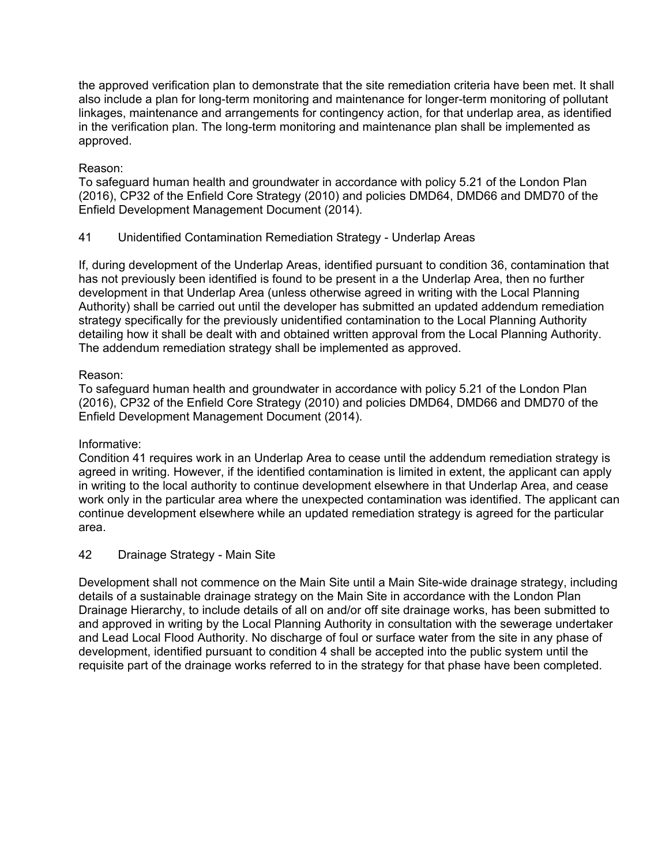the approved verification plan to demonstrate that the site remediation criteria have been met. It shall also include a plan for long-term monitoring and maintenance for longer-term monitoring of pollutant linkages, maintenance and arrangements for contingency action, for that underlap area, as identified in the verification plan. The long-term monitoring and maintenance plan shall be implemented as approved.

# Reason:

To safeguard human health and groundwater in accordance with policy 5.21 of the London Plan (2016), CP32 of the Enfield Core Strategy (2010) and policies DMD64, DMD66 and DMD70 of the Enfield Development Management Document (2014).

# 41 Unidentified Contamination Remediation Strategy - Underlap Areas

If, during development of the Underlap Areas, identified pursuant to condition 36, contamination that has not previously been identified is found to be present in a the Underlap Area, then no further development in that Underlap Area (unless otherwise agreed in writing with the Local Planning Authority) shall be carried out until the developer has submitted an updated addendum remediation strategy specifically for the previously unidentified contamination to the Local Planning Authority detailing how it shall be dealt with and obtained written approval from the Local Planning Authority. The addendum remediation strategy shall be implemented as approved.

# Reason:

To safeguard human health and groundwater in accordance with policy 5.21 of the London Plan (2016), CP32 of the Enfield Core Strategy (2010) and policies DMD64, DMD66 and DMD70 of the Enfield Development Management Document (2014).

# Informative:

Condition 41 requires work in an Underlap Area to cease until the addendum remediation strategy is agreed in writing. However, if the identified contamination is limited in extent, the applicant can apply in writing to the local authority to continue development elsewhere in that Underlap Area, and cease work only in the particular area where the unexpected contamination was identified. The applicant can continue development elsewhere while an updated remediation strategy is agreed for the particular area.

# 42 Drainage Strategy - Main Site

Development shall not commence on the Main Site until a Main Site-wide drainage strategy, including details of a sustainable drainage strategy on the Main Site in accordance with the London Plan Drainage Hierarchy, to include details of all on and/or off site drainage works, has been submitted to and approved in writing by the Local Planning Authority in consultation with the sewerage undertaker and Lead Local Flood Authority. No discharge of foul or surface water from the site in any phase of development, identified pursuant to condition 4 shall be accepted into the public system until the requisite part of the drainage works referred to in the strategy for that phase have been completed.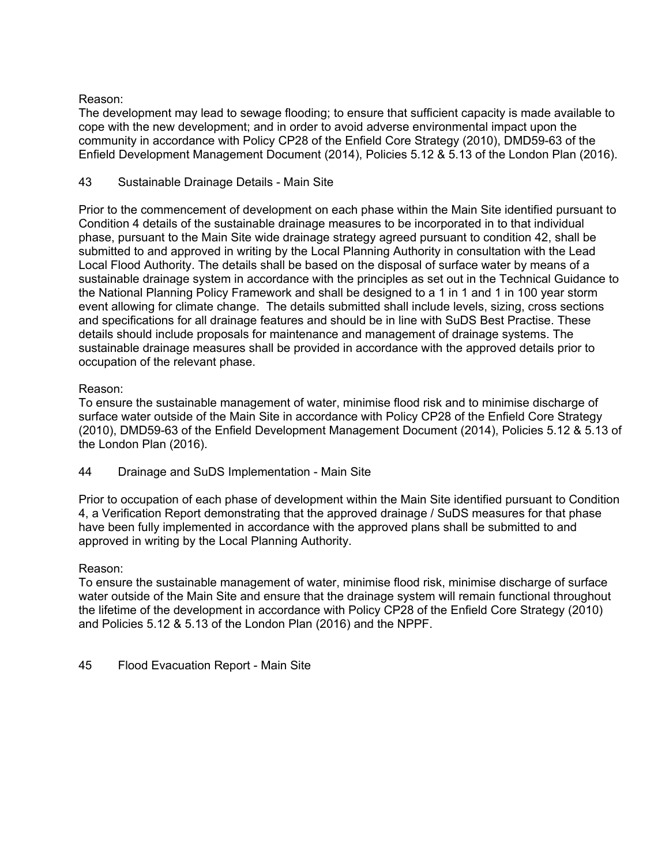# Reason:

The development may lead to sewage flooding; to ensure that sufficient capacity is made available to cope with the new development; and in order to avoid adverse environmental impact upon the community in accordance with Policy CP28 of the Enfield Core Strategy (2010), DMD59-63 of the Enfield Development Management Document (2014), Policies 5.12 & 5.13 of the London Plan (2016).

# 43 Sustainable Drainage Details - Main Site

Prior to the commencement of development on each phase within the Main Site identified pursuant to Condition 4 details of the sustainable drainage measures to be incorporated in to that individual phase, pursuant to the Main Site wide drainage strategy agreed pursuant to condition 42, shall be submitted to and approved in writing by the Local Planning Authority in consultation with the Lead Local Flood Authority. The details shall be based on the disposal of surface water by means of a sustainable drainage system in accordance with the principles as set out in the Technical Guidance to the National Planning Policy Framework and shall be designed to a 1 in 1 and 1 in 100 year storm event allowing for climate change. The details submitted shall include levels, sizing, cross sections and specifications for all drainage features and should be in line with SuDS Best Practise. These details should include proposals for maintenance and management of drainage systems. The sustainable drainage measures shall be provided in accordance with the approved details prior to occupation of the relevant phase.

# Reason:

To ensure the sustainable management of water, minimise flood risk and to minimise discharge of surface water outside of the Main Site in accordance with Policy CP28 of the Enfield Core Strategy (2010), DMD59-63 of the Enfield Development Management Document (2014), Policies 5.12 & 5.13 of the London Plan (2016).

44 Drainage and SuDS Implementation - Main Site

Prior to occupation of each phase of development within the Main Site identified pursuant to Condition 4, a Verification Report demonstrating that the approved drainage / SuDS measures for that phase have been fully implemented in accordance with the approved plans shall be submitted to and approved in writing by the Local Planning Authority.

# Reason:

To ensure the sustainable management of water, minimise flood risk, minimise discharge of surface water outside of the Main Site and ensure that the drainage system will remain functional throughout the lifetime of the development in accordance with Policy CP28 of the Enfield Core Strategy (2010) and Policies 5.12 & 5.13 of the London Plan (2016) and the NPPF.

45 Flood Evacuation Report - Main Site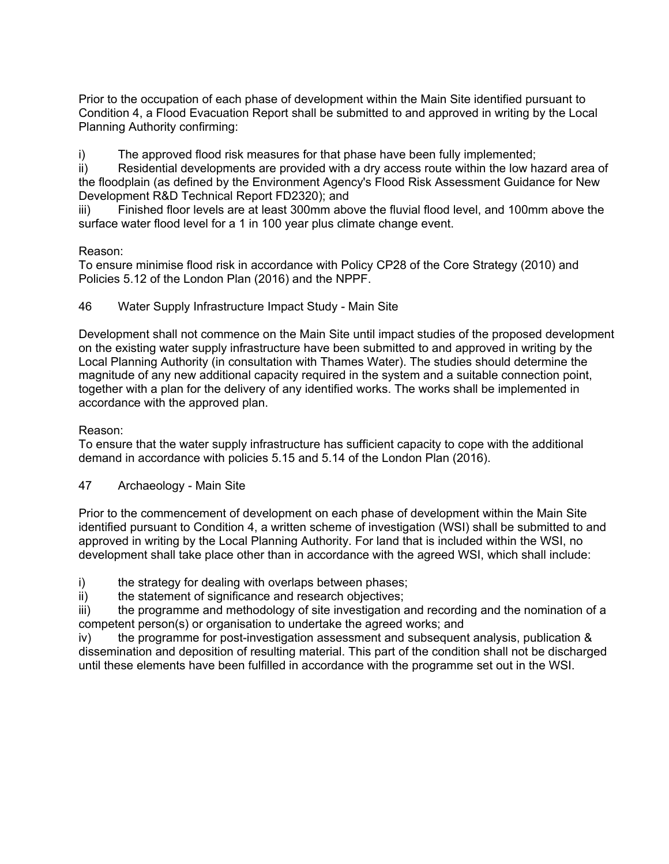Prior to the occupation of each phase of development within the Main Site identified pursuant to Condition 4, a Flood Evacuation Report shall be submitted to and approved in writing by the Local Planning Authority confirming:

i) The approved flood risk measures for that phase have been fully implemented;

ii) Residential developments are provided with a dry access route within the low hazard area of the floodplain (as defined by the Environment Agency's Flood Risk Assessment Guidance for New Development R&D Technical Report FD2320); and

iii) Finished floor levels are at least 300mm above the fluvial flood level, and 100mm above the surface water flood level for a 1 in 100 year plus climate change event.

# Reason:

To ensure minimise flood risk in accordance with Policy CP28 of the Core Strategy (2010) and Policies 5.12 of the London Plan (2016) and the NPPF.

# 46 Water Supply Infrastructure Impact Study - Main Site

Development shall not commence on the Main Site until impact studies of the proposed development on the existing water supply infrastructure have been submitted to and approved in writing by the Local Planning Authority (in consultation with Thames Water). The studies should determine the magnitude of any new additional capacity required in the system and a suitable connection point, together with a plan for the delivery of any identified works. The works shall be implemented in accordance with the approved plan.

# Reason:

To ensure that the water supply infrastructure has sufficient capacity to cope with the additional demand in accordance with policies 5.15 and 5.14 of the London Plan (2016).

# 47 Archaeology - Main Site

Prior to the commencement of development on each phase of development within the Main Site identified pursuant to Condition 4, a written scheme of investigation (WSI) shall be submitted to and approved in writing by the Local Planning Authority. For land that is included within the WSI, no development shall take place other than in accordance with the agreed WSI, which shall include:

i) the strategy for dealing with overlaps between phases;

ii) the statement of significance and research objectives;

iii) the programme and methodology of site investigation and recording and the nomination of a competent person(s) or organisation to undertake the agreed works; and

iv) the programme for post-investigation assessment and subsequent analysis, publication & dissemination and deposition of resulting material. This part of the condition shall not be discharged until these elements have been fulfilled in accordance with the programme set out in the WSI.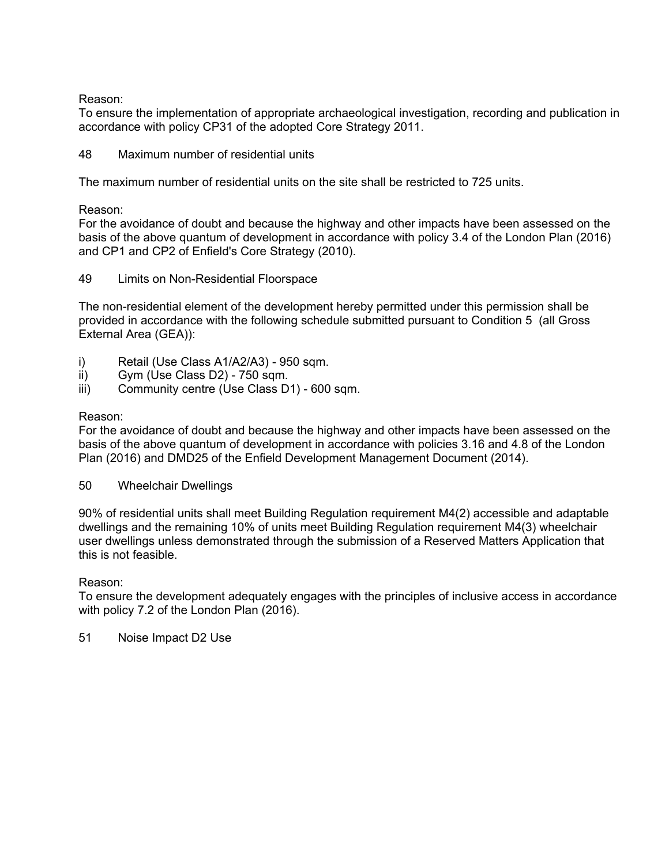Reason:

To ensure the implementation of appropriate archaeological investigation, recording and publication in accordance with policy CP31 of the adopted Core Strategy 2011.

48 Maximum number of residential units

The maximum number of residential units on the site shall be restricted to 725 units.

Reason:

For the avoidance of doubt and because the highway and other impacts have been assessed on the basis of the above quantum of development in accordance with policy 3.4 of the London Plan (2016) and CP1 and CP2 of Enfield's Core Strategy (2010).

#### 49 Limits on Non-Residential Floorspace

The non-residential element of the development hereby permitted under this permission shall be provided in accordance with the following schedule submitted pursuant to Condition 5 (all Gross External Area (GEA)):

- i) Retail (Use Class A1/A2/A3) 950 sqm.
- ii) Gym (Use Class D2) 750 sqm.
- iii) Community centre (Use Class D1) 600 sqm.

#### Reason:

For the avoidance of doubt and because the highway and other impacts have been assessed on the basis of the above quantum of development in accordance with policies 3.16 and 4.8 of the London Plan (2016) and DMD25 of the Enfield Development Management Document (2014).

50 Wheelchair Dwellings

90% of residential units shall meet Building Regulation requirement M4(2) accessible and adaptable dwellings and the remaining 10% of units meet Building Regulation requirement M4(3) wheelchair user dwellings unless demonstrated through the submission of a Reserved Matters Application that this is not feasible.

#### Reason:

To ensure the development adequately engages with the principles of inclusive access in accordance with policy 7.2 of the London Plan (2016).

51 Noise Impact D2 Use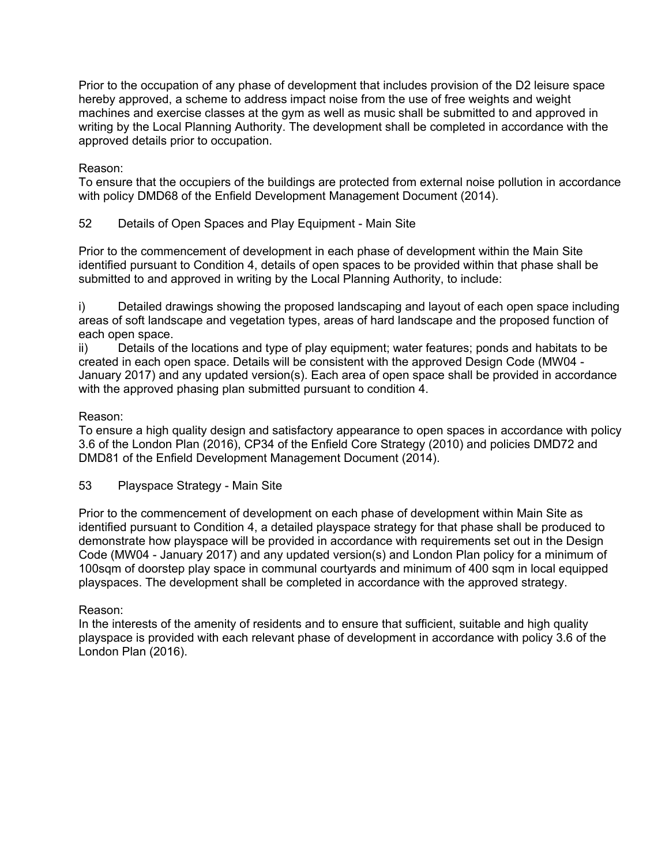Prior to the occupation of any phase of development that includes provision of the D2 leisure space hereby approved, a scheme to address impact noise from the use of free weights and weight machines and exercise classes at the gym as well as music shall be submitted to and approved in writing by the Local Planning Authority. The development shall be completed in accordance with the approved details prior to occupation.

# Reason:

To ensure that the occupiers of the buildings are protected from external noise pollution in accordance with policy DMD68 of the Enfield Development Management Document (2014).

52 Details of Open Spaces and Play Equipment - Main Site

Prior to the commencement of development in each phase of development within the Main Site identified pursuant to Condition 4, details of open spaces to be provided within that phase shall be submitted to and approved in writing by the Local Planning Authority, to include:

i) Detailed drawings showing the proposed landscaping and layout of each open space including areas of soft landscape and vegetation types, areas of hard landscape and the proposed function of each open space.

ii) Details of the locations and type of play equipment; water features; ponds and habitats to be created in each open space. Details will be consistent with the approved Design Code (MW04 - January 2017) and any updated version(s). Each area of open space shall be provided in accordance with the approved phasing plan submitted pursuant to condition 4.

# Reason:

To ensure a high quality design and satisfactory appearance to open spaces in accordance with policy 3.6 of the London Plan (2016), CP34 of the Enfield Core Strategy (2010) and policies DMD72 and DMD81 of the Enfield Development Management Document (2014).

53 Playspace Strategy - Main Site

Prior to the commencement of development on each phase of development within Main Site as identified pursuant to Condition 4, a detailed playspace strategy for that phase shall be produced to demonstrate how playspace will be provided in accordance with requirements set out in the Design Code (MW04 - January 2017) and any updated version(s) and London Plan policy for a minimum of 100sqm of doorstep play space in communal courtyards and minimum of 400 sqm in local equipped playspaces. The development shall be completed in accordance with the approved strategy.

# Reason:

In the interests of the amenity of residents and to ensure that sufficient, suitable and high quality playspace is provided with each relevant phase of development in accordance with policy 3.6 of the London Plan (2016).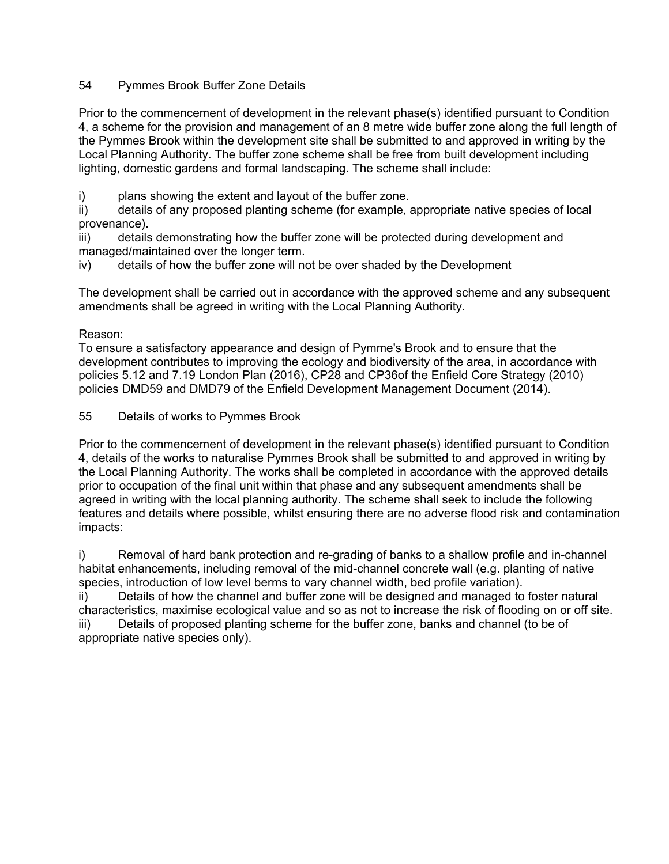# 54 Pymmes Brook Buffer Zone Details

Prior to the commencement of development in the relevant phase(s) identified pursuant to Condition 4, a scheme for the provision and management of an 8 metre wide buffer zone along the full length of the Pymmes Brook within the development site shall be submitted to and approved in writing by the Local Planning Authority. The buffer zone scheme shall be free from built development including lighting, domestic gardens and formal landscaping. The scheme shall include:

i) plans showing the extent and layout of the buffer zone.

ii) details of any proposed planting scheme (for example, appropriate native species of local provenance).

iii) details demonstrating how the buffer zone will be protected during development and managed/maintained over the longer term.

iv) details of how the buffer zone will not be over shaded by the Development

The development shall be carried out in accordance with the approved scheme and any subsequent amendments shall be agreed in writing with the Local Planning Authority.

# Reason:

To ensure a satisfactory appearance and design of Pymme's Brook and to ensure that the development contributes to improving the ecology and biodiversity of the area, in accordance with policies 5.12 and 7.19 London Plan (2016), CP28 and CP36of the Enfield Core Strategy (2010) policies DMD59 and DMD79 of the Enfield Development Management Document (2014).

55 Details of works to Pymmes Brook

Prior to the commencement of development in the relevant phase(s) identified pursuant to Condition 4, details of the works to naturalise Pymmes Brook shall be submitted to and approved in writing by the Local Planning Authority. The works shall be completed in accordance with the approved details prior to occupation of the final unit within that phase and any subsequent amendments shall be agreed in writing with the local planning authority. The scheme shall seek to include the following features and details where possible, whilst ensuring there are no adverse flood risk and contamination impacts:

i) Removal of hard bank protection and re-grading of banks to a shallow profile and in-channel habitat enhancements, including removal of the mid-channel concrete wall (e.g. planting of native species, introduction of low level berms to vary channel width, bed profile variation). ii) Details of how the channel and buffer zone will be designed and managed to foster natural

characteristics, maximise ecological value and so as not to increase the risk of flooding on or off site. iii) Details of proposed planting scheme for the buffer zone, banks and channel (to be of appropriate native species only).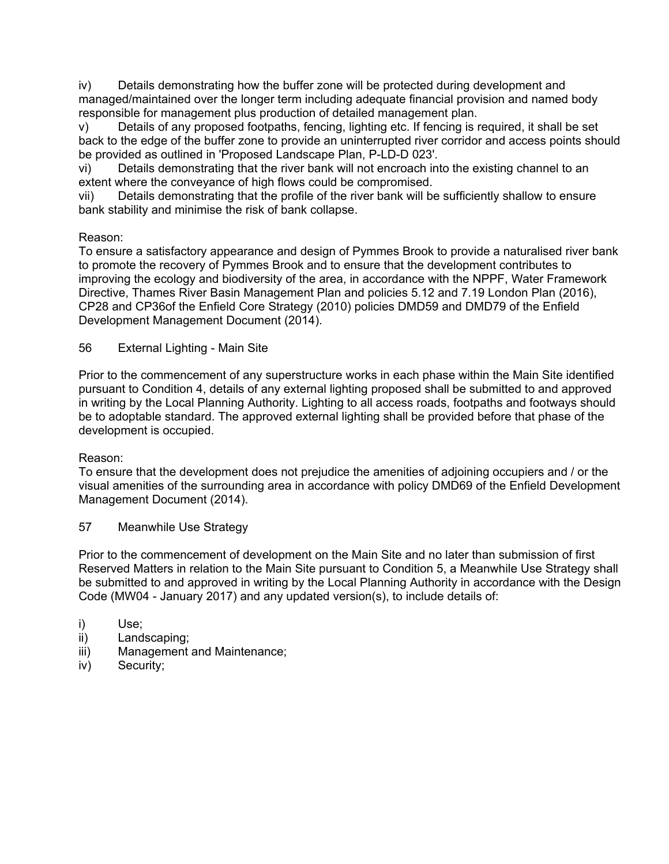iv) Details demonstrating how the buffer zone will be protected during development and managed/maintained over the longer term including adequate financial provision and named body responsible for management plus production of detailed management plan.

v) Details of any proposed footpaths, fencing, lighting etc. If fencing is required, it shall be set back to the edge of the buffer zone to provide an uninterrupted river corridor and access points should be provided as outlined in 'Proposed Landscape Plan, P-LD-D 023'.

vi) Details demonstrating that the river bank will not encroach into the existing channel to an extent where the conveyance of high flows could be compromised.

vii) Details demonstrating that the profile of the river bank will be sufficiently shallow to ensure bank stability and minimise the risk of bank collapse.

# Reason:

To ensure a satisfactory appearance and design of Pymmes Brook to provide a naturalised river bank to promote the recovery of Pymmes Brook and to ensure that the development contributes to improving the ecology and biodiversity of the area, in accordance with the NPPF, Water Framework Directive, Thames River Basin Management Plan and policies 5.12 and 7.19 London Plan (2016), CP28 and CP36of the Enfield Core Strategy (2010) policies DMD59 and DMD79 of the Enfield Development Management Document (2014).

56 External Lighting - Main Site

Prior to the commencement of any superstructure works in each phase within the Main Site identified pursuant to Condition 4, details of any external lighting proposed shall be submitted to and approved in writing by the Local Planning Authority. Lighting to all access roads, footpaths and footways should be to adoptable standard. The approved external lighting shall be provided before that phase of the development is occupied.

# Reason:

To ensure that the development does not prejudice the amenities of adjoining occupiers and / or the visual amenities of the surrounding area in accordance with policy DMD69 of the Enfield Development Management Document (2014).

# 57 Meanwhile Use Strategy

Prior to the commencement of development on the Main Site and no later than submission of first Reserved Matters in relation to the Main Site pursuant to Condition 5, a Meanwhile Use Strategy shall be submitted to and approved in writing by the Local Planning Authority in accordance with the Design Code (MW04 - January 2017) and any updated version(s), to include details of:

- i) Use;
- ii) Landscaping;
- iii) Management and Maintenance;
- iv) Security;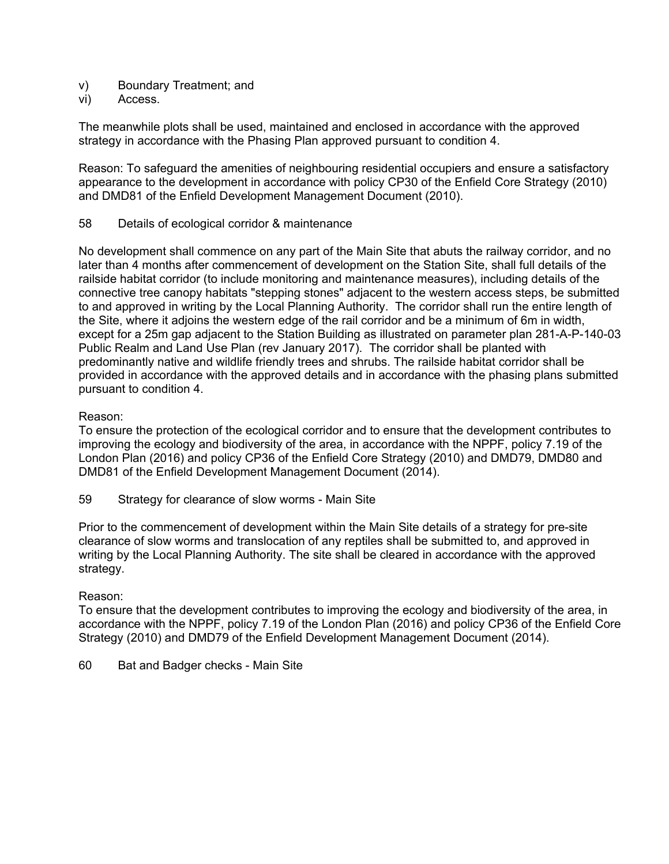- v) Boundary Treatment; and
- vi) Access.

The meanwhile plots shall be used, maintained and enclosed in accordance with the approved strategy in accordance with the Phasing Plan approved pursuant to condition 4.

Reason: To safeguard the amenities of neighbouring residential occupiers and ensure a satisfactory appearance to the development in accordance with policy CP30 of the Enfield Core Strategy (2010) and DMD81 of the Enfield Development Management Document (2010).

58 Details of ecological corridor & maintenance

No development shall commence on any part of the Main Site that abuts the railway corridor, and no later than 4 months after commencement of development on the Station Site, shall full details of the railside habitat corridor (to include monitoring and maintenance measures), including details of the connective tree canopy habitats "stepping stones" adjacent to the western access steps, be submitted to and approved in writing by the Local Planning Authority. The corridor shall run the entire length of the Site, where it adjoins the western edge of the rail corridor and be a minimum of 6m in width, except for a 25m gap adjacent to the Station Building as illustrated on parameter plan 281-A-P-140-03 Public Realm and Land Use Plan (rev January 2017). The corridor shall be planted with predominantly native and wildlife friendly trees and shrubs. The railside habitat corridor shall be provided in accordance with the approved details and in accordance with the phasing plans submitted pursuant to condition 4.

#### Reason:

To ensure the protection of the ecological corridor and to ensure that the development contributes to improving the ecology and biodiversity of the area, in accordance with the NPPF, policy 7.19 of the London Plan (2016) and policy CP36 of the Enfield Core Strategy (2010) and DMD79, DMD80 and DMD81 of the Enfield Development Management Document (2014).

59 Strategy for clearance of slow worms - Main Site

Prior to the commencement of development within the Main Site details of a strategy for pre-site clearance of slow worms and translocation of any reptiles shall be submitted to, and approved in writing by the Local Planning Authority. The site shall be cleared in accordance with the approved strategy.

#### Reason:

To ensure that the development contributes to improving the ecology and biodiversity of the area, in accordance with the NPPF, policy 7.19 of the London Plan (2016) and policy CP36 of the Enfield Core Strategy (2010) and DMD79 of the Enfield Development Management Document (2014).

60 Bat and Badger checks - Main Site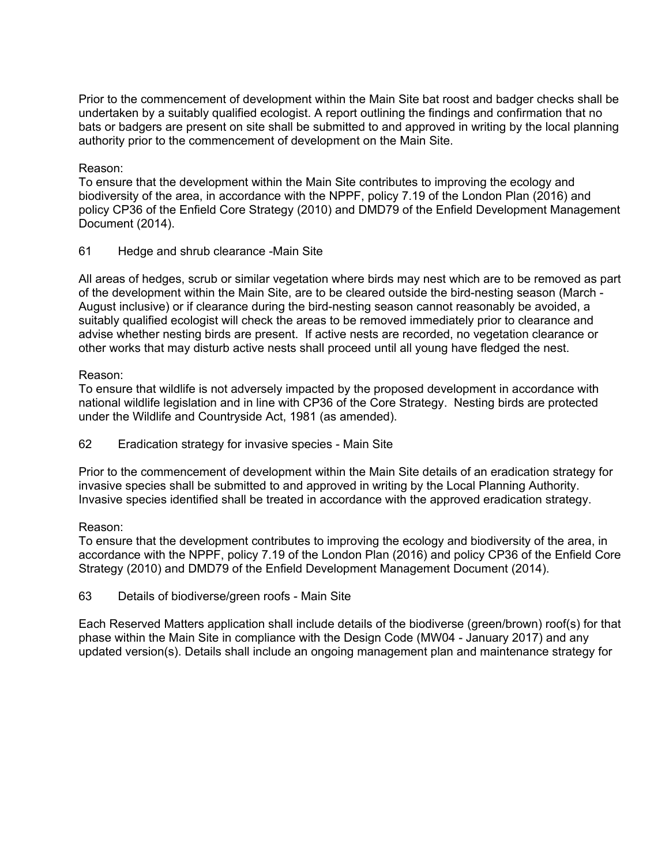Prior to the commencement of development within the Main Site bat roost and badger checks shall be undertaken by a suitably qualified ecologist. A report outlining the findings and confirmation that no bats or badgers are present on site shall be submitted to and approved in writing by the local planning authority prior to the commencement of development on the Main Site.

## Reason:

To ensure that the development within the Main Site contributes to improving the ecology and biodiversity of the area, in accordance with the NPPF, policy 7.19 of the London Plan (2016) and policy CP36 of the Enfield Core Strategy (2010) and DMD79 of the Enfield Development Management Document (2014).

61 Hedge and shrub clearance -Main Site

All areas of hedges, scrub or similar vegetation where birds may nest which are to be removed as part of the development within the Main Site, are to be cleared outside the bird-nesting season (March - August inclusive) or if clearance during the bird-nesting season cannot reasonably be avoided, a suitably qualified ecologist will check the areas to be removed immediately prior to clearance and advise whether nesting birds are present. If active nests are recorded, no vegetation clearance or other works that may disturb active nests shall proceed until all young have fledged the nest.

#### Reason:

To ensure that wildlife is not adversely impacted by the proposed development in accordance with national wildlife legislation and in line with CP36 of the Core Strategy. Nesting birds are protected under the Wildlife and Countryside Act, 1981 (as amended).

62 Eradication strategy for invasive species - Main Site

Prior to the commencement of development within the Main Site details of an eradication strategy for invasive species shall be submitted to and approved in writing by the Local Planning Authority. Invasive species identified shall be treated in accordance with the approved eradication strategy.

# Reason:

To ensure that the development contributes to improving the ecology and biodiversity of the area, in accordance with the NPPF, policy 7.19 of the London Plan (2016) and policy CP36 of the Enfield Core Strategy (2010) and DMD79 of the Enfield Development Management Document (2014).

63 Details of biodiverse/green roofs - Main Site

Each Reserved Matters application shall include details of the biodiverse (green/brown) roof(s) for that phase within the Main Site in compliance with the Design Code (MW04 - January 2017) and any updated version(s). Details shall include an ongoing management plan and maintenance strategy for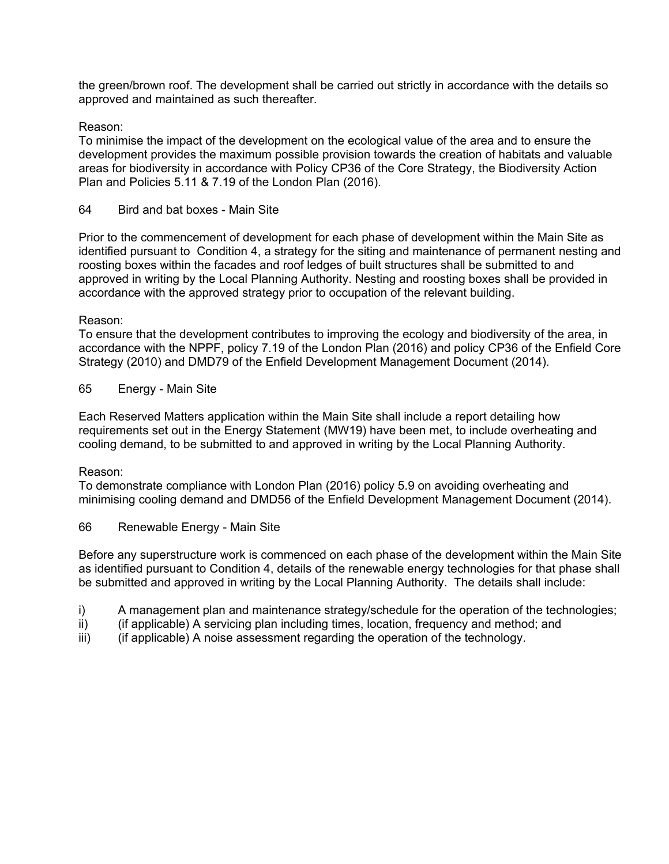the green/brown roof. The development shall be carried out strictly in accordance with the details so approved and maintained as such thereafter.

# Reason:

To minimise the impact of the development on the ecological value of the area and to ensure the development provides the maximum possible provision towards the creation of habitats and valuable areas for biodiversity in accordance with Policy CP36 of the Core Strategy, the Biodiversity Action Plan and Policies 5.11 & 7.19 of the London Plan (2016).

#### 64 Bird and bat boxes - Main Site

Prior to the commencement of development for each phase of development within the Main Site as identified pursuant to Condition 4, a strategy for the siting and maintenance of permanent nesting and roosting boxes within the facades and roof ledges of built structures shall be submitted to and approved in writing by the Local Planning Authority. Nesting and roosting boxes shall be provided in accordance with the approved strategy prior to occupation of the relevant building.

#### Reason:

To ensure that the development contributes to improving the ecology and biodiversity of the area, in accordance with the NPPF, policy 7.19 of the London Plan (2016) and policy CP36 of the Enfield Core Strategy (2010) and DMD79 of the Enfield Development Management Document (2014).

65 Energy - Main Site

Each Reserved Matters application within the Main Site shall include a report detailing how requirements set out in the Energy Statement (MW19) have been met, to include overheating and cooling demand, to be submitted to and approved in writing by the Local Planning Authority.

#### Reason:

To demonstrate compliance with London Plan (2016) policy 5.9 on avoiding overheating and minimising cooling demand and DMD56 of the Enfield Development Management Document (2014).

66 Renewable Energy - Main Site

Before any superstructure work is commenced on each phase of the development within the Main Site as identified pursuant to Condition 4, details of the renewable energy technologies for that phase shall be submitted and approved in writing by the Local Planning Authority. The details shall include:

- i) A management plan and maintenance strategy/schedule for the operation of the technologies;
- ii) (if applicable) A servicing plan including times, location, frequency and method; and
- iii) (if applicable) A noise assessment regarding the operation of the technology.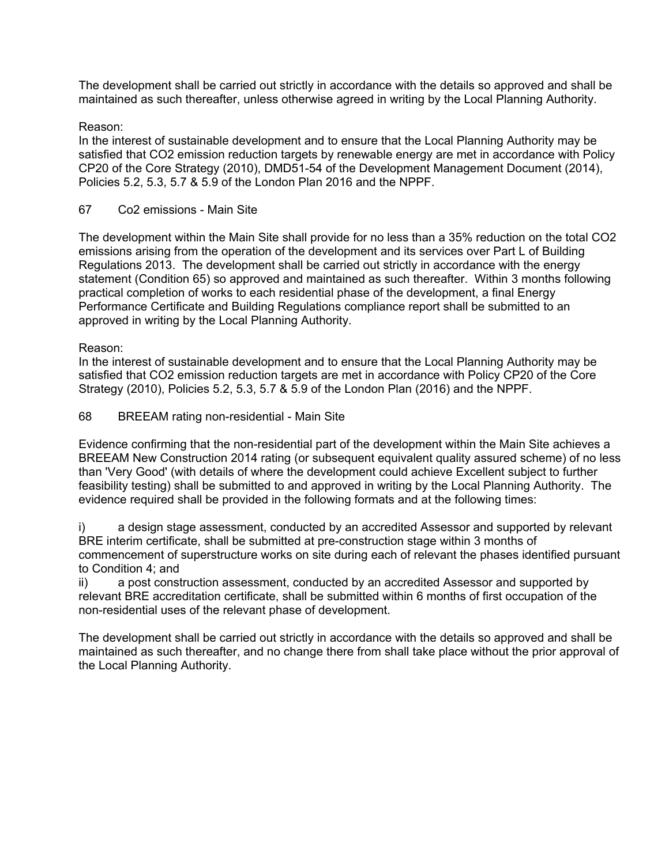The development shall be carried out strictly in accordance with the details so approved and shall be maintained as such thereafter, unless otherwise agreed in writing by the Local Planning Authority.

# Reason:

In the interest of sustainable development and to ensure that the Local Planning Authority may be satisfied that CO2 emission reduction targets by renewable energy are met in accordance with Policy CP20 of the Core Strategy (2010), DMD51-54 of the Development Management Document (2014), Policies 5.2, 5.3, 5.7 & 5.9 of the London Plan 2016 and the NPPF.

#### 67 Co2 emissions - Main Site

The development within the Main Site shall provide for no less than a 35% reduction on the total CO2 emissions arising from the operation of the development and its services over Part L of Building Regulations 2013. The development shall be carried out strictly in accordance with the energy statement (Condition 65) so approved and maintained as such thereafter. Within 3 months following practical completion of works to each residential phase of the development, a final Energy Performance Certificate and Building Regulations compliance report shall be submitted to an approved in writing by the Local Planning Authority.

#### Reason:

In the interest of sustainable development and to ensure that the Local Planning Authority may be satisfied that CO2 emission reduction targets are met in accordance with Policy CP20 of the Core Strategy (2010), Policies 5.2, 5.3, 5.7 & 5.9 of the London Plan (2016) and the NPPF.

#### 68 BREEAM rating non-residential - Main Site

Evidence confirming that the non-residential part of the development within the Main Site achieves a BREEAM New Construction 2014 rating (or subsequent equivalent quality assured scheme) of no less than 'Very Good' (with details of where the development could achieve Excellent subject to further feasibility testing) shall be submitted to and approved in writing by the Local Planning Authority. The evidence required shall be provided in the following formats and at the following times:

i) a design stage assessment, conducted by an accredited Assessor and supported by relevant BRE interim certificate, shall be submitted at pre-construction stage within 3 months of commencement of superstructure works on site during each of relevant the phases identified pursuant to Condition 4; and

ii) a post construction assessment, conducted by an accredited Assessor and supported by relevant BRE accreditation certificate, shall be submitted within 6 months of first occupation of the non-residential uses of the relevant phase of development.

The development shall be carried out strictly in accordance with the details so approved and shall be maintained as such thereafter, and no change there from shall take place without the prior approval of the Local Planning Authority.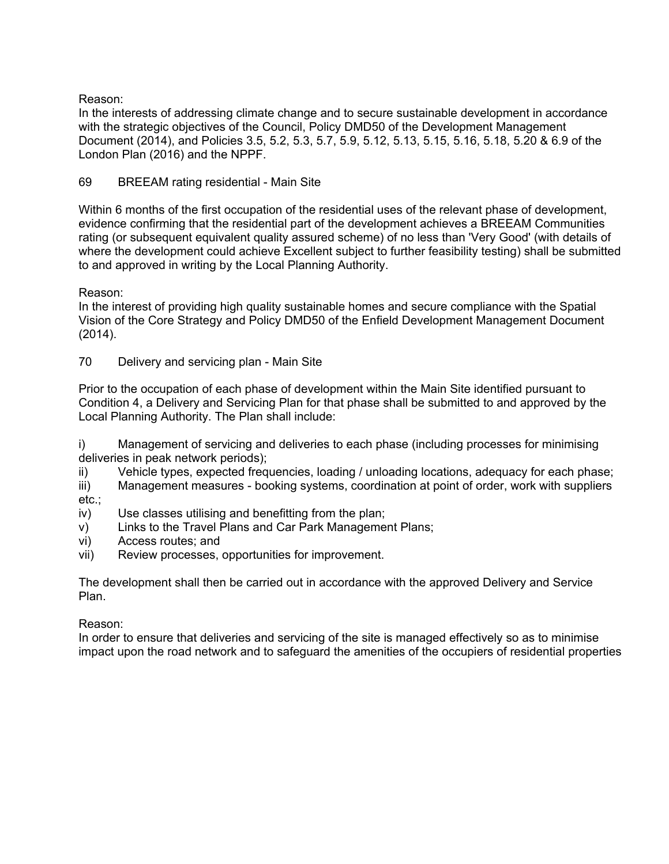Reason:

In the interests of addressing climate change and to secure sustainable development in accordance with the strategic objectives of the Council, Policy DMD50 of the Development Management Document (2014), and Policies 3.5, 5.2, 5.3, 5.7, 5.9, 5.12, 5.13, 5.15, 5.16, 5.18, 5.20 & 6.9 of the London Plan (2016) and the NPPF.

69 BREEAM rating residential - Main Site

Within 6 months of the first occupation of the residential uses of the relevant phase of development, evidence confirming that the residential part of the development achieves a BREEAM Communities rating (or subsequent equivalent quality assured scheme) of no less than 'Very Good' (with details of where the development could achieve Excellent subject to further feasibility testing) shall be submitted to and approved in writing by the Local Planning Authority.

Reason:

In the interest of providing high quality sustainable homes and secure compliance with the Spatial Vision of the Core Strategy and Policy DMD50 of the Enfield Development Management Document (2014).

70 Delivery and servicing plan - Main Site

Prior to the occupation of each phase of development within the Main Site identified pursuant to Condition 4, a Delivery and Servicing Plan for that phase shall be submitted to and approved by the Local Planning Authority. The Plan shall include:

i) Management of servicing and deliveries to each phase (including processes for minimising deliveries in peak network periods);

ii) Vehicle types, expected frequencies, loading / unloading locations, adequacy for each phase;

iii) Management measures - booking systems, coordination at point of order, work with suppliers etc.;

- iv) Use classes utilising and benefitting from the plan;
- v) Links to the Travel Plans and Car Park Management Plans;
- vi) Access routes; and
- vii) Review processes, opportunities for improvement.

The development shall then be carried out in accordance with the approved Delivery and Service Plan.

Reason:

In order to ensure that deliveries and servicing of the site is managed effectively so as to minimise impact upon the road network and to safeguard the amenities of the occupiers of residential properties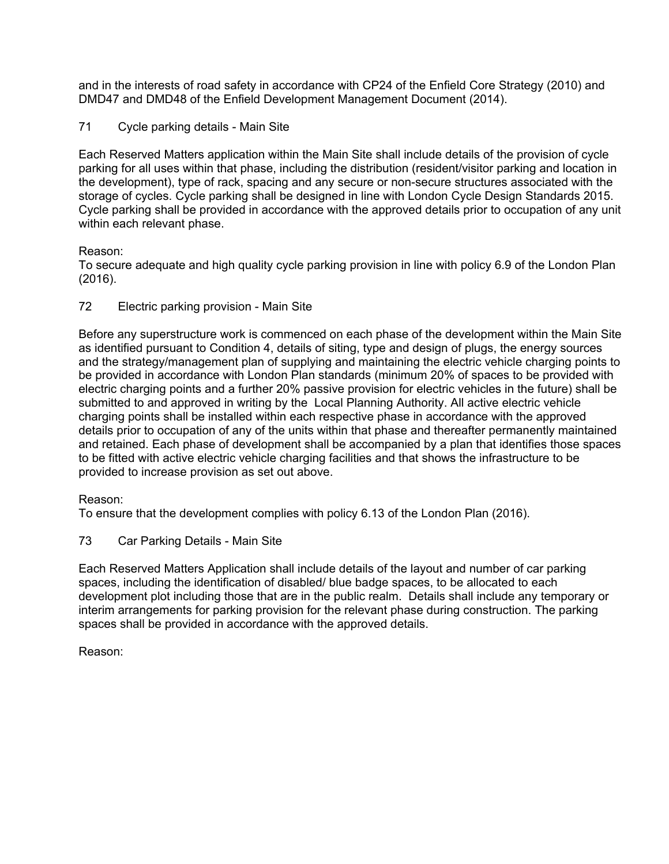and in the interests of road safety in accordance with CP24 of the Enfield Core Strategy (2010) and DMD47 and DMD48 of the Enfield Development Management Document (2014).

71 Cycle parking details - Main Site

Each Reserved Matters application within the Main Site shall include details of the provision of cycle parking for all uses within that phase, including the distribution (resident/visitor parking and location in the development), type of rack, spacing and any secure or non-secure structures associated with the storage of cycles. Cycle parking shall be designed in line with London Cycle Design Standards 2015. Cycle parking shall be provided in accordance with the approved details prior to occupation of any unit within each relevant phase.

# Reason:

To secure adequate and high quality cycle parking provision in line with policy 6.9 of the London Plan (2016).

72 Electric parking provision - Main Site

Before any superstructure work is commenced on each phase of the development within the Main Site as identified pursuant to Condition 4, details of siting, type and design of plugs, the energy sources and the strategy/management plan of supplying and maintaining the electric vehicle charging points to be provided in accordance with London Plan standards (minimum 20% of spaces to be provided with electric charging points and a further 20% passive provision for electric vehicles in the future) shall be submitted to and approved in writing by the Local Planning Authority. All active electric vehicle charging points shall be installed within each respective phase in accordance with the approved details prior to occupation of any of the units within that phase and thereafter permanently maintained and retained. Each phase of development shall be accompanied by a plan that identifies those spaces to be fitted with active electric vehicle charging facilities and that shows the infrastructure to be provided to increase provision as set out above.

# Reason:

To ensure that the development complies with policy 6.13 of the London Plan (2016).

73 Car Parking Details - Main Site

Each Reserved Matters Application shall include details of the layout and number of car parking spaces, including the identification of disabled/ blue badge spaces, to be allocated to each development plot including those that are in the public realm. Details shall include any temporary or interim arrangements for parking provision for the relevant phase during construction. The parking spaces shall be provided in accordance with the approved details.

Reason: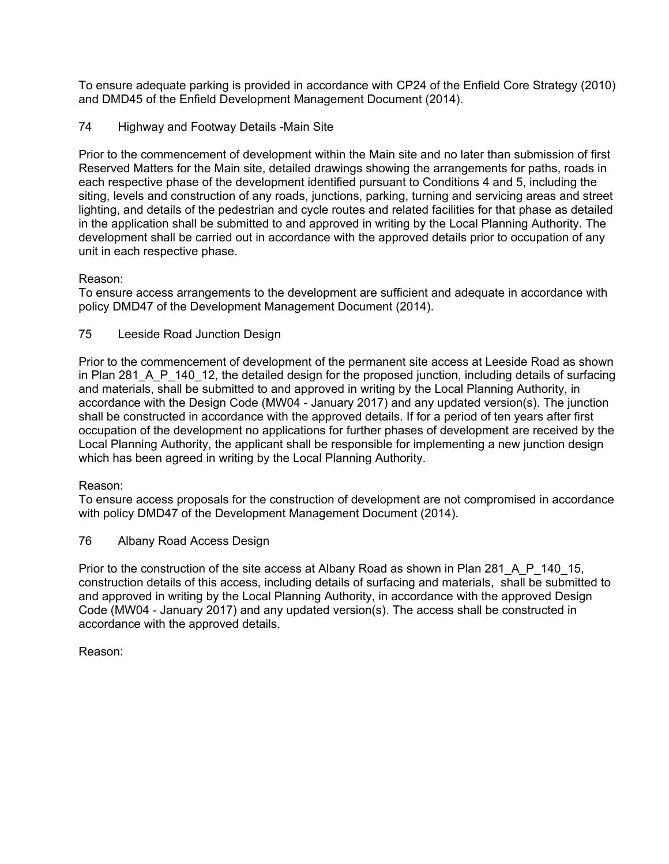To ensure adequate parking is provided in accordance with CP24 of the Enfield Core Strategy (2010) and DMD45 of the Enfield Development Management Document (2014).

74 Highway and Footway Details -Main Site

Prior to the commencement of development within the Main site and no later than submission of first Reserved Matters for the Main site, detailed drawings showing the arrangements for paths, roads in each respective phase of the development identified pursuant to Conditions 4 and 5, including the siting, levels and construction of any roads, junctions, parking, turning and servicing areas and street lighting, and details of the pedestrian and cycle routes and related facilities for that phase as detailed in the application shall be submitted to and approved in writing by the Local Planning Authority. The development shall be carried out in accordance with the approved details prior to occupation of any unit in each respective phase.

# Reason:

To ensure access arrangements to the development are sufficient and adequate in accordance with policy DMD47 of the Development Management Document (2014).

# 75 Leeside Road Junction Design

Prior to the commencement of development of the permanent site access at Leeside Road as shown in Plan 281 A P 140 12, the detailed design for the proposed junction, including details of surfacing and materials, shall be submitted to and approved in writing by the Local Planning Authority, in accordance with the Design Code (MW04 - January 2017) and any updated version(s). The junction shall be constructed in accordance with the approved details. If for a period of ten years after first occupation of the development no applications for further phases of development are received by the Local Planning Authority, the applicant shall be responsible for implementing a new junction design which has been agreed in writing by the Local Planning Authority.

# Reason:

To ensure access proposals for the construction of development are not compromised in accordance with policy DMD47 of the Development Management Document (2014).

76 Albany Road Access Design

Prior to the construction of the site access at Albany Road as shown in Plan 281\_A\_P\_140\_15, construction details of this access, including details of surfacing and materials, shall be submitted to and approved in writing by the Local Planning Authority, in accordance with the approved Design Code (MW04 - January 2017) and any updated version(s). The access shall be constructed in accordance with the approved details.

Reason: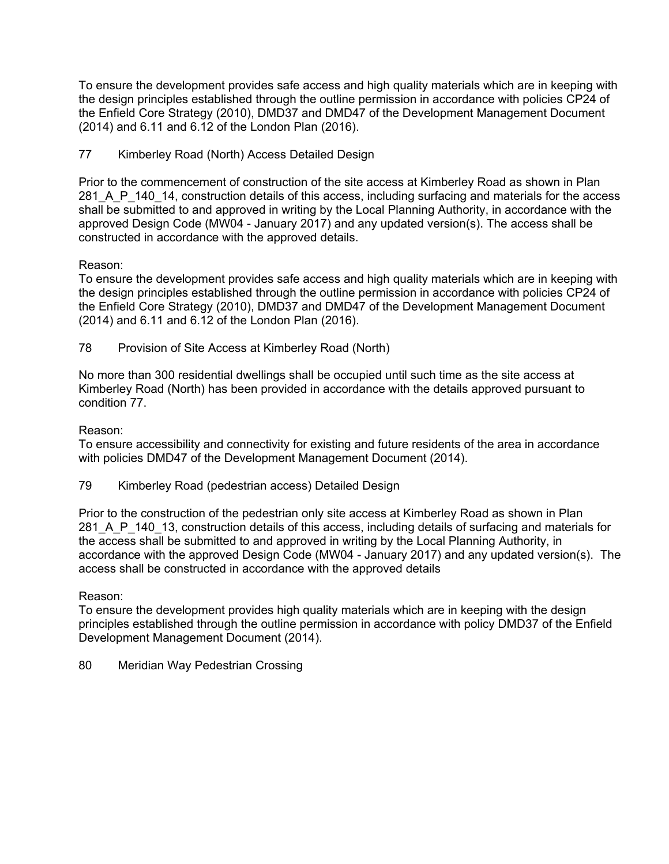To ensure the development provides safe access and high quality materials which are in keeping with the design principles established through the outline permission in accordance with policies CP24 of the Enfield Core Strategy (2010), DMD37 and DMD47 of the Development Management Document (2014) and 6.11 and 6.12 of the London Plan (2016).

77 Kimberley Road (North) Access Detailed Design

Prior to the commencement of construction of the site access at Kimberley Road as shown in Plan 281 A P 140 14, construction details of this access, including surfacing and materials for the access shall be submitted to and approved in writing by the Local Planning Authority, in accordance with the approved Design Code (MW04 - January 2017) and any updated version(s). The access shall be constructed in accordance with the approved details.

# Reason:

To ensure the development provides safe access and high quality materials which are in keeping with the design principles established through the outline permission in accordance with policies CP24 of the Enfield Core Strategy (2010), DMD37 and DMD47 of the Development Management Document (2014) and 6.11 and 6.12 of the London Plan (2016).

78 Provision of Site Access at Kimberley Road (North)

No more than 300 residential dwellings shall be occupied until such time as the site access at Kimberley Road (North) has been provided in accordance with the details approved pursuant to condition 77.

#### Reason:

To ensure accessibility and connectivity for existing and future residents of the area in accordance with policies DMD47 of the Development Management Document (2014).

79 Kimberley Road (pedestrian access) Detailed Design

Prior to the construction of the pedestrian only site access at Kimberley Road as shown in Plan 281 A P 140 13, construction details of this access, including details of surfacing and materials for the access shall be submitted to and approved in writing by the Local Planning Authority, in accordance with the approved Design Code (MW04 - January 2017) and any updated version(s). The access shall be constructed in accordance with the approved details

#### Reason:

To ensure the development provides high quality materials which are in keeping with the design principles established through the outline permission in accordance with policy DMD37 of the Enfield Development Management Document (2014).

80 Meridian Way Pedestrian Crossing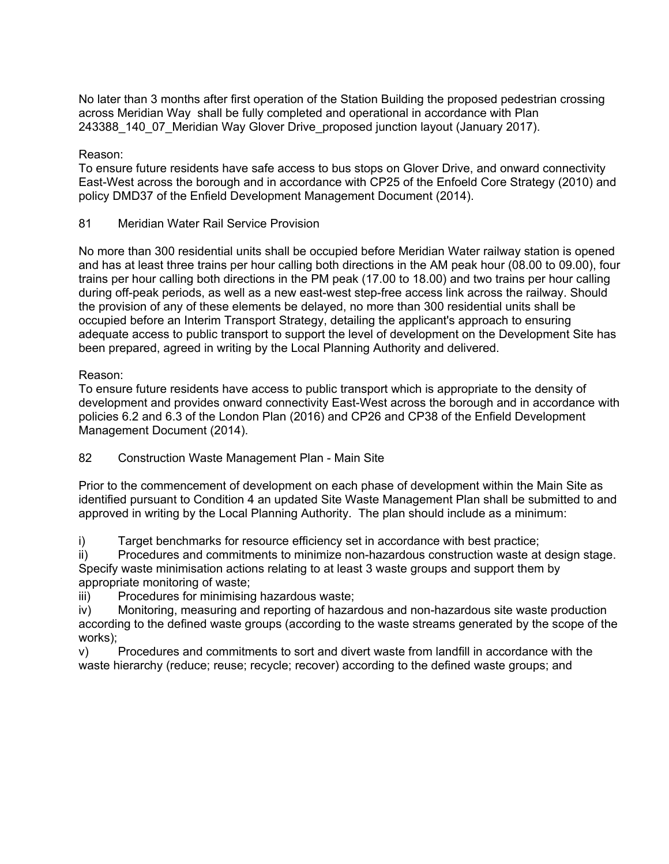No later than 3 months after first operation of the Station Building the proposed pedestrian crossing across Meridian Way shall be fully completed and operational in accordance with Plan 243388\_140\_07\_Meridian Way Glover Drive\_proposed junction layout (January 2017).

Reason:

To ensure future residents have safe access to bus stops on Glover Drive, and onward connectivity East-West across the borough and in accordance with CP25 of the Enfoeld Core Strategy (2010) and policy DMD37 of the Enfield Development Management Document (2014).

81 Meridian Water Rail Service Provision

No more than 300 residential units shall be occupied before Meridian Water railway station is opened and has at least three trains per hour calling both directions in the AM peak hour (08.00 to 09.00), four trains per hour calling both directions in the PM peak (17.00 to 18.00) and two trains per hour calling during off-peak periods, as well as a new east-west step-free access link across the railway. Should the provision of any of these elements be delayed, no more than 300 residential units shall be occupied before an Interim Transport Strategy, detailing the applicant's approach to ensuring adequate access to public transport to support the level of development on the Development Site has been prepared, agreed in writing by the Local Planning Authority and delivered.

## Reason:

To ensure future residents have access to public transport which is appropriate to the density of development and provides onward connectivity East-West across the borough and in accordance with policies 6.2 and 6.3 of the London Plan (2016) and CP26 and CP38 of the Enfield Development Management Document (2014).

82 Construction Waste Management Plan - Main Site

Prior to the commencement of development on each phase of development within the Main Site as identified pursuant to Condition 4 an updated Site Waste Management Plan shall be submitted to and approved in writing by the Local Planning Authority. The plan should include as a minimum:

i) Target benchmarks for resource efficiency set in accordance with best practice;

ii) Procedures and commitments to minimize non-hazardous construction waste at design stage. Specify waste minimisation actions relating to at least 3 waste groups and support them by appropriate monitoring of waste;

iii) Procedures for minimising hazardous waste;

iv) Monitoring, measuring and reporting of hazardous and non-hazardous site waste production according to the defined waste groups (according to the waste streams generated by the scope of the works);

v) Procedures and commitments to sort and divert waste from landfill in accordance with the waste hierarchy (reduce; reuse; recycle; recover) according to the defined waste groups; and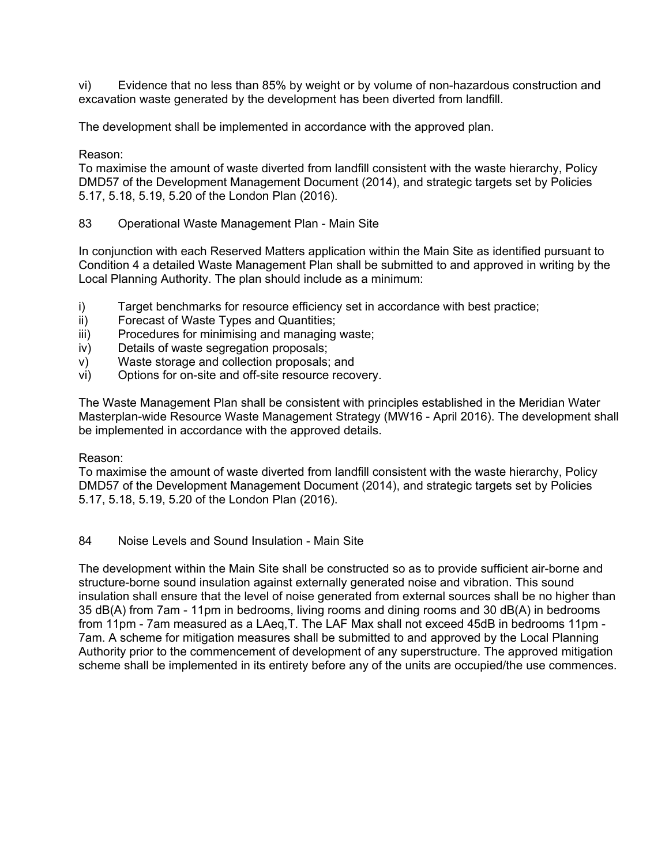vi) Evidence that no less than 85% by weight or by volume of non-hazardous construction and excavation waste generated by the development has been diverted from landfill.

The development shall be implemented in accordance with the approved plan.

## Reason:

To maximise the amount of waste diverted from landfill consistent with the waste hierarchy, Policy DMD57 of the Development Management Document (2014), and strategic targets set by Policies 5.17, 5.18, 5.19, 5.20 of the London Plan (2016).

83 Operational Waste Management Plan - Main Site

In conjunction with each Reserved Matters application within the Main Site as identified pursuant to Condition 4 a detailed Waste Management Plan shall be submitted to and approved in writing by the Local Planning Authority. The plan should include as a minimum:

- i) Target benchmarks for resource efficiency set in accordance with best practice;
- ii) Forecast of Waste Types and Quantities;
- iii) Procedures for minimising and managing waste;
- iv) Details of waste segregation proposals;
- v) Waste storage and collection proposals; and
- vi) Options for on-site and off-site resource recovery.

The Waste Management Plan shall be consistent with principles established in the Meridian Water Masterplan-wide Resource Waste Management Strategy (MW16 - April 2016). The development shall be implemented in accordance with the approved details.

## Reason:

To maximise the amount of waste diverted from landfill consistent with the waste hierarchy, Policy DMD57 of the Development Management Document (2014), and strategic targets set by Policies 5.17, 5.18, 5.19, 5.20 of the London Plan (2016).

## 84 Noise Levels and Sound Insulation - Main Site

The development within the Main Site shall be constructed so as to provide sufficient air-borne and structure-borne sound insulation against externally generated noise and vibration. This sound insulation shall ensure that the level of noise generated from external sources shall be no higher than 35 dB(A) from 7am - 11pm in bedrooms, living rooms and dining rooms and 30 dB(A) in bedrooms from 11pm - 7am measured as a LAeq,T. The LAF Max shall not exceed 45dB in bedrooms 11pm - 7am. A scheme for mitigation measures shall be submitted to and approved by the Local Planning Authority prior to the commencement of development of any superstructure. The approved mitigation scheme shall be implemented in its entirety before any of the units are occupied/the use commences.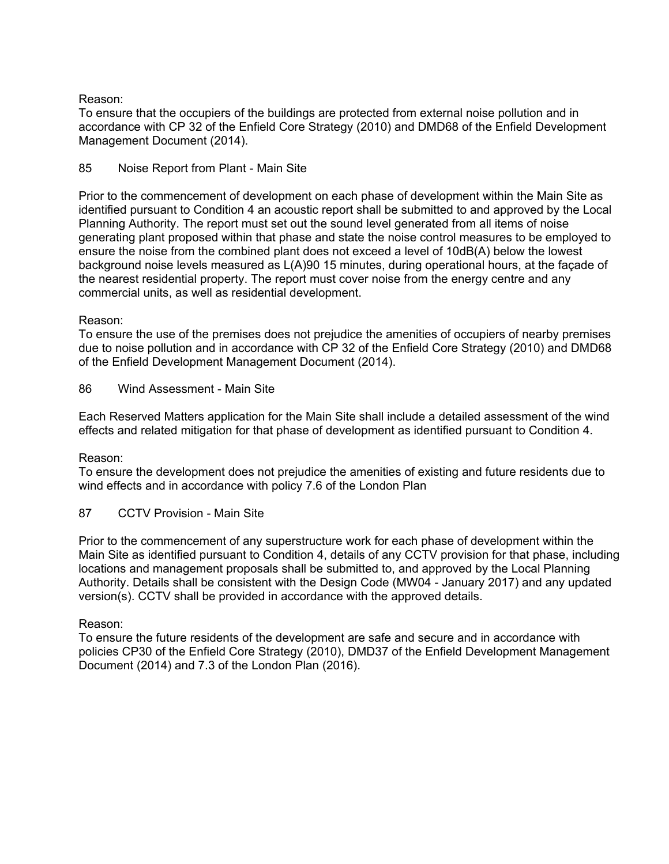## Reason:

To ensure that the occupiers of the buildings are protected from external noise pollution and in accordance with CP 32 of the Enfield Core Strategy (2010) and DMD68 of the Enfield Development Management Document (2014).

# 85 Noise Report from Plant - Main Site

Prior to the commencement of development on each phase of development within the Main Site as identified pursuant to Condition 4 an acoustic report shall be submitted to and approved by the Local Planning Authority. The report must set out the sound level generated from all items of noise generating plant proposed within that phase and state the noise control measures to be employed to ensure the noise from the combined plant does not exceed a level of 10dB(A) below the lowest background noise levels measured as L(A)90 15 minutes, during operational hours, at the façade of the nearest residential property. The report must cover noise from the energy centre and any commercial units, as well as residential development.

## Reason:

To ensure the use of the premises does not prejudice the amenities of occupiers of nearby premises due to noise pollution and in accordance with CP 32 of the Enfield Core Strategy (2010) and DMD68 of the Enfield Development Management Document (2014).

86 Wind Assessment - Main Site

Each Reserved Matters application for the Main Site shall include a detailed assessment of the wind effects and related mitigation for that phase of development as identified pursuant to Condition 4.

## Reason:

To ensure the development does not prejudice the amenities of existing and future residents due to wind effects and in accordance with policy 7.6 of the London Plan

87 CCTV Provision - Main Site

Prior to the commencement of any superstructure work for each phase of development within the Main Site as identified pursuant to Condition 4, details of any CCTV provision for that phase, including locations and management proposals shall be submitted to, and approved by the Local Planning Authority. Details shall be consistent with the Design Code (MW04 - January 2017) and any updated version(s). CCTV shall be provided in accordance with the approved details.

## Reason:

To ensure the future residents of the development are safe and secure and in accordance with policies CP30 of the Enfield Core Strategy (2010), DMD37 of the Enfield Development Management Document (2014) and 7.3 of the London Plan (2016).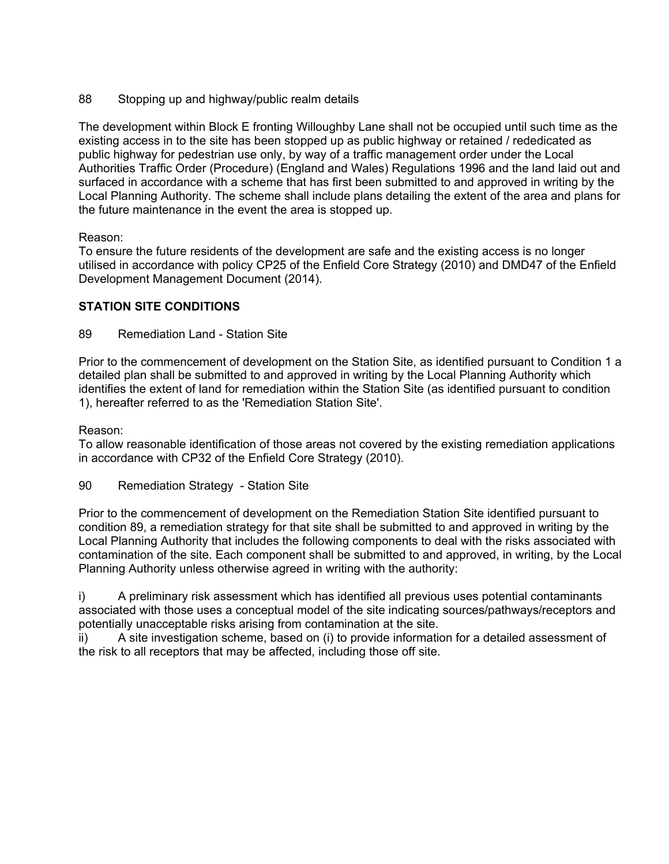88 Stopping up and highway/public realm details

The development within Block E fronting Willoughby Lane shall not be occupied until such time as the existing access in to the site has been stopped up as public highway or retained / rededicated as public highway for pedestrian use only, by way of a traffic management order under the Local Authorities Traffic Order (Procedure) (England and Wales) Regulations 1996 and the land laid out and surfaced in accordance with a scheme that has first been submitted to and approved in writing by the Local Planning Authority. The scheme shall include plans detailing the extent of the area and plans for the future maintenance in the event the area is stopped up.

#### Reason:

To ensure the future residents of the development are safe and the existing access is no longer utilised in accordance with policy CP25 of the Enfield Core Strategy (2010) and DMD47 of the Enfield Development Management Document (2014).

## **STATION SITE CONDITIONS**

89 Remediation Land - Station Site

Prior to the commencement of development on the Station Site, as identified pursuant to Condition 1 a detailed plan shall be submitted to and approved in writing by the Local Planning Authority which identifies the extent of land for remediation within the Station Site (as identified pursuant to condition 1), hereafter referred to as the 'Remediation Station Site'.

#### Reason:

To allow reasonable identification of those areas not covered by the existing remediation applications in accordance with CP32 of the Enfield Core Strategy (2010).

## 90 Remediation Strategy - Station Site

Prior to the commencement of development on the Remediation Station Site identified pursuant to condition 89, a remediation strategy for that site shall be submitted to and approved in writing by the Local Planning Authority that includes the following components to deal with the risks associated with contamination of the site. Each component shall be submitted to and approved, in writing, by the Local Planning Authority unless otherwise agreed in writing with the authority:

i) A preliminary risk assessment which has identified all previous uses potential contaminants associated with those uses a conceptual model of the site indicating sources/pathways/receptors and potentially unacceptable risks arising from contamination at the site.

ii) A site investigation scheme, based on (i) to provide information for a detailed assessment of the risk to all receptors that may be affected, including those off site.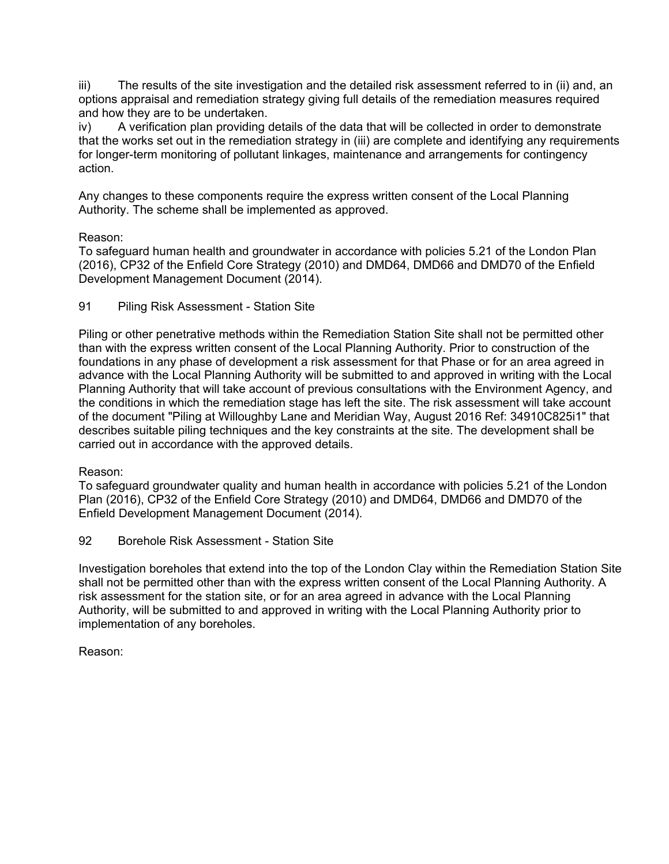iii) The results of the site investigation and the detailed risk assessment referred to in (ii) and, an options appraisal and remediation strategy giving full details of the remediation measures required and how they are to be undertaken.

iv) A verification plan providing details of the data that will be collected in order to demonstrate that the works set out in the remediation strategy in (iii) are complete and identifying any requirements for longer-term monitoring of pollutant linkages, maintenance and arrangements for contingency action.

Any changes to these components require the express written consent of the Local Planning Authority. The scheme shall be implemented as approved.

## Reason:

To safeguard human health and groundwater in accordance with policies 5.21 of the London Plan (2016), CP32 of the Enfield Core Strategy (2010) and DMD64, DMD66 and DMD70 of the Enfield Development Management Document (2014).

91 Piling Risk Assessment - Station Site

Piling or other penetrative methods within the Remediation Station Site shall not be permitted other than with the express written consent of the Local Planning Authority. Prior to construction of the foundations in any phase of development a risk assessment for that Phase or for an area agreed in advance with the Local Planning Authority will be submitted to and approved in writing with the Local Planning Authority that will take account of previous consultations with the Environment Agency, and the conditions in which the remediation stage has left the site. The risk assessment will take account of the document "Piling at Willoughby Lane and Meridian Way, August 2016 Ref: 34910C825i1" that describes suitable piling techniques and the key constraints at the site. The development shall be carried out in accordance with the approved details.

## Reason:

To safeguard groundwater quality and human health in accordance with policies 5.21 of the London Plan (2016), CP32 of the Enfield Core Strategy (2010) and DMD64, DMD66 and DMD70 of the Enfield Development Management Document (2014).

92 Borehole Risk Assessment - Station Site

Investigation boreholes that extend into the top of the London Clay within the Remediation Station Site shall not be permitted other than with the express written consent of the Local Planning Authority. A risk assessment for the station site, or for an area agreed in advance with the Local Planning Authority, will be submitted to and approved in writing with the Local Planning Authority prior to implementation of any boreholes.

Reason: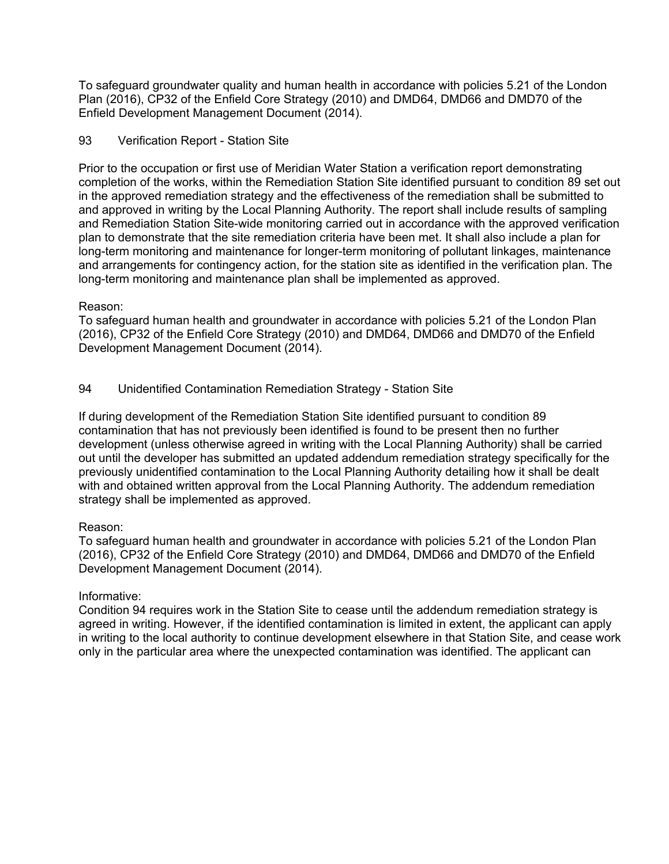To safeguard groundwater quality and human health in accordance with policies 5.21 of the London Plan (2016), CP32 of the Enfield Core Strategy (2010) and DMD64, DMD66 and DMD70 of the Enfield Development Management Document (2014).

## 93 Verification Report - Station Site

Prior to the occupation or first use of Meridian Water Station a verification report demonstrating completion of the works, within the Remediation Station Site identified pursuant to condition 89 set out in the approved remediation strategy and the effectiveness of the remediation shall be submitted to and approved in writing by the Local Planning Authority. The report shall include results of sampling and Remediation Station Site-wide monitoring carried out in accordance with the approved verification plan to demonstrate that the site remediation criteria have been met. It shall also include a plan for long-term monitoring and maintenance for longer-term monitoring of pollutant linkages, maintenance and arrangements for contingency action, for the station site as identified in the verification plan. The long-term monitoring and maintenance plan shall be implemented as approved.

#### Reason:

To safeguard human health and groundwater in accordance with policies 5.21 of the London Plan (2016), CP32 of the Enfield Core Strategy (2010) and DMD64, DMD66 and DMD70 of the Enfield Development Management Document (2014).

## 94 Unidentified Contamination Remediation Strategy - Station Site

If during development of the Remediation Station Site identified pursuant to condition 89 contamination that has not previously been identified is found to be present then no further development (unless otherwise agreed in writing with the Local Planning Authority) shall be carried out until the developer has submitted an updated addendum remediation strategy specifically for the previously unidentified contamination to the Local Planning Authority detailing how it shall be dealt with and obtained written approval from the Local Planning Authority. The addendum remediation strategy shall be implemented as approved.

#### Reason:

To safeguard human health and groundwater in accordance with policies 5.21 of the London Plan (2016), CP32 of the Enfield Core Strategy (2010) and DMD64, DMD66 and DMD70 of the Enfield Development Management Document (2014).

## Informative:

Condition 94 requires work in the Station Site to cease until the addendum remediation strategy is agreed in writing. However, if the identified contamination is limited in extent, the applicant can apply in writing to the local authority to continue development elsewhere in that Station Site, and cease work only in the particular area where the unexpected contamination was identified. The applicant can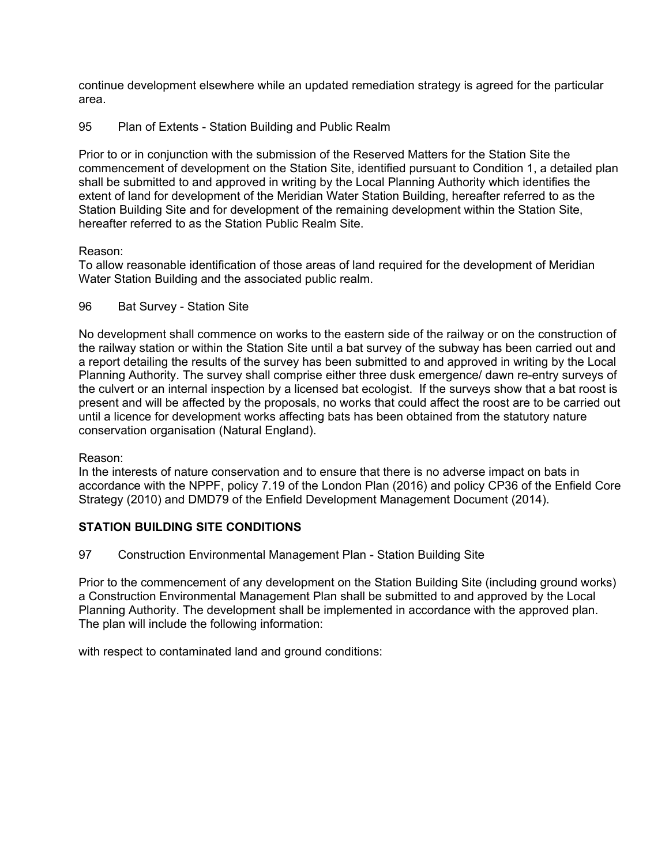continue development elsewhere while an updated remediation strategy is agreed for the particular area.

## 95 Plan of Extents - Station Building and Public Realm

Prior to or in conjunction with the submission of the Reserved Matters for the Station Site the commencement of development on the Station Site, identified pursuant to Condition 1, a detailed plan shall be submitted to and approved in writing by the Local Planning Authority which identifies the extent of land for development of the Meridian Water Station Building, hereafter referred to as the Station Building Site and for development of the remaining development within the Station Site, hereafter referred to as the Station Public Realm Site.

# Reason:

To allow reasonable identification of those areas of land required for the development of Meridian Water Station Building and the associated public realm.

96 Bat Survey - Station Site

No development shall commence on works to the eastern side of the railway or on the construction of the railway station or within the Station Site until a bat survey of the subway has been carried out and a report detailing the results of the survey has been submitted to and approved in writing by the Local Planning Authority. The survey shall comprise either three dusk emergence/ dawn re-entry surveys of the culvert or an internal inspection by a licensed bat ecologist. If the surveys show that a bat roost is present and will be affected by the proposals, no works that could affect the roost are to be carried out until a licence for development works affecting bats has been obtained from the statutory nature conservation organisation (Natural England).

## Reason:

In the interests of nature conservation and to ensure that there is no adverse impact on bats in accordance with the NPPF, policy 7.19 of the London Plan (2016) and policy CP36 of the Enfield Core Strategy (2010) and DMD79 of the Enfield Development Management Document (2014).

# **STATION BUILDING SITE CONDITIONS**

97 Construction Environmental Management Plan - Station Building Site

Prior to the commencement of any development on the Station Building Site (including ground works) a Construction Environmental Management Plan shall be submitted to and approved by the Local Planning Authority. The development shall be implemented in accordance with the approved plan. The plan will include the following information:

with respect to contaminated land and ground conditions: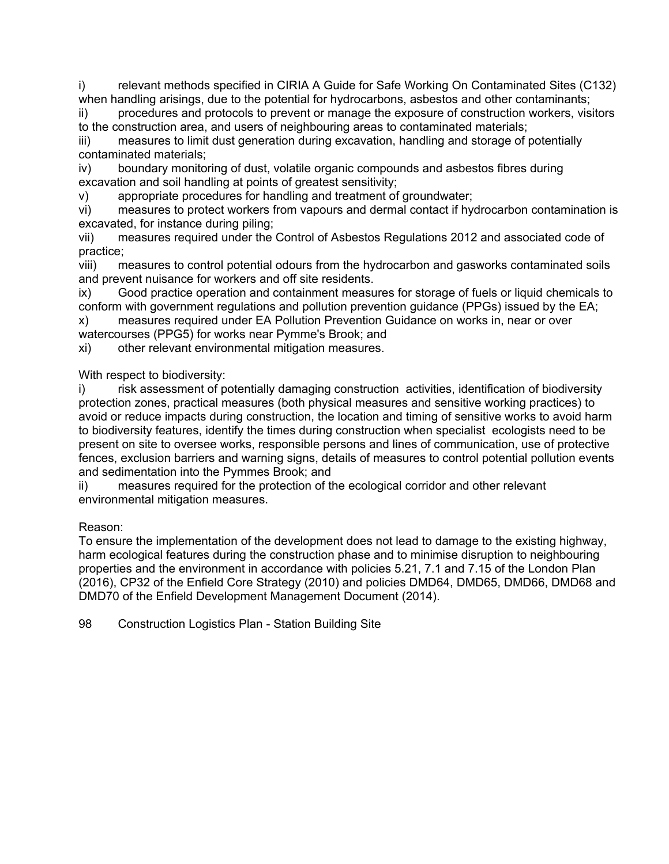i) relevant methods specified in CIRIA A Guide for Safe Working On Contaminated Sites (C132) when handling arisings, due to the potential for hydrocarbons, asbestos and other contaminants;

ii) procedures and protocols to prevent or manage the exposure of construction workers, visitors to the construction area, and users of neighbouring areas to contaminated materials;

iii) measures to limit dust generation during excavation, handling and storage of potentially contaminated materials;

iv) boundary monitoring of dust, volatile organic compounds and asbestos fibres during excavation and soil handling at points of greatest sensitivity;

v) appropriate procedures for handling and treatment of groundwater;

vi) measures to protect workers from vapours and dermal contact if hydrocarbon contamination is excavated, for instance during piling;

vii) measures required under the Control of Asbestos Regulations 2012 and associated code of practice;

viii) measures to control potential odours from the hydrocarbon and gasworks contaminated soils and prevent nuisance for workers and off site residents.

ix) Good practice operation and containment measures for storage of fuels or liquid chemicals to conform with government regulations and pollution prevention guidance (PPGs) issued by the EA;

x) measures required under EA Pollution Prevention Guidance on works in, near or over watercourses (PPG5) for works near Pymme's Brook; and

xi) other relevant environmental mitigation measures.

With respect to biodiversity:

i) risk assessment of potentially damaging construction activities, identification of biodiversity protection zones, practical measures (both physical measures and sensitive working practices) to avoid or reduce impacts during construction, the location and timing of sensitive works to avoid harm to biodiversity features, identify the times during construction when specialist ecologists need to be present on site to oversee works, responsible persons and lines of communication, use of protective fences, exclusion barriers and warning signs, details of measures to control potential pollution events and sedimentation into the Pymmes Brook; and

ii) measures required for the protection of the ecological corridor and other relevant environmental mitigation measures.

# Reason:

To ensure the implementation of the development does not lead to damage to the existing highway, harm ecological features during the construction phase and to minimise disruption to neighbouring properties and the environment in accordance with policies 5.21, 7.1 and 7.15 of the London Plan (2016), CP32 of the Enfield Core Strategy (2010) and policies DMD64, DMD65, DMD66, DMD68 and DMD70 of the Enfield Development Management Document (2014).

98 Construction Logistics Plan - Station Building Site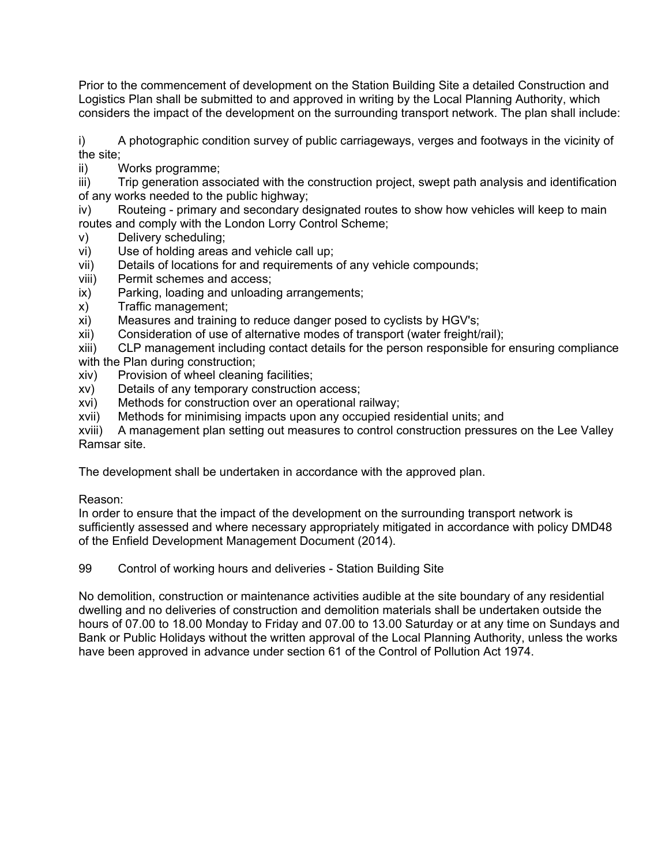Prior to the commencement of development on the Station Building Site a detailed Construction and Logistics Plan shall be submitted to and approved in writing by the Local Planning Authority, which considers the impact of the development on the surrounding transport network. The plan shall include:

i) A photographic condition survey of public carriageways, verges and footways in the vicinity of the site;

ii) Works programme;

iii) Trip generation associated with the construction project, swept path analysis and identification of any works needed to the public highway;

iv) Routeing - primary and secondary designated routes to show how vehicles will keep to main routes and comply with the London Lorry Control Scheme;

- v) Delivery scheduling;
- vi) Use of holding areas and vehicle call up;
- vii) Details of locations for and requirements of any vehicle compounds;
- viii) Permit schemes and access;
- ix) Parking, loading and unloading arrangements;
- x) Traffic management;
- xi) Measures and training to reduce danger posed to cyclists by HGV's;
- xii) Consideration of use of alternative modes of transport (water freight/rail);

xiii) CLP management including contact details for the person responsible for ensuring compliance with the Plan during construction:

- xiv) Provision of wheel cleaning facilities;
- xv) Details of any temporary construction access;
- xvi) Methods for construction over an operational railway;
- xvii) Methods for minimising impacts upon any occupied residential units; and

xviii) A management plan setting out measures to control construction pressures on the Lee Valley Ramsar site.

The development shall be undertaken in accordance with the approved plan.

## Reason:

In order to ensure that the impact of the development on the surrounding transport network is sufficiently assessed and where necessary appropriately mitigated in accordance with policy DMD48 of the Enfield Development Management Document (2014).

99 Control of working hours and deliveries - Station Building Site

No demolition, construction or maintenance activities audible at the site boundary of any residential dwelling and no deliveries of construction and demolition materials shall be undertaken outside the hours of 07.00 to 18.00 Monday to Friday and 07.00 to 13.00 Saturday or at any time on Sundays and Bank or Public Holidays without the written approval of the Local Planning Authority, unless the works have been approved in advance under section 61 of the Control of Pollution Act 1974.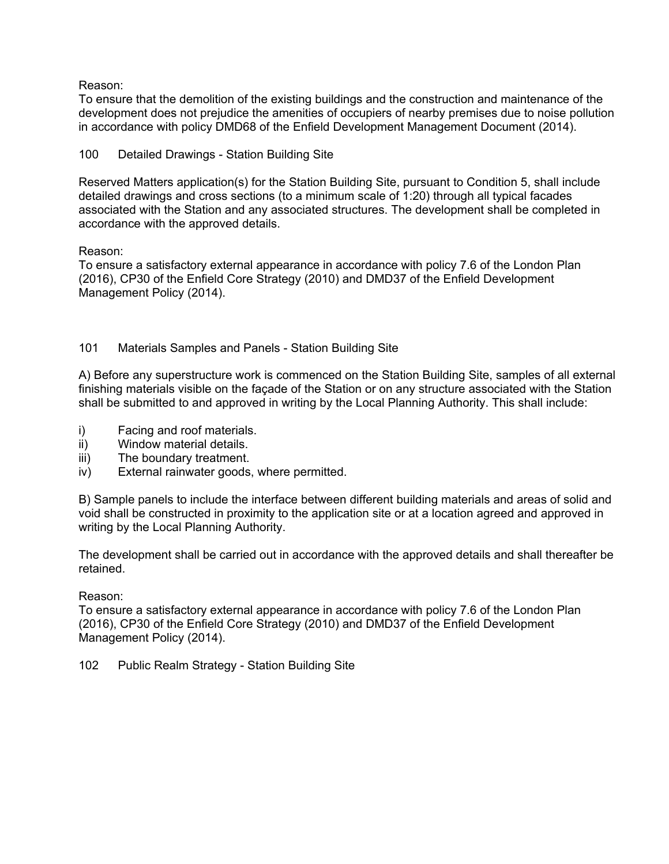Reason:

To ensure that the demolition of the existing buildings and the construction and maintenance of the development does not prejudice the amenities of occupiers of nearby premises due to noise pollution in accordance with policy DMD68 of the Enfield Development Management Document (2014).

#### 100 Detailed Drawings - Station Building Site

Reserved Matters application(s) for the Station Building Site, pursuant to Condition 5, shall include detailed drawings and cross sections (to a minimum scale of 1:20) through all typical facades associated with the Station and any associated structures. The development shall be completed in accordance with the approved details.

#### Reason:

To ensure a satisfactory external appearance in accordance with policy 7.6 of the London Plan (2016), CP30 of the Enfield Core Strategy (2010) and DMD37 of the Enfield Development Management Policy (2014).

## 101 Materials Samples and Panels - Station Building Site

A) Before any superstructure work is commenced on the Station Building Site, samples of all external finishing materials visible on the façade of the Station or on any structure associated with the Station shall be submitted to and approved in writing by the Local Planning Authority. This shall include:

- i) Facing and roof materials.
- ii) Window material details.
- iii) The boundary treatment.
- iv) External rainwater goods, where permitted.

B) Sample panels to include the interface between different building materials and areas of solid and void shall be constructed in proximity to the application site or at a location agreed and approved in writing by the Local Planning Authority.

The development shall be carried out in accordance with the approved details and shall thereafter be retained.

#### Reason:

To ensure a satisfactory external appearance in accordance with policy 7.6 of the London Plan (2016), CP30 of the Enfield Core Strategy (2010) and DMD37 of the Enfield Development Management Policy (2014).

102 Public Realm Strategy - Station Building Site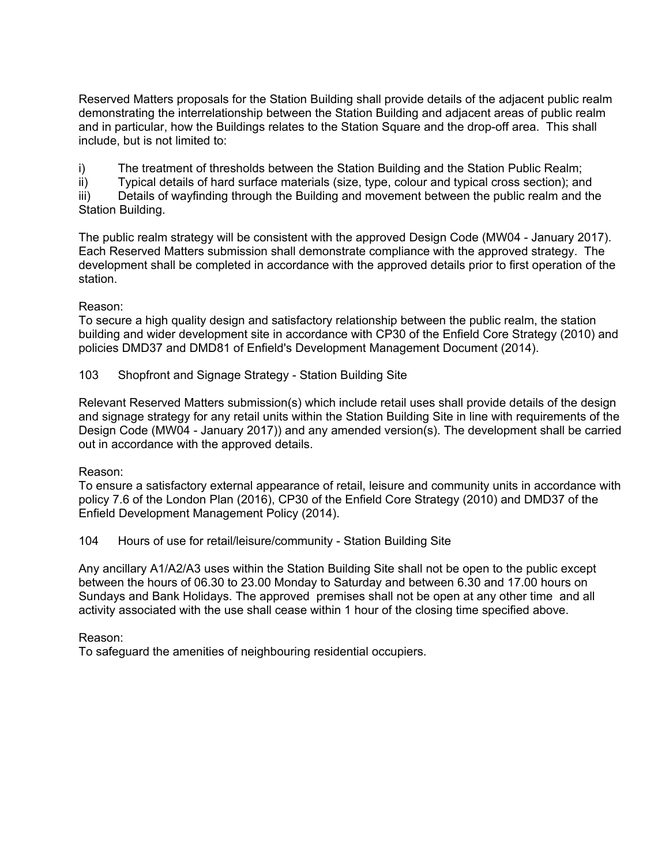Reserved Matters proposals for the Station Building shall provide details of the adjacent public realm demonstrating the interrelationship between the Station Building and adjacent areas of public realm and in particular, how the Buildings relates to the Station Square and the drop-off area. This shall include, but is not limited to:

i) The treatment of thresholds between the Station Building and the Station Public Realm;

ii) Typical details of hard surface materials (size, type, colour and typical cross section); and

iii) Details of wayfinding through the Building and movement between the public realm and the Station Building.

The public realm strategy will be consistent with the approved Design Code (MW04 - January 2017). Each Reserved Matters submission shall demonstrate compliance with the approved strategy. The development shall be completed in accordance with the approved details prior to first operation of the station.

## Reason:

To secure a high quality design and satisfactory relationship between the public realm, the station building and wider development site in accordance with CP30 of the Enfield Core Strategy (2010) and policies DMD37 and DMD81 of Enfield's Development Management Document (2014).

103 Shopfront and Signage Strategy - Station Building Site

Relevant Reserved Matters submission(s) which include retail uses shall provide details of the design and signage strategy for any retail units within the Station Building Site in line with requirements of the Design Code (MW04 - January 2017)) and any amended version(s). The development shall be carried out in accordance with the approved details.

## Reason:

To ensure a satisfactory external appearance of retail, leisure and community units in accordance with policy 7.6 of the London Plan (2016), CP30 of the Enfield Core Strategy (2010) and DMD37 of the Enfield Development Management Policy (2014).

104 Hours of use for retail/leisure/community - Station Building Site

Any ancillary A1/A2/A3 uses within the Station Building Site shall not be open to the public except between the hours of 06.30 to 23.00 Monday to Saturday and between 6.30 and 17.00 hours on Sundays and Bank Holidays. The approved premises shall not be open at any other time and all activity associated with the use shall cease within 1 hour of the closing time specified above.

#### Reason:

To safeguard the amenities of neighbouring residential occupiers.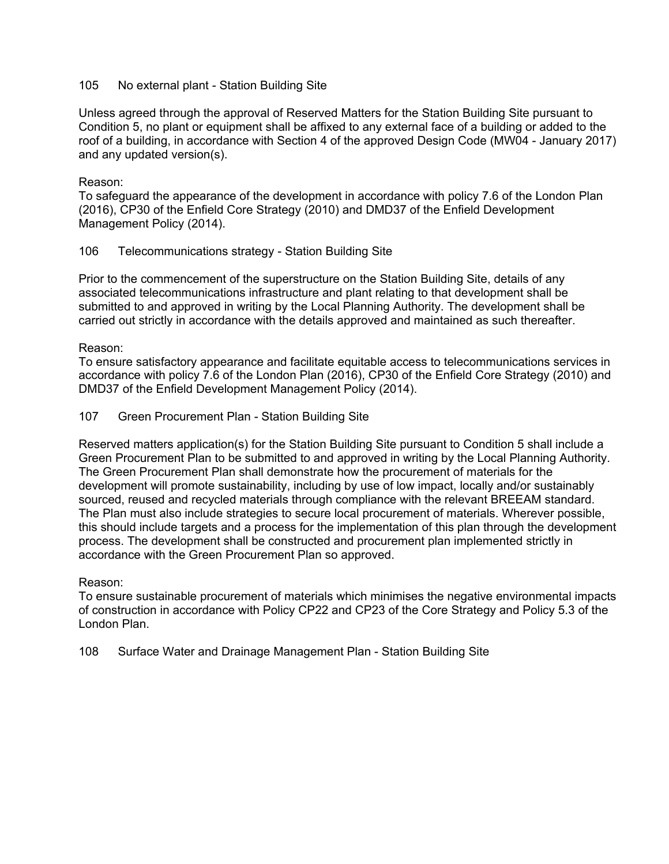#### 105 No external plant - Station Building Site

Unless agreed through the approval of Reserved Matters for the Station Building Site pursuant to Condition 5, no plant or equipment shall be affixed to any external face of a building or added to the roof of a building, in accordance with Section 4 of the approved Design Code (MW04 - January 2017) and any updated version(s).

#### Reason:

To safeguard the appearance of the development in accordance with policy 7.6 of the London Plan (2016), CP30 of the Enfield Core Strategy (2010) and DMD37 of the Enfield Development Management Policy (2014).

#### 106 Telecommunications strategy - Station Building Site

Prior to the commencement of the superstructure on the Station Building Site, details of any associated telecommunications infrastructure and plant relating to that development shall be submitted to and approved in writing by the Local Planning Authority. The development shall be carried out strictly in accordance with the details approved and maintained as such thereafter.

Reason:

To ensure satisfactory appearance and facilitate equitable access to telecommunications services in accordance with policy 7.6 of the London Plan (2016), CP30 of the Enfield Core Strategy (2010) and DMD37 of the Enfield Development Management Policy (2014).

#### 107 Green Procurement Plan - Station Building Site

Reserved matters application(s) for the Station Building Site pursuant to Condition 5 shall include a Green Procurement Plan to be submitted to and approved in writing by the Local Planning Authority. The Green Procurement Plan shall demonstrate how the procurement of materials for the development will promote sustainability, including by use of low impact, locally and/or sustainably sourced, reused and recycled materials through compliance with the relevant BREEAM standard. The Plan must also include strategies to secure local procurement of materials. Wherever possible, this should include targets and a process for the implementation of this plan through the development process. The development shall be constructed and procurement plan implemented strictly in accordance with the Green Procurement Plan so approved.

#### Reason:

To ensure sustainable procurement of materials which minimises the negative environmental impacts of construction in accordance with Policy CP22 and CP23 of the Core Strategy and Policy 5.3 of the London Plan.

108 Surface Water and Drainage Management Plan - Station Building Site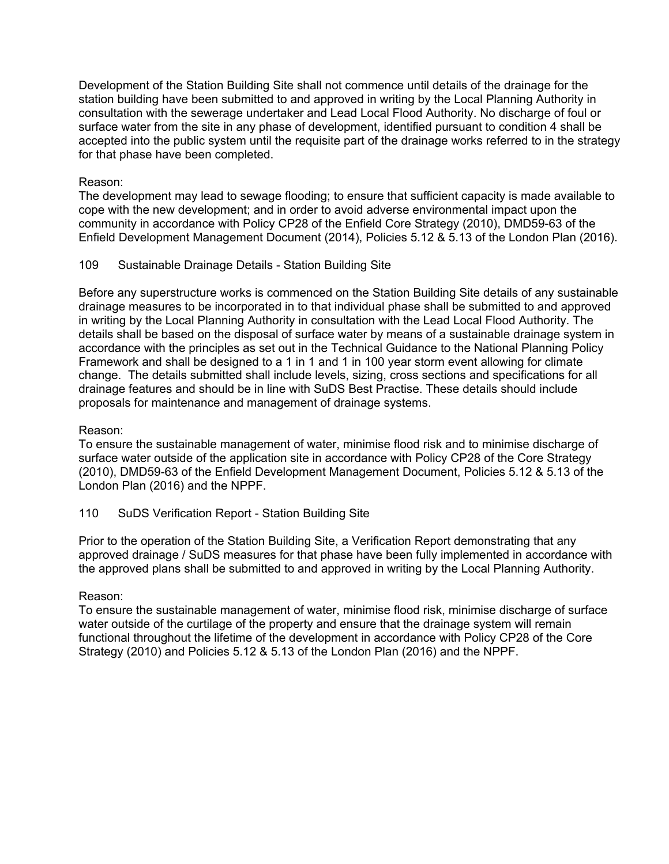Development of the Station Building Site shall not commence until details of the drainage for the station building have been submitted to and approved in writing by the Local Planning Authority in consultation with the sewerage undertaker and Lead Local Flood Authority. No discharge of foul or surface water from the site in any phase of development, identified pursuant to condition 4 shall be accepted into the public system until the requisite part of the drainage works referred to in the strategy for that phase have been completed.

#### Reason:

The development may lead to sewage flooding; to ensure that sufficient capacity is made available to cope with the new development; and in order to avoid adverse environmental impact upon the community in accordance with Policy CP28 of the Enfield Core Strategy (2010), DMD59-63 of the Enfield Development Management Document (2014), Policies 5.12 & 5.13 of the London Plan (2016).

#### 109 Sustainable Drainage Details - Station Building Site

Before any superstructure works is commenced on the Station Building Site details of any sustainable drainage measures to be incorporated in to that individual phase shall be submitted to and approved in writing by the Local Planning Authority in consultation with the Lead Local Flood Authority. The details shall be based on the disposal of surface water by means of a sustainable drainage system in accordance with the principles as set out in the Technical Guidance to the National Planning Policy Framework and shall be designed to a 1 in 1 and 1 in 100 year storm event allowing for climate change. The details submitted shall include levels, sizing, cross sections and specifications for all drainage features and should be in line with SuDS Best Practise. These details should include proposals for maintenance and management of drainage systems.

#### Reason:

To ensure the sustainable management of water, minimise flood risk and to minimise discharge of surface water outside of the application site in accordance with Policy CP28 of the Core Strategy (2010), DMD59-63 of the Enfield Development Management Document, Policies 5.12 & 5.13 of the London Plan (2016) and the NPPF.

## 110 SuDS Verification Report - Station Building Site

Prior to the operation of the Station Building Site, a Verification Report demonstrating that any approved drainage / SuDS measures for that phase have been fully implemented in accordance with the approved plans shall be submitted to and approved in writing by the Local Planning Authority.

#### Reason:

To ensure the sustainable management of water, minimise flood risk, minimise discharge of surface water outside of the curtilage of the property and ensure that the drainage system will remain functional throughout the lifetime of the development in accordance with Policy CP28 of the Core Strategy (2010) and Policies 5.12 & 5.13 of the London Plan (2016) and the NPPF.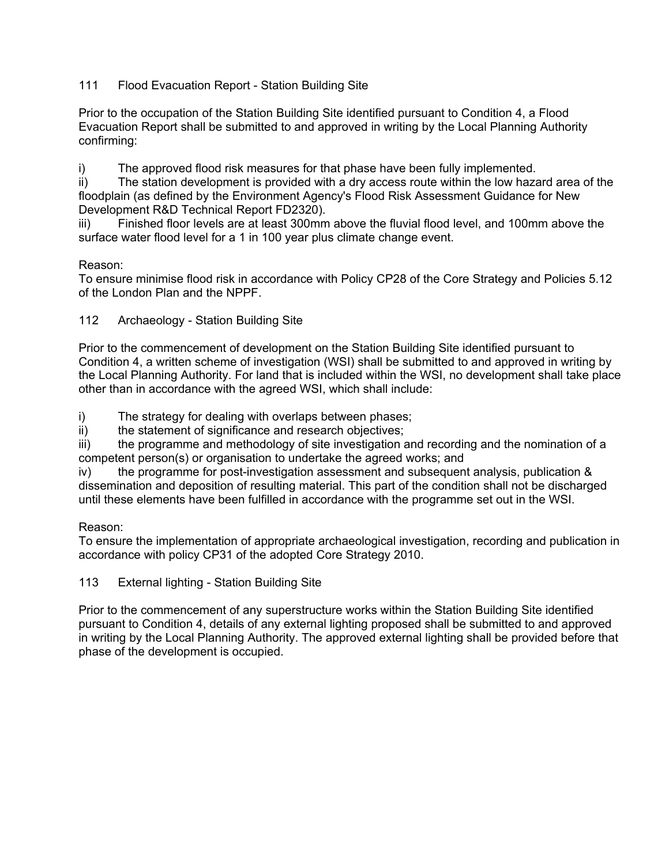# 111 Flood Evacuation Report - Station Building Site

Prior to the occupation of the Station Building Site identified pursuant to Condition 4, a Flood Evacuation Report shall be submitted to and approved in writing by the Local Planning Authority confirming:

i) The approved flood risk measures for that phase have been fully implemented.

ii) The station development is provided with a dry access route within the low hazard area of the floodplain (as defined by the Environment Agency's Flood Risk Assessment Guidance for New Development R&D Technical Report FD2320).

iii) Finished floor levels are at least 300mm above the fluvial flood level, and 100mm above the surface water flood level for a 1 in 100 year plus climate change event.

# Reason:

To ensure minimise flood risk in accordance with Policy CP28 of the Core Strategy and Policies 5.12 of the London Plan and the NPPF.

# 112 Archaeology - Station Building Site

Prior to the commencement of development on the Station Building Site identified pursuant to Condition 4, a written scheme of investigation (WSI) shall be submitted to and approved in writing by the Local Planning Authority. For land that is included within the WSI, no development shall take place other than in accordance with the agreed WSI, which shall include:

i) The strategy for dealing with overlaps between phases;

ii) the statement of significance and research objectives;

iii) the programme and methodology of site investigation and recording and the nomination of a competent person(s) or organisation to undertake the agreed works; and

iv) the programme for post-investigation assessment and subsequent analysis, publication & dissemination and deposition of resulting material. This part of the condition shall not be discharged until these elements have been fulfilled in accordance with the programme set out in the WSI.

## Reason:

To ensure the implementation of appropriate archaeological investigation, recording and publication in accordance with policy CP31 of the adopted Core Strategy 2010.

## 113 External lighting - Station Building Site

Prior to the commencement of any superstructure works within the Station Building Site identified pursuant to Condition 4, details of any external lighting proposed shall be submitted to and approved in writing by the Local Planning Authority. The approved external lighting shall be provided before that phase of the development is occupied.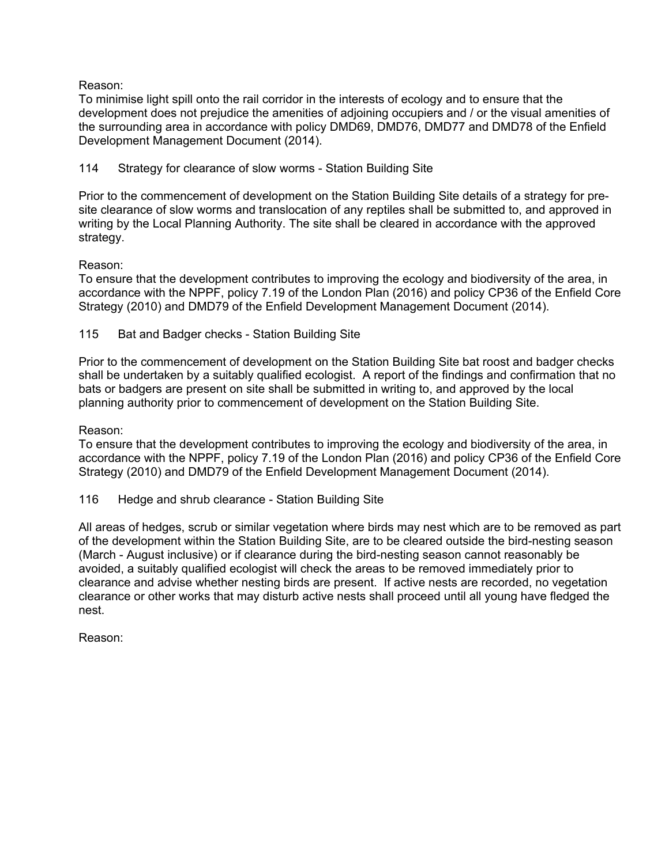Reason:

To minimise light spill onto the rail corridor in the interests of ecology and to ensure that the development does not prejudice the amenities of adjoining occupiers and / or the visual amenities of the surrounding area in accordance with policy DMD69, DMD76, DMD77 and DMD78 of the Enfield Development Management Document (2014).

114 Strategy for clearance of slow worms - Station Building Site

Prior to the commencement of development on the Station Building Site details of a strategy for presite clearance of slow worms and translocation of any reptiles shall be submitted to, and approved in writing by the Local Planning Authority. The site shall be cleared in accordance with the approved strategy.

# Reason:

To ensure that the development contributes to improving the ecology and biodiversity of the area, in accordance with the NPPF, policy 7.19 of the London Plan (2016) and policy CP36 of the Enfield Core Strategy (2010) and DMD79 of the Enfield Development Management Document (2014).

115 Bat and Badger checks - Station Building Site

Prior to the commencement of development on the Station Building Site bat roost and badger checks shall be undertaken by a suitably qualified ecologist. A report of the findings and confirmation that no bats or badgers are present on site shall be submitted in writing to, and approved by the local planning authority prior to commencement of development on the Station Building Site.

Reason:

To ensure that the development contributes to improving the ecology and biodiversity of the area, in accordance with the NPPF, policy 7.19 of the London Plan (2016) and policy CP36 of the Enfield Core Strategy (2010) and DMD79 of the Enfield Development Management Document (2014).

116 Hedge and shrub clearance - Station Building Site

All areas of hedges, scrub or similar vegetation where birds may nest which are to be removed as part of the development within the Station Building Site, are to be cleared outside the bird-nesting season (March - August inclusive) or if clearance during the bird-nesting season cannot reasonably be avoided, a suitably qualified ecologist will check the areas to be removed immediately prior to clearance and advise whether nesting birds are present. If active nests are recorded, no vegetation clearance or other works that may disturb active nests shall proceed until all young have fledged the nest.

Reason: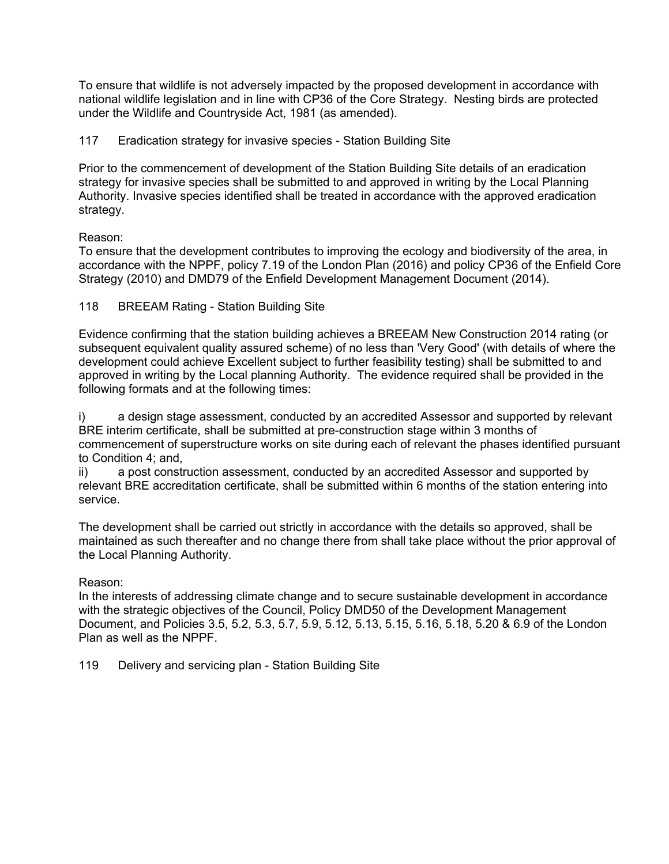To ensure that wildlife is not adversely impacted by the proposed development in accordance with national wildlife legislation and in line with CP36 of the Core Strategy. Nesting birds are protected under the Wildlife and Countryside Act, 1981 (as amended).

117 Eradication strategy for invasive species - Station Building Site

Prior to the commencement of development of the Station Building Site details of an eradication strategy for invasive species shall be submitted to and approved in writing by the Local Planning Authority. Invasive species identified shall be treated in accordance with the approved eradication strategy.

Reason:

To ensure that the development contributes to improving the ecology and biodiversity of the area, in accordance with the NPPF, policy 7.19 of the London Plan (2016) and policy CP36 of the Enfield Core Strategy (2010) and DMD79 of the Enfield Development Management Document (2014).

118 BREEAM Rating - Station Building Site

Evidence confirming that the station building achieves a BREEAM New Construction 2014 rating (or subsequent equivalent quality assured scheme) of no less than 'Very Good' (with details of where the development could achieve Excellent subject to further feasibility testing) shall be submitted to and approved in writing by the Local planning Authority. The evidence required shall be provided in the following formats and at the following times:

a design stage assessment, conducted by an accredited Assessor and supported by relevant BRE interim certificate, shall be submitted at pre-construction stage within 3 months of commencement of superstructure works on site during each of relevant the phases identified pursuant to Condition 4; and,

ii) a post construction assessment, conducted by an accredited Assessor and supported by relevant BRE accreditation certificate, shall be submitted within 6 months of the station entering into service.

The development shall be carried out strictly in accordance with the details so approved, shall be maintained as such thereafter and no change there from shall take place without the prior approval of the Local Planning Authority.

## Reason:

In the interests of addressing climate change and to secure sustainable development in accordance with the strategic objectives of the Council, Policy DMD50 of the Development Management Document, and Policies 3.5, 5.2, 5.3, 5.7, 5.9, 5.12, 5.13, 5.15, 5.16, 5.18, 5.20 & 6.9 of the London Plan as well as the NPPF.

119 Delivery and servicing plan - Station Building Site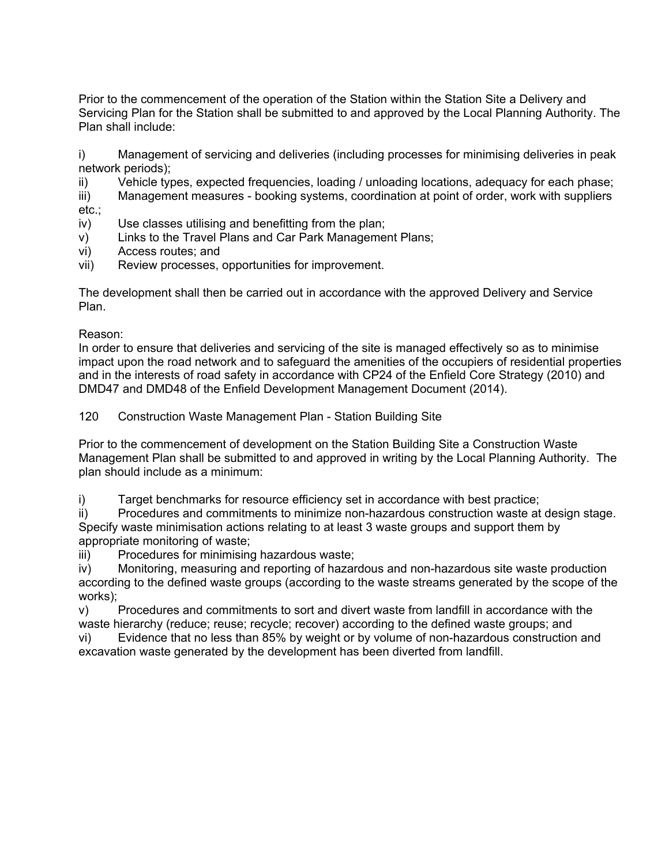Prior to the commencement of the operation of the Station within the Station Site a Delivery and Servicing Plan for the Station shall be submitted to and approved by the Local Planning Authority. The Plan shall include:

i) Management of servicing and deliveries (including processes for minimising deliveries in peak network periods);

ii) Vehicle types, expected frequencies, loading / unloading locations, adequacy for each phase;

iii) Management measures - booking systems, coordination at point of order, work with suppliers etc.;

- iv) Use classes utilising and benefitting from the plan;
- v) Links to the Travel Plans and Car Park Management Plans;
- vi) Access routes; and
- vii) Review processes, opportunities for improvement.

The development shall then be carried out in accordance with the approved Delivery and Service Plan.

Reason:

In order to ensure that deliveries and servicing of the site is managed effectively so as to minimise impact upon the road network and to safeguard the amenities of the occupiers of residential properties and in the interests of road safety in accordance with CP24 of the Enfield Core Strategy (2010) and DMD47 and DMD48 of the Enfield Development Management Document (2014).

120 Construction Waste Management Plan - Station Building Site

Prior to the commencement of development on the Station Building Site a Construction Waste Management Plan shall be submitted to and approved in writing by the Local Planning Authority. The plan should include as a minimum:

i) Target benchmarks for resource efficiency set in accordance with best practice;

ii) Procedures and commitments to minimize non-hazardous construction waste at design stage. Specify waste minimisation actions relating to at least 3 waste groups and support them by appropriate monitoring of waste;

iii) Procedures for minimising hazardous waste;

iv) Monitoring, measuring and reporting of hazardous and non-hazardous site waste production according to the defined waste groups (according to the waste streams generated by the scope of the works);

v) Procedures and commitments to sort and divert waste from landfill in accordance with the waste hierarchy (reduce; reuse; recycle; recover) according to the defined waste groups; and

vi) Evidence that no less than 85% by weight or by volume of non-hazardous construction and excavation waste generated by the development has been diverted from landfill.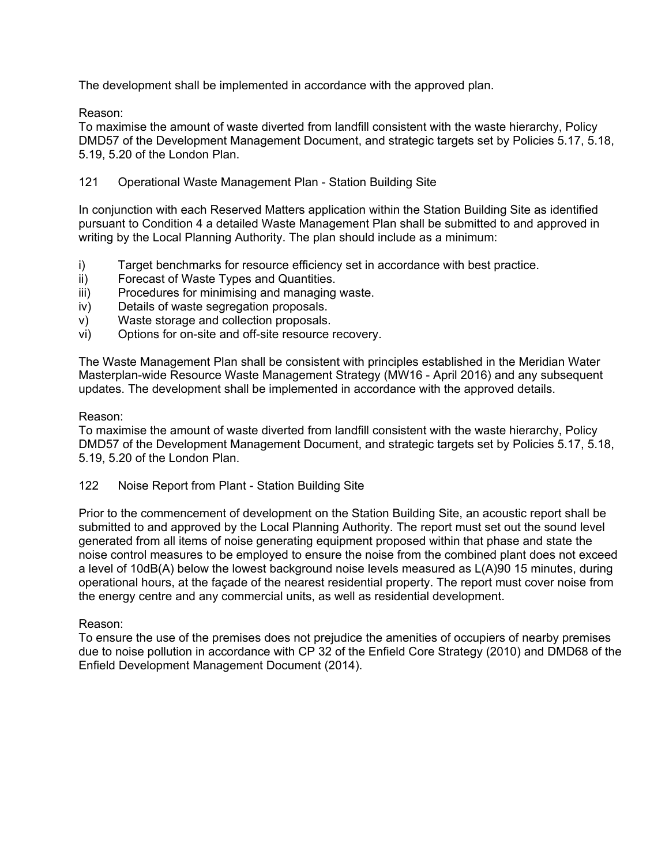The development shall be implemented in accordance with the approved plan.

Reason:

To maximise the amount of waste diverted from landfill consistent with the waste hierarchy, Policy DMD57 of the Development Management Document, and strategic targets set by Policies 5.17, 5.18, 5.19, 5.20 of the London Plan.

# 121 Operational Waste Management Plan - Station Building Site

In conjunction with each Reserved Matters application within the Station Building Site as identified pursuant to Condition 4 a detailed Waste Management Plan shall be submitted to and approved in writing by the Local Planning Authority. The plan should include as a minimum:

- i) Target benchmarks for resource efficiency set in accordance with best practice.
- ii) Forecast of Waste Types and Quantities.
- iii) Procedures for minimising and managing waste.
- iv) Details of waste segregation proposals.
- v) Waste storage and collection proposals.
- vi) Options for on-site and off-site resource recovery.

The Waste Management Plan shall be consistent with principles established in the Meridian Water Masterplan-wide Resource Waste Management Strategy (MW16 - April 2016) and any subsequent updates. The development shall be implemented in accordance with the approved details.

## Reason:

To maximise the amount of waste diverted from landfill consistent with the waste hierarchy, Policy DMD57 of the Development Management Document, and strategic targets set by Policies 5.17, 5.18, 5.19, 5.20 of the London Plan.

122 Noise Report from Plant - Station Building Site

Prior to the commencement of development on the Station Building Site, an acoustic report shall be submitted to and approved by the Local Planning Authority. The report must set out the sound level generated from all items of noise generating equipment proposed within that phase and state the noise control measures to be employed to ensure the noise from the combined plant does not exceed a level of 10dB(A) below the lowest background noise levels measured as L(A)90 15 minutes, during operational hours, at the façade of the nearest residential property. The report must cover noise from the energy centre and any commercial units, as well as residential development.

## Reason:

To ensure the use of the premises does not prejudice the amenities of occupiers of nearby premises due to noise pollution in accordance with CP 32 of the Enfield Core Strategy (2010) and DMD68 of the Enfield Development Management Document (2014).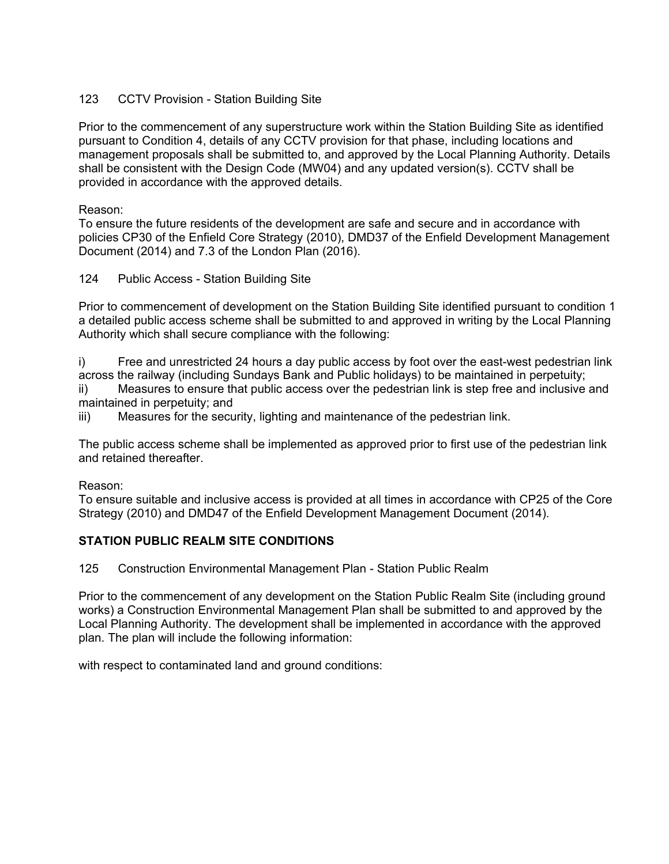## 123 CCTV Provision - Station Building Site

Prior to the commencement of any superstructure work within the Station Building Site as identified pursuant to Condition 4, details of any CCTV provision for that phase, including locations and management proposals shall be submitted to, and approved by the Local Planning Authority. Details shall be consistent with the Design Code (MW04) and any updated version(s). CCTV shall be provided in accordance with the approved details.

Reason:

To ensure the future residents of the development are safe and secure and in accordance with policies CP30 of the Enfield Core Strategy (2010), DMD37 of the Enfield Development Management Document (2014) and 7.3 of the London Plan (2016).

124 Public Access - Station Building Site

Prior to commencement of development on the Station Building Site identified pursuant to condition 1 a detailed public access scheme shall be submitted to and approved in writing by the Local Planning Authority which shall secure compliance with the following:

i) Free and unrestricted 24 hours a day public access by foot over the east-west pedestrian link across the railway (including Sundays Bank and Public holidays) to be maintained in perpetuity;

ii) Measures to ensure that public access over the pedestrian link is step free and inclusive and maintained in perpetuity; and

iii) Measures for the security, lighting and maintenance of the pedestrian link.

The public access scheme shall be implemented as approved prior to first use of the pedestrian link and retained thereafter.

## Reason:

To ensure suitable and inclusive access is provided at all times in accordance with CP25 of the Core Strategy (2010) and DMD47 of the Enfield Development Management Document (2014).

## **STATION PUBLIC REALM SITE CONDITIONS**

125 Construction Environmental Management Plan - Station Public Realm

Prior to the commencement of any development on the Station Public Realm Site (including ground works) a Construction Environmental Management Plan shall be submitted to and approved by the Local Planning Authority. The development shall be implemented in accordance with the approved plan. The plan will include the following information:

with respect to contaminated land and ground conditions: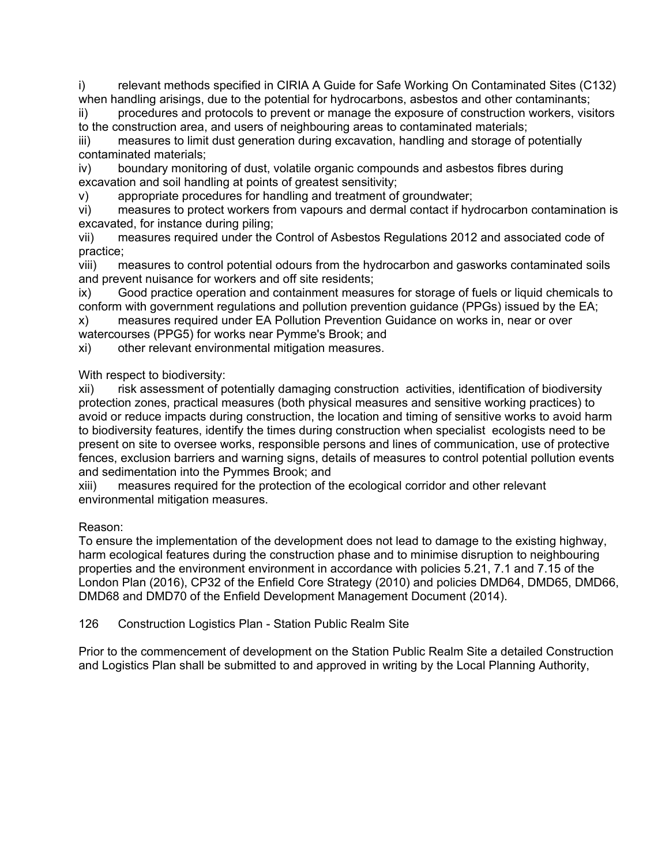i) relevant methods specified in CIRIA A Guide for Safe Working On Contaminated Sites (C132) when handling arisings, due to the potential for hydrocarbons, asbestos and other contaminants;

ii) procedures and protocols to prevent or manage the exposure of construction workers, visitors to the construction area, and users of neighbouring areas to contaminated materials;

iii) measures to limit dust generation during excavation, handling and storage of potentially contaminated materials;

iv) boundary monitoring of dust, volatile organic compounds and asbestos fibres during excavation and soil handling at points of greatest sensitivity;

v) appropriate procedures for handling and treatment of groundwater;

vi) measures to protect workers from vapours and dermal contact if hydrocarbon contamination is excavated, for instance during piling;

vii) measures required under the Control of Asbestos Regulations 2012 and associated code of practice;

viii) measures to control potential odours from the hydrocarbon and gasworks contaminated soils and prevent nuisance for workers and off site residents;

ix) Good practice operation and containment measures for storage of fuels or liquid chemicals to conform with government regulations and pollution prevention guidance (PPGs) issued by the EA;

x) measures required under EA Pollution Prevention Guidance on works in, near or over watercourses (PPG5) for works near Pymme's Brook; and

xi) other relevant environmental mitigation measures.

With respect to biodiversity:

xii) risk assessment of potentially damaging construction activities, identification of biodiversity protection zones, practical measures (both physical measures and sensitive working practices) to avoid or reduce impacts during construction, the location and timing of sensitive works to avoid harm to biodiversity features, identify the times during construction when specialist ecologists need to be present on site to oversee works, responsible persons and lines of communication, use of protective fences, exclusion barriers and warning signs, details of measures to control potential pollution events and sedimentation into the Pymmes Brook; and

xiii) measures required for the protection of the ecological corridor and other relevant environmental mitigation measures.

# Reason:

To ensure the implementation of the development does not lead to damage to the existing highway, harm ecological features during the construction phase and to minimise disruption to neighbouring properties and the environment environment in accordance with policies 5.21, 7.1 and 7.15 of the London Plan (2016), CP32 of the Enfield Core Strategy (2010) and policies DMD64, DMD65, DMD66, DMD68 and DMD70 of the Enfield Development Management Document (2014).

126 Construction Logistics Plan - Station Public Realm Site

Prior to the commencement of development on the Station Public Realm Site a detailed Construction and Logistics Plan shall be submitted to and approved in writing by the Local Planning Authority,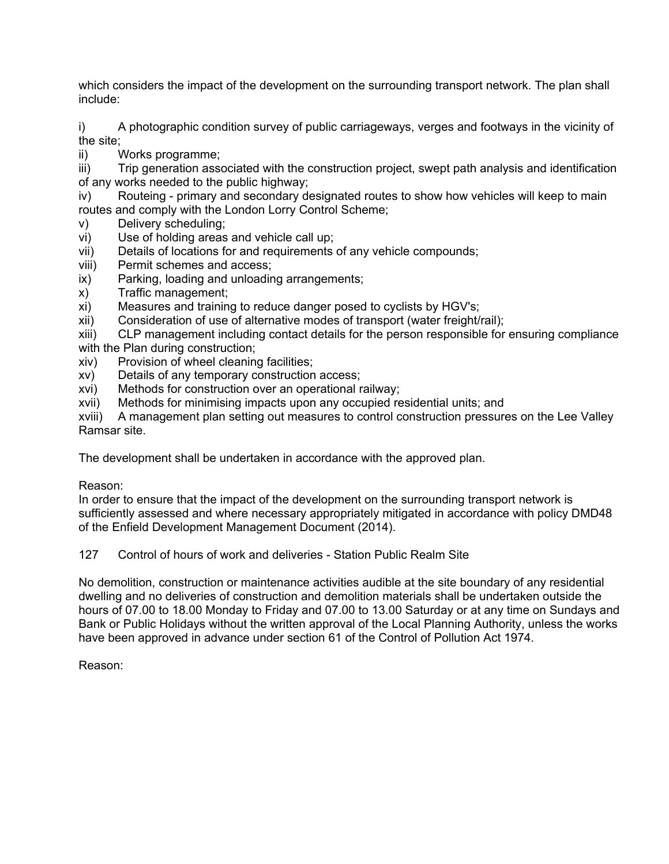which considers the impact of the development on the surrounding transport network. The plan shall include:

i) A photographic condition survey of public carriageways, verges and footways in the vicinity of the site;

ii) Works programme;

iii) Trip generation associated with the construction project, swept path analysis and identification of any works needed to the public highway;

- iv) Routeing primary and secondary designated routes to show how vehicles will keep to main routes and comply with the London Lorry Control Scheme;
- v) Delivery scheduling;
- vi) Use of holding areas and vehicle call up;
- vii) Details of locations for and requirements of any vehicle compounds;
- viii) Permit schemes and access;
- ix) Parking, loading and unloading arrangements;
- x) Traffic management;
- xi) Measures and training to reduce danger posed to cyclists by HGV's;
- xii) Consideration of use of alternative modes of transport (water freight/rail);
- xiii) CLP management including contact details for the person responsible for ensuring compliance with the Plan during construction;
- xiv) Provision of wheel cleaning facilities;
- xv) Details of any temporary construction access;
- xvi) Methods for construction over an operational railway;
- xvii) Methods for minimising impacts upon any occupied residential units; and

xviii) A management plan setting out measures to control construction pressures on the Lee Valley Ramsar site.

The development shall be undertaken in accordance with the approved plan.

Reason:

In order to ensure that the impact of the development on the surrounding transport network is sufficiently assessed and where necessary appropriately mitigated in accordance with policy DMD48 of the Enfield Development Management Document (2014).

127 Control of hours of work and deliveries - Station Public Realm Site

No demolition, construction or maintenance activities audible at the site boundary of any residential dwelling and no deliveries of construction and demolition materials shall be undertaken outside the hours of 07.00 to 18.00 Monday to Friday and 07.00 to 13.00 Saturday or at any time on Sundays and Bank or Public Holidays without the written approval of the Local Planning Authority, unless the works have been approved in advance under section 61 of the Control of Pollution Act 1974.

Reason: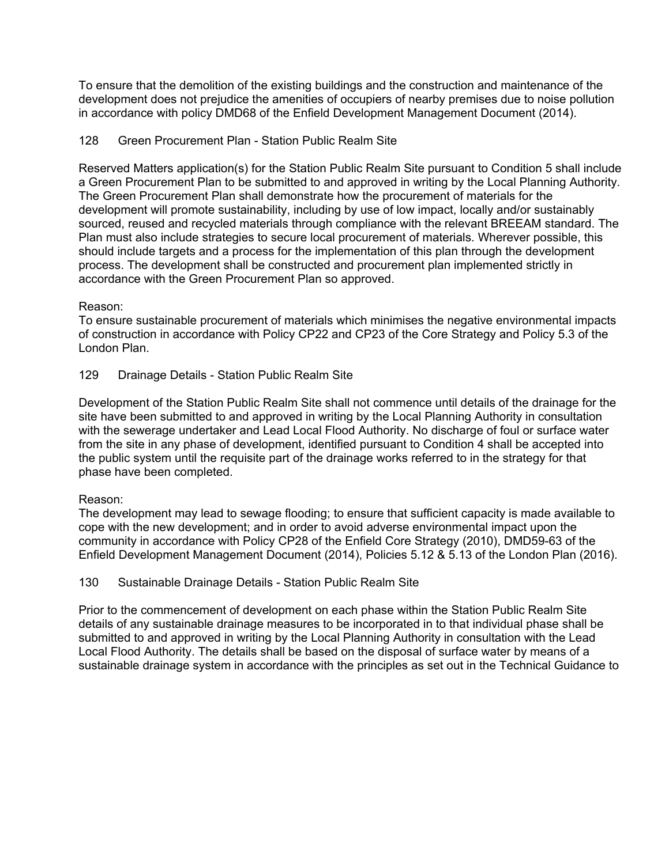To ensure that the demolition of the existing buildings and the construction and maintenance of the development does not prejudice the amenities of occupiers of nearby premises due to noise pollution in accordance with policy DMD68 of the Enfield Development Management Document (2014).

## 128 Green Procurement Plan - Station Public Realm Site

Reserved Matters application(s) for the Station Public Realm Site pursuant to Condition 5 shall include a Green Procurement Plan to be submitted to and approved in writing by the Local Planning Authority. The Green Procurement Plan shall demonstrate how the procurement of materials for the development will promote sustainability, including by use of low impact, locally and/or sustainably sourced, reused and recycled materials through compliance with the relevant BREEAM standard. The Plan must also include strategies to secure local procurement of materials. Wherever possible, this should include targets and a process for the implementation of this plan through the development process. The development shall be constructed and procurement plan implemented strictly in accordance with the Green Procurement Plan so approved.

#### Reason:

To ensure sustainable procurement of materials which minimises the negative environmental impacts of construction in accordance with Policy CP22 and CP23 of the Core Strategy and Policy 5.3 of the London Plan.

129 Drainage Details - Station Public Realm Site

Development of the Station Public Realm Site shall not commence until details of the drainage for the site have been submitted to and approved in writing by the Local Planning Authority in consultation with the sewerage undertaker and Lead Local Flood Authority. No discharge of foul or surface water from the site in any phase of development, identified pursuant to Condition 4 shall be accepted into the public system until the requisite part of the drainage works referred to in the strategy for that phase have been completed.

#### Reason:

The development may lead to sewage flooding; to ensure that sufficient capacity is made available to cope with the new development; and in order to avoid adverse environmental impact upon the community in accordance with Policy CP28 of the Enfield Core Strategy (2010), DMD59-63 of the Enfield Development Management Document (2014), Policies 5.12 & 5.13 of the London Plan (2016).

## 130 Sustainable Drainage Details - Station Public Realm Site

Prior to the commencement of development on each phase within the Station Public Realm Site details of any sustainable drainage measures to be incorporated in to that individual phase shall be submitted to and approved in writing by the Local Planning Authority in consultation with the Lead Local Flood Authority. The details shall be based on the disposal of surface water by means of a sustainable drainage system in accordance with the principles as set out in the Technical Guidance to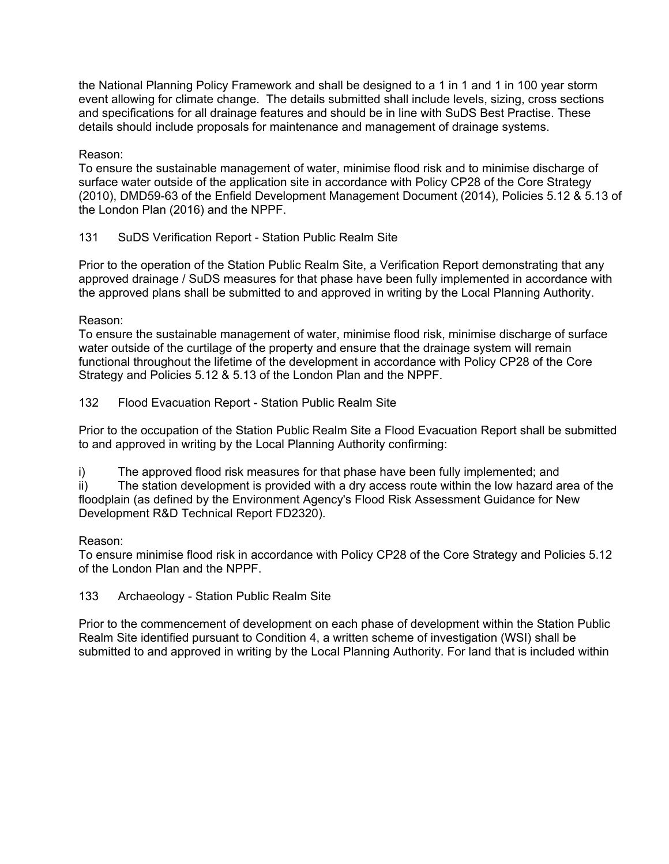the National Planning Policy Framework and shall be designed to a 1 in 1 and 1 in 100 year storm event allowing for climate change. The details submitted shall include levels, sizing, cross sections and specifications for all drainage features and should be in line with SuDS Best Practise. These details should include proposals for maintenance and management of drainage systems.

Reason:

To ensure the sustainable management of water, minimise flood risk and to minimise discharge of surface water outside of the application site in accordance with Policy CP28 of the Core Strategy (2010), DMD59-63 of the Enfield Development Management Document (2014), Policies 5.12 & 5.13 of the London Plan (2016) and the NPPF.

# 131 SuDS Verification Report - Station Public Realm Site

Prior to the operation of the Station Public Realm Site, a Verification Report demonstrating that any approved drainage / SuDS measures for that phase have been fully implemented in accordance with the approved plans shall be submitted to and approved in writing by the Local Planning Authority.

Reason:

To ensure the sustainable management of water, minimise flood risk, minimise discharge of surface water outside of the curtilage of the property and ensure that the drainage system will remain functional throughout the lifetime of the development in accordance with Policy CP28 of the Core Strategy and Policies 5.12 & 5.13 of the London Plan and the NPPF.

132 Flood Evacuation Report - Station Public Realm Site

Prior to the occupation of the Station Public Realm Site a Flood Evacuation Report shall be submitted to and approved in writing by the Local Planning Authority confirming:

i) The approved flood risk measures for that phase have been fully implemented; and

ii) The station development is provided with a dry access route within the low hazard area of the floodplain (as defined by the Environment Agency's Flood Risk Assessment Guidance for New Development R&D Technical Report FD2320).

## Reason:

To ensure minimise flood risk in accordance with Policy CP28 of the Core Strategy and Policies 5.12 of the London Plan and the NPPF.

## 133 Archaeology - Station Public Realm Site

Prior to the commencement of development on each phase of development within the Station Public Realm Site identified pursuant to Condition 4, a written scheme of investigation (WSI) shall be submitted to and approved in writing by the Local Planning Authority. For land that is included within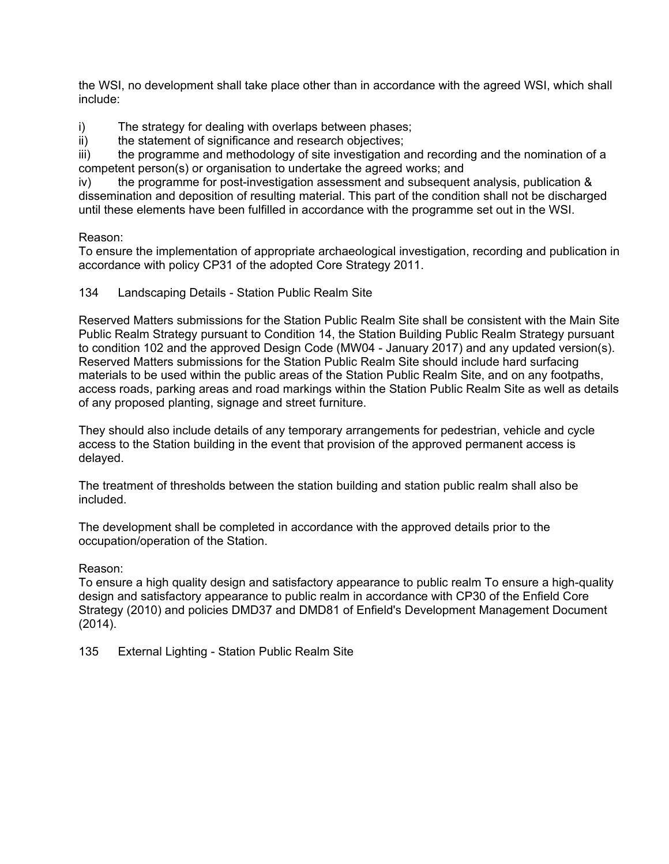the WSI, no development shall take place other than in accordance with the agreed WSI, which shall include:

i) The strategy for dealing with overlaps between phases;

ii) the statement of significance and research objectives;

iii) the programme and methodology of site investigation and recording and the nomination of a competent person(s) or organisation to undertake the agreed works; and

iv) the programme for post-investigation assessment and subsequent analysis, publication & dissemination and deposition of resulting material. This part of the condition shall not be discharged until these elements have been fulfilled in accordance with the programme set out in the WSI.

# Reason:

To ensure the implementation of appropriate archaeological investigation, recording and publication in accordance with policy CP31 of the adopted Core Strategy 2011.

## 134 Landscaping Details - Station Public Realm Site

Reserved Matters submissions for the Station Public Realm Site shall be consistent with the Main Site Public Realm Strategy pursuant to Condition 14, the Station Building Public Realm Strategy pursuant to condition 102 and the approved Design Code (MW04 - January 2017) and any updated version(s). Reserved Matters submissions for the Station Public Realm Site should include hard surfacing materials to be used within the public areas of the Station Public Realm Site, and on any footpaths, access roads, parking areas and road markings within the Station Public Realm Site as well as details of any proposed planting, signage and street furniture.

They should also include details of any temporary arrangements for pedestrian, vehicle and cycle access to the Station building in the event that provision of the approved permanent access is delayed.

The treatment of thresholds between the station building and station public realm shall also be included.

The development shall be completed in accordance with the approved details prior to the occupation/operation of the Station.

## Reason:

To ensure a high quality design and satisfactory appearance to public realm To ensure a high-quality design and satisfactory appearance to public realm in accordance with CP30 of the Enfield Core Strategy (2010) and policies DMD37 and DMD81 of Enfield's Development Management Document (2014).

135 External Lighting - Station Public Realm Site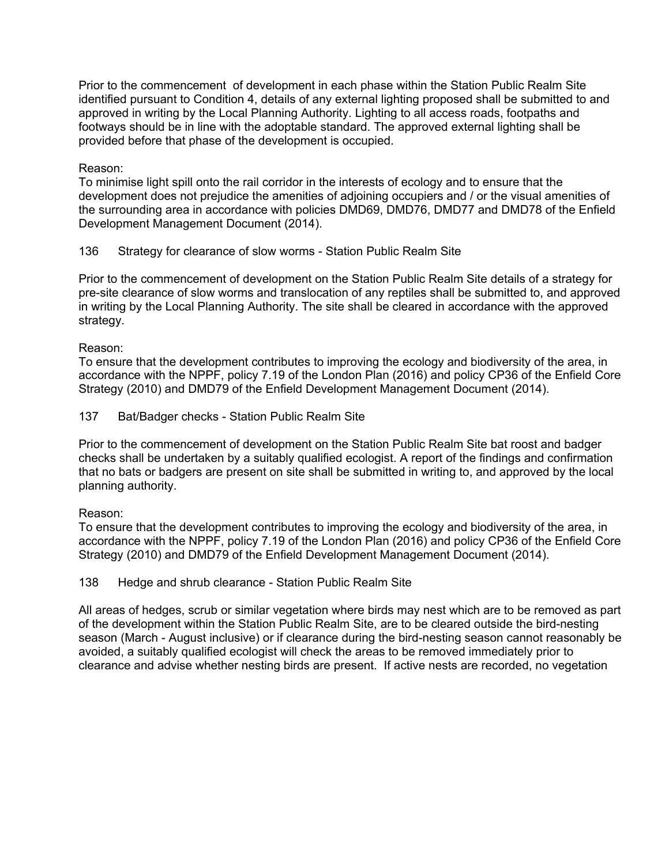Prior to the commencement of development in each phase within the Station Public Realm Site identified pursuant to Condition 4, details of any external lighting proposed shall be submitted to and approved in writing by the Local Planning Authority. Lighting to all access roads, footpaths and footways should be in line with the adoptable standard. The approved external lighting shall be provided before that phase of the development is occupied.

## Reason:

To minimise light spill onto the rail corridor in the interests of ecology and to ensure that the development does not prejudice the amenities of adjoining occupiers and / or the visual amenities of the surrounding area in accordance with policies DMD69, DMD76, DMD77 and DMD78 of the Enfield Development Management Document (2014).

# 136 Strategy for clearance of slow worms - Station Public Realm Site

Prior to the commencement of development on the Station Public Realm Site details of a strategy for pre-site clearance of slow worms and translocation of any reptiles shall be submitted to, and approved in writing by the Local Planning Authority. The site shall be cleared in accordance with the approved strategy.

## Reason:

To ensure that the development contributes to improving the ecology and biodiversity of the area, in accordance with the NPPF, policy 7.19 of the London Plan (2016) and policy CP36 of the Enfield Core Strategy (2010) and DMD79 of the Enfield Development Management Document (2014).

## 137 Bat/Badger checks - Station Public Realm Site

Prior to the commencement of development on the Station Public Realm Site bat roost and badger checks shall be undertaken by a suitably qualified ecologist. A report of the findings and confirmation that no bats or badgers are present on site shall be submitted in writing to, and approved by the local planning authority.

## Reason:

To ensure that the development contributes to improving the ecology and biodiversity of the area, in accordance with the NPPF, policy 7.19 of the London Plan (2016) and policy CP36 of the Enfield Core Strategy (2010) and DMD79 of the Enfield Development Management Document (2014).

## 138 Hedge and shrub clearance - Station Public Realm Site

All areas of hedges, scrub or similar vegetation where birds may nest which are to be removed as part of the development within the Station Public Realm Site, are to be cleared outside the bird-nesting season (March - August inclusive) or if clearance during the bird-nesting season cannot reasonably be avoided, a suitably qualified ecologist will check the areas to be removed immediately prior to clearance and advise whether nesting birds are present. If active nests are recorded, no vegetation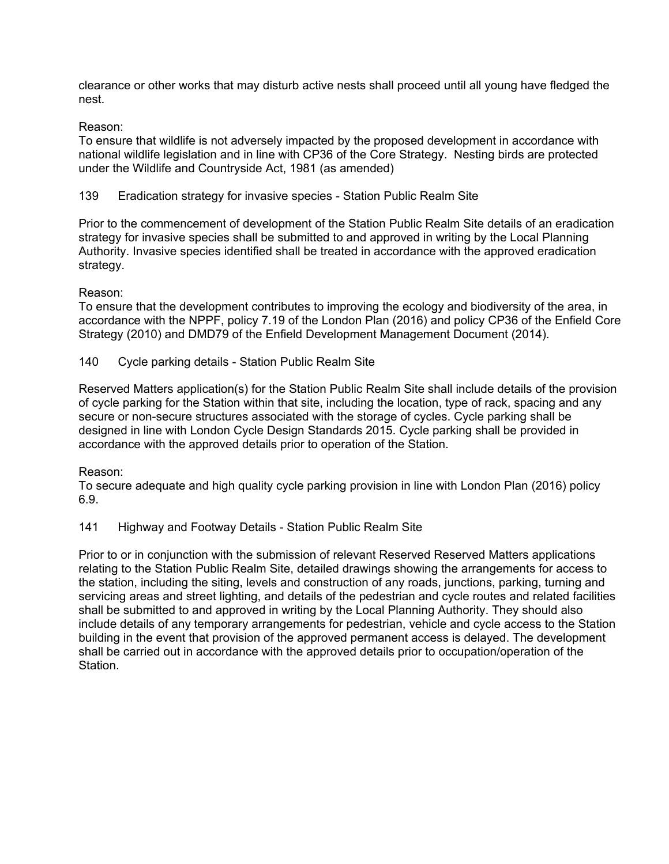clearance or other works that may disturb active nests shall proceed until all young have fledged the nest.

## Reason:

To ensure that wildlife is not adversely impacted by the proposed development in accordance with national wildlife legislation and in line with CP36 of the Core Strategy. Nesting birds are protected under the Wildlife and Countryside Act, 1981 (as amended)

139 Eradication strategy for invasive species - Station Public Realm Site

Prior to the commencement of development of the Station Public Realm Site details of an eradication strategy for invasive species shall be submitted to and approved in writing by the Local Planning Authority. Invasive species identified shall be treated in accordance with the approved eradication strategy.

# Reason:

To ensure that the development contributes to improving the ecology and biodiversity of the area, in accordance with the NPPF, policy 7.19 of the London Plan (2016) and policy CP36 of the Enfield Core Strategy (2010) and DMD79 of the Enfield Development Management Document (2014).

140 Cycle parking details - Station Public Realm Site

Reserved Matters application(s) for the Station Public Realm Site shall include details of the provision of cycle parking for the Station within that site, including the location, type of rack, spacing and any secure or non-secure structures associated with the storage of cycles. Cycle parking shall be designed in line with London Cycle Design Standards 2015. Cycle parking shall be provided in accordance with the approved details prior to operation of the Station.

## Reason:

To secure adequate and high quality cycle parking provision in line with London Plan (2016) policy 6.9.

141 Highway and Footway Details - Station Public Realm Site

Prior to or in conjunction with the submission of relevant Reserved Reserved Matters applications relating to the Station Public Realm Site, detailed drawings showing the arrangements for access to the station, including the siting, levels and construction of any roads, junctions, parking, turning and servicing areas and street lighting, and details of the pedestrian and cycle routes and related facilities shall be submitted to and approved in writing by the Local Planning Authority. They should also include details of any temporary arrangements for pedestrian, vehicle and cycle access to the Station building in the event that provision of the approved permanent access is delayed. The development shall be carried out in accordance with the approved details prior to occupation/operation of the Station.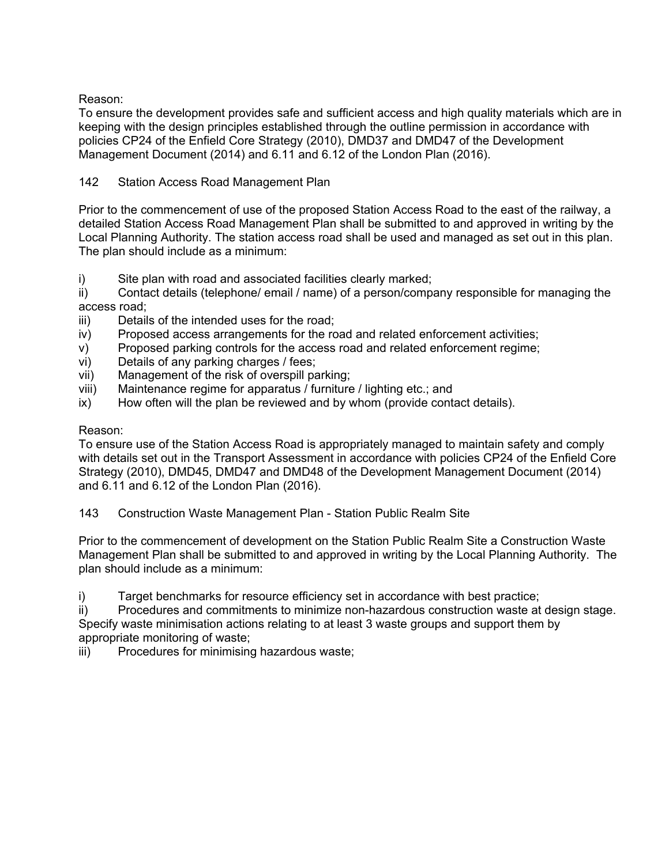Reason:

To ensure the development provides safe and sufficient access and high quality materials which are in keeping with the design principles established through the outline permission in accordance with policies CP24 of the Enfield Core Strategy (2010), DMD37 and DMD47 of the Development Management Document (2014) and 6.11 and 6.12 of the London Plan (2016).

# 142 Station Access Road Management Plan

Prior to the commencement of use of the proposed Station Access Road to the east of the railway, a detailed Station Access Road Management Plan shall be submitted to and approved in writing by the Local Planning Authority. The station access road shall be used and managed as set out in this plan. The plan should include as a minimum:

i) Site plan with road and associated facilities clearly marked;

ii) Contact details (telephone/ email / name) of a person/company responsible for managing the access road;

- iii) Details of the intended uses for the road;
- iv) Proposed access arrangements for the road and related enforcement activities;
- v) Proposed parking controls for the access road and related enforcement regime;
- vi) Details of any parking charges / fees;
- vii) Management of the risk of overspill parking;
- viii) Maintenance regime for apparatus / furniture / lighting etc.; and
- ix) How often will the plan be reviewed and by whom (provide contact details).

#### Reason:

To ensure use of the Station Access Road is appropriately managed to maintain safety and comply with details set out in the Transport Assessment in accordance with policies CP24 of the Enfield Core Strategy (2010), DMD45, DMD47 and DMD48 of the Development Management Document (2014) and 6.11 and 6.12 of the London Plan (2016).

143 Construction Waste Management Plan - Station Public Realm Site

Prior to the commencement of development on the Station Public Realm Site a Construction Waste Management Plan shall be submitted to and approved in writing by the Local Planning Authority. The plan should include as a minimum:

i) Target benchmarks for resource efficiency set in accordance with best practice;

ii) Procedures and commitments to minimize non-hazardous construction waste at design stage. Specify waste minimisation actions relating to at least 3 waste groups and support them by appropriate monitoring of waste;

iii) Procedures for minimising hazardous waste;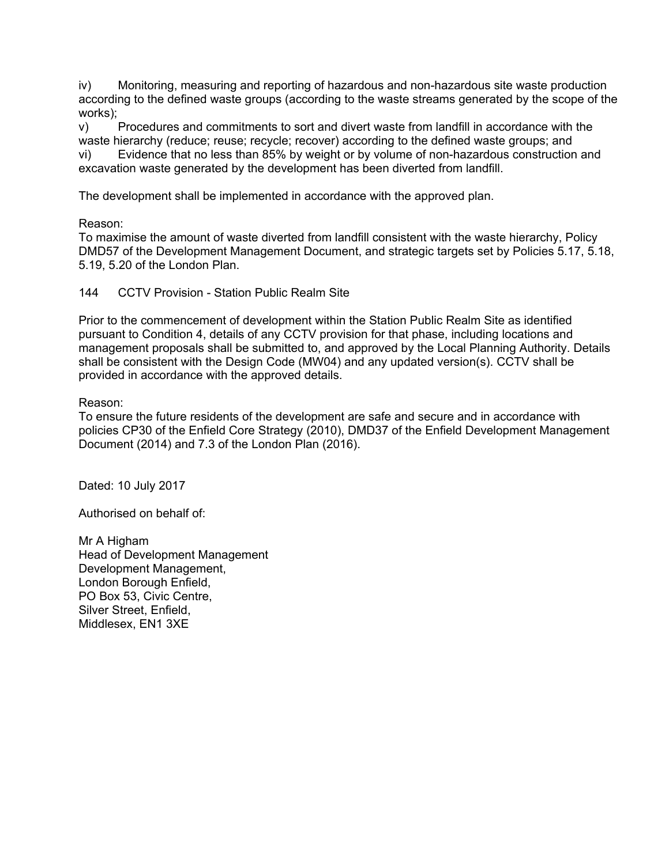iv) Monitoring, measuring and reporting of hazardous and non-hazardous site waste production according to the defined waste groups (according to the waste streams generated by the scope of the works);

v) Procedures and commitments to sort and divert waste from landfill in accordance with the waste hierarchy (reduce; reuse; recycle; recover) according to the defined waste groups; and vi) Evidence that no less than 85% by weight or by volume of non-hazardous construction and excavation waste generated by the development has been diverted from landfill.

The development shall be implemented in accordance with the approved plan.

Reason:

To maximise the amount of waste diverted from landfill consistent with the waste hierarchy, Policy DMD57 of the Development Management Document, and strategic targets set by Policies 5.17, 5.18, 5.19, 5.20 of the London Plan.

144 CCTV Provision - Station Public Realm Site

Prior to the commencement of development within the Station Public Realm Site as identified pursuant to Condition 4, details of any CCTV provision for that phase, including locations and management proposals shall be submitted to, and approved by the Local Planning Authority. Details shall be consistent with the Design Code (MW04) and any updated version(s). CCTV shall be provided in accordance with the approved details.

Reason:

To ensure the future residents of the development are safe and secure and in accordance with policies CP30 of the Enfield Core Strategy (2010), DMD37 of the Enfield Development Management Document (2014) and 7.3 of the London Plan (2016).

Dated: 10 July 2017

Authorised on behalf of:

Mr A Higham Head of Development Management Development Management, London Borough Enfield, PO Box 53, Civic Centre, Silver Street, Enfield, Middlesex, EN1 3XE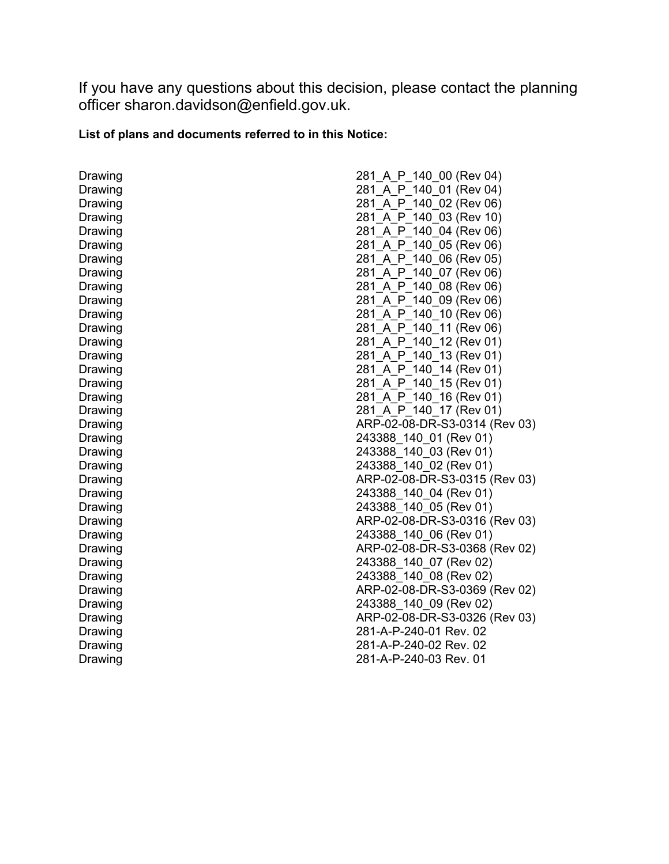If you have any questions about this decision, please contact the planning officer sharon.davidson@enfield.gov.uk.

# **List of plans and documents referred to in this Notice:**

Drawing Drawing Drawing Drawing Drawing Drawing Drawing Drawing Drawing Drawing Drawing Drawing Drawing Drawing Drawing Drawing Drawing Drawing Drawing Drawing Drawing Drawing Drawing Drawing Drawing Drawing Drawing Drawing Drawing Drawing Drawing Drawing Drawing Drawing Drawing Drawing

| 281 A P 140 00 (Rev 04)                         |
|-------------------------------------------------|
| 140 01 (Rev 04)<br>281 A<br>P                   |
| 140 02 (Rev 06)<br>281 A<br>P                   |
| 281<br>03 (Rev 10)<br>A<br>Ρ<br>140             |
| 04 (Rev 06)<br>281<br>A<br>P<br>140             |
| 05 (Rev 06)<br>281<br>A<br>140<br>Ρ             |
| A<br>140<br>06 (Rev 05)<br>281<br>P             |
| 281<br>$\mathsf{A}$<br>140<br>07 (Rev 06)<br>P. |
| 140<br>08 (Rev 06)<br>281<br>A<br>P             |
| P 140<br>09 (Rev 06)<br>281<br>$\mathsf{A}$     |
| 10 (Rev 06)<br>281 A<br>P 140                   |
| 281 A<br>P_140_11 (Rev 06)                      |
| 281 A P 140 12 (Rev 01)                         |
| 281 A P 140 13 (Rev 01)                         |
| 281 A_P_140_14 (Rev 01)                         |
| 281 A P 140 15 (Rev 01)                         |
| 281 A P 140 16 (Rev 01)                         |
| 281_A_P_140_17 (Rev 01)                         |
| ARP-02-08-DR-S3-0314 (Rev 03)                   |
| 243388_140_01 (Rev 01)                          |
| 243388_140_03 (Rev 01)                          |
| 243388_140_02 (Rev 01)                          |
| ARP-02-08-DR-S3-0315 (Rev 03)                   |
| 243388_140_04 (Rev 01)                          |
| 243388_140_05 (Rev 01)                          |
| ARP-02-08-DR-S3-0316 (Rev 03)                   |
| 243388_140_06 (Rev 01)                          |
| ARP-02-08-DR-S3-0368 (Rev 02)                   |
| 243388_140_07 (Rev 02)                          |
| 243388_140_08 (Rev 02)                          |
| ARP-02-08-DR-S3-0369 (Rev 02)                   |
| 243388_140_09 (Rev 02)                          |
| ARP-02-08-DR-S3-0326 (Rev 03)                   |
| 281-A-P-240-01 Rev. 02                          |
| 281-A-P-240-02 Rev. 02                          |
| 281-A-P-240-03 Rev. 01                          |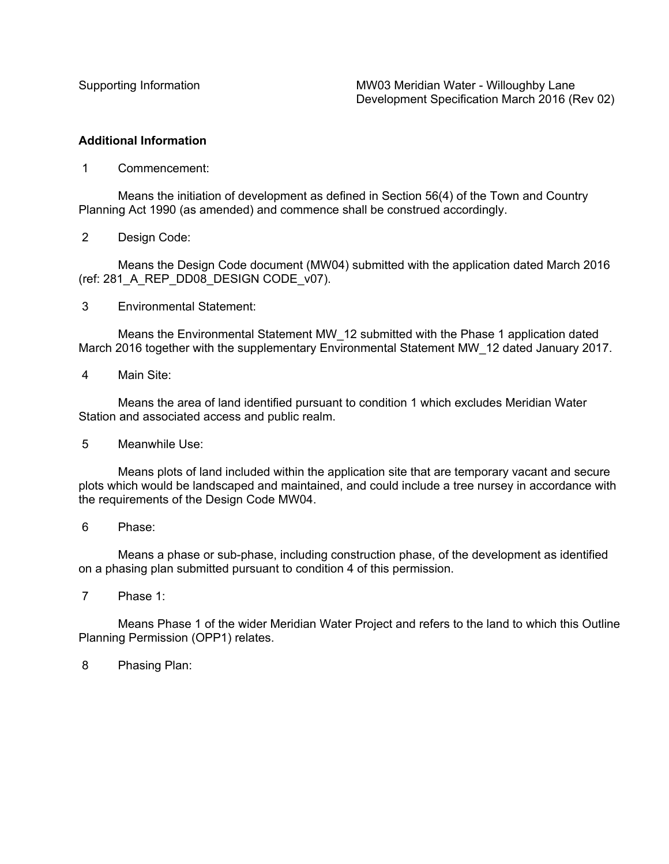#### **Additional Information**

1 Commencement:

Means the initiation of development as defined in Section 56(4) of the Town and Country Planning Act 1990 (as amended) and commence shall be construed accordingly.

2 Design Code:

Means the Design Code document (MW04) submitted with the application dated March 2016 (ref: 281\_A\_REP\_DD08\_DESIGN CODE\_v07).

3 Environmental Statement:

Means the Environmental Statement MW\_12 submitted with the Phase 1 application dated March 2016 together with the supplementary Environmental Statement MW\_12 dated January 2017.

4 Main Site:

Means the area of land identified pursuant to condition 1 which excludes Meridian Water Station and associated access and public realm.

5 Meanwhile Use:

Means plots of land included within the application site that are temporary vacant and secure plots which would be landscaped and maintained, and could include a tree nursey in accordance with the requirements of the Design Code MW04.

Means a phase or sub-phase, including construction phase, of the development as identified on a phasing plan submitted pursuant to condition 4 of this permission.

7 Phase 1:

Means Phase 1 of the wider Meridian Water Project and refers to the land to which this Outline Planning Permission (OPP1) relates.

8 Phasing Plan:

<sup>6</sup> Phase: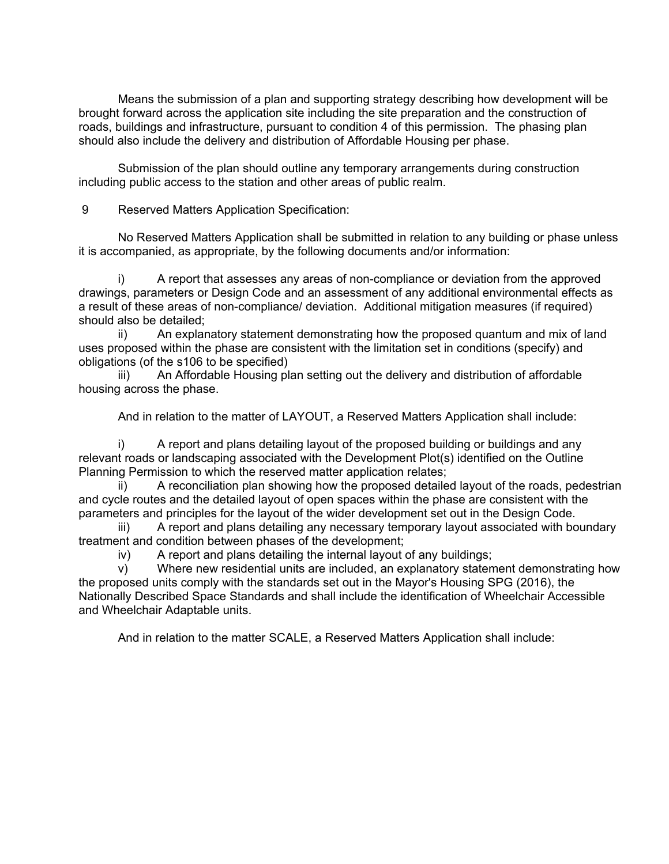Means the submission of a plan and supporting strategy describing how development will be brought forward across the application site including the site preparation and the construction of roads, buildings and infrastructure, pursuant to condition 4 of this permission. The phasing plan should also include the delivery and distribution of Affordable Housing per phase.

Submission of the plan should outline any temporary arrangements during construction including public access to the station and other areas of public realm.

9 Reserved Matters Application Specification:

No Reserved Matters Application shall be submitted in relation to any building or phase unless it is accompanied, as appropriate, by the following documents and/or information:

i) A report that assesses any areas of non-compliance or deviation from the approved drawings, parameters or Design Code and an assessment of any additional environmental effects as a result of these areas of non-compliance/ deviation. Additional mitigation measures (if required) should also be detailed;

ii) An explanatory statement demonstrating how the proposed quantum and mix of land uses proposed within the phase are consistent with the limitation set in conditions (specify) and obligations (of the s106 to be specified)

iii) An Affordable Housing plan setting out the delivery and distribution of affordable housing across the phase.

And in relation to the matter of LAYOUT, a Reserved Matters Application shall include:

i) A report and plans detailing layout of the proposed building or buildings and any relevant roads or landscaping associated with the Development Plot(s) identified on the Outline Planning Permission to which the reserved matter application relates;

ii) A reconciliation plan showing how the proposed detailed layout of the roads, pedestrian and cycle routes and the detailed layout of open spaces within the phase are consistent with the parameters and principles for the layout of the wider development set out in the Design Code.

A report and plans detailing any necessary temporary layout associated with boundary treatment and condition between phases of the development;

iv) A report and plans detailing the internal layout of any buildings;

v) Where new residential units are included, an explanatory statement demonstrating how the proposed units comply with the standards set out in the Mayor's Housing SPG (2016), the Nationally Described Space Standards and shall include the identification of Wheelchair Accessible and Wheelchair Adaptable units.

And in relation to the matter SCALE, a Reserved Matters Application shall include: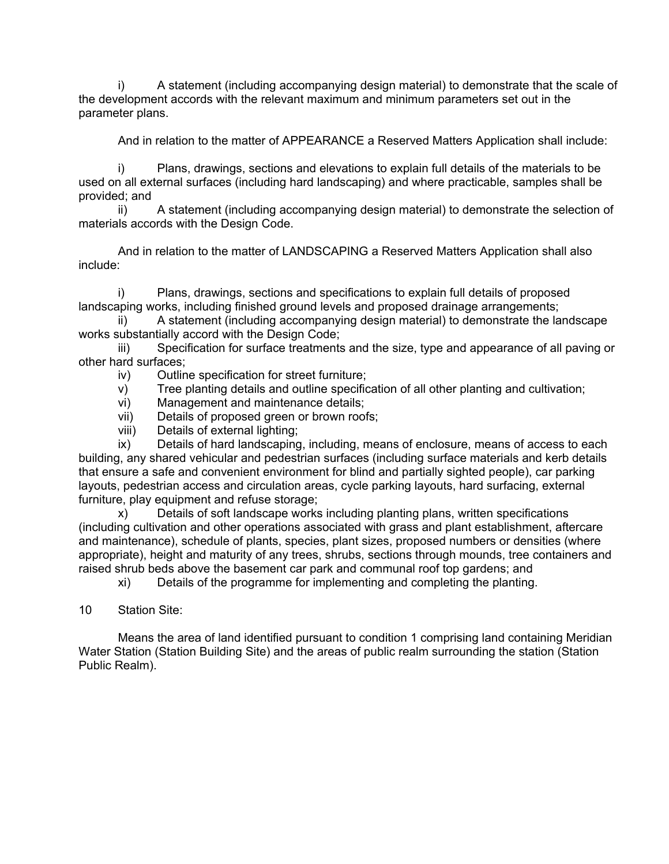i) A statement (including accompanying design material) to demonstrate that the scale of the development accords with the relevant maximum and minimum parameters set out in the parameter plans.

And in relation to the matter of APPEARANCE a Reserved Matters Application shall include:

i) Plans, drawings, sections and elevations to explain full details of the materials to be used on all external surfaces (including hard landscaping) and where practicable, samples shall be provided; and

ii) A statement (including accompanying design material) to demonstrate the selection of materials accords with the Design Code.

And in relation to the matter of LANDSCAPING a Reserved Matters Application shall also include:

i) Plans, drawings, sections and specifications to explain full details of proposed landscaping works, including finished ground levels and proposed drainage arrangements;

ii) A statement (including accompanying design material) to demonstrate the landscape works substantially accord with the Design Code;

iii) Specification for surface treatments and the size, type and appearance of all paving or other hard surfaces;

- iv) Outline specification for street furniture;
- v) Tree planting details and outline specification of all other planting and cultivation;
- vi) Management and maintenance details;
- vii) Details of proposed green or brown roofs;
- viii) Details of external lighting;

ix) Details of hard landscaping, including, means of enclosure, means of access to each building, any shared vehicular and pedestrian surfaces (including surface materials and kerb details that ensure a safe and convenient environment for blind and partially sighted people), car parking layouts, pedestrian access and circulation areas, cycle parking layouts, hard surfacing, external furniture, play equipment and refuse storage;

x) Details of soft landscape works including planting plans, written specifications (including cultivation and other operations associated with grass and plant establishment, aftercare and maintenance), schedule of plants, species, plant sizes, proposed numbers or densities (where appropriate), height and maturity of any trees, shrubs, sections through mounds, tree containers and raised shrub beds above the basement car park and communal roof top gardens; and

xi) Details of the programme for implementing and completing the planting.

10 Station Site:

Means the area of land identified pursuant to condition 1 comprising land containing Meridian Water Station (Station Building Site) and the areas of public realm surrounding the station (Station Public Realm).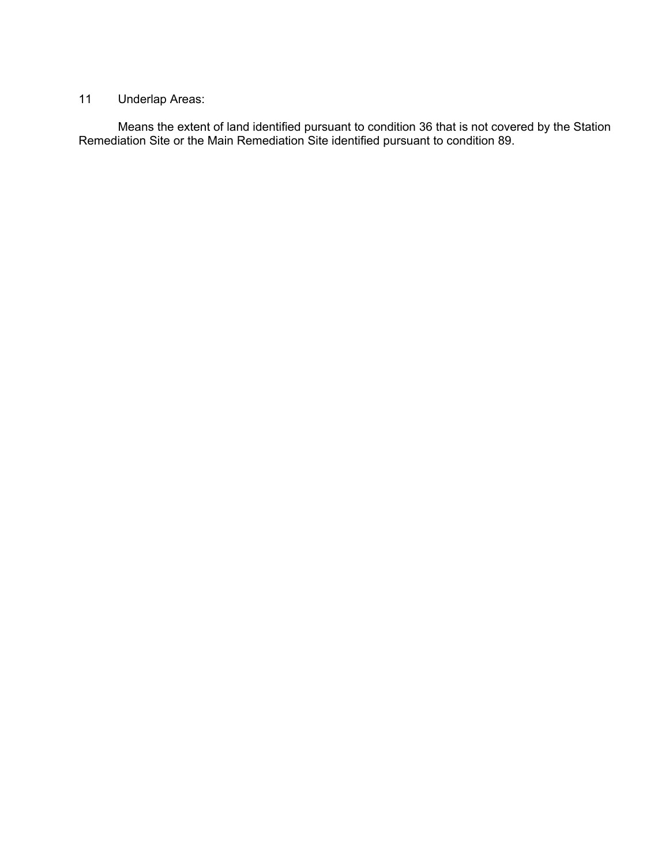# 11 Underlap Areas:

Means the extent of land identified pursuant to condition 36 that is not covered by the Station Remediation Site or the Main Remediation Site identified pursuant to condition 89.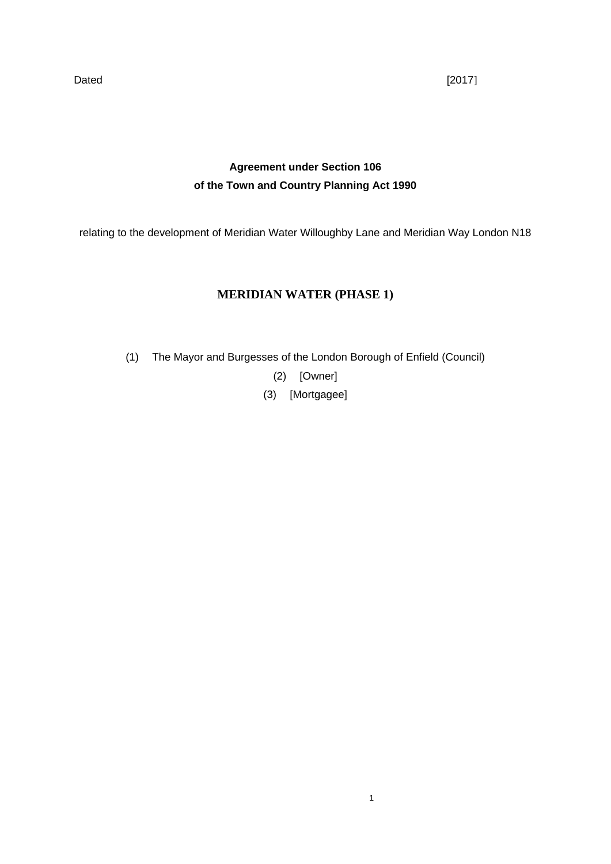Dated [2017]

# **Agreement under Section 106 of the Town and Country Planning Act 1990**

relating to the development of Meridian Water Willoughby Lane and Meridian Way London N18

# **MERIDIAN WATER (PHASE 1)**

(1) The Mayor and Burgesses of the London Borough of Enfield (Council)

(2) [Owner]

(3) [Mortgagee]

1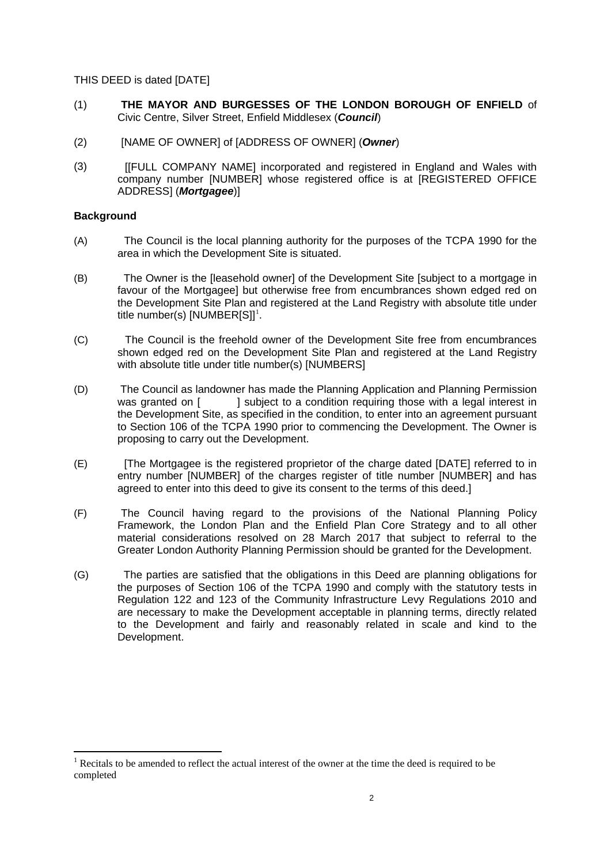THIS DEED is dated [DATE]

- (1) **THE MAYOR AND BURGESSES OF THE LONDON BOROUGH OF ENFIELD** of Civic Centre, Silver Street, Enfield Middlesex (*Council*)
- (2) [NAME OF OWNER] of [ADDRESS OF OWNER] (*Owner*)
- (3) [[FULL COMPANY NAME] incorporated and registered in England and Wales with company number [NUMBER] whose registered office is at [REGISTERED OFFICE ADDRESS] (*Mortgagee*)]

#### **Background**

- (A) The Council is the local planning authority for the purposes of the TCPA 1990 for the area in which the Development Site is situated.
- (B) The Owner is the [leasehold owner] of the Development Site [subject to a mortgage in favour of the Mortgagee] but otherwise free from encumbrances shown edged red on the Development Site Plan and registered at the Land Registry with absolute title under title number(s) [NUMBER[S]] $^{\rm l}$ .
- (C) The Council is the freehold owner of the Development Site free from encumbrances shown edged red on the Development Site Plan and registered at the Land Registry with absolute title under title number(s) [NUMBERS]
- (D) The Council as landowner has made the Planning Application and Planning Permission was granted on [ ] subject to a condition requiring those with a legal interest in the Development Site, as specified in the condition, to enter into an agreement pursuant to Section 106 of the TCPA 1990 prior to commencing the Development. The Owner is proposing to carry out the Development.
- (E) [The Mortgagee is the registered proprietor of the charge dated [DATE] referred to in entry number [NUMBER] of the charges register of title number [NUMBER] and has agreed to enter into this deed to give its consent to the terms of this deed.]
- (F) The Council having regard to the provisions of the National Planning Policy Framework, the London Plan and the Enfield Plan Core Strategy and to all other material considerations resolved on 28 March 2017 that subject to referral to the Greater London Authority Planning Permission should be granted for the Development.
- (G) The parties are satisfied that the obligations in this Deed are planning obligations for the purposes of Section 106 of the TCPA 1990 and comply with the statutory tests in Regulation 122 and 123 of the Community Infrastructure Levy Regulations 2010 and are necessary to make the Development acceptable in planning terms, directly related to the Development and fairly and reasonably related in scale and kind to the Development.

<span id="page-70-0"></span>Recitals to be amended to reflect the actual interest of the owner at the time the deed is required to be completed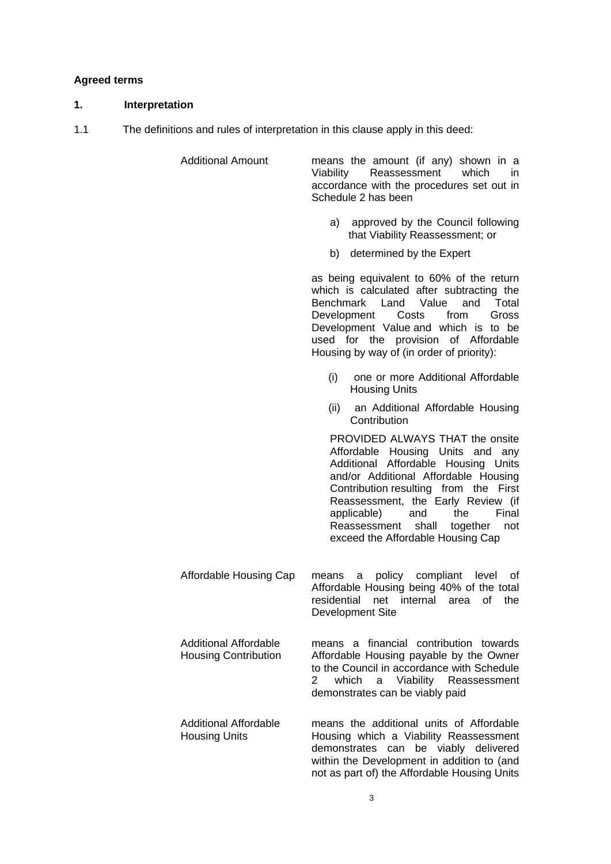#### **Agreed terms**

#### **1. Interpretation**

1.1 The definitions and rules of interpretation in this clause apply in this deed:

| Schedule 2 has been |                                                                                                                      |
|---------------------|----------------------------------------------------------------------------------------------------------------------|
|                     | means the amount (if any) shown in a<br>Viability Reassessment which in<br>accordance with the procedures set out in |

- a) approved by the Council following that Viability Reassessment; or
- b) determined by the Expert

as being equivalent to 60% of the return which is calculated after subtracting the Benchmark Land Value and Total Development Costs from Gross Development Value and which is to be used for the provision of Affordable Housing by way of (in order of priority):

- (i) one or more Additional Affordable Housing Units
- (ii) an Additional Affordable Housing **Contribution**

PROVIDED ALWAYS THAT the onsite Affordable Housing Units and any Additional Affordable Housing Units and/or Additional Affordable Housing Contribution resulting from the First Reassessment, the Early Review (if<br>applicable) and the Final applicable) and the Reassessment shall together not exceed the Affordable Housing Cap

Affordable Housing Cap means a policy compliant level of Affordable Housing being 40% of the total residential net internal area of the Development Site

Additional Affordable

Housing Contribution means a financial contribution towards Affordable Housing payable by the Owner to the Council in accordance with Schedule 2 which a Viability Reassessment demonstrates can be viably paid

not as part of) the Affordable Housing Units

Additional Affordable Housing Units means the additional units of Affordable Housing which a Viability Reassessment demonstrates can be viably delivered within the Development in addition to (and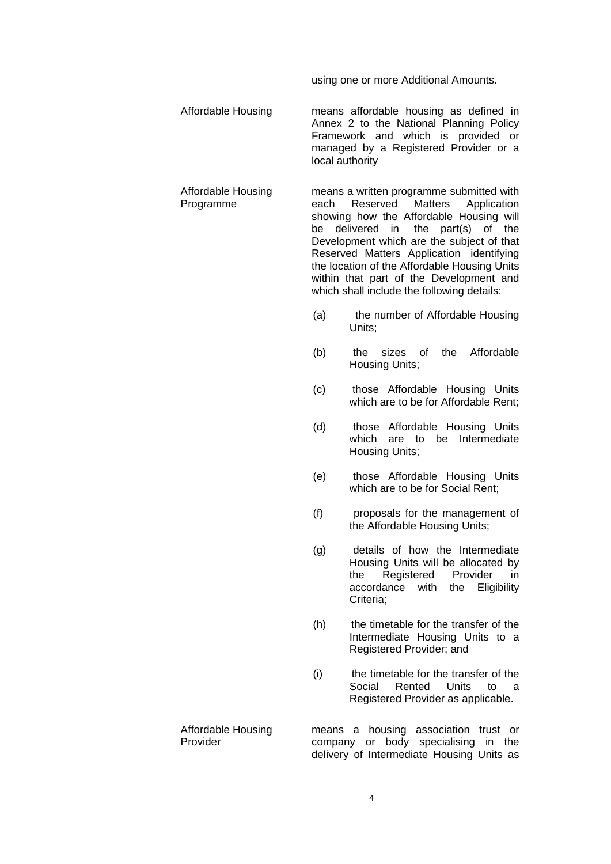using one or more Additional Amounts.

Affordable Housing means affordable housing as defined in Annex 2 to the National Planning Policy Framework and which is provided or managed by a Registered Provider or a local authority

Affordable Housing Programme means a written programme submitted with each Reserved Matters Application showing how the Affordable Housing will be delivered in the part(s) of the Development which are the subject of that Reserved Matters Application identifying the location of the Affordable Housing Units

> (a) the number of Affordable Housing Units;

> within that part of the Development and which shall include the following details:

- (b) the sizes of the Affordable Housing Units;
- (c) those Affordable Housing Units which are to be for Affordable Rent;
- (d) those Affordable Housing Units which are to be Intermediate Housing Units;
- (e) those Affordable Housing Units which are to be for Social Rent;
- (f) proposals for the management of the Affordable Housing Units;
- (g) details of how the Intermediate Housing Units will be allocated by the Registered Provider in accordance with the Eligibility Criteria;
- (h) the timetable for the transfer of the Intermediate Housing Units to a Registered Provider; and
- (i) the timetable for the transfer of the Social Rented Units to a Registered Provider as applicable.
- Affordable Housing Provider means a housing association trust or company or body specialising in the delivery of Intermediate Housing Units as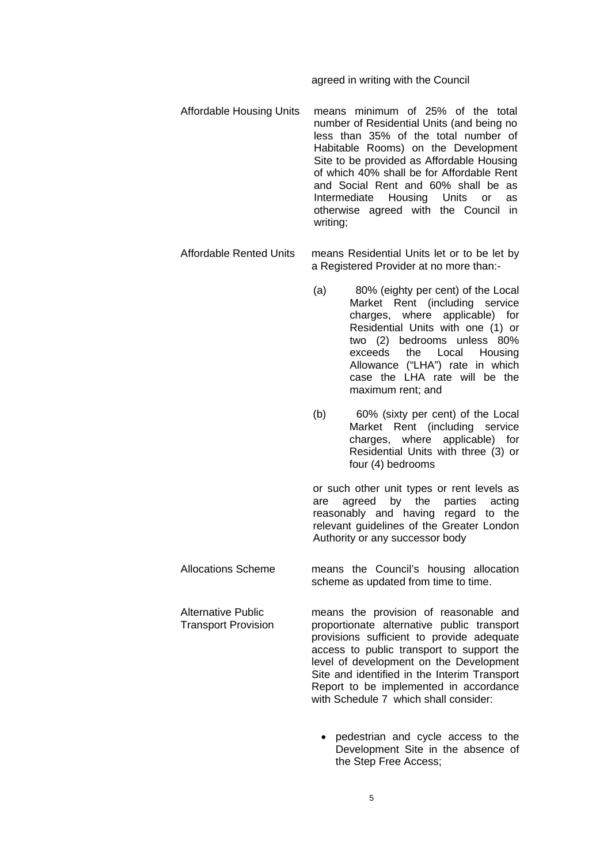#### agreed in writing with the Council

- Affordable Housing Units means minimum of 25% of the total number of Residential Units (and being no less than 35% of the total number of Habitable Rooms) on the Development Site to be provided as Affordable Housing of which 40% shall be for Affordable Rent and Social Rent and 60% shall be as Intermediate Housing Units or as otherwise agreed with the Council in writing;
- Affordable Rented Units means Residential Units let or to be let by a Registered Provider at no more than:-
	- (a) 80% (eighty per cent) of the Local Market Rent (including service charges, where applicable) for Residential Units with one (1) or two (2) bedrooms unless 80% exceeds the Local Housing Allowance ("LHA") rate in which case the LHA rate will be the maximum rent; and
	- (b) 60% (sixty per cent) of the Local Market Rent (including service charges, where applicable) for Residential Units with three (3) or four (4) bedrooms

or such other unit types or rent levels as are agreed by the parties acting reasonably and having regard to the relevant guidelines of the Greater London Authority or any successor body

Allocations Scheme means the Council's housing allocation scheme as updated from time to time.

Alternative Public

Transport Provision means the provision of reasonable and proportionate alternative public transport provisions sufficient to provide adequate access to public transport to support the level of development on the Development Site and identified in the Interim Transport Report to be implemented in accordance with Schedule 7 which shall consider:

> • pedestrian and cycle access to the Development Site in the absence of the Step Free Access;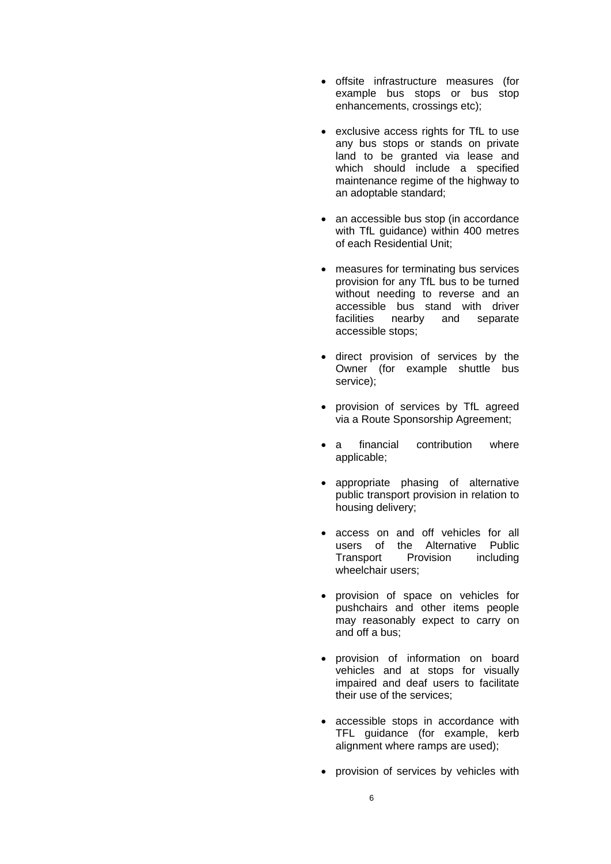- offsite infrastructure measures (for example bus stops or bus stop enhancements, crossings etc);
- exclusive access rights for TfL to use any bus stops or stands on private land to be granted via lease and which should include a specified maintenance regime of the highway to an adoptable standard;
- an accessible bus stop (in accordance with TfL guidance) within 400 metres of each Residential Unit;
- measures for terminating bus services provision for any TfL bus to be turned without needing to reverse and an accessible bus stand with driver facilities nearby and separate accessible stops;
- direct provision of services by the Owner (for example shuttle bus service);
- provision of services by TfL agreed via a Route Sponsorship Agreement;
- a financial contribution where applicable;
- appropriate phasing of alternative public transport provision in relation to housing delivery;
- access on and off vehicles for all users of the Alternative Public Transport Provision including wheelchair users;
- provision of space on vehicles for pushchairs and other items people may reasonably expect to carry on and off a bus;
- provision of information on board vehicles and at stops for visually impaired and deaf users to facilitate their use of the services;
- accessible stops in accordance with TFL guidance (for example, kerb alignment where ramps are used);
- provision of services by vehicles with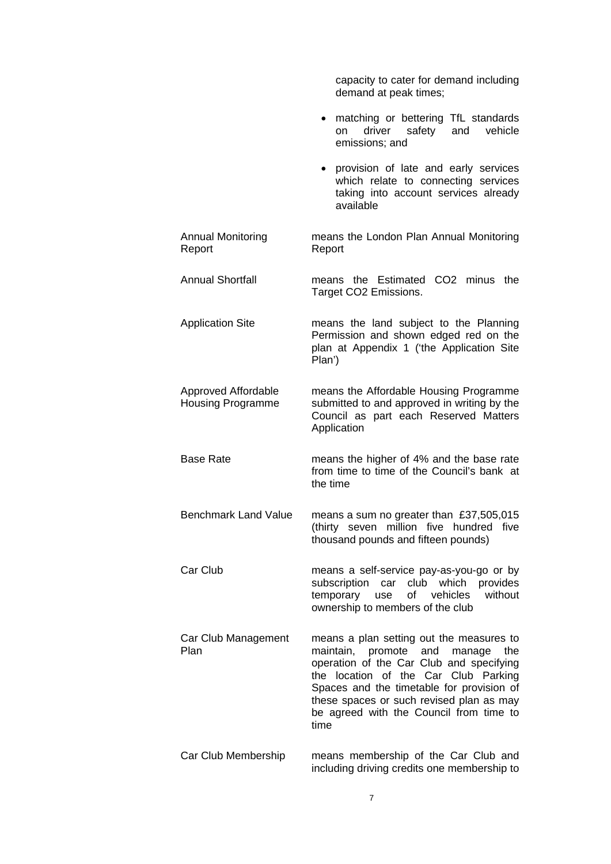|                                                 | capacity to cater for demand including<br>demand at peak times;                                                                                                                                                                                                                                                       |
|-------------------------------------------------|-----------------------------------------------------------------------------------------------------------------------------------------------------------------------------------------------------------------------------------------------------------------------------------------------------------------------|
|                                                 | matching or bettering TfL standards<br>$\bullet$<br>driver<br>safety<br>vehicle<br>and<br>on<br>emissions; and                                                                                                                                                                                                        |
|                                                 | provision of late and early services<br>$\bullet$<br>which relate to connecting services<br>taking into account services already<br>available                                                                                                                                                                         |
| <b>Annual Monitoring</b><br>Report              | means the London Plan Annual Monitoring<br>Report                                                                                                                                                                                                                                                                     |
| <b>Annual Shortfall</b>                         | means the Estimated CO2 minus the<br>Target CO2 Emissions.                                                                                                                                                                                                                                                            |
| <b>Application Site</b>                         | means the land subject to the Planning<br>Permission and shown edged red on the<br>plan at Appendix 1 ('the Application Site<br>Plan')                                                                                                                                                                                |
| Approved Affordable<br><b>Housing Programme</b> | means the Affordable Housing Programme<br>submitted to and approved in writing by the<br>Council as part each Reserved Matters<br>Application                                                                                                                                                                         |
| <b>Base Rate</b>                                | means the higher of 4% and the base rate<br>from time to time of the Council's bank at<br>the time                                                                                                                                                                                                                    |
| <b>Benchmark Land Value</b>                     | means a sum no greater than £37,505,015<br>(thirty seven million five hundred five<br>thousand pounds and fifteen pounds)                                                                                                                                                                                             |
| Car Club                                        | means a self-service pay-as-you-go or by<br>subscription<br>club which<br>provides<br>car<br>of vehicles<br>without<br>temporary<br>use<br>ownership to members of the club                                                                                                                                           |
| Car Club Management<br>Plan                     | means a plan setting out the measures to<br>maintain, promote<br>and<br>manage<br>the<br>operation of the Car Club and specifying<br>the location of the Car Club Parking<br>Spaces and the timetable for provision of<br>these spaces or such revised plan as may<br>be agreed with the Council from time to<br>time |
| Car Club Membership                             | means membership of the Car Club and<br>including driving credits one membership to                                                                                                                                                                                                                                   |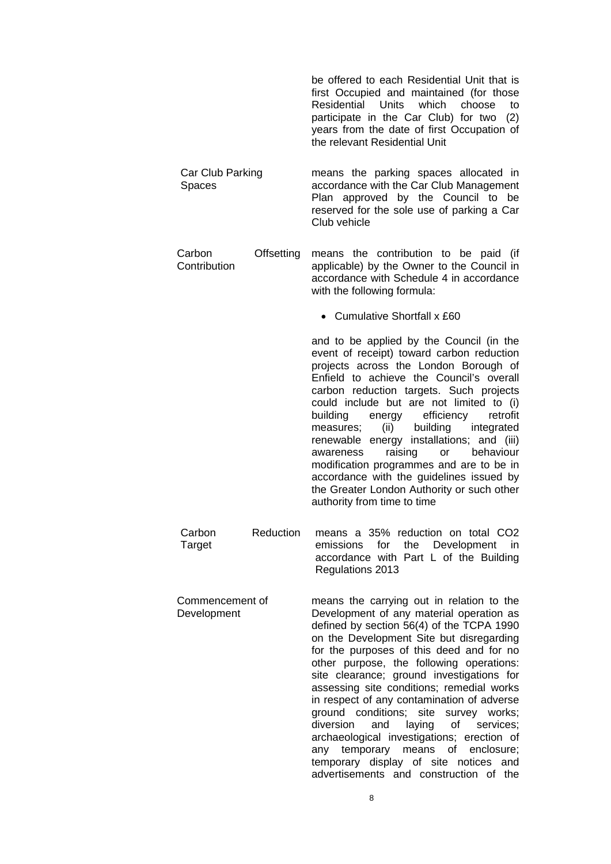|                                      | be offered to each Residential Unit that is<br>first Occupied and maintained (for those<br>Residential<br>Units which choose<br>to<br>participate in the Car Club) for two<br>(2)<br>years from the date of first Occupation of<br>the relevant Residential Unit                                                                                                                                                                                                                                                                                                                                                                                                                              |
|--------------------------------------|-----------------------------------------------------------------------------------------------------------------------------------------------------------------------------------------------------------------------------------------------------------------------------------------------------------------------------------------------------------------------------------------------------------------------------------------------------------------------------------------------------------------------------------------------------------------------------------------------------------------------------------------------------------------------------------------------|
| Car Club Parking<br>Spaces           | means the parking spaces allocated in<br>accordance with the Car Club Management<br>Plan approved by the Council to be<br>reserved for the sole use of parking a Car<br>Club vehicle                                                                                                                                                                                                                                                                                                                                                                                                                                                                                                          |
| Offsetting<br>Carbon<br>Contribution | means the contribution to be paid (if<br>applicable) by the Owner to the Council in<br>accordance with Schedule 4 in accordance<br>with the following formula:                                                                                                                                                                                                                                                                                                                                                                                                                                                                                                                                |
|                                      | • Cumulative Shortfall x £60                                                                                                                                                                                                                                                                                                                                                                                                                                                                                                                                                                                                                                                                  |
|                                      | and to be applied by the Council (in the<br>event of receipt) toward carbon reduction<br>projects across the London Borough of<br>Enfield to achieve the Council's overall<br>carbon reduction targets. Such projects<br>could include but are not limited to (i)<br>building<br>efficiency<br>retrofit<br>energy<br>building<br>(ii)<br>integrated<br>measures;<br>energy installations; and (iii)<br>renewable<br>behaviour<br>raising<br>awareness<br>or<br>modification programmes and are to be in<br>accordance with the guidelines issued by<br>the Greater London Authority or such other<br>authority from time to time                                                              |
| Carbon<br>Reduction<br>Target        | means a 35% reduction on total CO2<br>emissions<br>for<br>the<br>Development<br>in<br>accordance with Part L of the Building<br>Regulations 2013                                                                                                                                                                                                                                                                                                                                                                                                                                                                                                                                              |
| Commencement of<br>Development       | means the carrying out in relation to the<br>Development of any material operation as<br>defined by section 56(4) of the TCPA 1990<br>on the Development Site but disregarding<br>for the purposes of this deed and for no<br>other purpose, the following operations:<br>site clearance; ground investigations for<br>assessing site conditions; remedial works<br>in respect of any contamination of adverse<br>ground conditions; site<br>survey works;<br>diversion<br>of<br>and<br>laying<br>services;<br>archaeological investigations; erection of<br>temporary means<br>of<br>enclosure;<br>any<br>temporary display of site notices<br>and<br>advertisements and construction of the |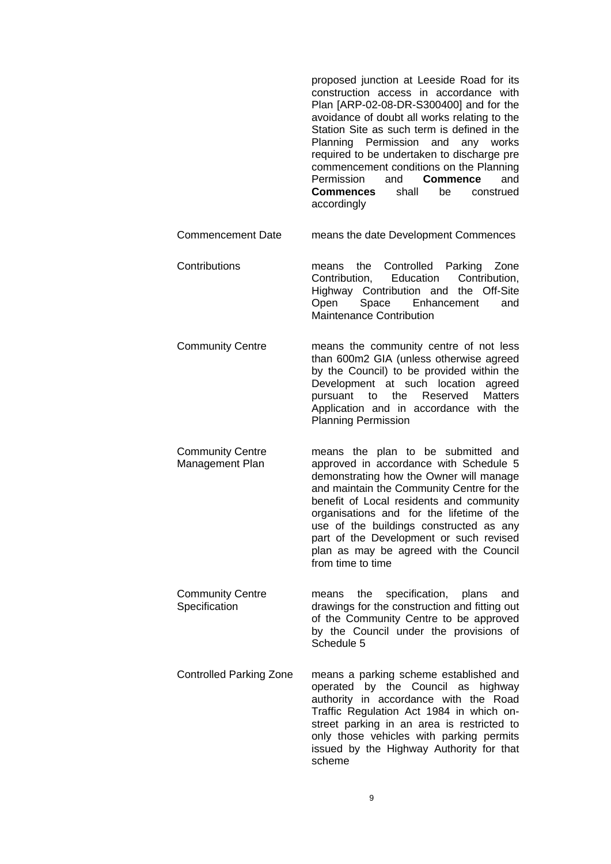proposed junction at Leeside Road for its construction access in accordance with Plan [ARP-02-08-DR-S300400] and for the avoidance of doubt all works relating to the Station Site as such term is defined in the Planning Permission and any works required to be undertaken to discharge pre commencement conditions on the Planning Permission and **Commence** and **Commences** shall be construed accordingly Commencement Date means the date Development Commences Contributions means the Controlled Parking Zone Contribution, Education Contribution, Highway Contribution and the Off-Site Open Space Enhancement and Maintenance Contribution Community Centre means the community centre of not less than 600m2 GIA (unless otherwise agreed by the Council) to be provided within the Development at such location agreed pursuant to the Reserved Matters Application and in accordance with the Planning Permission Community Centre Management Plan means the plan to be submitted and approved in accordance with Schedule 5 demonstrating how the Owner will manage and maintain the Community Centre for the benefit of Local residents and community organisations and for the lifetime of the use of the buildings constructed as any part of the Development or such revised plan as may be agreed with the Council from time to time Community Centre **Specification** means the specification, plans and drawings for the construction and fitting out of the Community Centre to be approved by the Council under the provisions of Schedule 5 Controlled Parking Zone means a parking scheme established and operated by the Council as highway authority in accordance with the Road Traffic Regulation Act 1984 in which onstreet parking in an area is restricted to only those vehicles with parking permits issued by the Highway Authority for that scheme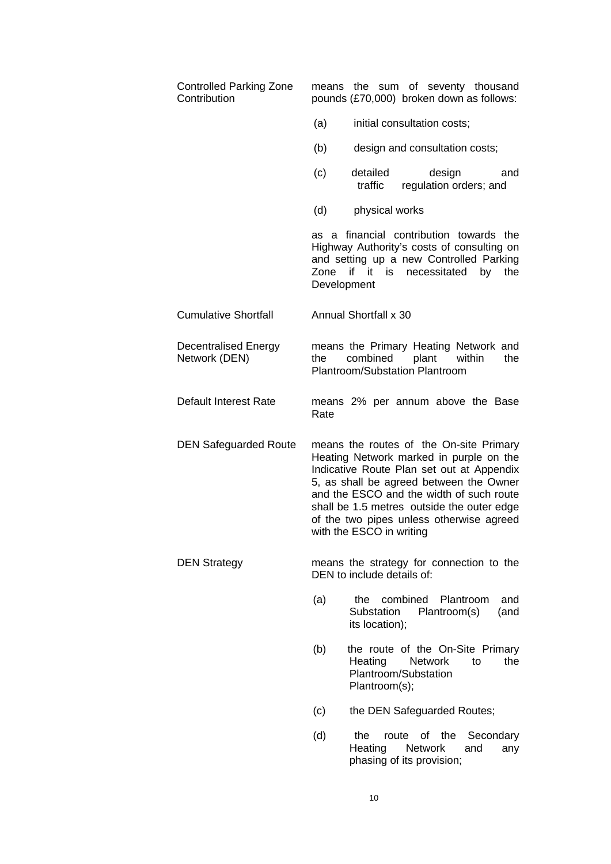| <b>Controlled Parking Zone</b><br>Contribution | means the sum of seventy thousand<br>pounds (£70,000) broken down as follows:                                                                                                                                                                                                                                                                |
|------------------------------------------------|----------------------------------------------------------------------------------------------------------------------------------------------------------------------------------------------------------------------------------------------------------------------------------------------------------------------------------------------|
|                                                | (a)<br>initial consultation costs;                                                                                                                                                                                                                                                                                                           |
|                                                | design and consultation costs;<br>(b)                                                                                                                                                                                                                                                                                                        |
|                                                | detailed<br>design<br>(c)<br>and<br>traffic<br>regulation orders; and                                                                                                                                                                                                                                                                        |
|                                                | (d)<br>physical works                                                                                                                                                                                                                                                                                                                        |
|                                                | as a financial contribution towards the<br>Highway Authority's costs of consulting on<br>and setting up a new Controlled Parking<br>Zone if it is necessitated<br>by<br>the<br>Development                                                                                                                                                   |
| <b>Cumulative Shortfall</b>                    | Annual Shortfall x 30                                                                                                                                                                                                                                                                                                                        |
| <b>Decentralised Energy</b><br>Network (DEN)   | means the Primary Heating Network and<br>combined<br>plant<br>within<br>the<br>the<br>Plantroom/Substation Plantroom                                                                                                                                                                                                                         |
| <b>Default Interest Rate</b>                   | means 2% per annum above the Base<br>Rate                                                                                                                                                                                                                                                                                                    |
| <b>DEN Safeguarded Route</b>                   | means the routes of the On-site Primary<br>Heating Network marked in purple on the<br>Indicative Route Plan set out at Appendix<br>5, as shall be agreed between the Owner<br>and the ESCO and the width of such route<br>shall be 1.5 metres outside the outer edge<br>of the two pipes unless otherwise agreed<br>with the ESCO in writing |
| <b>DEN Strategy</b>                            | means the strategy for connection to the<br>DEN to include details of:                                                                                                                                                                                                                                                                       |
|                                                | combined Plantroom<br>(a)<br>the<br>and<br>Substation<br>Plantroom(s)<br>(and<br>its location);                                                                                                                                                                                                                                              |
|                                                | the route of the On-Site Primary<br>(b)<br><b>Network</b><br>the<br>Heating<br>to<br>Plantroom/Substation<br>Plantroom(s);                                                                                                                                                                                                                   |
|                                                | the DEN Safeguarded Routes;<br>(c)                                                                                                                                                                                                                                                                                                           |
|                                                |                                                                                                                                                                                                                                                                                                                                              |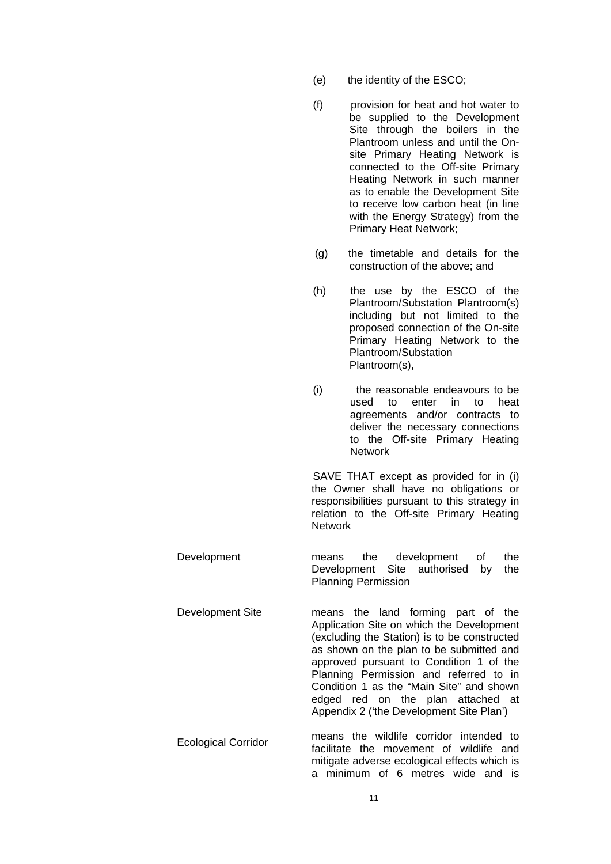- (e) the identity of the ESCO;
- (f) provision for heat and hot water to be supplied to the Development Site through the boilers in the Plantroom unless and until the Onsite Primary Heating Network is connected to the Off-site Primary Heating Network in such manner as to enable the Development Site to receive low carbon heat (in line with the Energy Strategy) from the Primary Heat Network;
- (g) the timetable and details for the construction of the above; and
- (h) the use by the ESCO of the Plantroom/Substation Plantroom(s) including but not limited to the proposed connection of the On-site Primary Heating Network to the Plantroom/Substation Plantroom(s),
- (i) the reasonable endeavours to be used to enter in to heat agreements and/or contracts to deliver the necessary connections to the Off-site Primary Heating **Network**

SAVE THAT except as provided for in (i) the Owner shall have no obligations or responsibilities pursuant to this strategy in relation to the Off-site Primary Heating Network

Development means the development of the Development Site authorised by the Planning Permission

Development Site means the land forming part of the Application Site on which the Development (excluding the Station) is to be constructed as shown on the plan to be submitted and approved pursuant to Condition 1 of the Planning Permission and referred to in Condition 1 as the "Main Site" and shown edged red on the plan attached at Appendix 2 ('the Development Site Plan')

Ecological Corridor means the wildlife corridor intended to facilitate the movement of wildlife and mitigate adverse ecological effects which is a minimum of 6 metres wide and is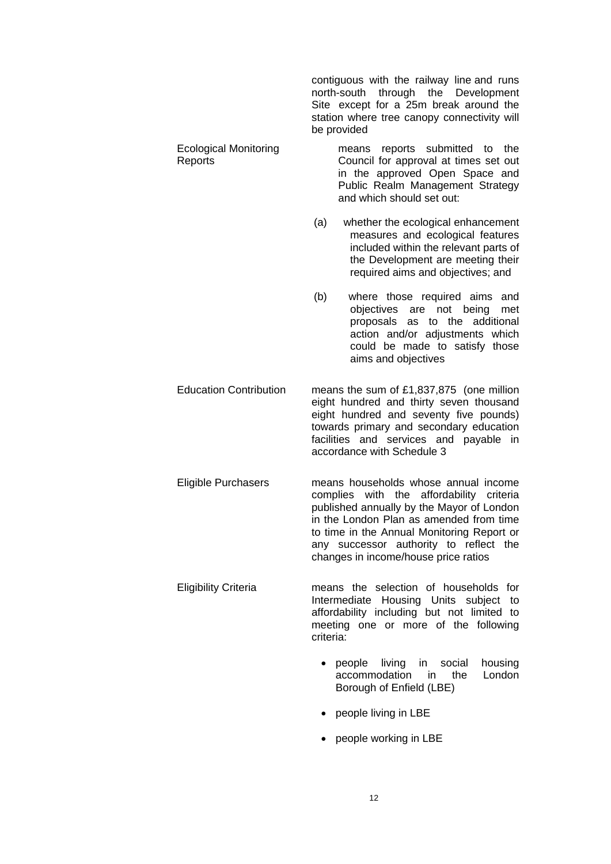|                                         | contiguous with the railway line and runs<br>north-south through the Development<br>Site except for a 25m break around the<br>station where tree canopy connectivity will<br>be provided                                                                                                                 |
|-----------------------------------------|----------------------------------------------------------------------------------------------------------------------------------------------------------------------------------------------------------------------------------------------------------------------------------------------------------|
| <b>Ecological Monitoring</b><br>Reports | means reports submitted to<br>the<br>Council for approval at times set out<br>in the approved Open Space and<br>Public Realm Management Strategy<br>and which should set out:                                                                                                                            |
|                                         | whether the ecological enhancement<br>(a)<br>measures and ecological features<br>included within the relevant parts of<br>the Development are meeting their<br>required aims and objectives; and                                                                                                         |
|                                         | (b)<br>where those required aims and<br>objectives are not being<br>met<br>proposals<br>as to the additional<br>action and/or adjustments which<br>could be made to satisfy those<br>aims and objectives                                                                                                 |
| <b>Education Contribution</b>           | means the sum of $£1,837,875$ (one million<br>eight hundred and thirty seven thousand<br>eight hundred and seventy five pounds)<br>towards primary and secondary education<br>facilities and services and payable in<br>accordance with Schedule 3                                                       |
| <b>Eligible Purchasers</b>              | means households whose annual income<br>complies with the affordability criteria<br>published annually by the Mayor of London<br>in the London Plan as amended from time<br>to time in the Annual Monitoring Report or<br>any successor authority to reflect the<br>changes in income/house price ratios |
| <b>Eligibility Criteria</b>             | means the selection of households for<br>Intermediate Housing Units subject<br>to<br>affordability including but not limited to<br>meeting one or more of the following<br>criteria:                                                                                                                     |
|                                         | living in social<br>housing<br>people<br>accommodation<br>London<br>the<br>in.<br>Borough of Enfield (LBE)                                                                                                                                                                                               |
|                                         | people living in LBE                                                                                                                                                                                                                                                                                     |

- 
- people working in LBE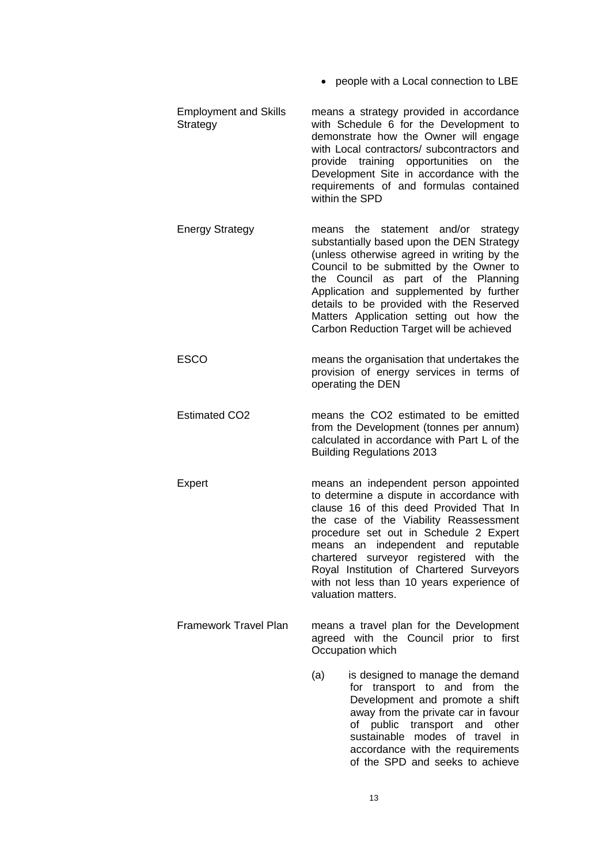- people with a Local connection to LBE
- Employment and Skills **Strategy** means a strategy provided in accordance with Schedule 6 for the Development to demonstrate how the Owner will engage with Local contractors/ subcontractors and provide training opportunities on the Development Site in accordance with the requirements of and formulas contained within the SPD
- Energy Strategy means the statement and/or strategy substantially based upon the DEN Strategy (unless otherwise agreed in writing by the Council to be submitted by the Owner to the Council as part of the Planning Application and supplemented by further details to be provided with the Reserved Matters Application setting out how the Carbon Reduction Target will be achieved
- ESCO means the organisation that undertakes the provision of energy services in terms of operating the DEN
- Estimated CO2 means the CO2 estimated to be emitted from the Development (tonnes per annum) calculated in accordance with Part L of the Building Regulations 2013
- Expert means an independent person appointed to determine a dispute in accordance with clause 16 of this deed Provided That In the case of the Viability Reassessment procedure set out in Schedule 2 Expert means an independent and reputable chartered surveyor registered with the Royal Institution of Chartered Surveyors with not less than 10 years experience of valuation matters.
- Framework Travel Plan means a travel plan for the Development agreed with the Council prior to first Occupation which
	- (a) is designed to manage the demand for transport to and from the Development and promote a shift away from the private car in favour of public transport and other sustainable modes of travel in accordance with the requirements of the SPD and seeks to achieve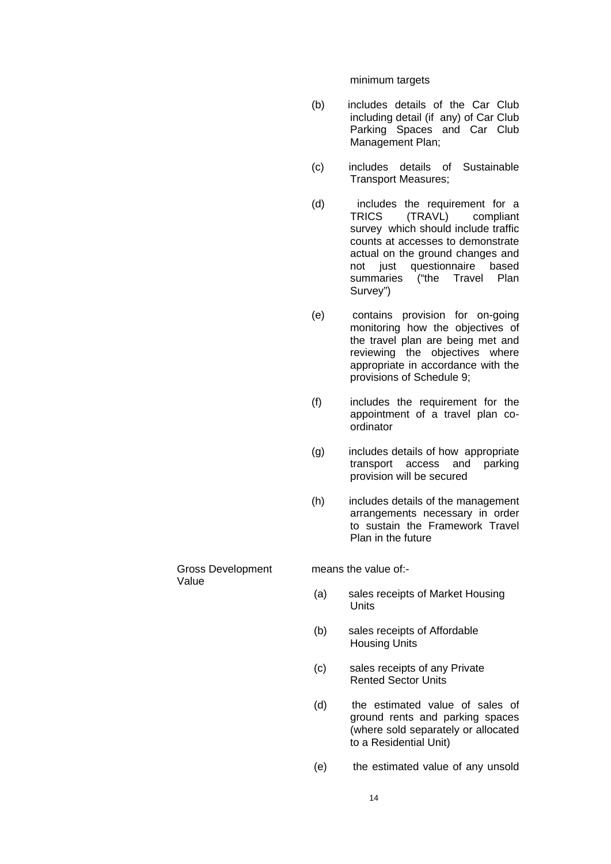minimum targets

- (b) includes details of the Car Club including detail (if any) of Car Club Parking Spaces and Car Club Management Plan;
- (c) includes details of Sustainable Transport Measures;
- (d) includes the requirement for a TRICS (TRAVL) compliant survey which should include traffic counts at accesses to demonstrate actual on the ground changes and not just questionnaire based summaries ("the Travel Plan Survey")
- (e) contains provision for on-going monitoring how the objectives of the travel plan are being met and reviewing the objectives where appropriate in accordance with the provisions of Schedule 9;
- (f) includes the requirement for the appointment of a travel plan coordinator
- (g) includes details of how appropriate transport access and parking provision will be secured
- (h) includes details of the management arrangements necessary in order to sustain the Framework Travel Plan in the future

Gross Development Value

means the value of -

- (a) sales receipts of Market Housing **Units**
- (b) sales receipts of Affordable Housing Units
- (c) sales receipts of any Private Rented Sector Units
- (d) the estimated value of sales of ground rents and parking spaces (where sold separately or allocated to a Residential Unit)
- (e) the estimated value of any unsold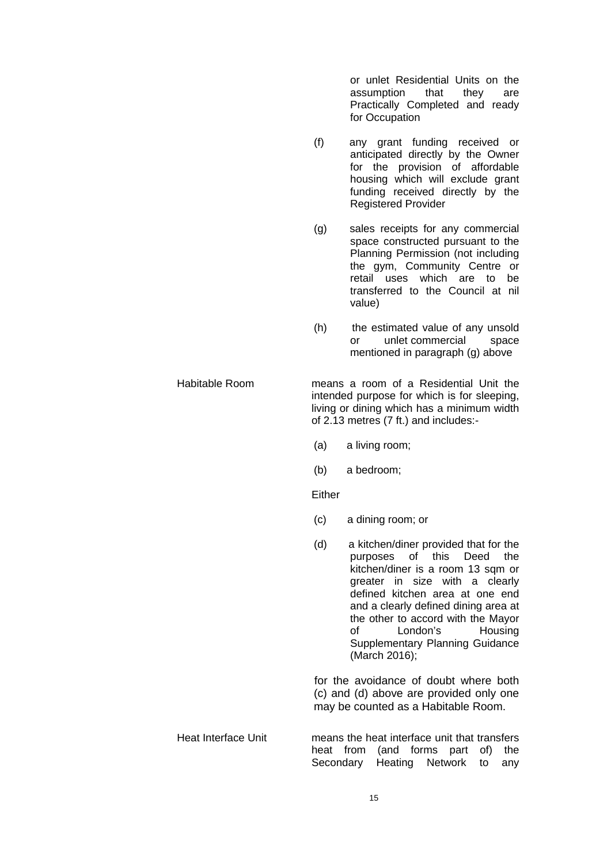or unlet Residential Units on the assumption that they are Practically Completed and ready for Occupation

- (f) any grant funding received or anticipated directly by the Owner for the provision of affordable housing which will exclude grant funding received directly by the Registered Provider
- (g) sales receipts for any commercial space constructed pursuant to the Planning Permission (not including the gym, Community Centre or retail uses which are to be transferred to the Council at nil value)
- (h) the estimated value of any unsold or unlet commercial space mentioned in paragraph (g) above
- Habitable Room means a room of a Residential Unit the intended purpose for which is for sleeping, living or dining which has a minimum width of 2.13 metres (7 ft.) and includes:-
	- (a) a living room;
	- (b) a bedroom;

**Either** 

- (c) a dining room; or
- (d) a kitchen/diner provided that for the purposes of this Deed the kitchen/diner is a room 13 sqm or greater in size with a clearly defined kitchen area at one end and a clearly defined dining area at the other to accord with the Mayor of London's Housing Supplementary Planning Guidance (March 2016);

for the avoidance of doubt where both (c) and (d) above are provided only one may be counted as a Habitable Room.

Heat Interface Unit means the heat interface unit that transfers heat from (and forms part of) the Secondary Heating Network to any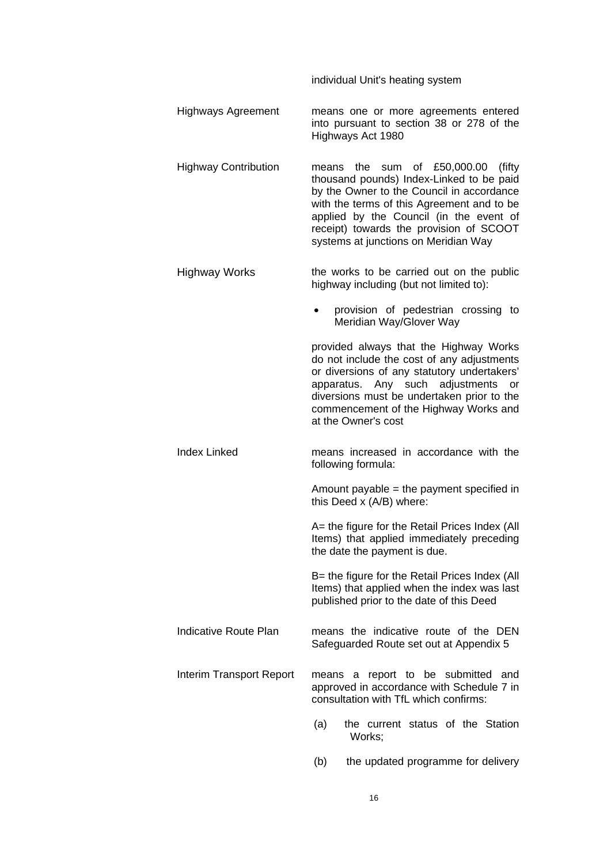individual Unit's heating system

- Highways Agreement means one or more agreements entered into pursuant to section 38 or 278 of the Highways Act 1980
- Highway Contribution means the sum of £50,000.00 (fifty thousand pounds) Index-Linked to be paid by the Owner to the Council in accordance with the terms of this Agreement and to be applied by the Council (in the event of receipt) towards the provision of SCOOT systems at junctions on Meridian Way
- Highway Works the works to be carried out on the public highway including (but not limited to):
	- provision of pedestrian crossing to Meridian Way/Glover Way

provided always that the Highway Works do not include the cost of any adjustments or diversions of any statutory undertakers' apparatus. Any such adjustments or diversions must be undertaken prior to the commencement of the Highway Works and at the Owner's cost

Index Linked means increased in accordance with the following formula:

> Amount payable = the payment specified in this Deed x (A/B) where:

> A= the figure for the Retail Prices Index (All Items) that applied immediately preceding the date the payment is due.

> B= the figure for the Retail Prices Index (All Items) that applied when the index was last published prior to the date of this Deed

- Indicative Route Plan means the indicative route of the DEN Safeguarded Route set out at Appendix 5
- Interim Transport Report means a report to be submitted and approved in accordance with Schedule 7 in consultation with TfL which confirms:
	- (a) the current status of the Station Works;
	- (b) the updated programme for delivery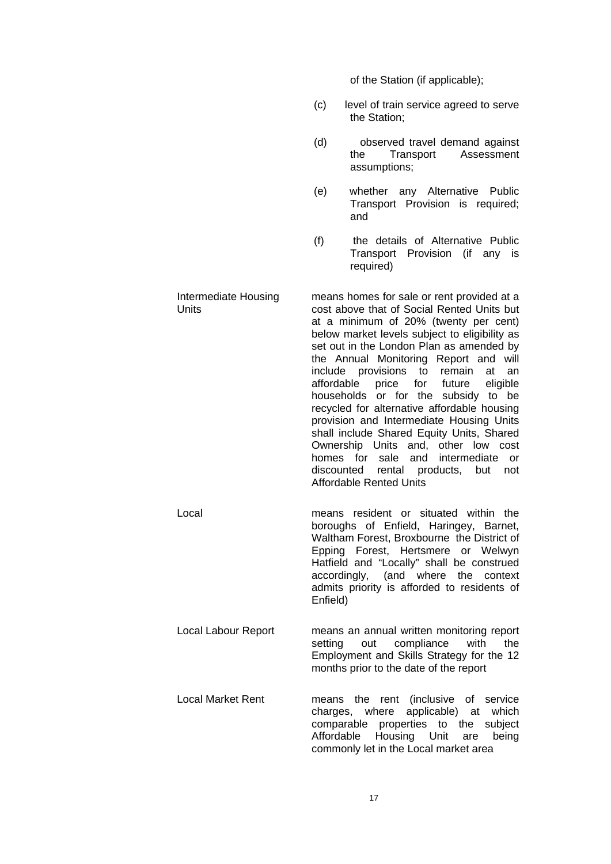of the Station (if applicable);

- (c) level of train service agreed to serve the Station;
- (d) observed travel demand against the Transport Assessment assumptions;
- (e) whether any Alternative Public Transport Provision is required; and
- (f) the details of Alternative Public Transport Provision (if any is required)

Intermediate Housing **Units** means homes for sale or rent provided at a cost above that of Social Rented Units but at a minimum of 20% (twenty per cent) below market levels subject to eligibility as set out in the London Plan as amended by the Annual Monitoring Report and will include provisions to remain at an affordable price for future eligible households or for the subsidy to be recycled for alternative affordable housing provision and Intermediate Housing Units shall include Shared Equity Units, Shared Ownership Units and, other low cost homes for sale and intermediate or discounted rental products, but not Affordable Rented Units

- Local means resident or situated within the boroughs of Enfield, Haringey, Barnet, Waltham Forest, Broxbourne the District of Epping Forest, Hertsmere or Welwyn Hatfield and "Locally" shall be construed accordingly, (and where the context admits priority is afforded to residents of Enfield)
- Local Labour Report means an annual written monitoring report setting out compliance with the Employment and Skills Strategy for the 12 months prior to the date of the report
- Local Market Rent **means** the rent (inclusive of service charges, where applicable) at which comparable properties to the subject Affordable Housing Unit are being commonly let in the Local market area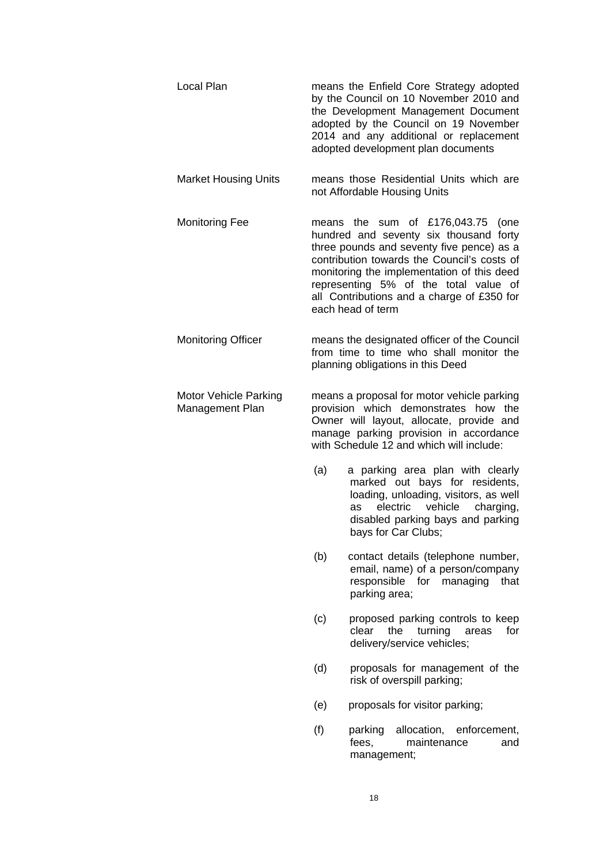| Local Plan                               |     | means the Enfield Core Strategy adopted<br>by the Council on 10 November 2010 and<br>the Development Management Document<br>adopted by the Council on 19 November<br>2014 and any additional or replacement<br>adopted development plan documents                                                                                      |
|------------------------------------------|-----|----------------------------------------------------------------------------------------------------------------------------------------------------------------------------------------------------------------------------------------------------------------------------------------------------------------------------------------|
| <b>Market Housing Units</b>              |     | means those Residential Units which are<br>not Affordable Housing Units                                                                                                                                                                                                                                                                |
| <b>Monitoring Fee</b>                    |     | means the sum of $£176,043.75$<br>(one<br>hundred and seventy six thousand forty<br>three pounds and seventy five pence) as a<br>contribution towards the Council's costs of<br>monitoring the implementation of this deed<br>representing 5% of the total value of<br>all Contributions and a charge of £350 for<br>each head of term |
| <b>Monitoring Officer</b>                |     | means the designated officer of the Council<br>from time to time who shall monitor the<br>planning obligations in this Deed                                                                                                                                                                                                            |
| Motor Vehicle Parking<br>Management Plan |     | means a proposal for motor vehicle parking<br>provision which demonstrates<br>how the<br>Owner will layout, allocate, provide and<br>manage parking provision in accordance<br>with Schedule 12 and which will include:                                                                                                                |
|                                          | (a) | a parking area plan with clearly<br>marked out bays for residents,<br>loading, unloading, visitors, as well<br>vehicle<br>electric<br>charging,<br>as<br>disabled parking bays and parking<br>bays for Car Clubs;                                                                                                                      |
|                                          | (b) | contact details (telephone number,<br>email, name) of a person/company<br>responsible for managing<br>that<br>parking area;                                                                                                                                                                                                            |
|                                          | (c) | proposed parking controls to keep<br>the<br>turning<br>clear<br>for<br>areas<br>delivery/service vehicles;                                                                                                                                                                                                                             |
|                                          | (d) | proposals for management of the<br>risk of overspill parking;                                                                                                                                                                                                                                                                          |
|                                          | (e) | proposals for visitor parking;                                                                                                                                                                                                                                                                                                         |
|                                          | (f) | enforcement,<br>parking<br>allocation,<br>maintenance<br>fees,<br>and<br>management;                                                                                                                                                                                                                                                   |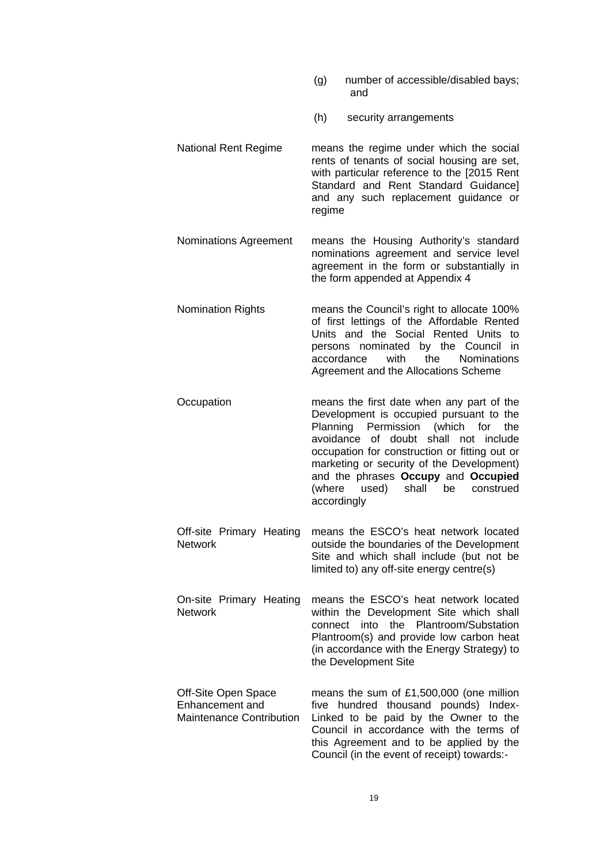- (g) number of accessible/disabled bays; and
- (h) security arrangements
- National Rent Regime means the regime under which the social rents of tenants of social housing are set, with particular reference to the [2015 Rent Standard and Rent Standard Guidance] and any such replacement guidance or regime
- Nominations Agreement means the Housing Authority's standard nominations agreement and service level agreement in the form or substantially in the form appended at Appendix 4
- Nomination Rights means the Council's right to allocate 100% of first lettings of the Affordable Rented Units and the Social Rented Units to persons nominated by the Council in accordance with the Nominations Agreement and the Allocations Scheme
- Occupation means the first date when any part of the Development is occupied pursuant to the Planning Permission (which for the avoidance of doubt shall not include occupation for construction or fitting out or marketing or security of the Development) and the phrases **Occupy** and **Occupied** (where used) shall be construed accordingly
- Off-site Primary Heating Network means the ESCO's heat network located outside the boundaries of the Development Site and which shall include (but not be limited to) any off-site energy centre(s)
- On-site Primary Heating Network means the ESCO's heat network located within the Development Site which shall connect into the Plantroom/Substation Plantroom(s) and provide low carbon heat (in accordance with the Energy Strategy) to the Development Site
- Off-Site Open Space Enhancement and Maintenance Contribution means the sum of £1,500,000 (one million five hundred thousand pounds) Index-Linked to be paid by the Owner to the Council in accordance with the terms of this Agreement and to be applied by the Council (in the event of receipt) towards:-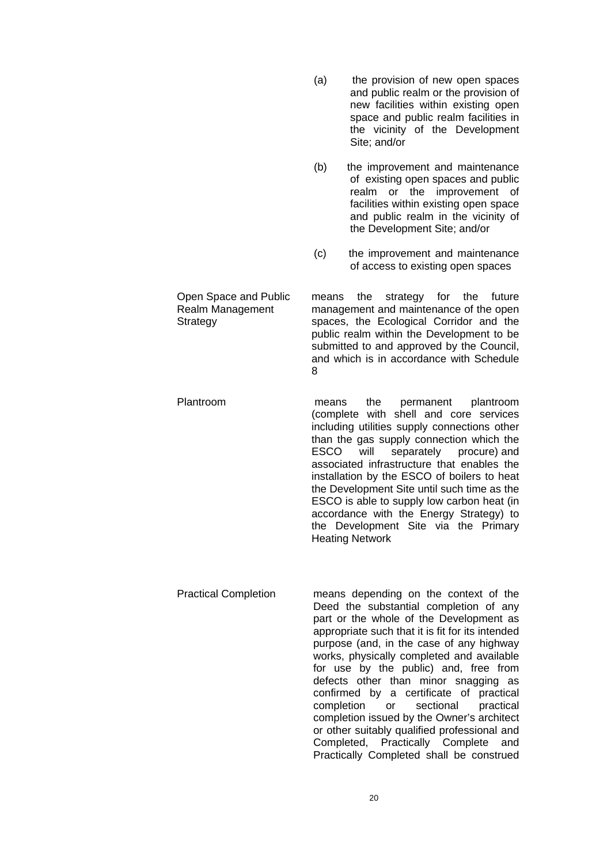(a) the provision of new open spaces and public realm or the provision of new facilities within existing open space and public realm facilities in the vicinity of the Development Site; and/or (b) the improvement and maintenance of existing open spaces and public realm or the improvement of facilities within existing open space and public realm in the vicinity of the Development Site; and/or (c) the improvement and maintenance of access to existing open spaces Open Space and Public Realm Management **Strategy** means the strategy for the future management and maintenance of the open spaces, the Ecological Corridor and the public realm within the Development to be submitted to and approved by the Council, and which is in accordance with Schedule 8 Plantroom means the permanent plantroom (complete with shell and core services including utilities supply connections other than the gas supply connection which the ESCO will separately procure) and associated infrastructure that enables the installation by the ESCO of boilers to heat the Development Site until such time as the ESCO is able to supply low carbon heat (in accordance with the Energy Strategy) to the Development Site via the Primary Heating Network Practical Completion means depending on the context of the

Deed the substantial completion of any part or the whole of the Development as appropriate such that it is fit for its intended purpose (and, in the case of any highway works, physically completed and available for use by the public) and, free from defects other than minor snagging as confirmed by a certificate of practical completion or sectional practical completion issued by the Owner's architect or other suitably qualified professional and Completed, Practically Complete and Practically Completed shall be construed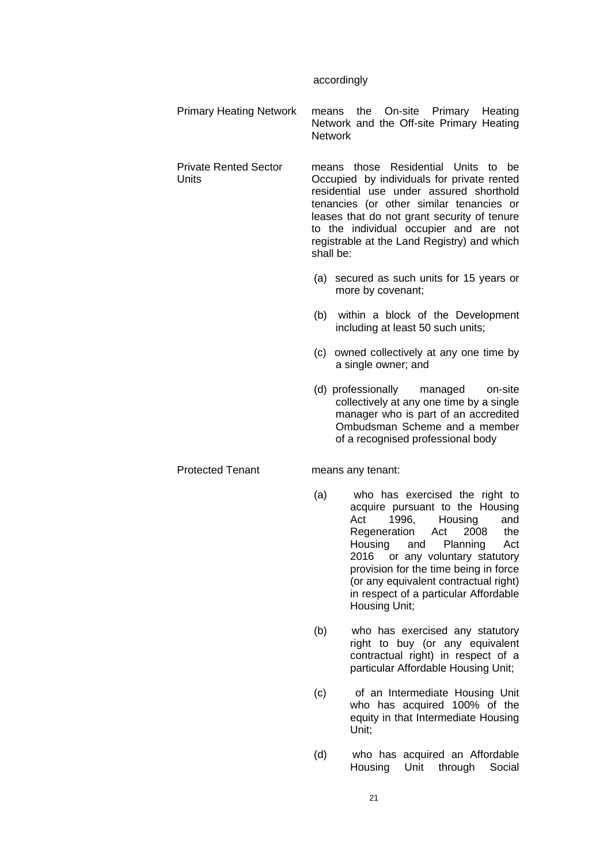#### accordingly

Primary Heating Network means the On-site Primary Heating Network and the Off-site Primary Heating **Network** 

Private Rented Sector means those Residential Units to be Occupied by individuals for private rented residential use under assured shorthold tenancies (or other similar tenancies or leases that do not grant security of tenure to the individual occupier and are not registrable at the Land Registry) and which shall be:

- (a) secured as such units for 15 years or more by covenant;
- (b) within a block of the Development including at least 50 such units;
- (c) owned collectively at any one time by a single owner; and
- (d) professionally managed on-site collectively at any one time by a single manager who is part of an accredited Ombudsman Scheme and a member of a recognised professional body

### Protected Tenant means any tenant:

**Units** 

- (a) who has exercised the right to acquire pursuant to the Housing Act 1996, Housing and Regeneration Act 2008 the Housing and Planning Act 2016 or any voluntary statutory provision for the time being in force (or any equivalent contractual right) in respect of a particular Affordable Housing Unit;
- (b) who has exercised any statutory right to buy (or any equivalent contractual right) in respect of a particular Affordable Housing Unit;
- (c) of an Intermediate Housing Unit who has acquired 100% of the equity in that Intermediate Housing Unit;
- (d) who has acquired an Affordable Housing Unit through Social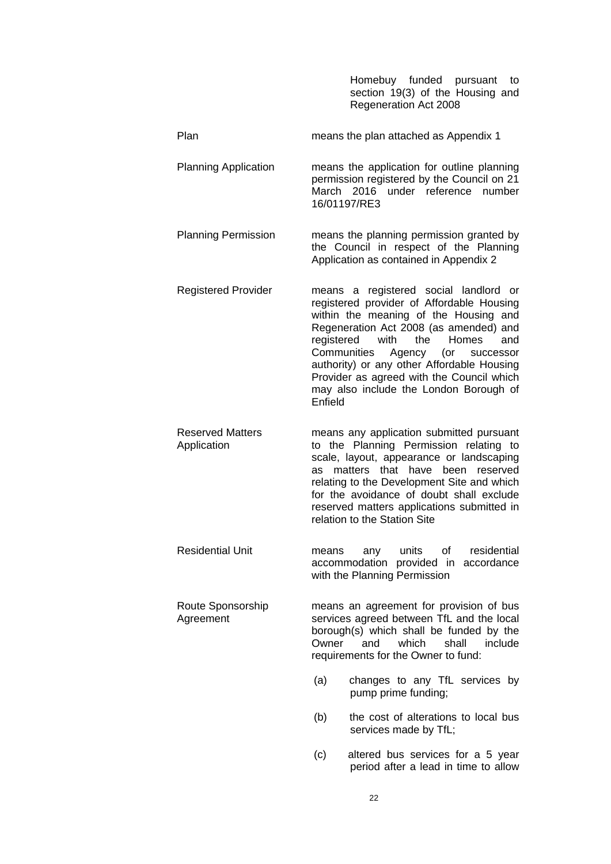|                                        | Homebuy funded pursuant<br>to<br>section 19(3) of the Housing and<br>Regeneration Act 2008                                                                                                                                                                                                                                                                                                                          |
|----------------------------------------|---------------------------------------------------------------------------------------------------------------------------------------------------------------------------------------------------------------------------------------------------------------------------------------------------------------------------------------------------------------------------------------------------------------------|
| Plan                                   | means the plan attached as Appendix 1                                                                                                                                                                                                                                                                                                                                                                               |
| <b>Planning Application</b>            | means the application for outline planning<br>permission registered by the Council on 21<br>March 2016 under reference number<br>16/01197/RE3                                                                                                                                                                                                                                                                       |
| <b>Planning Permission</b>             | means the planning permission granted by<br>the Council in respect of the Planning<br>Application as contained in Appendix 2                                                                                                                                                                                                                                                                                        |
| <b>Registered Provider</b>             | means a registered social landlord or<br>registered provider of Affordable Housing<br>within the meaning of the Housing and<br>Regeneration Act 2008 (as amended) and<br>registered<br>with<br>the<br><b>Homes</b><br>and<br>Communities<br>Agency (or<br>successor<br>authority) or any other Affordable Housing<br>Provider as agreed with the Council which<br>may also include the London Borough of<br>Enfield |
| <b>Reserved Matters</b><br>Application | means any application submitted pursuant<br>to the Planning Permission relating to<br>scale, layout, appearance or landscaping<br>matters that have<br>been reserved<br>as<br>relating to the Development Site and which<br>for the avoidance of doubt shall exclude<br>reserved matters applications submitted in<br>relation to the Station Site                                                                  |
| <b>Residential Unit</b>                | units<br>residential<br>of the contract of the contract of the contract of the contract of the contract of the contract of the contract of the contract of the contract of the contract of the contract of the contract of the contract of the contrac<br>means<br>any<br>accommodation provided in accordance<br>with the Planning Permission                                                                      |
| Route Sponsorship<br>Agreement         | means an agreement for provision of bus<br>services agreed between TfL and the local<br>borough(s) which shall be funded by the<br>which<br>shall<br>include<br>Owner<br>and<br>requirements for the Owner to fund:                                                                                                                                                                                                 |
|                                        | (a)<br>changes to any TfL services by<br>pump prime funding;                                                                                                                                                                                                                                                                                                                                                        |
|                                        | the cost of alterations to local bus<br>(b)<br>services made by TfL;                                                                                                                                                                                                                                                                                                                                                |
|                                        | (c)<br>altered bus services for a 5 year<br>period after a lead in time to allow                                                                                                                                                                                                                                                                                                                                    |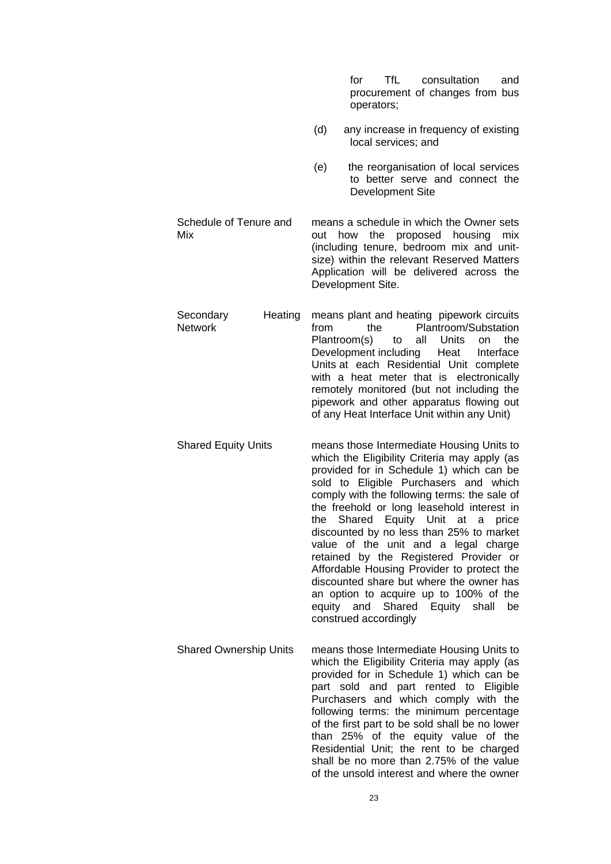|                                        |      | <b>TfL</b><br>consultation<br>for<br>and<br>procurement of changes from bus<br>operators;                                                                                                                                                                                                                                                                                                                                                                                                                                                                                                                                                                 |
|----------------------------------------|------|-----------------------------------------------------------------------------------------------------------------------------------------------------------------------------------------------------------------------------------------------------------------------------------------------------------------------------------------------------------------------------------------------------------------------------------------------------------------------------------------------------------------------------------------------------------------------------------------------------------------------------------------------------------|
|                                        | (d)  | any increase in frequency of existing<br>local services; and                                                                                                                                                                                                                                                                                                                                                                                                                                                                                                                                                                                              |
|                                        | (e)  | the reorganisation of local services<br>to better serve and connect the<br>Development Site                                                                                                                                                                                                                                                                                                                                                                                                                                                                                                                                                               |
| Schedule of Tenure and<br>Mix          | out  | means a schedule in which the Owner sets<br>the proposed housing<br>how<br>mix<br>(including tenure, bedroom mix and unit-<br>size) within the relevant Reserved Matters<br>Application will be delivered across the<br>Development Site.                                                                                                                                                                                                                                                                                                                                                                                                                 |
| Secondary<br>Heating<br><b>Network</b> | from | means plant and heating pipework circuits<br>Plantroom/Substation<br>the<br>Plantroom(s)<br>the<br>all<br>Units<br>to<br>on<br>Development including<br>Heat<br>Interface<br>Units at each Residential Unit complete<br>with a heat meter that is electronically<br>remotely monitored (but not including the<br>pipework and other apparatus flowing out<br>of any Heat Interface Unit within any Unit)                                                                                                                                                                                                                                                  |
| <b>Shared Equity Units</b>             | the  | means those Intermediate Housing Units to<br>which the Eligibility Criteria may apply (as<br>provided for in Schedule 1) which can be<br>sold to Eligible Purchasers and which<br>comply with the following terms: the sale of<br>the freehold or long leasehold interest in<br>Shared Equity Unit at<br>a<br>price<br>discounted by no less than 25% to market<br>value of the unit and a legal charge<br>retained by the Registered Provider or<br>Affordable Housing Provider to protect the<br>discounted share but where the owner has<br>an option to acquire up to 100% of the<br>Shared Equity shall<br>equity and<br>be<br>construed accordingly |
| <b>Shared Ownership Units</b>          |      | means those Intermediate Housing Units to<br>which the Eligibility Criteria may apply (as<br>provided for in Schedule 1) which can be<br>part sold and part rented to Eligible<br>Purchasers and which comply with the<br>following terms: the minimum percentage<br>of the first part to be sold shall be no lower<br>than 25% of the equity value of the<br>Residential Unit; the rent to be charged<br>shall be no more than 2.75% of the value<br>of the unsold interest and where the owner                                                                                                                                                          |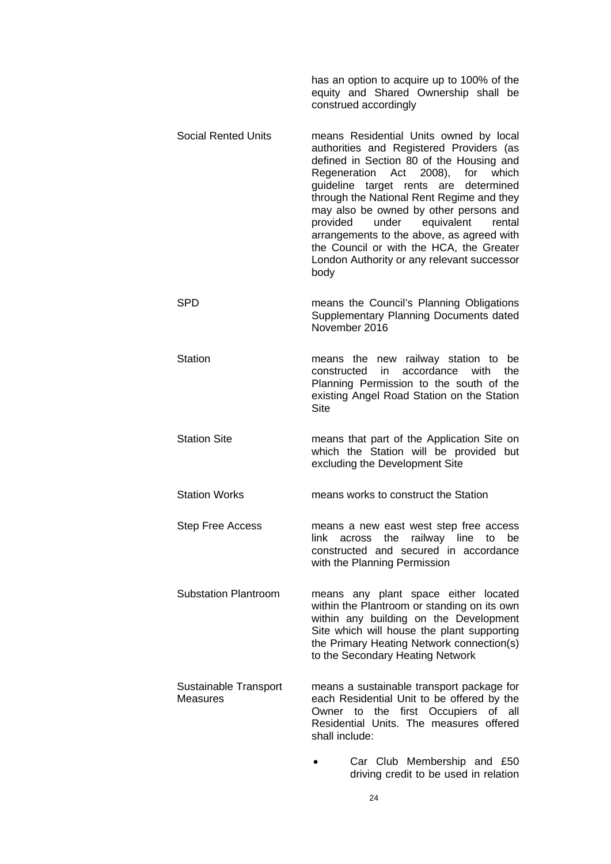|                                   | has an option to acquire up to 100% of the<br>equity and Shared Ownership shall be<br>construed accordingly                                                                                                                                                                                                                                                                                                                                                                                                        |
|-----------------------------------|--------------------------------------------------------------------------------------------------------------------------------------------------------------------------------------------------------------------------------------------------------------------------------------------------------------------------------------------------------------------------------------------------------------------------------------------------------------------------------------------------------------------|
| <b>Social Rented Units</b>        | means Residential Units owned by local<br>authorities and Registered Providers (as<br>defined in Section 80 of the Housing and<br>Regeneration Act<br>$(2008)$ ,<br>for<br>which<br>guideline target rents<br>determined<br>are<br>through the National Rent Regime and they<br>may also be owned by other persons and<br>provided<br>equivalent<br>under<br>rental<br>arrangements to the above, as agreed with<br>the Council or with the HCA, the Greater<br>London Authority or any relevant successor<br>body |
| SPD                               | means the Council's Planning Obligations<br>Supplementary Planning Documents dated<br>November 2016                                                                                                                                                                                                                                                                                                                                                                                                                |
| <b>Station</b>                    | means the new railway station to be<br>accordance<br>with<br>constructed<br>in<br>the<br>Planning Permission to the south of the<br>existing Angel Road Station on the Station<br><b>Site</b>                                                                                                                                                                                                                                                                                                                      |
| <b>Station Site</b>               | means that part of the Application Site on<br>which the Station will be provided but<br>excluding the Development Site                                                                                                                                                                                                                                                                                                                                                                                             |
| <b>Station Works</b>              | means works to construct the Station                                                                                                                                                                                                                                                                                                                                                                                                                                                                               |
| <b>Step Free Access</b>           | means a new east west step free access<br>across the railway line to<br>link.<br>be<br>constructed and secured in accordance<br>with the Planning Permission                                                                                                                                                                                                                                                                                                                                                       |
| <b>Substation Plantroom</b>       | means any plant space either located<br>within the Plantroom or standing on its own<br>within any building on the Development<br>Site which will house the plant supporting<br>the Primary Heating Network connection(s)<br>to the Secondary Heating Network                                                                                                                                                                                                                                                       |
| Sustainable Transport<br>Measures | means a sustainable transport package for<br>each Residential Unit to be offered by the<br>the first Occupiers<br>Owner to<br>of<br>all<br>Residential Units. The measures offered<br>shall include:                                                                                                                                                                                                                                                                                                               |
|                                   | Car Club Membership and £50<br>driving credit to be used in relation                                                                                                                                                                                                                                                                                                                                                                                                                                               |

24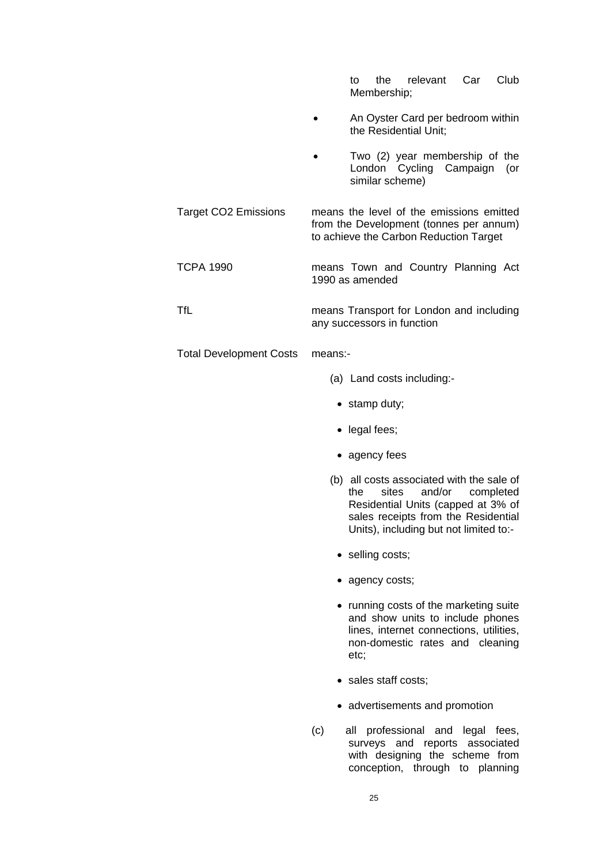to the relevant Car Club Membership;

- An Oyster Card per bedroom within the Residential Unit;
- Two (2) year membership of the London Cycling Campaign (or similar scheme)
- Target CO2 Emissions means the level of the emissions emitted from the Development (tonnes per annum) to achieve the Carbon Reduction Target

TCPA 1990 means Town and Country Planning Act 1990 as amended

TfL means Transport for London and including any successors in function

Total Development Costs means:-

- (a) Land costs including:-
	- stamp duty;
- legal fees;
- agency fees
- (b) all costs associated with the sale of<br>the sites and/or completed sites and/or completed Residential Units (capped at 3% of sales receipts from the Residential Units), including but not limited to:-
- selling costs;
- agency costs;
- running costs of the marketing suite and show units to include phones lines, internet connections, utilities, non-domestic rates and cleaning etc;
- sales staff costs;
- advertisements and promotion
- (c) all professional and legal fees, surveys and reports associated with designing the scheme from conception, through to planning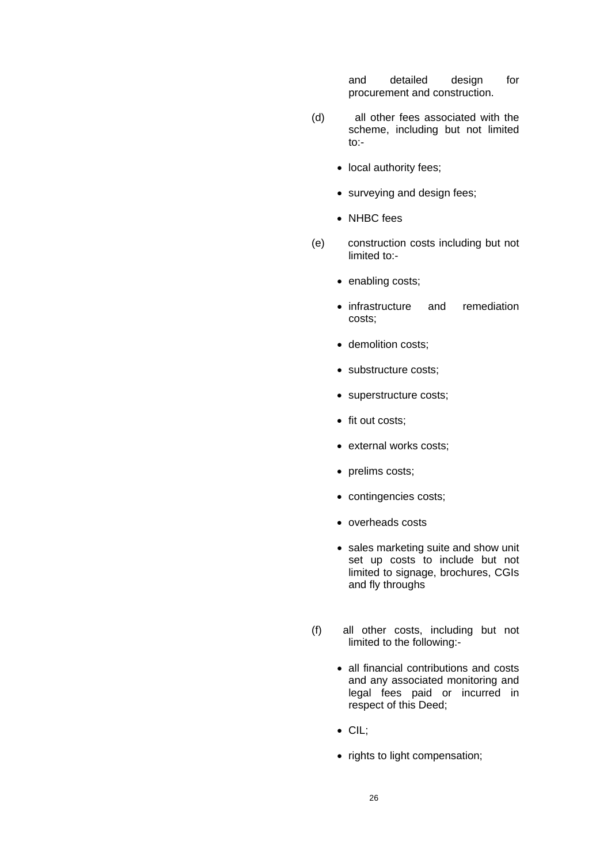and detailed design for procurement and construction.

- (d) all other fees associated with the scheme, including but not limited to:-
	- local authority fees;
	- surveying and design fees;
	- NHBC fees
- (e) construction costs including but not limited to:-
	- enabling costs;
	- infrastructure and remediation costs;
	- demolition costs:
	- substructure costs;
	- superstructure costs;
	- fit out costs;
	- external works costs;
	- prelims costs;
	- contingencies costs;
	- overheads costs
	- sales marketing suite and show unit set up costs to include but not limited to signage, brochures, CGIs and fly throughs
- (f) all other costs, including but not limited to the following:-
	- all financial contributions and costs and any associated monitoring and legal fees paid or incurred in respect of this Deed;
	- CIL;
	- rights to light compensation;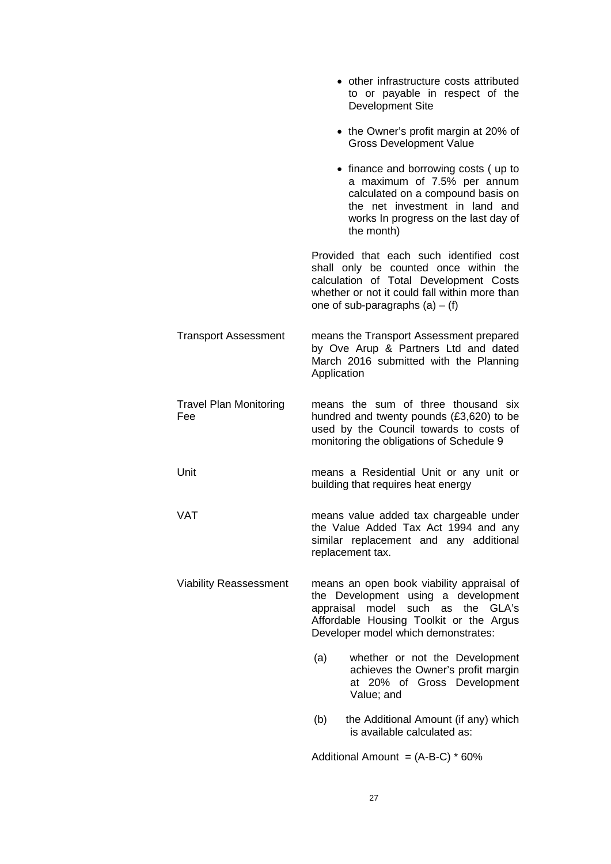|                                      | • other infrastructure costs attributed<br>to or payable in respect of the<br>Development Site                                                                                                                   |
|--------------------------------------|------------------------------------------------------------------------------------------------------------------------------------------------------------------------------------------------------------------|
|                                      | • the Owner's profit margin at 20% of<br><b>Gross Development Value</b>                                                                                                                                          |
|                                      | • finance and borrowing costs (up to<br>a maximum of 7.5% per annum<br>calculated on a compound basis on<br>the net investment in land and<br>works In progress on the last day of<br>the month)                 |
|                                      | Provided that each such identified cost<br>shall only be counted once within the<br>calculation of Total Development Costs<br>whether or not it could fall within more than<br>one of sub-paragraphs $(a) - (f)$ |
| <b>Transport Assessment</b>          | means the Transport Assessment prepared<br>by Ove Arup & Partners Ltd and dated<br>March 2016 submitted with the Planning<br>Application                                                                         |
| <b>Travel Plan Monitoring</b><br>Fee | means the sum of three thousand six<br>hundred and twenty pounds (£3,620) to be<br>used by the Council towards to costs of<br>monitoring the obligations of Schedule 9                                           |
| Unit                                 | means a Residential Unit or any unit or<br>building that requires heat energy                                                                                                                                    |
| <b>VAT</b>                           | means value added tax chargeable under<br>the Value Added Tax Act 1994 and any<br>similar replacement and any additional<br>replacement tax.                                                                     |
| <b>Viability Reassessment</b>        | means an open book viability appraisal of<br>the Development using a development<br>appraisal model such<br>as the GLA's<br>Affordable Housing Toolkit or the Argus<br>Developer model which demonstrates:       |
|                                      | (a)<br>whether or not the Development<br>achieves the Owner's profit margin<br>at 20% of Gross Development<br>Value; and                                                                                         |
|                                      | (b)<br>the Additional Amount (if any) which<br>is available calculated as:                                                                                                                                       |
|                                      | Additional Amount = $(A-B-C) * 60\%$                                                                                                                                                                             |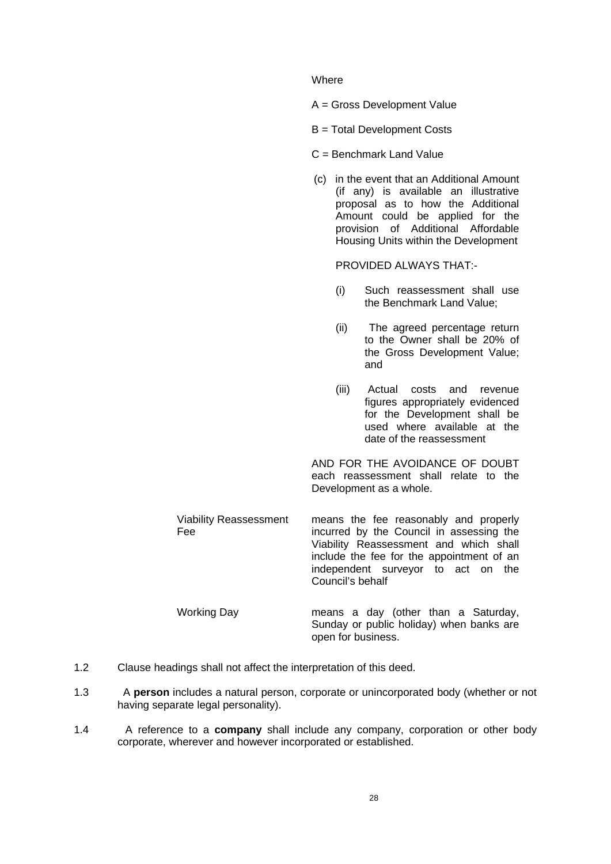#### **Where**

- A = Gross Development Value
- B = Total Development Costs

### C = Benchmark Land Value

(c) in the event that an Additional Amount (if any) is available an illustrative proposal as to how the Additional Amount could be applied for the provision of Additional Affordable Housing Units within the Development

PROVIDED ALWAYS THAT:-

- (i) Such reassessment shall use the Benchmark Land Value;
- (ii) The agreed percentage return to the Owner shall be 20% of the Gross Development Value; and
- (iii) Actual costs and revenue figures appropriately evidenced for the Development shall be used where available at the date of the reassessment

AND FOR THE AVOIDANCE OF DOUBT each reassessment shall relate to the Development as a whole.

Sunday or public holiday) when banks are

Viability Reassessment Fee means the fee reasonably and properly incurred by the Council in assessing the Viability Reassessment and which shall include the fee for the appointment of an independent surveyor to act on the Council's behalf Working Day means a day (other than a Saturday,

open for business.

- 1.2 Clause headings shall not affect the interpretation of this deed.
- 1.3 A **person** includes a natural person, corporate or unincorporated body (whether or not having separate legal personality).
- 1.4 A reference to a **company** shall include any company, corporation or other body corporate, wherever and however incorporated or established.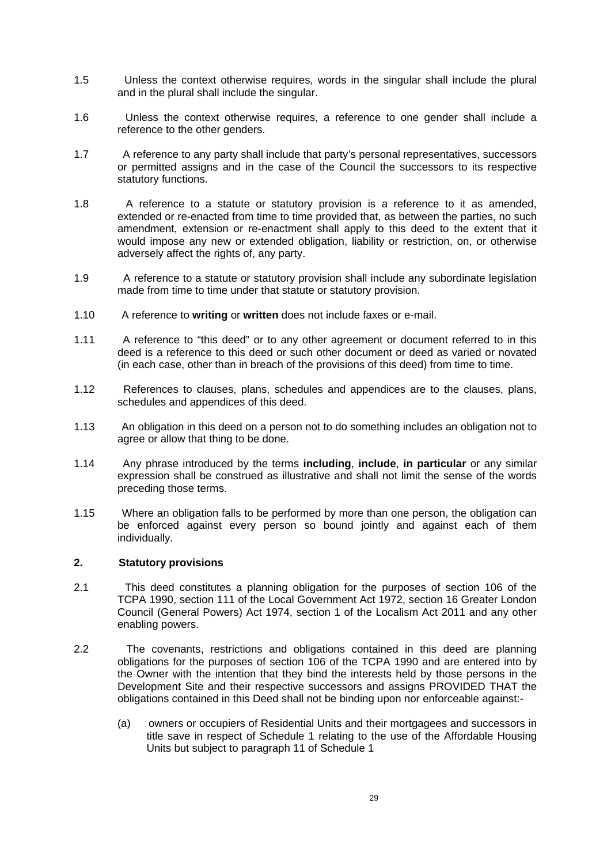- 1.5 Unless the context otherwise requires, words in the singular shall include the plural and in the plural shall include the singular.
- 1.6 Unless the context otherwise requires, a reference to one gender shall include a reference to the other genders.
- 1.7 A reference to any party shall include that party's personal representatives, successors or permitted assigns and in the case of the Council the successors to its respective statutory functions.
- 1.8 A reference to a statute or statutory provision is a reference to it as amended, extended or re-enacted from time to time provided that, as between the parties, no such amendment, extension or re-enactment shall apply to this deed to the extent that it would impose any new or extended obligation, liability or restriction, on, or otherwise adversely affect the rights of, any party.
- 1.9 A reference to a statute or statutory provision shall include any subordinate legislation made from time to time under that statute or statutory provision.
- 1.10 A reference to **writing** or **written** does not include faxes or e-mail.
- 1.11 A reference to "this deed" or to any other agreement or document referred to in this deed is a reference to this deed or such other document or deed as varied or novated (in each case, other than in breach of the provisions of this deed) from time to time.
- 1.12 References to clauses, plans, schedules and appendices are to the clauses, plans, schedules and appendices of this deed.
- 1.13 An obligation in this deed on a person not to do something includes an obligation not to agree or allow that thing to be done.
- 1.14 Any phrase introduced by the terms **including**, **include**, **in particular** or any similar expression shall be construed as illustrative and shall not limit the sense of the words preceding those terms.
- 1.15 Where an obligation falls to be performed by more than one person, the obligation can be enforced against every person so bound jointly and against each of them individually.

# **2. Statutory provisions**

- 2.1 This deed constitutes a planning obligation for the purposes of section 106 of the TCPA 1990, section 111 of the Local Government Act 1972, section 16 Greater London Council (General Powers) Act 1974, section 1 of the Localism Act 2011 and any other enabling powers.
- 2.2 The covenants, restrictions and obligations contained in this deed are planning obligations for the purposes of section 106 of the TCPA 1990 and are entered into by the Owner with the intention that they bind the interests held by those persons in the Development Site and their respective successors and assigns PROVIDED THAT the obligations contained in this Deed shall not be binding upon nor enforceable against:-
	- (a) owners or occupiers of Residential Units and their mortgagees and successors in title save in respect of Schedule 1 relating to the use of the Affordable Housing Units but subject to paragraph 11 of Schedule 1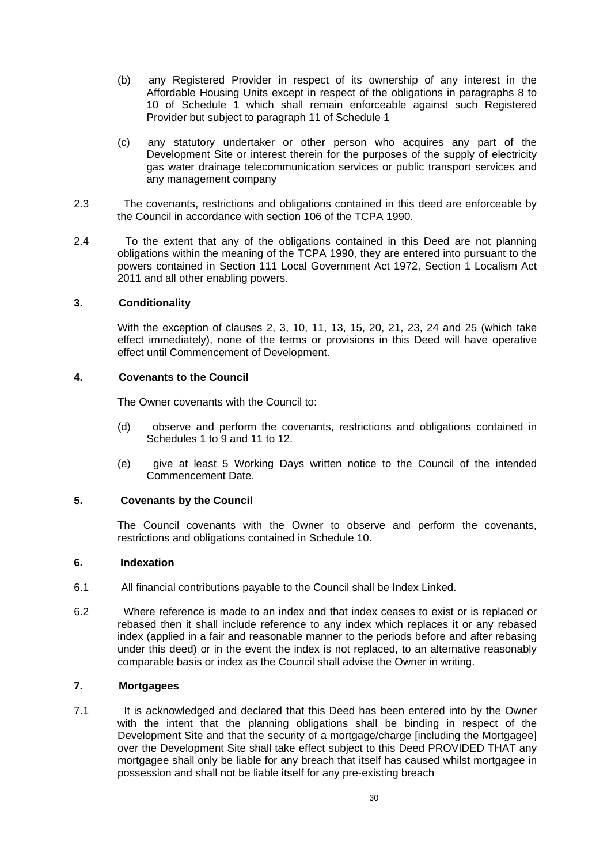- (b) any Registered Provider in respect of its ownership of any interest in the Affordable Housing Units except in respect of the obligations in paragraphs 8 to 10 of Schedule 1 which shall remain enforceable against such Registered Provider but subject to paragraph 11 of Schedule 1
- (c) any statutory undertaker or other person who acquires any part of the Development Site or interest therein for the purposes of the supply of electricity gas water drainage telecommunication services or public transport services and any management company
- 2.3 The covenants, restrictions and obligations contained in this deed are enforceable by the Council in accordance with section 106 of the TCPA 1990.
- 2.4 To the extent that any of the obligations contained in this Deed are not planning obligations within the meaning of the TCPA 1990, they are entered into pursuant to the powers contained in Section 111 Local Government Act 1972, Section 1 Localism Act 2011 and all other enabling powers.

# **3. Conditionality**

With the exception of clauses 2, 3, 10, 11, 13, 15, 20, 21, 23, 24 and 25 (which take effect immediately), none of the terms or provisions in this Deed will have operative effect until Commencement of Development.

# **4. Covenants to the Council**

The Owner covenants with the Council to:

- (d) observe and perform the covenants, restrictions and obligations contained in Schedules 1 to 9 and 11 to 12.
- (e) give at least 5 Working Days written notice to the Council of the intended Commencement Date.

# **5. Covenants by the Council**

The Council covenants with the Owner to observe and perform the covenants, restrictions and obligations contained in Schedule 10.

# **6. Indexation**

- 6.1 All financial contributions payable to the Council shall be Index Linked.
- 6.2 Where reference is made to an index and that index ceases to exist or is replaced or rebased then it shall include reference to any index which replaces it or any rebased index (applied in a fair and reasonable manner to the periods before and after rebasing under this deed) or in the event the index is not replaced, to an alternative reasonably comparable basis or index as the Council shall advise the Owner in writing.

# **7. Mortgagees**

7.1 It is acknowledged and declared that this Deed has been entered into by the Owner with the intent that the planning obligations shall be binding in respect of the Development Site and that the security of a mortgage/charge [including the Mortgagee] over the Development Site shall take effect subject to this Deed PROVIDED THAT any mortgagee shall only be liable for any breach that itself has caused whilst mortgagee in possession and shall not be liable itself for any pre-existing breach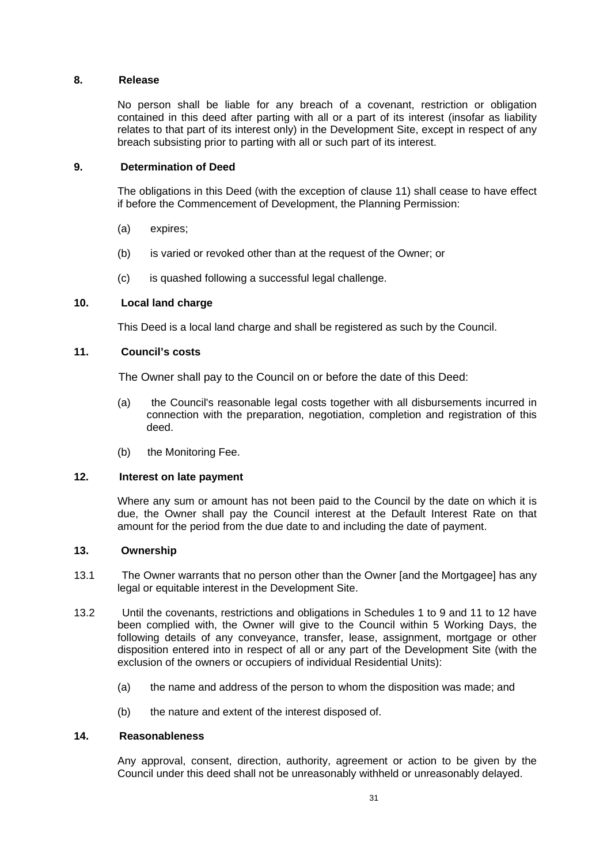# **8. Release**

No person shall be liable for any breach of a covenant, restriction or obligation contained in this deed after parting with all or a part of its interest (insofar as liability relates to that part of its interest only) in the Development Site, except in respect of any breach subsisting prior to parting with all or such part of its interest.

### **9. Determination of Deed**

The obligations in this Deed (with the exception of clause 11) shall cease to have effect if before the Commencement of Development, the Planning Permission:

- (a) expires;
- (b) is varied or revoked other than at the request of the Owner; or
- (c) is quashed following a successful legal challenge.

### **10. Local land charge**

This Deed is a local land charge and shall be registered as such by the Council.

### **11. Council's costs**

The Owner shall pay to the Council on or before the date of this Deed:

- (a) the Council's reasonable legal costs together with all disbursements incurred in connection with the preparation, negotiation, completion and registration of this deed.
- (b) the Monitoring Fee.

### **12. Interest on late payment**

Where any sum or amount has not been paid to the Council by the date on which it is due, the Owner shall pay the Council interest at the Default Interest Rate on that amount for the period from the due date to and including the date of payment.

### **13. Ownership**

- 13.1 The Owner warrants that no person other than the Owner [and the Mortgagee] has any legal or equitable interest in the Development Site.
- 13.2 Until the covenants, restrictions and obligations in Schedules 1 to 9 and 11 to 12 have been complied with, the Owner will give to the Council within 5 Working Days, the following details of any conveyance, transfer, lease, assignment, mortgage or other disposition entered into in respect of all or any part of the Development Site (with the exclusion of the owners or occupiers of individual Residential Units):
	- (a) the name and address of the person to whom the disposition was made; and
	- (b) the nature and extent of the interest disposed of.

# **14. Reasonableness**

Any approval, consent, direction, authority, agreement or action to be given by the Council under this deed shall not be unreasonably withheld or unreasonably delayed.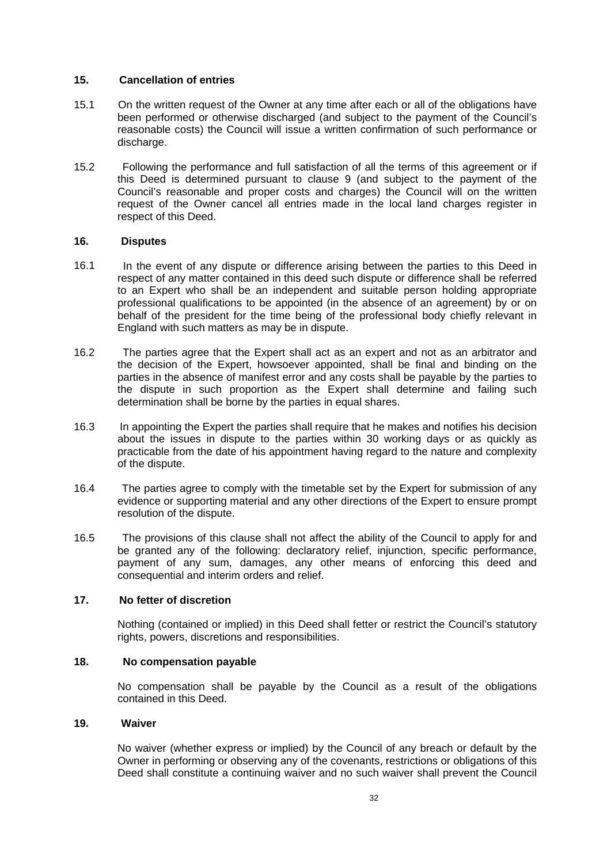# **15. Cancellation of entries**

- 15.1 On the written request of the Owner at any time after each or all of the obligations have been performed or otherwise discharged (and subject to the payment of the Council's reasonable costs) the Council will issue a written confirmation of such performance or discharge.
- 15.2 Following the performance and full satisfaction of all the terms of this agreement or if this Deed is determined pursuant to clause 9 (and subject to the payment of the Council's reasonable and proper costs and charges) the Council will on the written request of the Owner cancel all entries made in the local land charges register in respect of this Deed.

# **16. Disputes**

- 16.1 In the event of any dispute or difference arising between the parties to this Deed in respect of any matter contained in this deed such dispute or difference shall be referred to an Expert who shall be an independent and suitable person holding appropriate professional qualifications to be appointed (in the absence of an agreement) by or on behalf of the president for the time being of the professional body chiefly relevant in England with such matters as may be in dispute.
- 16.2 The parties agree that the Expert shall act as an expert and not as an arbitrator and the decision of the Expert, howsoever appointed, shall be final and binding on the parties in the absence of manifest error and any costs shall be payable by the parties to the dispute in such proportion as the Expert shall determine and failing such determination shall be borne by the parties in equal shares.
- 16.3 In appointing the Expert the parties shall require that he makes and notifies his decision about the issues in dispute to the parties within 30 working days or as quickly as practicable from the date of his appointment having regard to the nature and complexity of the dispute.
- 16.4 The parties agree to comply with the timetable set by the Expert for submission of any evidence or supporting material and any other directions of the Expert to ensure prompt resolution of the dispute.
- 16.5 The provisions of this clause shall not affect the ability of the Council to apply for and be granted any of the following: declaratory relief, injunction, specific performance, payment of any sum, damages, any other means of enforcing this deed and consequential and interim orders and relief.

# **17. No fetter of discretion**

Nothing (contained or implied) in this Deed shall fetter or restrict the Council's statutory rights, powers, discretions and responsibilities.

### **18. No compensation payable**

No compensation shall be payable by the Council as a result of the obligations contained in this Deed.

### **19. Waiver**

No waiver (whether express or implied) by the Council of any breach or default by the Owner in performing or observing any of the covenants, restrictions or obligations of this Deed shall constitute a continuing waiver and no such waiver shall prevent the Council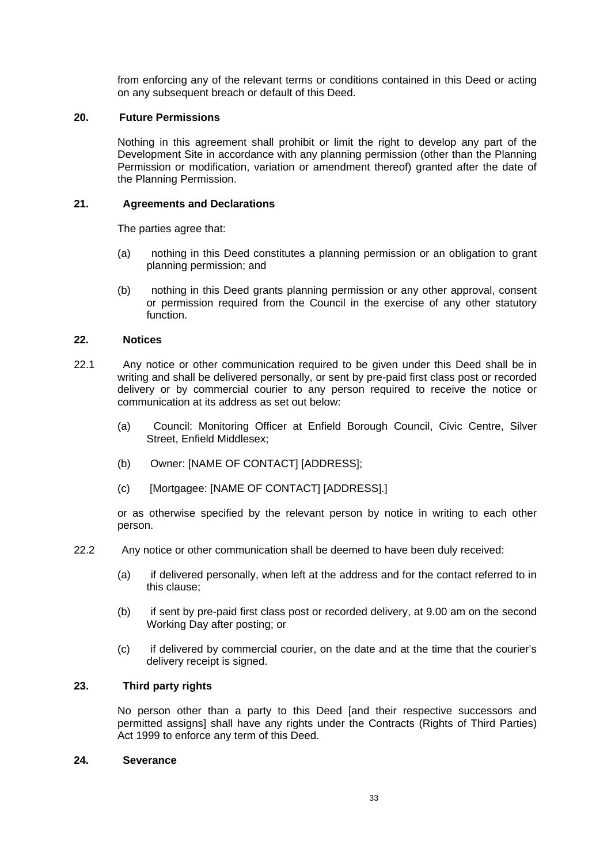from enforcing any of the relevant terms or conditions contained in this Deed or acting on any subsequent breach or default of this Deed.

### **20. Future Permissions**

Nothing in this agreement shall prohibit or limit the right to develop any part of the Development Site in accordance with any planning permission (other than the Planning Permission or modification, variation or amendment thereof) granted after the date of the Planning Permission.

### **21. Agreements and Declarations**

The parties agree that:

- (a) nothing in this Deed constitutes a planning permission or an obligation to grant planning permission; and
- (b) nothing in this Deed grants planning permission or any other approval, consent or permission required from the Council in the exercise of any other statutory function.

### **22. Notices**

- 22.1 Any notice or other communication required to be given under this Deed shall be in writing and shall be delivered personally, or sent by pre-paid first class post or recorded delivery or by commercial courier to any person required to receive the notice or communication at its address as set out below:
	- (a) Council: Monitoring Officer at Enfield Borough Council, Civic Centre, Silver Street, Enfield Middlesex;
	- (b) Owner: [NAME OF CONTACT] [ADDRESS];
	- (c) [Mortgagee: [NAME OF CONTACT] [ADDRESS].]

or as otherwise specified by the relevant person by notice in writing to each other person.

- 22.2 Any notice or other communication shall be deemed to have been duly received:
	- (a) if delivered personally, when left at the address and for the contact referred to in this clause;
	- (b) if sent by pre-paid first class post or recorded delivery, at 9.00 am on the second Working Day after posting; or
	- (c) if delivered by commercial courier, on the date and at the time that the courier's delivery receipt is signed.

# **23. Third party rights**

No person other than a party to this Deed [and their respective successors and permitted assigns] shall have any rights under the Contracts (Rights of Third Parties) Act 1999 to enforce any term of this Deed.

#### **24. Severance**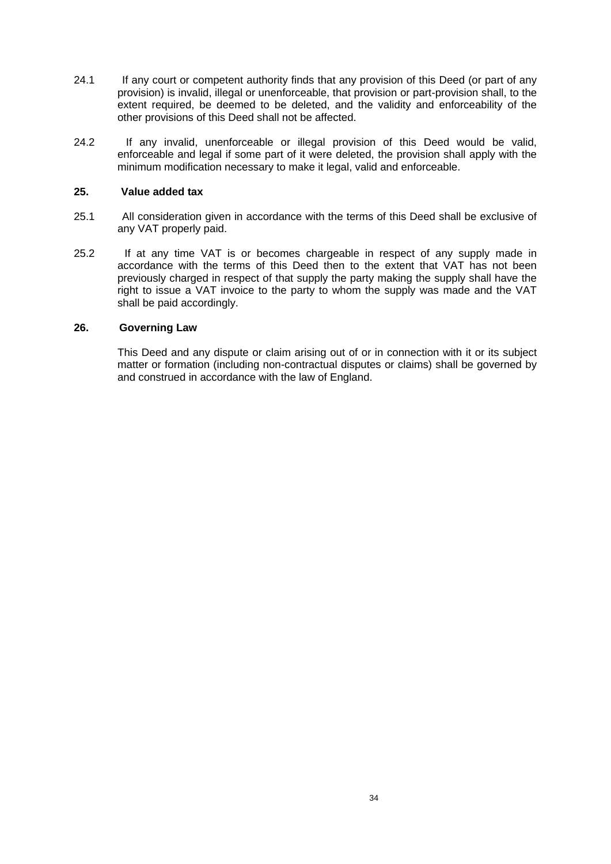- 24.1 If any court or competent authority finds that any provision of this Deed (or part of any provision) is invalid, illegal or unenforceable, that provision or part-provision shall, to the extent required, be deemed to be deleted, and the validity and enforceability of the other provisions of this Deed shall not be affected.
- 24.2 If any invalid, unenforceable or illegal provision of this Deed would be valid, enforceable and legal if some part of it were deleted, the provision shall apply with the minimum modification necessary to make it legal, valid and enforceable.

### **25. Value added tax**

- 25.1 All consideration given in accordance with the terms of this Deed shall be exclusive of any VAT properly paid.
- 25.2 If at any time VAT is or becomes chargeable in respect of any supply made in accordance with the terms of this Deed then to the extent that VAT has not been previously charged in respect of that supply the party making the supply shall have the right to issue a VAT invoice to the party to whom the supply was made and the VAT shall be paid accordingly.

# **26. Governing Law**

This Deed and any dispute or claim arising out of or in connection with it or its subject matter or formation (including non-contractual disputes or claims) shall be governed by and construed in accordance with the law of England.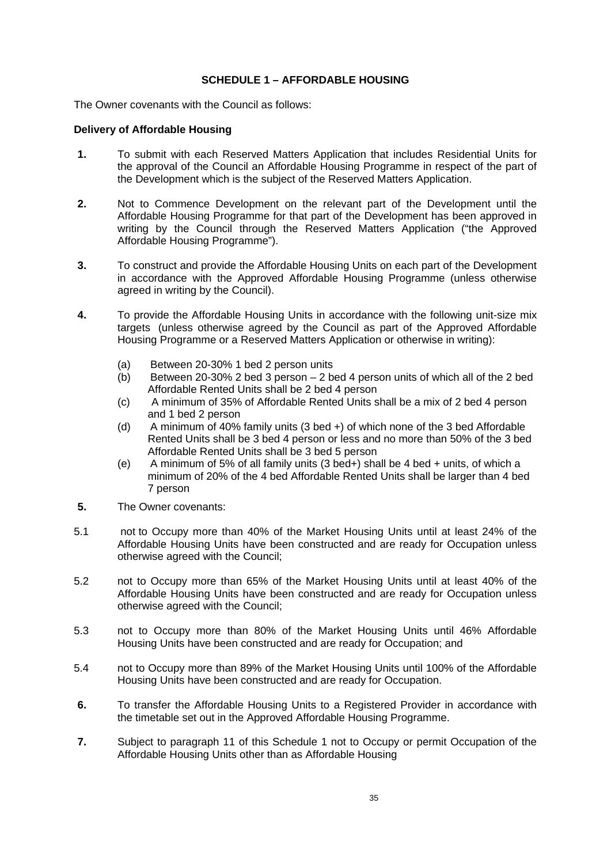# **SCHEDULE 1 – AFFORDABLE HOUSING**

The Owner covenants with the Council as follows:

### **Delivery of Affordable Housing**

- **1.** To submit with each Reserved Matters Application that includes Residential Units for the approval of the Council an Affordable Housing Programme in respect of the part of the Development which is the subject of the Reserved Matters Application.
- **2.** Not to Commence Development on the relevant part of the Development until the Affordable Housing Programme for that part of the Development has been approved in writing by the Council through the Reserved Matters Application ("the Approved Affordable Housing Programme").
- **3.** To construct and provide the Affordable Housing Units on each part of the Development in accordance with the Approved Affordable Housing Programme (unless otherwise agreed in writing by the Council).
- **4.** To provide the Affordable Housing Units in accordance with the following unit-size mix targets (unless otherwise agreed by the Council as part of the Approved Affordable Housing Programme or a Reserved Matters Application or otherwise in writing):
	- (a) Between 20-30% 1 bed 2 person units
	- (b) Between 20-30% 2 bed 3 person 2 bed 4 person units of which all of the 2 bed Affordable Rented Units shall be 2 bed 4 person
	- (c) A minimum of 35% of Affordable Rented Units shall be a mix of 2 bed 4 person and 1 bed 2 person
	- (d) A minimum of 40% family units (3 bed +) of which none of the 3 bed Affordable Rented Units shall be 3 bed 4 person or less and no more than 50% of the 3 bed Affordable Rented Units shall be 3 bed 5 person
	- (e) A minimum of 5% of all family units (3 bed+) shall be 4 bed + units, of which a minimum of 20% of the 4 bed Affordable Rented Units shall be larger than 4 bed 7 person
- **5.** The Owner covenants:
- 5.1 not to Occupy more than 40% of the Market Housing Units until at least 24% of the Affordable Housing Units have been constructed and are ready for Occupation unless otherwise agreed with the Council;
- 5.2 not to Occupy more than 65% of the Market Housing Units until at least 40% of the Affordable Housing Units have been constructed and are ready for Occupation unless otherwise agreed with the Council;
- 5.3 not to Occupy more than 80% of the Market Housing Units until 46% Affordable Housing Units have been constructed and are ready for Occupation; and
- 5.4 not to Occupy more than 89% of the Market Housing Units until 100% of the Affordable Housing Units have been constructed and are ready for Occupation.
- **6.** To transfer the Affordable Housing Units to a Registered Provider in accordance with the timetable set out in the Approved Affordable Housing Programme.
- **7.** Subject to paragraph 11 of this Schedule 1 not to Occupy or permit Occupation of the Affordable Housing Units other than as Affordable Housing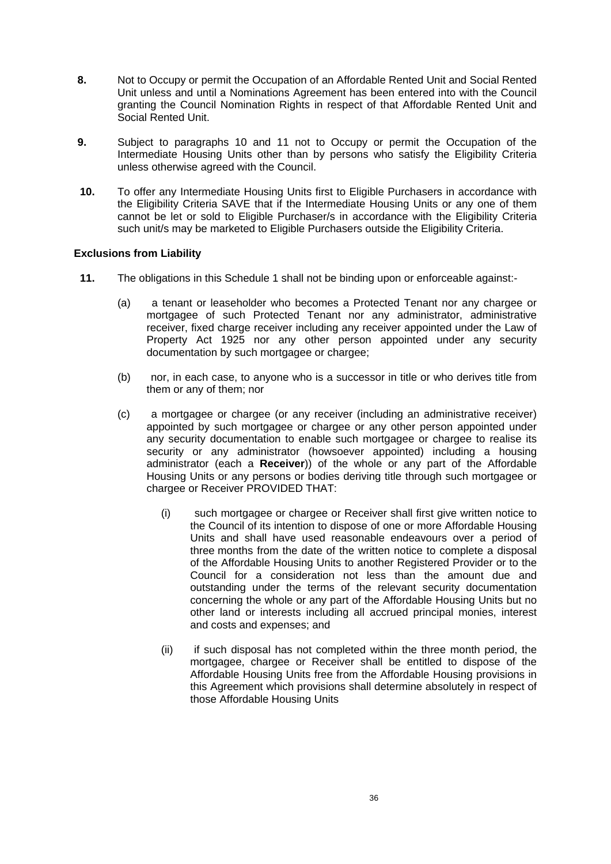- **8.** Not to Occupy or permit the Occupation of an Affordable Rented Unit and Social Rented Unit unless and until a Nominations Agreement has been entered into with the Council granting the Council Nomination Rights in respect of that Affordable Rented Unit and Social Rented Unit.
- **9.** Subject to paragraphs 10 and 11 not to Occupy or permit the Occupation of the Intermediate Housing Units other than by persons who satisfy the Eligibility Criteria unless otherwise agreed with the Council.
- **10.** To offer any Intermediate Housing Units first to Eligible Purchasers in accordance with the Eligibility Criteria SAVE that if the Intermediate Housing Units or any one of them cannot be let or sold to Eligible Purchaser/s in accordance with the Eligibility Criteria such unit/s may be marketed to Eligible Purchasers outside the Eligibility Criteria.

# **Exclusions from Liability**

- **11.** The obligations in this Schedule 1 shall not be binding upon or enforceable against:-
	- (a) a tenant or leaseholder who becomes a Protected Tenant nor any chargee or mortgagee of such Protected Tenant nor any administrator, administrative receiver, fixed charge receiver including any receiver appointed under the Law of Property Act 1925 nor any other person appointed under any security documentation by such mortgagee or chargee;
	- (b) nor, in each case, to anyone who is a successor in title or who derives title from them or any of them; nor
	- (c) a mortgagee or chargee (or any receiver (including an administrative receiver) appointed by such mortgagee or chargee or any other person appointed under any security documentation to enable such mortgagee or chargee to realise its security or any administrator (howsoever appointed) including a housing administrator (each a **Receiver**)) of the whole or any part of the Affordable Housing Units or any persons or bodies deriving title through such mortgagee or chargee or Receiver PROVIDED THAT:
		- (i) such mortgagee or chargee or Receiver shall first give written notice to the Council of its intention to dispose of one or more Affordable Housing Units and shall have used reasonable endeavours over a period of three months from the date of the written notice to complete a disposal of the Affordable Housing Units to another Registered Provider or to the Council for a consideration not less than the amount due and outstanding under the terms of the relevant security documentation concerning the whole or any part of the Affordable Housing Units but no other land or interests including all accrued principal monies, interest and costs and expenses; and
		- (ii) if such disposal has not completed within the three month period, the mortgagee, chargee or Receiver shall be entitled to dispose of the Affordable Housing Units free from the Affordable Housing provisions in this Agreement which provisions shall determine absolutely in respect of those Affordable Housing Units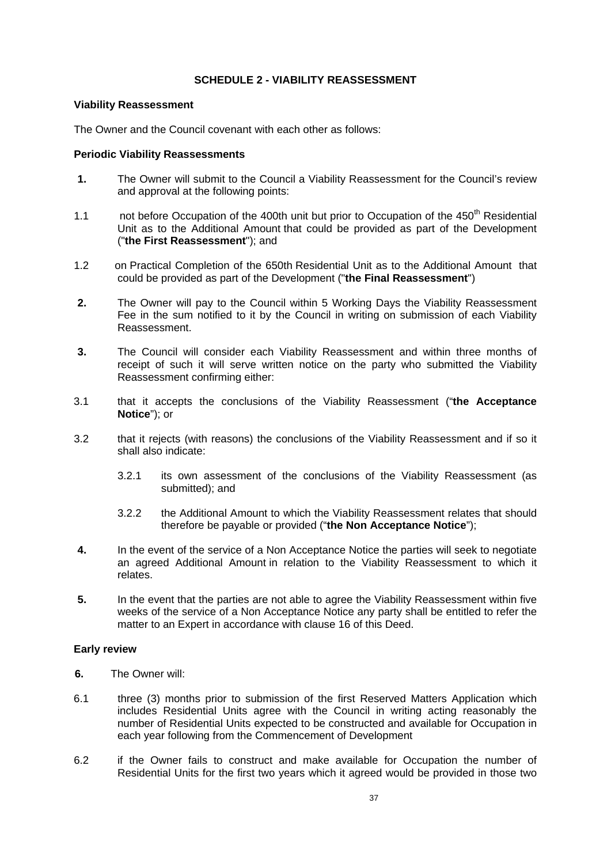# **SCHEDULE 2 - VIABILITY REASSESSMENT**

### **Viability Reassessment**

The Owner and the Council covenant with each other as follows:

### **Periodic Viability Reassessments**

- **1.** The Owner will submit to the Council a Viability Reassessment for the Council's review and approval at the following points:
- 1.1 not before Occupation of the 400th unit but prior to Occupation of the 450<sup>th</sup> Residential Unit as to the Additional Amount that could be provided as part of the Development ("**the First Reassessment**"); and
- 1.2 on Practical Completion of the 650th Residential Unit as to the Additional Amount that could be provided as part of the Development ("**the Final Reassessment**")
- **2.** The Owner will pay to the Council within 5 Working Days the Viability Reassessment Fee in the sum notified to it by the Council in writing on submission of each Viability Reassessment.
- **3.** The Council will consider each Viability Reassessment and within three months of receipt of such it will serve written notice on the party who submitted the Viability Reassessment confirming either:
- 3.1 that it accepts the conclusions of the Viability Reassessment ("**the Acceptance Notice**"); or
- 3.2 that it rejects (with reasons) the conclusions of the Viability Reassessment and if so it shall also indicate:
	- 3.2.1 its own assessment of the conclusions of the Viability Reassessment (as submitted); and
	- 3.2.2 the Additional Amount to which the Viability Reassessment relates that should therefore be payable or provided ("**the Non Acceptance Notice**");
- **4.** In the event of the service of a Non Acceptance Notice the parties will seek to negotiate an agreed Additional Amount in relation to the Viability Reassessment to which it relates.
- **5.** In the event that the parties are not able to agree the Viability Reassessment within five weeks of the service of a Non Acceptance Notice any party shall be entitled to refer the matter to an Expert in accordance with clause 16 of this Deed.

# **Early review**

- **6.** The Owner will:
- 6.1 three (3) months prior to submission of the first Reserved Matters Application which includes Residential Units agree with the Council in writing acting reasonably the number of Residential Units expected to be constructed and available for Occupation in each year following from the Commencement of Development
- 6.2 if the Owner fails to construct and make available for Occupation the number of Residential Units for the first two years which it agreed would be provided in those two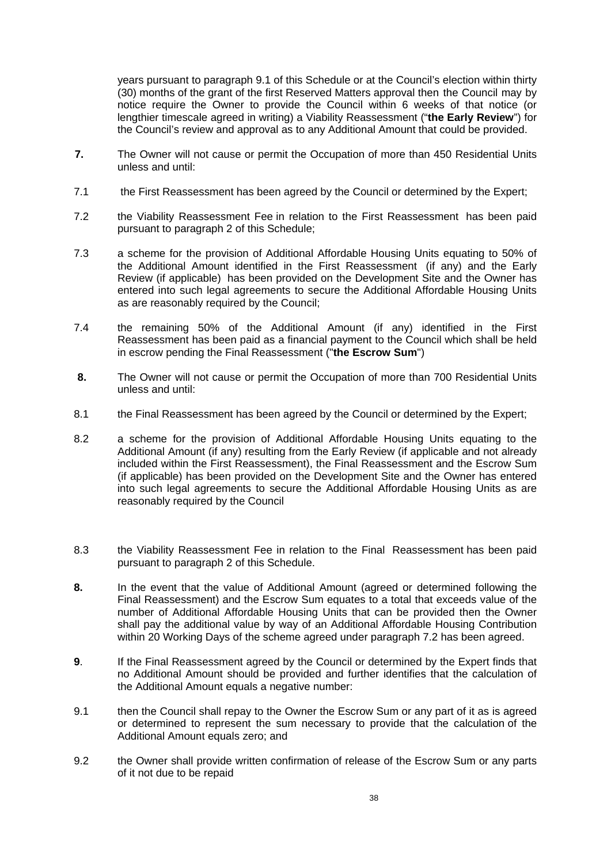years pursuant to paragraph 9.1 of this Schedule or at the Council's election within thirty (30) months of the grant of the first Reserved Matters approval then the Council may by notice require the Owner to provide the Council within 6 weeks of that notice (or lengthier timescale agreed in writing) a Viability Reassessment ("**the Early Review**") for the Council's review and approval as to any Additional Amount that could be provided.

- **7.** The Owner will not cause or permit the Occupation of more than 450 Residential Units unless and until:
- 7.1 the First Reassessment has been agreed by the Council or determined by the Expert;
- 7.2 the Viability Reassessment Fee in relation to the First Reassessment has been paid pursuant to paragraph 2 of this Schedule;
- 7.3 a scheme for the provision of Additional Affordable Housing Units equating to 50% of the Additional Amount identified in the First Reassessment (if any) and the Early Review (if applicable) has been provided on the Development Site and the Owner has entered into such legal agreements to secure the Additional Affordable Housing Units as are reasonably required by the Council;
- 7.4 the remaining 50% of the Additional Amount (if any) identified in the First Reassessment has been paid as a financial payment to the Council which shall be held in escrow pending the Final Reassessment ("**the Escrow Sum**")
- **8.** The Owner will not cause or permit the Occupation of more than 700 Residential Units unless and until:
- 8.1 the Final Reassessment has been agreed by the Council or determined by the Expert;
- 8.2 a scheme for the provision of Additional Affordable Housing Units equating to the Additional Amount (if any) resulting from the Early Review (if applicable and not already included within the First Reassessment), the Final Reassessment and the Escrow Sum (if applicable) has been provided on the Development Site and the Owner has entered into such legal agreements to secure the Additional Affordable Housing Units as are reasonably required by the Council
- 8.3 the Viability Reassessment Fee in relation to the Final Reassessment has been paid pursuant to paragraph 2 of this Schedule.
- **8.** In the event that the value of Additional Amount (agreed or determined following the Final Reassessment) and the Escrow Sum equates to a total that exceeds value of the number of Additional Affordable Housing Units that can be provided then the Owner shall pay the additional value by way of an Additional Affordable Housing Contribution within 20 Working Days of the scheme agreed under paragraph 7.2 has been agreed.
- **9**. If the Final Reassessment agreed by the Council or determined by the Expert finds that no Additional Amount should be provided and further identifies that the calculation of the Additional Amount equals a negative number:
- 9.1 then the Council shall repay to the Owner the Escrow Sum or any part of it as is agreed or determined to represent the sum necessary to provide that the calculation of the Additional Amount equals zero; and
- 9.2 the Owner shall provide written confirmation of release of the Escrow Sum or any parts of it not due to be repaid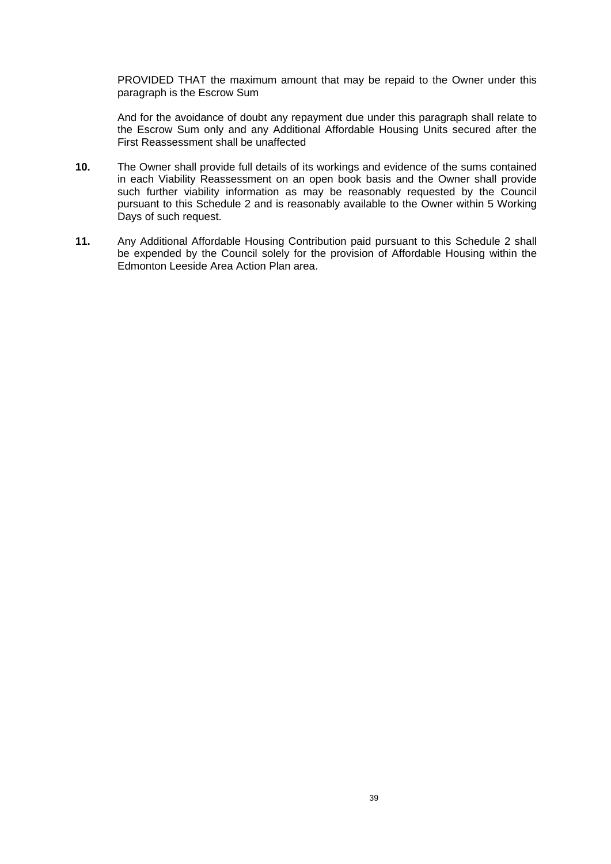PROVIDED THAT the maximum amount that may be repaid to the Owner under this paragraph is the Escrow Sum

And for the avoidance of doubt any repayment due under this paragraph shall relate to the Escrow Sum only and any Additional Affordable Housing Units secured after the First Reassessment shall be unaffected

- **10.** The Owner shall provide full details of its workings and evidence of the sums contained in each Viability Reassessment on an open book basis and the Owner shall provide such further viability information as may be reasonably requested by the Council pursuant to this Schedule 2 and is reasonably available to the Owner within 5 Working Days of such request.
- **11.** Any Additional Affordable Housing Contribution paid pursuant to this Schedule 2 shall be expended by the Council solely for the provision of Affordable Housing within the Edmonton Leeside Area Action Plan area.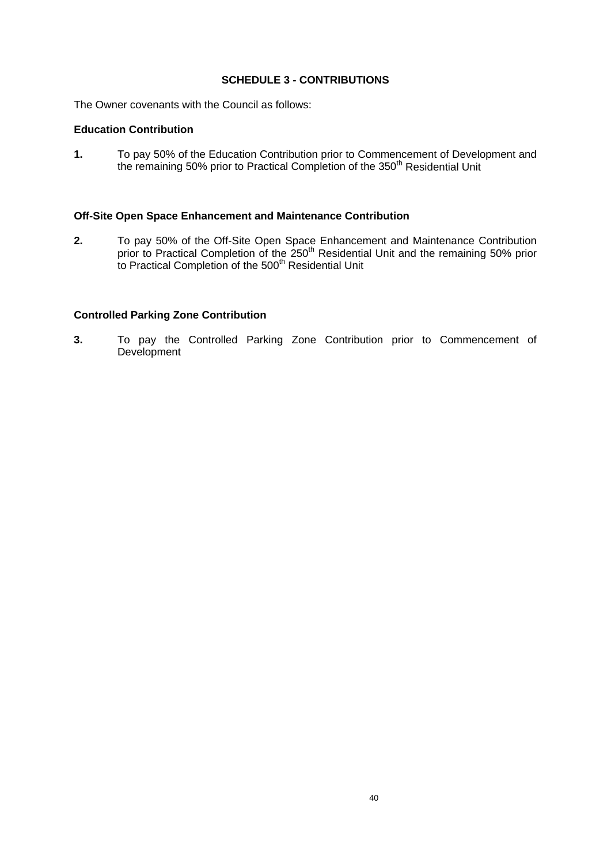### **SCHEDULE 3 - CONTRIBUTIONS**

The Owner covenants with the Council as follows:

#### **Education Contribution**

**1.** To pay 50% of the Education Contribution prior to Commencement of Development and the remaining 50% prior to Practical Completion of the 350<sup>th</sup> Residential Unit

#### **Off-Site Open Space Enhancement and Maintenance Contribution**

**2.** To pay 50% of the Off-Site Open Space Enhancement and Maintenance Contribution prior to Practical Completion of the 250<sup>th</sup> Residential Unit and the remaining 50% prior to Practical Completion of the 500<sup>th</sup> Residential Unit

#### **Controlled Parking Zone Contribution**

**3.** To pay the Controlled Parking Zone Contribution prior to Commencement of Development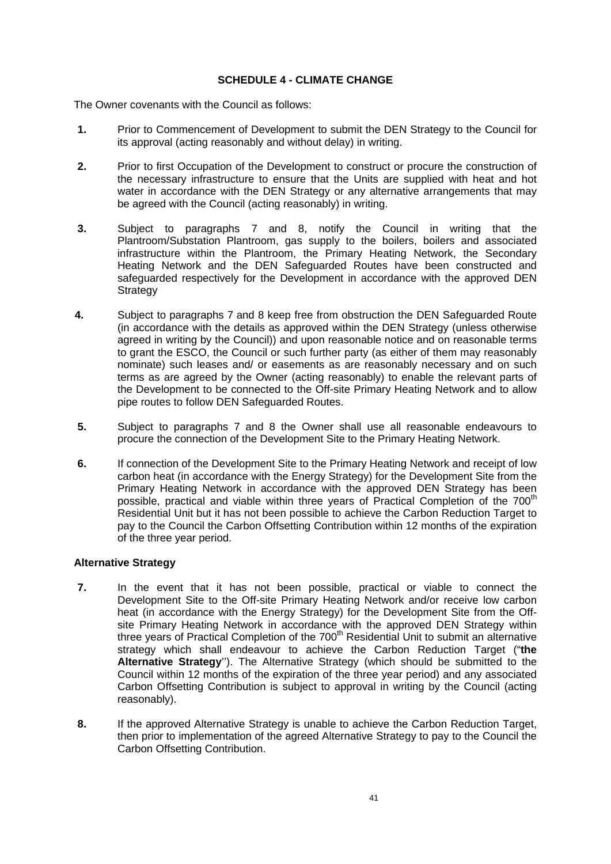### **SCHEDULE 4 - CLIMATE CHANGE**

The Owner covenants with the Council as follows:

- **1.** Prior to Commencement of Development to submit the DEN Strategy to the Council for its approval (acting reasonably and without delay) in writing.
- **2.** Prior to first Occupation of the Development to construct or procure the construction of the necessary infrastructure to ensure that the Units are supplied with heat and hot water in accordance with the DEN Strategy or any alternative arrangements that may be agreed with the Council (acting reasonably) in writing.
- **3.** Subject to paragraphs 7 and 8, notify the Council in writing that the Plantroom/Substation Plantroom, gas supply to the boilers, boilers and associated infrastructure within the Plantroom, the Primary Heating Network, the Secondary Heating Network and the DEN Safeguarded Routes have been constructed and safequarded respectively for the Development in accordance with the approved DEN **Strategy**
- **4.** Subject to paragraphs 7 and 8 keep free from obstruction the DEN Safeguarded Route (in accordance with the details as approved within the DEN Strategy (unless otherwise agreed in writing by the Council)) and upon reasonable notice and on reasonable terms to grant the ESCO, the Council or such further party (as either of them may reasonably nominate) such leases and/ or easements as are reasonably necessary and on such terms as are agreed by the Owner (acting reasonably) to enable the relevant parts of the Development to be connected to the Off-site Primary Heating Network and to allow pipe routes to follow DEN Safeguarded Routes.
- **5.** Subject to paragraphs 7 and 8 the Owner shall use all reasonable endeavours to procure the connection of the Development Site to the Primary Heating Network.
- **6.** If connection of the Development Site to the Primary Heating Network and receipt of low carbon heat (in accordance with the Energy Strategy) for the Development Site from the Primary Heating Network in accordance with the approved DEN Strategy has been possible, practical and viable within three years of Practical Completion of the 700<sup>th</sup> Residential Unit but it has not been possible to achieve the Carbon Reduction Target to pay to the Council the Carbon Offsetting Contribution within 12 months of the expiration of the three year period.

## **Alternative Strategy**

- **7.** In the event that it has not been possible, practical or viable to connect the Development Site to the Off-site Primary Heating Network and/or receive low carbon heat (in accordance with the Energy Strategy) for the Development Site from the Offsite Primary Heating Network in accordance with the approved DEN Strategy within three years of Practical Completion of the 700<sup>th</sup> Residential Unit to submit an alternative strategy which shall endeavour to achieve the Carbon Reduction Target ("**the Alternative Strategy**''). The Alternative Strategy (which should be submitted to the Council within 12 months of the expiration of the three year period) and any associated Carbon Offsetting Contribution is subject to approval in writing by the Council (acting reasonably).
- **8.** If the approved Alternative Strategy is unable to achieve the Carbon Reduction Target, then prior to implementation of the agreed Alternative Strategy to pay to the Council the Carbon Offsetting Contribution.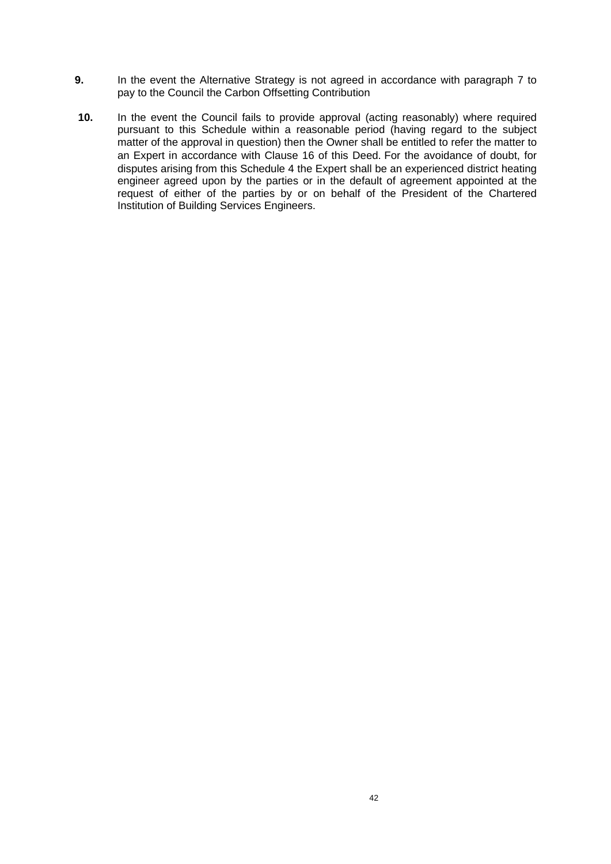- **9.** In the event the Alternative Strategy is not agreed in accordance with paragraph 7 to pay to the Council the Carbon Offsetting Contribution
- **10.** In the event the Council fails to provide approval (acting reasonably) where required pursuant to this Schedule within a reasonable period (having regard to the subject matter of the approval in question) then the Owner shall be entitled to refer the matter to an Expert in accordance with Clause 16 of this Deed. For the avoidance of doubt, for disputes arising from this Schedule 4 the Expert shall be an experienced district heating engineer agreed upon by the parties or in the default of agreement appointed at the request of either of the parties by or on behalf of the President of the Chartered Institution of Building Services Engineers.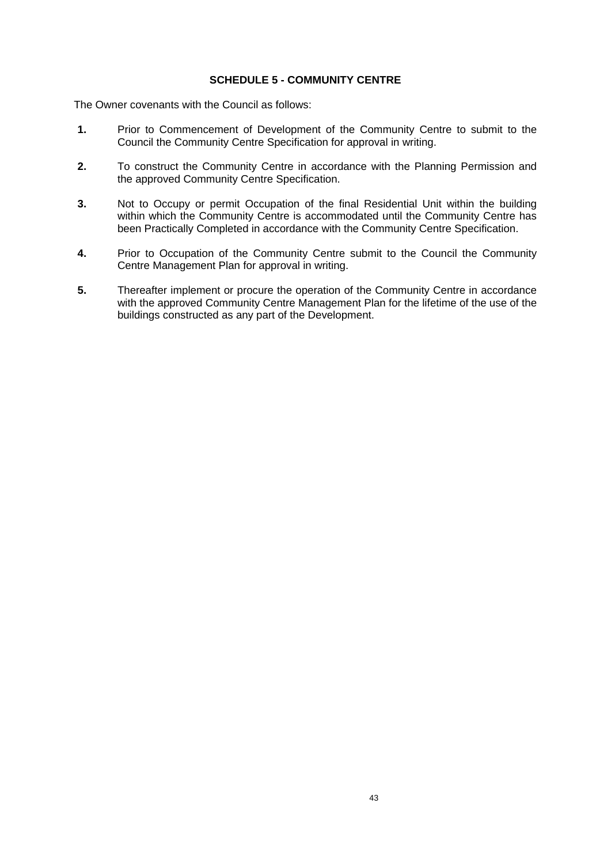### **SCHEDULE 5 - COMMUNITY CENTRE**

- **1.** Prior to Commencement of Development of the Community Centre to submit to the Council the Community Centre Specification for approval in writing.
- **2.** To construct the Community Centre in accordance with the Planning Permission and the approved Community Centre Specification.
- **3.** Not to Occupy or permit Occupation of the final Residential Unit within the building within which the Community Centre is accommodated until the Community Centre has been Practically Completed in accordance with the Community Centre Specification.
- **4.** Prior to Occupation of the Community Centre submit to the Council the Community Centre Management Plan for approval in writing.
- **5.** Thereafter implement or procure the operation of the Community Centre in accordance with the approved Community Centre Management Plan for the lifetime of the use of the buildings constructed as any part of the Development.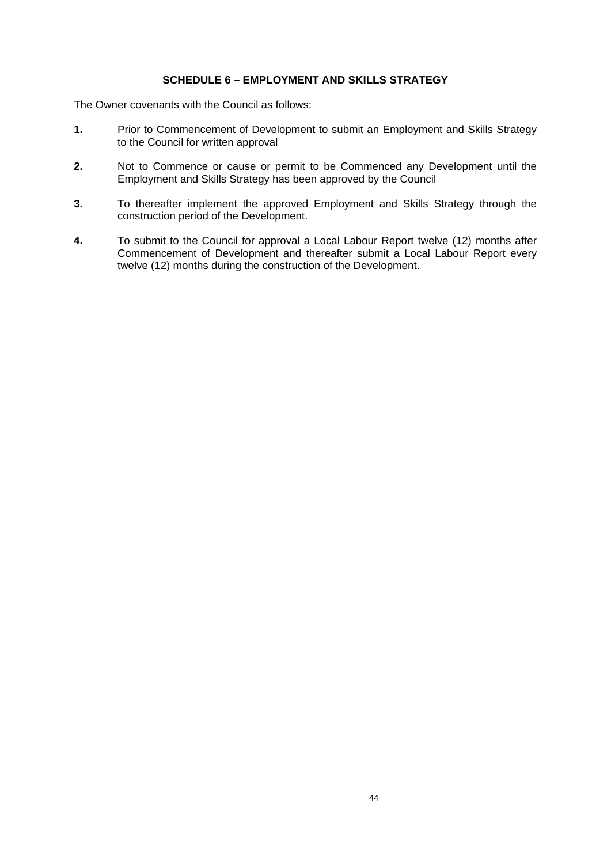## **SCHEDULE 6 – EMPLOYMENT AND SKILLS STRATEGY**

- **1.** Prior to Commencement of Development to submit an Employment and Skills Strategy to the Council for written approval
- **2.** Not to Commence or cause or permit to be Commenced any Development until the Employment and Skills Strategy has been approved by the Council
- **3.** To thereafter implement the approved Employment and Skills Strategy through the construction period of the Development.
- **4.** To submit to the Council for approval a Local Labour Report twelve (12) months after Commencement of Development and thereafter submit a Local Labour Report every twelve (12) months during the construction of the Development.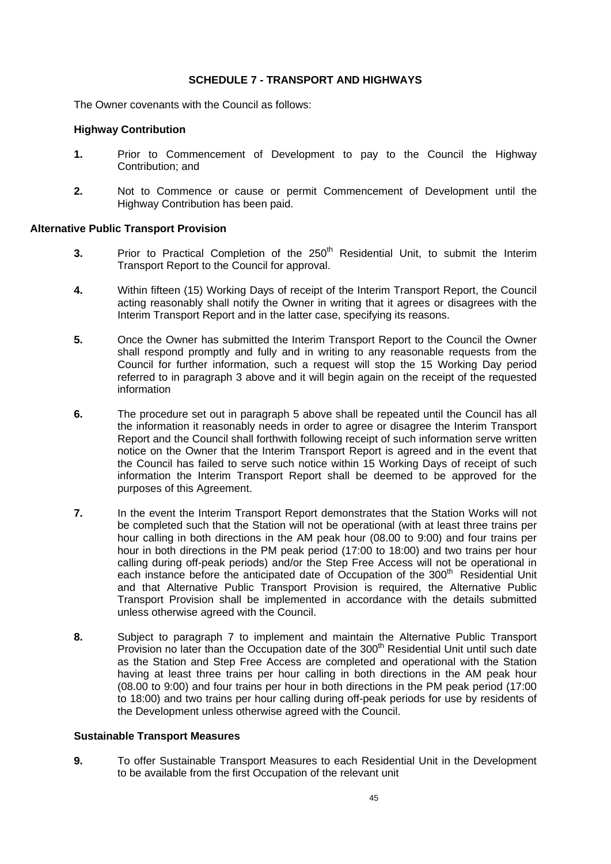#### **SCHEDULE 7 - TRANSPORT AND HIGHWAYS**

The Owner covenants with the Council as follows:

#### **Highway Contribution**

- **1.** Prior to Commencement of Development to pay to the Council the Highway Contribution; and
- **2.** Not to Commence or cause or permit Commencement of Development until the Highway Contribution has been paid.

#### **Alternative Public Transport Provision**

- **3.** Prior to Practical Completion of the 250<sup>th</sup> Residential Unit, to submit the Interim Transport Report to the Council for approval.
- **4.** Within fifteen (15) Working Days of receipt of the Interim Transport Report, the Council acting reasonably shall notify the Owner in writing that it agrees or disagrees with the Interim Transport Report and in the latter case, specifying its reasons.
- **5.** Once the Owner has submitted the Interim Transport Report to the Council the Owner shall respond promptly and fully and in writing to any reasonable requests from the Council for further information, such a request will stop the 15 Working Day period referred to in paragraph 3 above and it will begin again on the receipt of the requested information
- **6.** The procedure set out in paragraph 5 above shall be repeated until the Council has all the information it reasonably needs in order to agree or disagree the Interim Transport Report and the Council shall forthwith following receipt of such information serve written notice on the Owner that the Interim Transport Report is agreed and in the event that the Council has failed to serve such notice within 15 Working Days of receipt of such information the Interim Transport Report shall be deemed to be approved for the purposes of this Agreement.
- **7.** In the event the Interim Transport Report demonstrates that the Station Works will not be completed such that the Station will not be operational (with at least three trains per hour calling in both directions in the AM peak hour (08.00 to 9:00) and four trains per hour in both directions in the PM peak period (17:00 to 18:00) and two trains per hour calling during off-peak periods) and/or the Step Free Access will not be operational in each instance before the anticipated date of Occupation of the 300<sup>th</sup> Residential Unit and that Alternative Public Transport Provision is required, the Alternative Public Transport Provision shall be implemented in accordance with the details submitted unless otherwise agreed with the Council.
- **8.** Subject to paragraph 7 to implement and maintain the Alternative Public Transport Provision no later than the Occupation date of the 300<sup>th</sup> Residential Unit until such date as the Station and Step Free Access are completed and operational with the Station having at least three trains per hour calling in both directions in the AM peak hour (08.00 to 9:00) and four trains per hour in both directions in the PM peak period (17:00 to 18:00) and two trains per hour calling during off-peak periods for use by residents of the Development unless otherwise agreed with the Council.

## **Sustainable Transport Measures**

**9.** To offer Sustainable Transport Measures to each Residential Unit in the Development to be available from the first Occupation of the relevant unit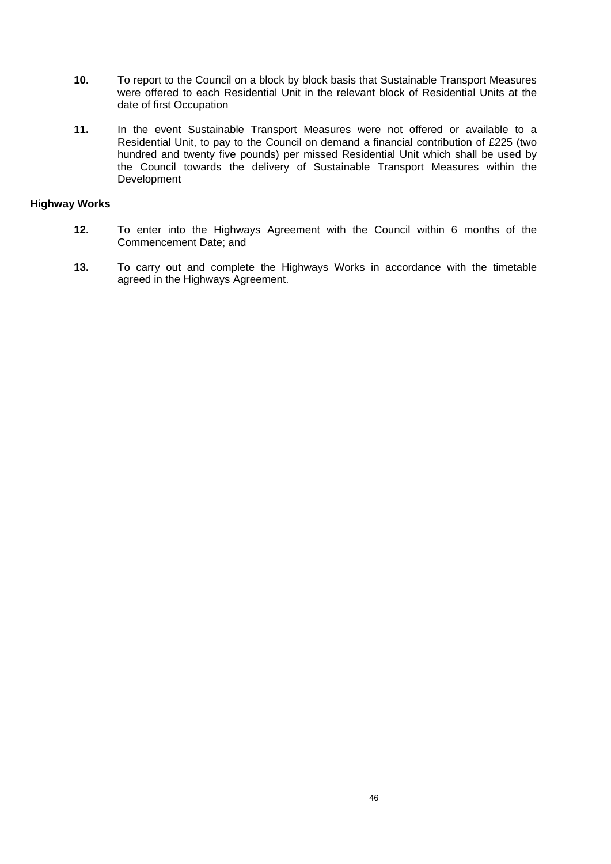- **10.** To report to the Council on a block by block basis that Sustainable Transport Measures were offered to each Residential Unit in the relevant block of Residential Units at the date of first Occupation
- **11.** In the event Sustainable Transport Measures were not offered or available to a Residential Unit, to pay to the Council on demand a financial contribution of £225 (two hundred and twenty five pounds) per missed Residential Unit which shall be used by the Council towards the delivery of Sustainable Transport Measures within the Development

### **Highway Works**

- **12.** To enter into the Highways Agreement with the Council within 6 months of the Commencement Date; and
- **13.** To carry out and complete the Highways Works in accordance with the timetable agreed in the Highways Agreement.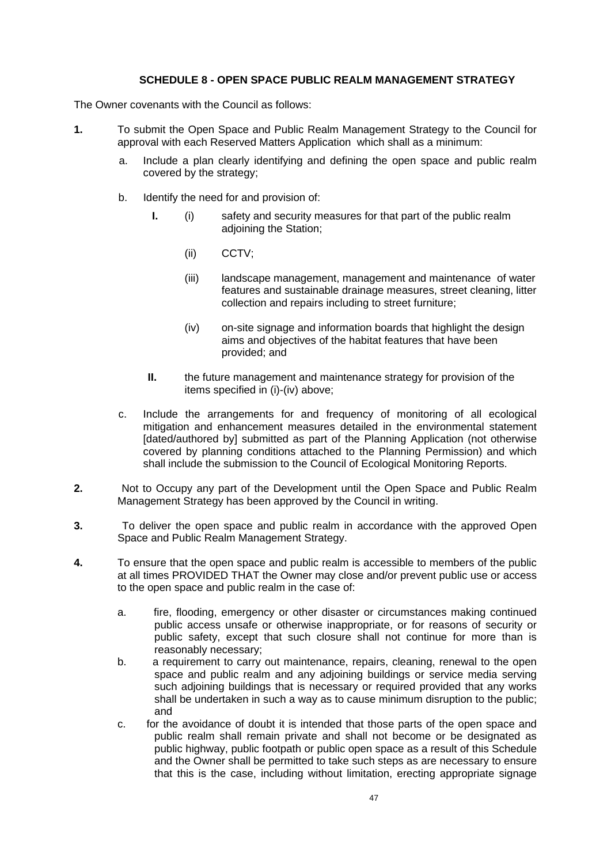## **SCHEDULE 8 - OPEN SPACE PUBLIC REALM MANAGEMENT STRATEGY**

- **1.** To submit the Open Space and Public Realm Management Strategy to the Council for approval with each Reserved Matters Application which shall as a minimum:
	- a. Include a plan clearly identifying and defining the open space and public realm covered by the strategy;
	- b. Identify the need for and provision of:
		- **I.** (i) safety and security measures for that part of the public realm adjoining the Station;
			- (ii) CCTV;
			- (iii) landscape management, management and maintenance of water features and sustainable drainage measures, street cleaning, litter collection and repairs including to street furniture;
			- (iv) on-site signage and information boards that highlight the design aims and objectives of the habitat features that have been provided; and
		- **II.** the future management and maintenance strategy for provision of the items specified in (i)-(iv) above;
	- c. Include the arrangements for and frequency of monitoring of all ecological mitigation and enhancement measures detailed in the environmental statement [dated/authored by] submitted as part of the Planning Application (not otherwise covered by planning conditions attached to the Planning Permission) and which shall include the submission to the Council of Ecological Monitoring Reports.
- **2.** Not to Occupy any part of the Development until the Open Space and Public Realm Management Strategy has been approved by the Council in writing.
- **3.** To deliver the open space and public realm in accordance with the approved Open Space and Public Realm Management Strategy.
- **4.** To ensure that the open space and public realm is accessible to members of the public at all times PROVIDED THAT the Owner may close and/or prevent public use or access to the open space and public realm in the case of:
	- a. fire, flooding, emergency or other disaster or circumstances making continued public access unsafe or otherwise inappropriate, or for reasons of security or public safety, except that such closure shall not continue for more than is reasonably necessary;
	- b. a requirement to carry out maintenance, repairs, cleaning, renewal to the open space and public realm and any adjoining buildings or service media serving such adjoining buildings that is necessary or required provided that any works shall be undertaken in such a way as to cause minimum disruption to the public; and
	- c. for the avoidance of doubt it is intended that those parts of the open space and public realm shall remain private and shall not become or be designated as public highway, public footpath or public open space as a result of this Schedule and the Owner shall be permitted to take such steps as are necessary to ensure that this is the case, including without limitation, erecting appropriate signage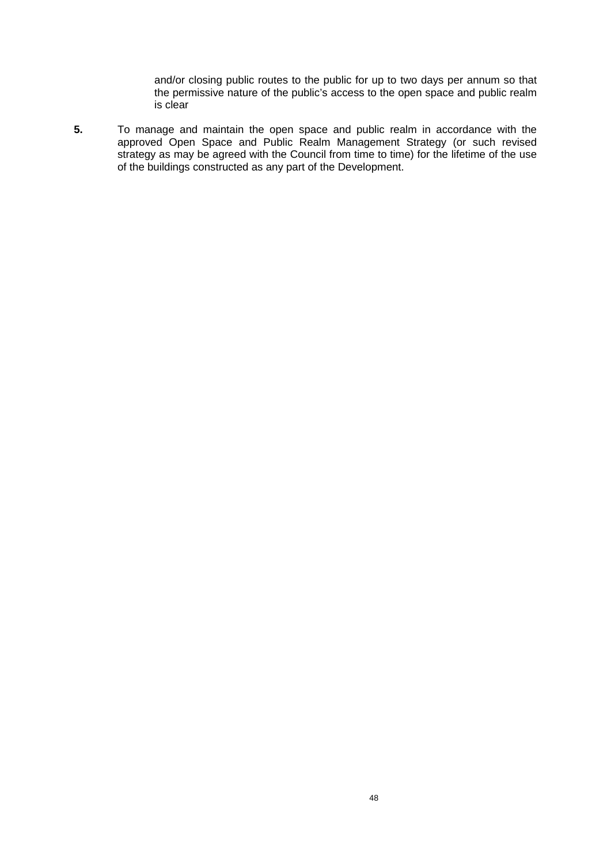and/or closing public routes to the public for up to two days per annum so that the permissive nature of the public's access to the open space and public realm is clear

**5.** To manage and maintain the open space and public realm in accordance with the approved Open Space and Public Realm Management Strategy (or such revised strategy as may be agreed with the Council from time to time) for the lifetime of the use of the buildings constructed as any part of the Development.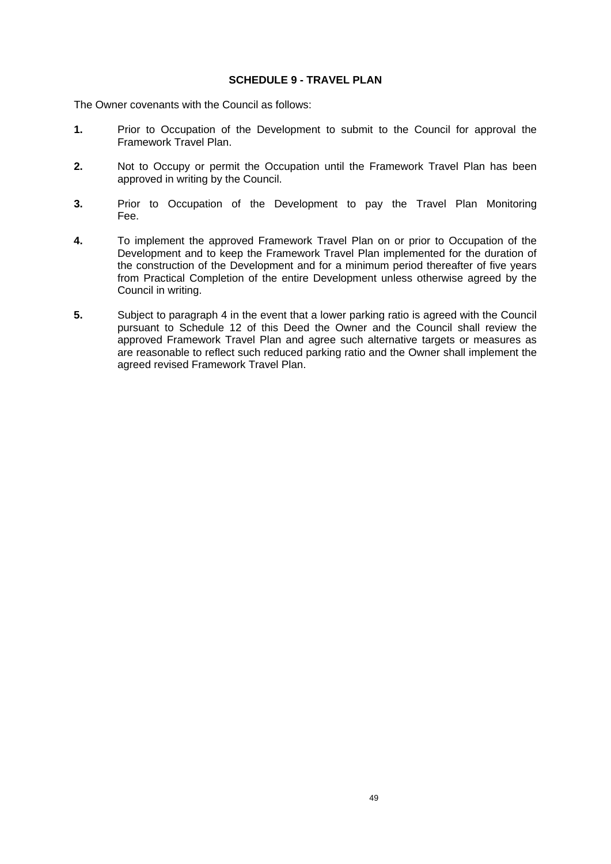#### **SCHEDULE 9 - TRAVEL PLAN**

- **1.** Prior to Occupation of the Development to submit to the Council for approval the Framework Travel Plan.
- **2.** Not to Occupy or permit the Occupation until the Framework Travel Plan has been approved in writing by the Council.
- **3.** Prior to Occupation of the Development to pay the Travel Plan Monitoring Fee.
- **4.** To implement the approved Framework Travel Plan on or prior to Occupation of the Development and to keep the Framework Travel Plan implemented for the duration of the construction of the Development and for a minimum period thereafter of five years from Practical Completion of the entire Development unless otherwise agreed by the Council in writing.
- **5.** Subject to paragraph 4 in the event that a lower parking ratio is agreed with the Council pursuant to Schedule 12 of this Deed the Owner and the Council shall review the approved Framework Travel Plan and agree such alternative targets or measures as are reasonable to reflect such reduced parking ratio and the Owner shall implement the agreed revised Framework Travel Plan.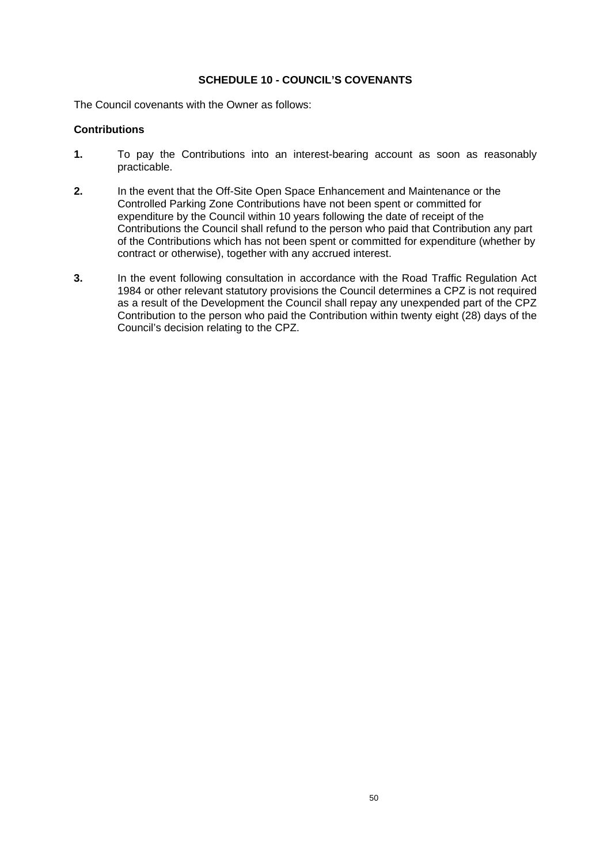## **SCHEDULE 10 - COUNCIL'S COVENANTS**

The Council covenants with the Owner as follows:

### **Contributions**

- **1.** To pay the Contributions into an interest-bearing account as soon as reasonably practicable.
- **2.** In the event that the Off-Site Open Space Enhancement and Maintenance or the Controlled Parking Zone Contributions have not been spent or committed for expenditure by the Council within 10 years following the date of receipt of the Contributions the Council shall refund to the person who paid that Contribution any part of the Contributions which has not been spent or committed for expenditure (whether by contract or otherwise), together with any accrued interest.
- **3.** In the event following consultation in accordance with the Road Traffic Regulation Act 1984 or other relevant statutory provisions the Council determines a CPZ is not required as a result of the Development the Council shall repay any unexpended part of the CPZ Contribution to the person who paid the Contribution within twenty eight (28) days of the Council's decision relating to the CPZ.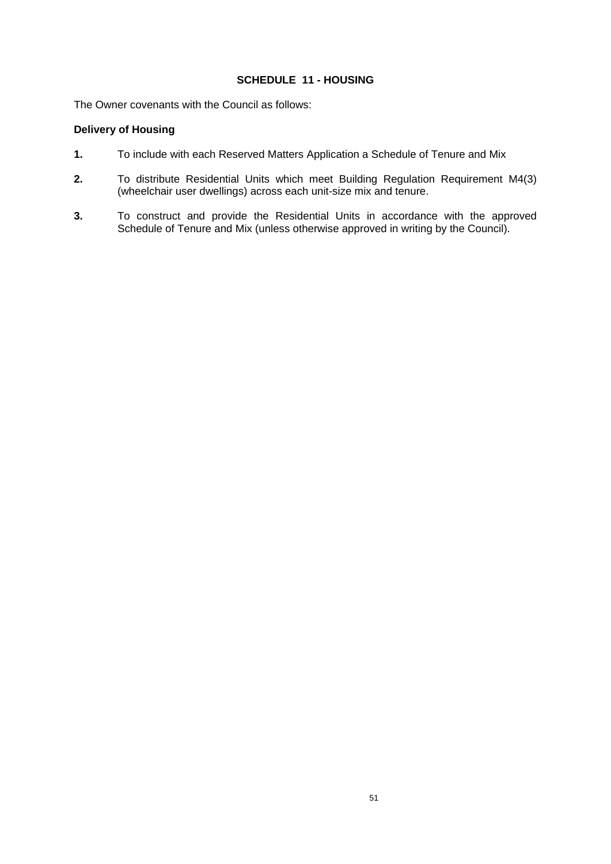## **SCHEDULE 11 - HOUSING**

The Owner covenants with the Council as follows:

# **Delivery of Housing**

- **1.** To include with each Reserved Matters Application a Schedule of Tenure and Mix
- **2.** To distribute Residential Units which meet Building Regulation Requirement M4(3) (wheelchair user dwellings) across each unit-size mix and tenure.
- **3.** To construct and provide the Residential Units in accordance with the approved Schedule of Tenure and Mix (unless otherwise approved in writing by the Council).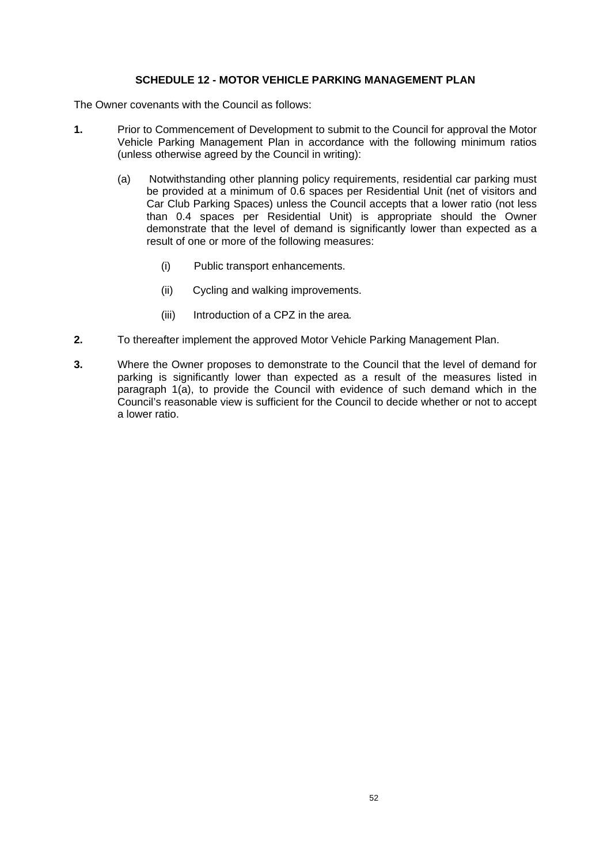## **SCHEDULE 12 - MOTOR VEHICLE PARKING MANAGEMENT PLAN**

- **1.** Prior to Commencement of Development to submit to the Council for approval the Motor Vehicle Parking Management Plan in accordance with the following minimum ratios (unless otherwise agreed by the Council in writing):
	- (a) Notwithstanding other planning policy requirements, residential car parking must be provided at a minimum of 0.6 spaces per Residential Unit (net of visitors and Car Club Parking Spaces) unless the Council accepts that a lower ratio (not less than 0.4 spaces per Residential Unit) is appropriate should the Owner demonstrate that the level of demand is significantly lower than expected as a result of one or more of the following measures:
		- (i) Public transport enhancements.
		- (ii) Cycling and walking improvements.
		- (iii) Introduction of a CPZ in the area*.*
- **2.** To thereafter implement the approved Motor Vehicle Parking Management Plan.
- **3.** Where the Owner proposes to demonstrate to the Council that the level of demand for parking is significantly lower than expected as a result of the measures listed in paragraph 1(a), to provide the Council with evidence of such demand which in the Council's reasonable view is sufficient for the Council to decide whether or not to accept a lower ratio.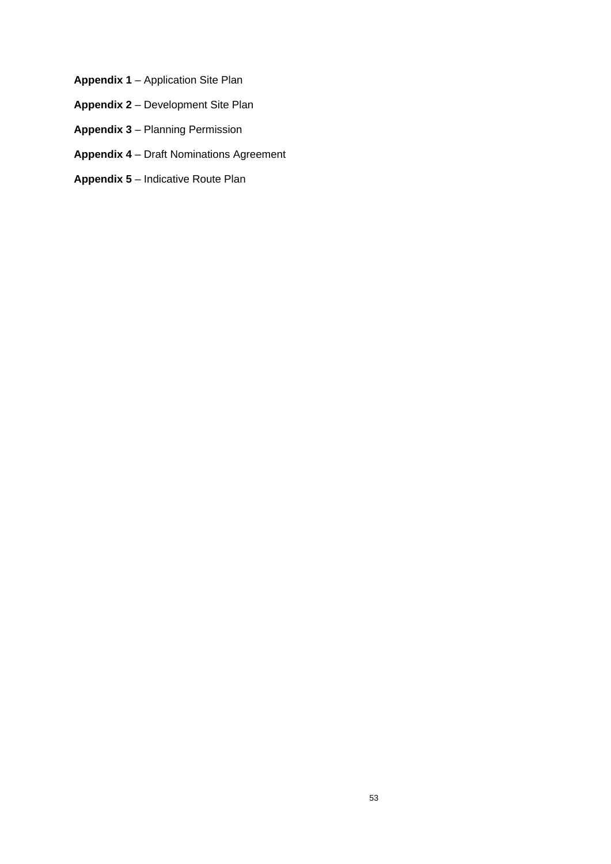- **Appendix 1** Application Site Plan
- **Appendix 2** Development Site Plan
- **Appendix 3** Planning Permission
- **Appendix 4** Draft Nominations Agreement
- **Appendix 5** Indicative Route Plan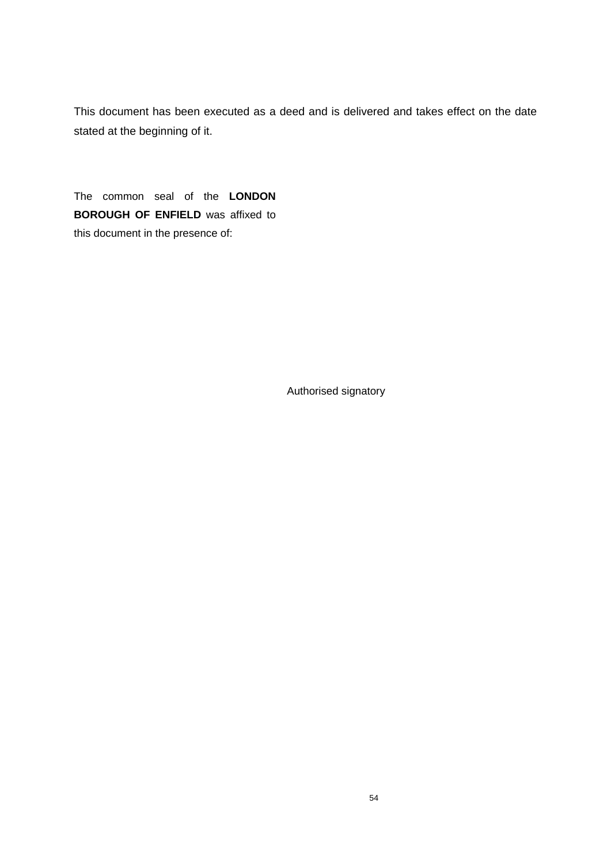This document has been executed as a deed and is delivered and takes effect on the date stated at the beginning of it.

The common seal of the **LONDON BOROUGH OF ENFIELD** was affixed to this document in the presence of:

Authorised signatory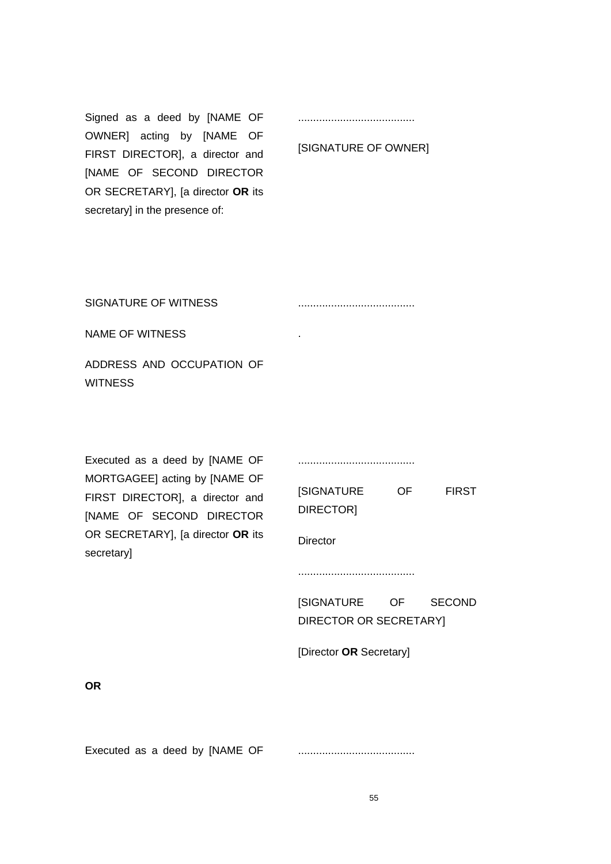Signed as a deed by [NAME OF OWNER] acting by [NAME OF FIRST DIRECTOR], a director and [NAME OF SECOND DIRECTOR OR SECRETARY], [a director **OR** its secretary] in the presence of:

.......................................

#### [SIGNATURE OF OWNER]

SIGNATURE OF WITNESS

.......................................

.

NAME OF WITNESS

ADDRESS AND OCCUPATION OF **WITNESS** 

Executed as a deed by [NAME OF MORTGAGEE] acting by [NAME OF FIRST DIRECTOR], a director and [NAME OF SECOND DIRECTOR OR SECRETARY], [a director **OR** its secretary]

.......................................

[SIGNATURE OF FIRST DIRECTOR]

**Director** 

.......................................

[SIGNATURE OF SECOND DIRECTOR OR SECRETARY]

[Director **OR** Secretary]

**OR**

Executed as a deed by [NAME OF .......................................